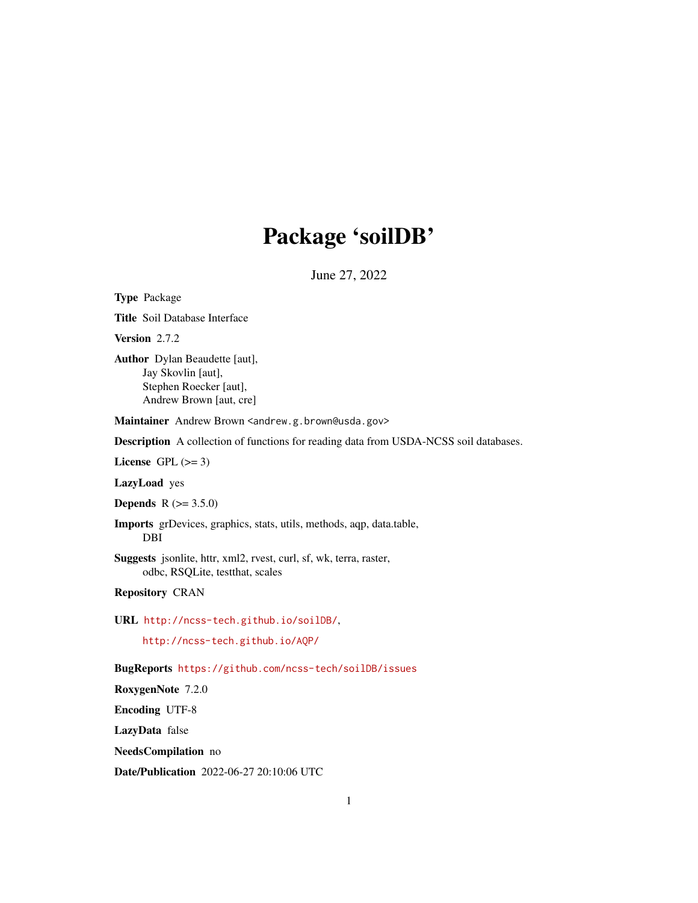# Package 'soilDB'

June 27, 2022

<span id="page-0-0"></span>Type Package

Title Soil Database Interface

Version 2.7.2

Author Dylan Beaudette [aut], Jay Skovlin [aut], Stephen Roecker [aut], Andrew Brown [aut, cre]

Maintainer Andrew Brown <andrew.g.brown@usda.gov>

Description A collection of functions for reading data from USDA-NCSS soil databases.

License GPL  $(>= 3)$ 

LazyLoad yes

**Depends** R  $(>= 3.5.0)$ 

Imports grDevices, graphics, stats, utils, methods, aqp, data.table, DBI

Suggests jsonlite, httr, xml2, rvest, curl, sf, wk, terra, raster, odbc, RSQLite, testthat, scales

Repository CRAN

URL <http://ncss-tech.github.io/soilDB/>,

<http://ncss-tech.github.io/AQP/>

BugReports <https://github.com/ncss-tech/soilDB/issues>

RoxygenNote 7.2.0

Encoding UTF-8

LazyData false

NeedsCompilation no

Date/Publication 2022-06-27 20:10:06 UTC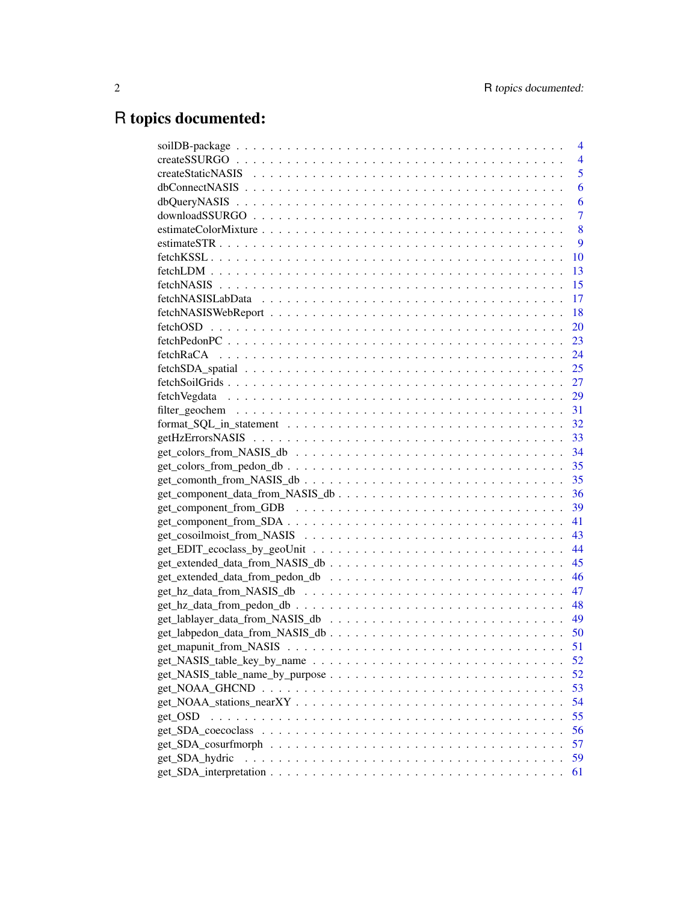# R topics documented:

|                | $\overline{4}$ |
|----------------|----------------|
|                | $\overline{4}$ |
|                | 5              |
|                | 6              |
|                | 6              |
|                | $\overline{7}$ |
|                | 8              |
|                | 9              |
|                | 10             |
|                | 13             |
|                | 15             |
|                | 17             |
|                | 18             |
|                | <b>20</b>      |
|                |                |
|                |                |
|                |                |
|                |                |
|                |                |
|                |                |
|                |                |
|                |                |
|                |                |
|                |                |
|                |                |
|                |                |
|                | 39             |
|                |                |
|                |                |
|                |                |
|                |                |
|                | 46             |
|                | 47             |
|                | 48             |
|                |                |
|                |                |
|                | 51             |
|                | 52             |
|                | 52             |
|                | 53             |
|                | 54             |
| get OSD        | 55             |
|                | 56             |
|                | 57             |
| get_SDA_hydric | 59             |
|                | 61             |
|                |                |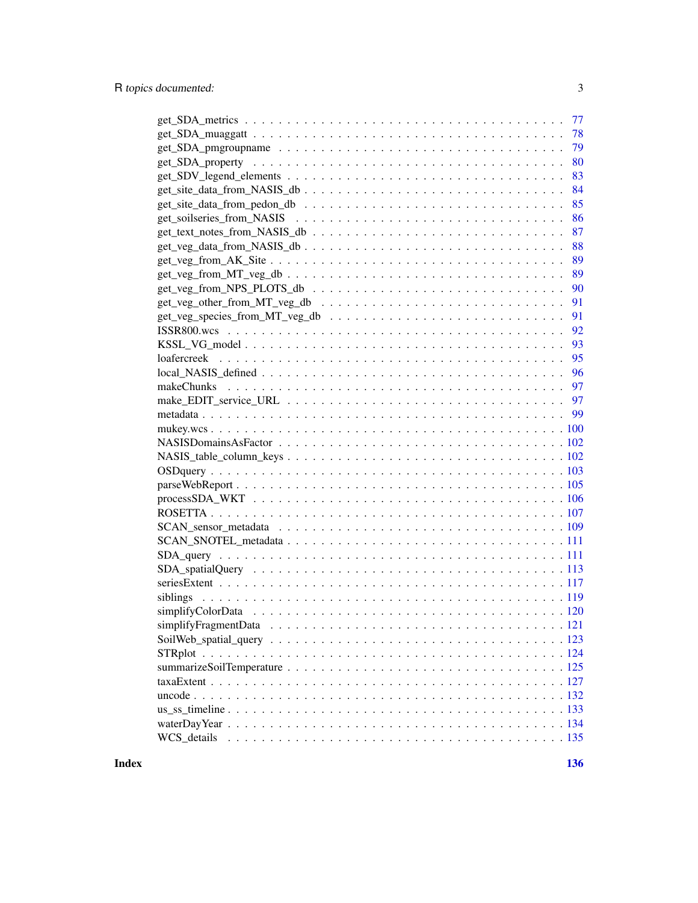| -77                                                                                                     |
|---------------------------------------------------------------------------------------------------------|
| 78                                                                                                      |
| 79                                                                                                      |
| 80                                                                                                      |
| 83                                                                                                      |
| $get\_site\_data\_from\_NASIS\_db \ldots \ldots \ldots \ldots \ldots \ldots \ldots \ldots \ldots$<br>84 |
| 85                                                                                                      |
| 86                                                                                                      |
| 87                                                                                                      |
| get_veg_data_from_NASIS_db<br>88                                                                        |
| 89                                                                                                      |
| 89                                                                                                      |
| 90                                                                                                      |
| 91                                                                                                      |
| 91                                                                                                      |
| 92                                                                                                      |
| 93                                                                                                      |
| 95                                                                                                      |
| 96                                                                                                      |
|                                                                                                         |
|                                                                                                         |
|                                                                                                         |
|                                                                                                         |
|                                                                                                         |
|                                                                                                         |
|                                                                                                         |
|                                                                                                         |
|                                                                                                         |
|                                                                                                         |
|                                                                                                         |
|                                                                                                         |
|                                                                                                         |
|                                                                                                         |
|                                                                                                         |
| siblings                                                                                                |
|                                                                                                         |
|                                                                                                         |
|                                                                                                         |
|                                                                                                         |
|                                                                                                         |
|                                                                                                         |
|                                                                                                         |
|                                                                                                         |
|                                                                                                         |
| WCS details                                                                                             |
|                                                                                                         |

**Index** 2008 **[136](#page-135-0)**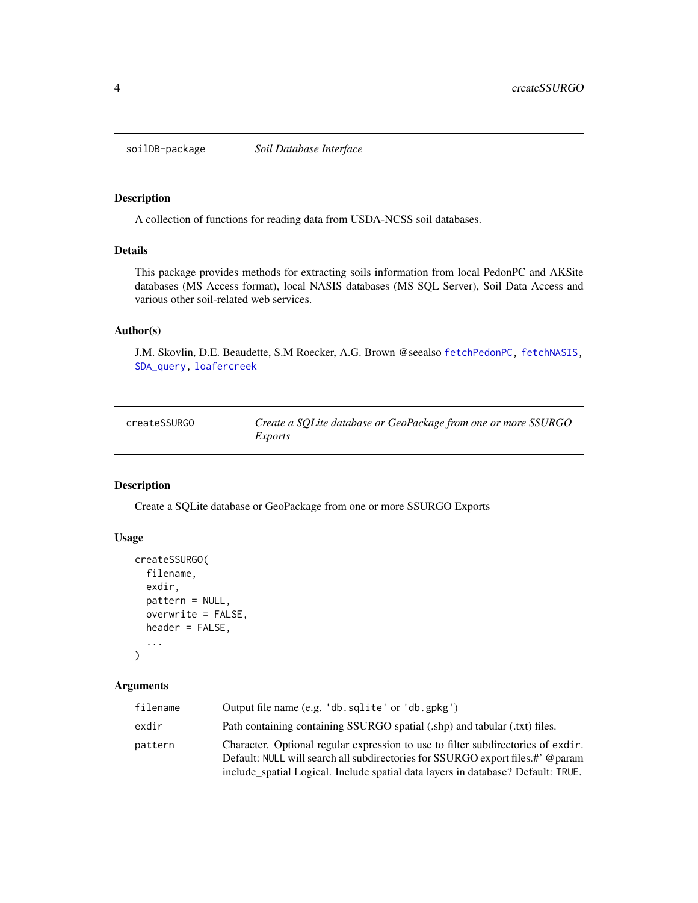<span id="page-3-0"></span>

#### Description

A collection of functions for reading data from USDA-NCSS soil databases.

# Details

This package provides methods for extracting soils information from local PedonPC and AKSite databases (MS Access format), local NASIS databases (MS SQL Server), Soil Data Access and various other soil-related web services.

## Author(s)

J.M. Skovlin, D.E. Beaudette, S.M Roecker, A.G. Brown @seealso [fetchPedonPC,](#page-22-1) [fetchNASIS,](#page-14-1) [SDA\\_query,](#page-110-1) [loafercreek](#page-94-1)

| createSSURGO | Create a SQLite database or GeoPackage from one or more SSURGO |
|--------------|----------------------------------------------------------------|
|              | Exports                                                        |

# Description

Create a SQLite database or GeoPackage from one or more SSURGO Exports

#### Usage

```
createSSURGO(
  filename,
  exdir,
  pattern = NULL,
  overwrite = FALSE,
  header = FALSE,
  ...
\mathcal{L}
```

| filename | Output file name (e.g. 'db. sqlite' or 'db. gpkg')                                                                                                                                                                                                     |
|----------|--------------------------------------------------------------------------------------------------------------------------------------------------------------------------------------------------------------------------------------------------------|
| exdir    | Path containing containing SSURGO spatial (.shp) and tabular (.txt) files.                                                                                                                                                                             |
| pattern  | Character. Optional regular expression to use to filter subdirectories of exdir.<br>Default: NULL will search all subdirectories for SSURGO export files.#' @param<br>include_spatial Logical. Include spatial data layers in database? Default: TRUE. |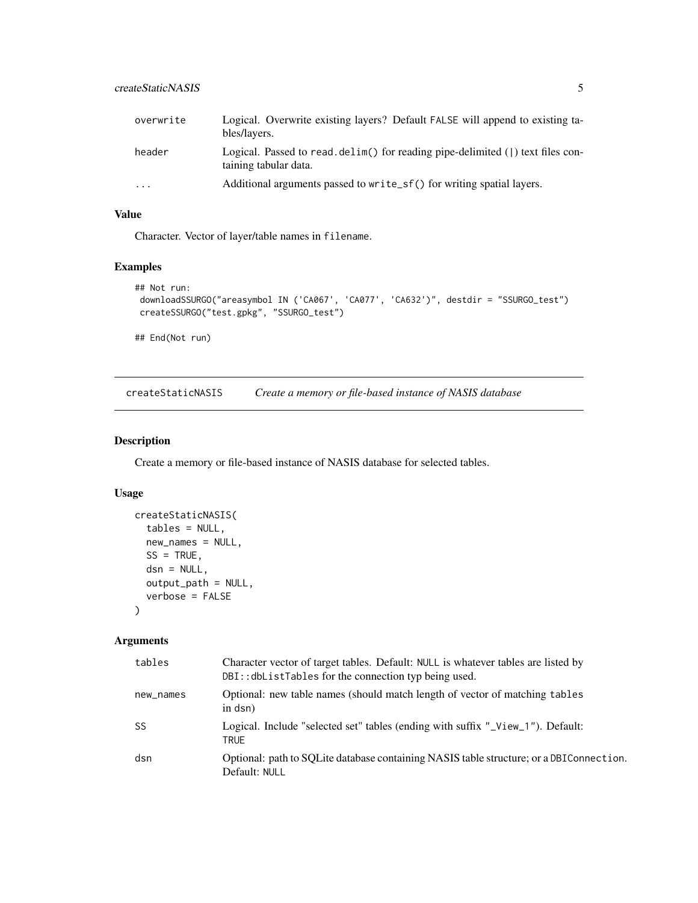<span id="page-4-0"></span>

| overwrite | Logical. Overwrite existing layers? Default FALSE will append to existing ta-<br>bles/layers.           |
|-----------|---------------------------------------------------------------------------------------------------------|
| header    | Logical. Passed to read. delim() for reading pipe-delimited () text files con-<br>taining tabular data. |
| $\cdot$   | Additional arguments passed to write_sf() for writing spatial layers.                                   |

# Value

Character. Vector of layer/table names in filename.

# Examples

```
## Not run:
downloadSSURGO("areasymbol IN ('CA067', 'CA077', 'CA632')", destdir = "SSURGO_test")
createSSURGO("test.gpkg", "SSURGO_test")
```
## End(Not run)

createStaticNASIS *Create a memory or file-based instance of NASIS database*

# Description

Create a memory or file-based instance of NASIS database for selected tables.

## Usage

```
createStaticNASIS(
  tables = NULL,
  new_names = NULL,
  SS = TRUE,dsn = NULL,output_path = NULL,
  verbose = FALSE
\lambda
```

| tables    | Character vector of target tables. Default: NULL is whatever tables are listed by<br>DBI:: dbListTables for the connection typ being used. |
|-----------|--------------------------------------------------------------------------------------------------------------------------------------------|
| new_names | Optional: new table names (should match length of vector of matching tables<br>in dsn)                                                     |
| <b>SS</b> | Logical. Include "selected set" tables (ending with suffix "_View_1"). Default:<br><b>TRUE</b>                                             |
| dsn       | Optional: path to SOLite database containing NASIS table structure; or a DBI Connection.<br>Default: NULL                                  |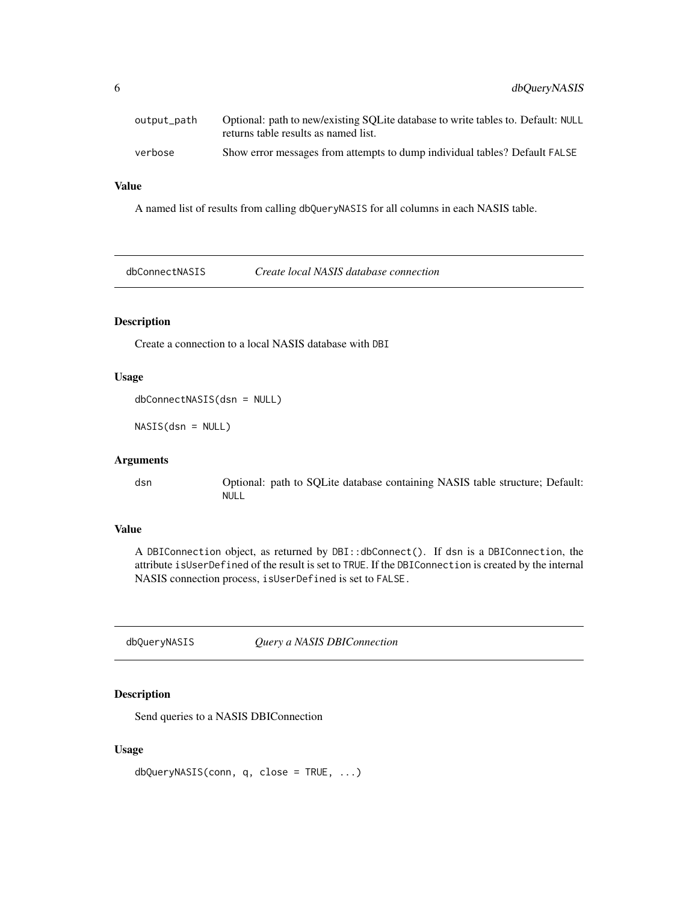<span id="page-5-0"></span>

| output_path | Optional: path to new/existing SQLite database to write tables to. Default: NULL<br>returns table results as named list. |
|-------------|--------------------------------------------------------------------------------------------------------------------------|
| verbose     | Show error messages from attempts to dump individual tables? Default FALSE                                               |

## Value

A named list of results from calling dbQueryNASIS for all columns in each NASIS table.

dbConnectNASIS *Create local NASIS database connection*

# Description

Create a connection to a local NASIS database with DBI

# Usage

```
dbConnectNASIS(dsn = NULL)
```
NASIS(dsn = NULL)

#### Arguments

dsn Optional: path to SQLite database containing NASIS table structure; Default: NULL

#### Value

A DBIConnection object, as returned by DBI::dbConnect(). If dsn is a DBIConnection, the attribute isUserDefined of the result is set to TRUE. If the DBIConnection is created by the internal NASIS connection process, isUserDefined is set to FALSE.

dbQueryNASIS *Query a NASIS DBIConnection*

# Description

Send queries to a NASIS DBIConnection

#### Usage

dbQueryNASIS(conn, q, close = TRUE, ...)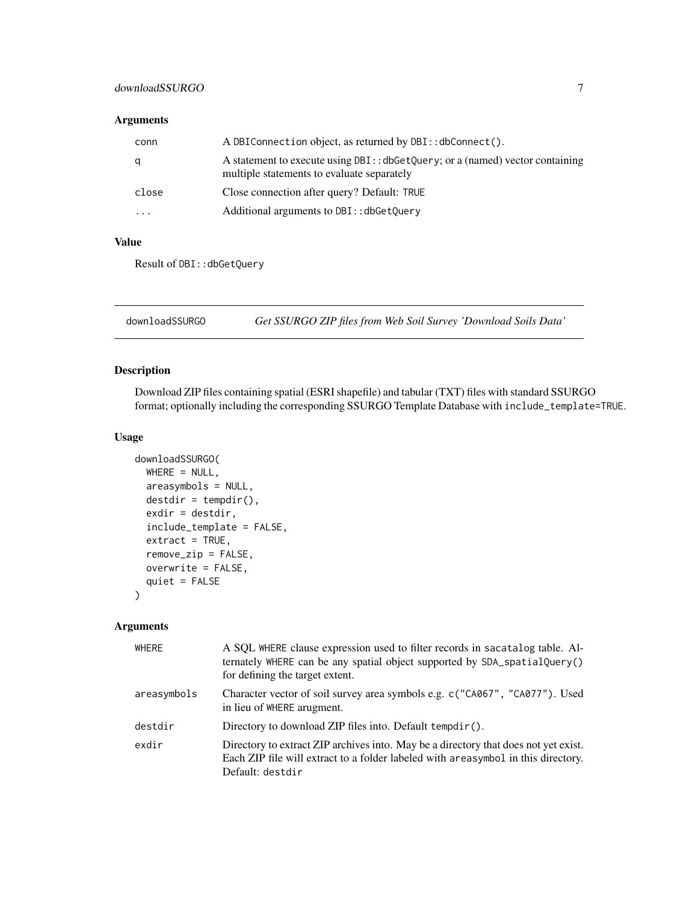# <span id="page-6-0"></span>downloadSSURGO 7

## Arguments

| conn  | A DBIConnection object, as returned by DBI:: dbConnect().                                                                   |
|-------|-----------------------------------------------------------------------------------------------------------------------------|
| q     | A statement to execute using DBI:: dbGetQuery; or a (named) vector containing<br>multiple statements to evaluate separately |
| close | Close connection after query? Default: TRUE                                                                                 |
| .     | Additional arguments to DBI:: dbGetOuery                                                                                    |

## Value

Result of DBI::dbGetQuery

downloadSSURGO *Get SSURGO ZIP files from Web Soil Survey 'Download Soils Data'*

# Description

Download ZIP files containing spatial (ESRI shapefile) and tabular (TXT) files with standard SSURGO format; optionally including the corresponding SSURGO Template Database with include\_template=TRUE.

## Usage

```
downloadSSURGO(
 WHERE = NULL,areasymbols = NULL,
  destdir = tempdir(),exdir = destdir,
  include_template = FALSE,
  extract = TRUE,remove_zip = FALSE,
 overwrite = FALSE,
  quiet = FALSE
\mathcal{L}
```

| WHERE       | A SQL WHERE clause expression used to filter records in sacatalog table. Al-<br>ternately WHERE can be any spatial object supported by SDA_spatialQuery()<br>for defining the target extent.  |
|-------------|-----------------------------------------------------------------------------------------------------------------------------------------------------------------------------------------------|
| areasymbols | Character vector of soil survey area symbols e.g. c("CA067", "CA077"). Used<br>in lieu of WHERE arugment.                                                                                     |
| destdir     | Directory to download ZIP files into. Default tempdir().                                                                                                                                      |
| exdir       | Directory to extract ZIP archives into. May be a directory that does not yet exist.<br>Each ZIP file will extract to a folder labeled with a reasymbol in this directory.<br>Default: destdir |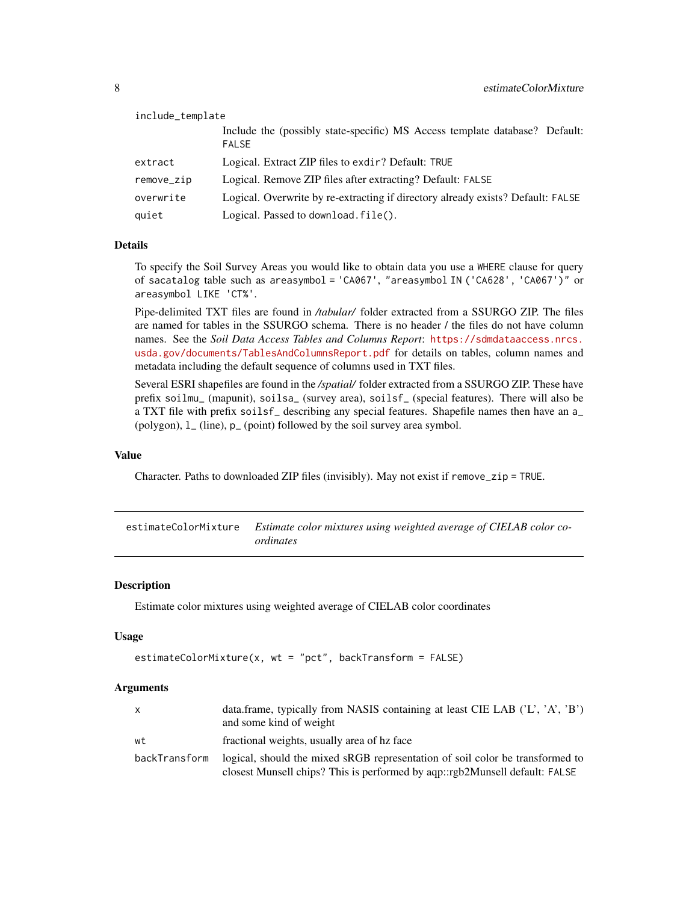<span id="page-7-0"></span>

| include_template |                                                                                             |
|------------------|---------------------------------------------------------------------------------------------|
|                  | Include the (possibly state-specific) MS Access template database? Default:<br><b>FALSE</b> |
| extract          | Logical. Extract ZIP files to exdir? Default: TRUE                                          |
| remove_zip       | Logical. Remove ZIP files after extracting? Default: FALSE                                  |
| overwrite        | Logical. Overwrite by re-extracting if directory already exists? Default: FALSE             |
| quiet            | Logical. Passed to download. file().                                                        |

## Details

To specify the Soil Survey Areas you would like to obtain data you use a WHERE clause for query of sacatalog table such as areasymbol = 'CA067', "areasymbol IN ('CA628', 'CA067')" or areasymbol LIKE 'CT%'.

Pipe-delimited TXT files are found in */tabular/* folder extracted from a SSURGO ZIP. The files are named for tables in the SSURGO schema. There is no header / the files do not have column names. See the *Soil Data Access Tables and Columns Report*: [https://sdmdataaccess.nrcs.](https://sdmdataaccess.nrcs.usda.gov/documents/TablesAndColumnsReport.pdf) [usda.gov/documents/TablesAndColumnsReport.pdf](https://sdmdataaccess.nrcs.usda.gov/documents/TablesAndColumnsReport.pdf) for details on tables, column names and metadata including the default sequence of columns used in TXT files.

Several ESRI shapefiles are found in the */spatial/* folder extracted from a SSURGO ZIP. These have prefix soilmu\_ (mapunit), soilsa\_ (survey area), soilsf\_ (special features). There will also be a TXT file with prefix soilsf\_ describing any special features. Shapefile names then have an a\_ (polygon), l\_ (line), p\_ (point) followed by the soil survey area symbol.

#### Value

Character. Paths to downloaded ZIP files (invisibly). May not exist if remove\_zip = TRUE.

estimateColorMixture *Estimate color mixtures using weighted average of CIELAB color coordinates*

## Description

Estimate color mixtures using weighted average of CIELAB color coordinates

#### Usage

```
estimateColorMixture(x, wt = "pct", backTransform = FALSE)
```

| X             | data.frame, typically from NASIS containing at least CIE LAB $( 'L', 'A', 'B')$<br>and some kind of weight                                                   |
|---------------|--------------------------------------------------------------------------------------------------------------------------------------------------------------|
| wt            | fractional weights, usually area of hz face                                                                                                                  |
| backTransform | logical, should the mixed sRGB representation of soil color be transformed to<br>closest Munsell chips? This is performed by aqp::rgb2Munsell default: FALSE |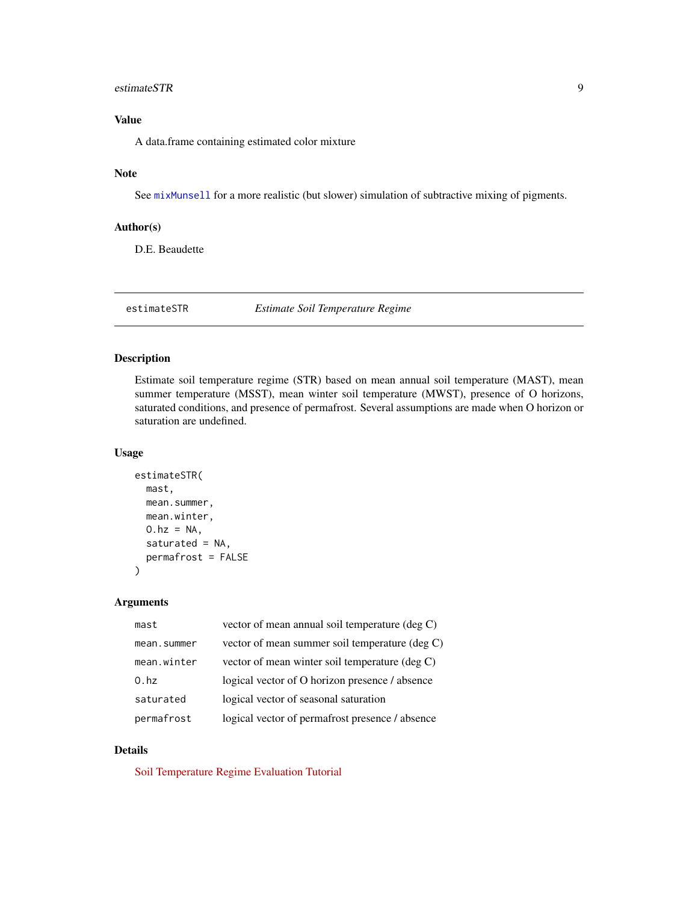## <span id="page-8-0"></span>estimateSTR 9

# Value

A data.frame containing estimated color mixture

## Note

See [mixMunsell](#page-0-0) for a more realistic (but slower) simulation of subtractive mixing of pigments.

# Author(s)

D.E. Beaudette

estimateSTR *Estimate Soil Temperature Regime*

# Description

Estimate soil temperature regime (STR) based on mean annual soil temperature (MAST), mean summer temperature (MSST), mean winter soil temperature (MWST), presence of O horizons, saturated conditions, and presence of permafrost. Several assumptions are made when O horizon or saturation are undefined.

## Usage

```
estimateSTR(
  mast,
  mean.summer,
  mean.winter,
  0.hz = NA,
  saturated = NA,
  permafrost = FALSE
\mathcal{L}
```
## Arguments

| mast        | vector of mean annual soil temperature (deg C)  |
|-------------|-------------------------------------------------|
| mean.summer | vector of mean summer soil temperature (deg C)  |
| mean.winter | vector of mean winter soil temperature (deg C)  |
| 0.hz        | logical vector of O horizon presence / absence  |
| saturated   | logical vector of seasonal saturation           |
| permafrost  | logical vector of permafrost presence / absence |

# Details

[Soil Temperature Regime Evaluation Tutorial](http://ncss-tech.github.io/AQP/soilDB/STR-eval.html)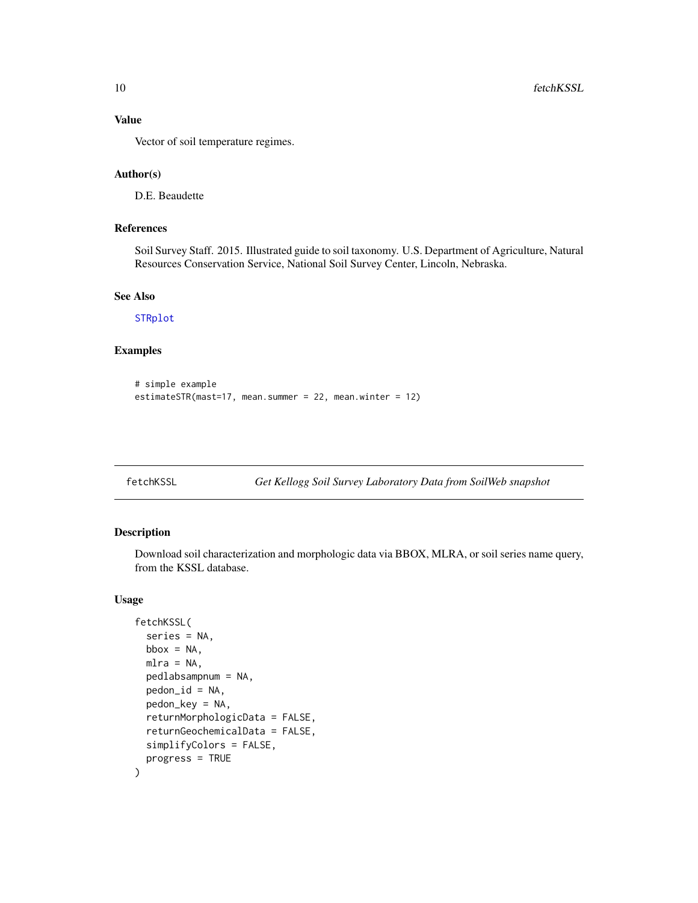# Value

Vector of soil temperature regimes.

#### Author(s)

D.E. Beaudette

# References

Soil Survey Staff. 2015. Illustrated guide to soil taxonomy. U.S. Department of Agriculture, Natural Resources Conservation Service, National Soil Survey Center, Lincoln, Nebraska.

# See Also

[STRplot](#page-123-1)

# Examples

```
# simple example
estimateSTR(mast=17, mean.summer = 22, mean.winter = 12)
```

```
fetchKSSL Get Kellogg Soil Survey Laboratory Data from SoilWeb snapshot
```
# Description

Download soil characterization and morphologic data via BBOX, MLRA, or soil series name query, from the KSSL database.

# Usage

```
fetchKSSL(
  series = NA,
 bbox = NA,
 mlra = NA,
  pedlabsampnum = NA,
  pedon_id = NA,
  pedon_key = NA,
  returnMorphologicData = FALSE,
  returnGeochemicalData = FALSE,
  simplifyColors = FALSE,
  progress = TRUE
\mathcal{E}
```
<span id="page-9-0"></span>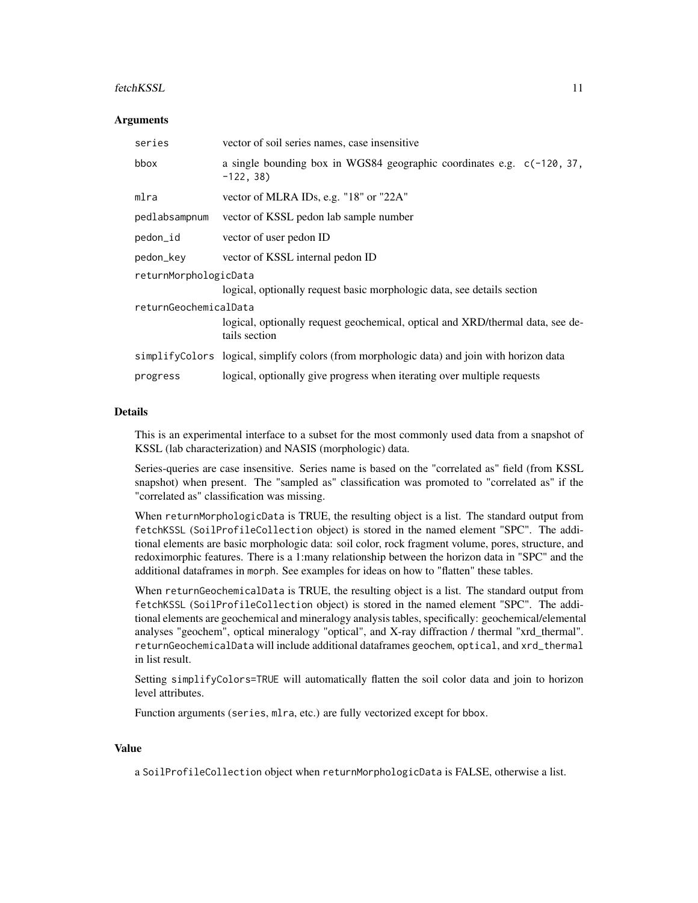#### fetchKSSL 11

#### **Arguments**

| series                | vector of soil series names, case insensitive                                                   |  |
|-----------------------|-------------------------------------------------------------------------------------------------|--|
| bbox                  | a single bounding box in WGS84 geographic coordinates e.g. $c(-120, 37, 37)$<br>$-122, 38)$     |  |
| mlra                  | vector of MLRA IDs, e.g. "18" or "22A"                                                          |  |
| pedlabsampnum         | vector of KSSL pedon lab sample number                                                          |  |
| pedon_id              | vector of user pedon ID                                                                         |  |
| pedon_key             | vector of KSSL internal pedon ID                                                                |  |
| returnMorphologicData |                                                                                                 |  |
|                       | logical, optionally request basic morphologic data, see details section                         |  |
| returnGeochemicalData | logical, optionally request geochemical, optical and XRD/thermal data, see de-<br>tails section |  |
|                       | simplifyColors logical, simplify colors (from morphologic data) and join with horizon data      |  |
| progress              | logical, optionally give progress when iterating over multiple requests                         |  |

#### Details

This is an experimental interface to a subset for the most commonly used data from a snapshot of KSSL (lab characterization) and NASIS (morphologic) data.

Series-queries are case insensitive. Series name is based on the "correlated as" field (from KSSL snapshot) when present. The "sampled as" classification was promoted to "correlated as" if the "correlated as" classification was missing.

When returnMorphologicData is TRUE, the resulting object is a list. The standard output from fetchKSSL (SoilProfileCollection object) is stored in the named element "SPC". The additional elements are basic morphologic data: soil color, rock fragment volume, pores, structure, and redoximorphic features. There is a 1:many relationship between the horizon data in "SPC" and the additional dataframes in morph. See examples for ideas on how to "flatten" these tables.

When returnGeochemicalData is TRUE, the resulting object is a list. The standard output from fetchKSSL (SoilProfileCollection object) is stored in the named element "SPC". The additional elements are geochemical and mineralogy analysis tables, specifically: geochemical/elemental analyses "geochem", optical mineralogy "optical", and X-ray diffraction / thermal "xrd\_thermal". returnGeochemicalData will include additional dataframes geochem, optical, and xrd\_thermal in list result.

Setting simplifyColors=TRUE will automatically flatten the soil color data and join to horizon level attributes.

Function arguments (series, mlra, etc.) are fully vectorized except for bbox.

#### Value

a SoilProfileCollection object when returnMorphologicData is FALSE, otherwise a list.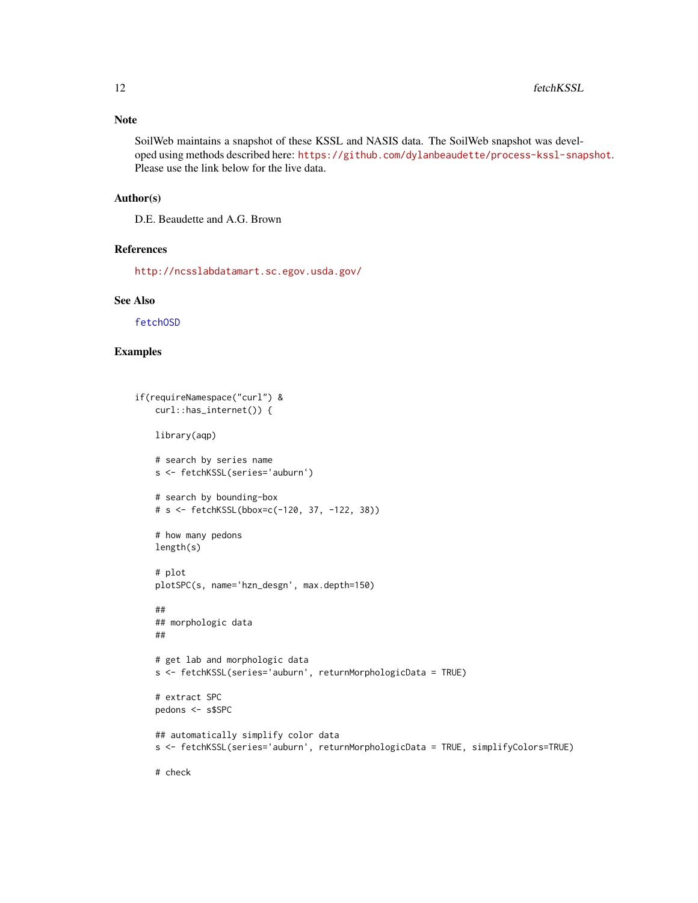## Note

SoilWeb maintains a snapshot of these KSSL and NASIS data. The SoilWeb snapshot was developed using methods described here: <https://github.com/dylanbeaudette/process-kssl-snapshot>. Please use the link below for the live data.

#### Author(s)

D.E. Beaudette and A.G. Brown

#### References

<http://ncsslabdatamart.sc.egov.usda.gov/>

## See Also

[fetchOSD](#page-19-1)

# Examples

```
if(requireNamespace("curl") &
    curl::has_internet()) {
   library(aqp)
    # search by series name
   s <- fetchKSSL(series='auburn')
   # search by bounding-box
    # s <- fetchKSSL(bbox=c(-120, 37, -122, 38))
    # how many pedons
   length(s)
    # plot
   plotSPC(s, name='hzn_desgn', max.depth=150)
    ##
    ## morphologic data
   ##
    # get lab and morphologic data
    s <- fetchKSSL(series='auburn', returnMorphologicData = TRUE)
    # extract SPC
   pedons <- s$SPC
    ## automatically simplify color data
   s <- fetchKSSL(series='auburn', returnMorphologicData = TRUE, simplifyColors=TRUE)
    # check
```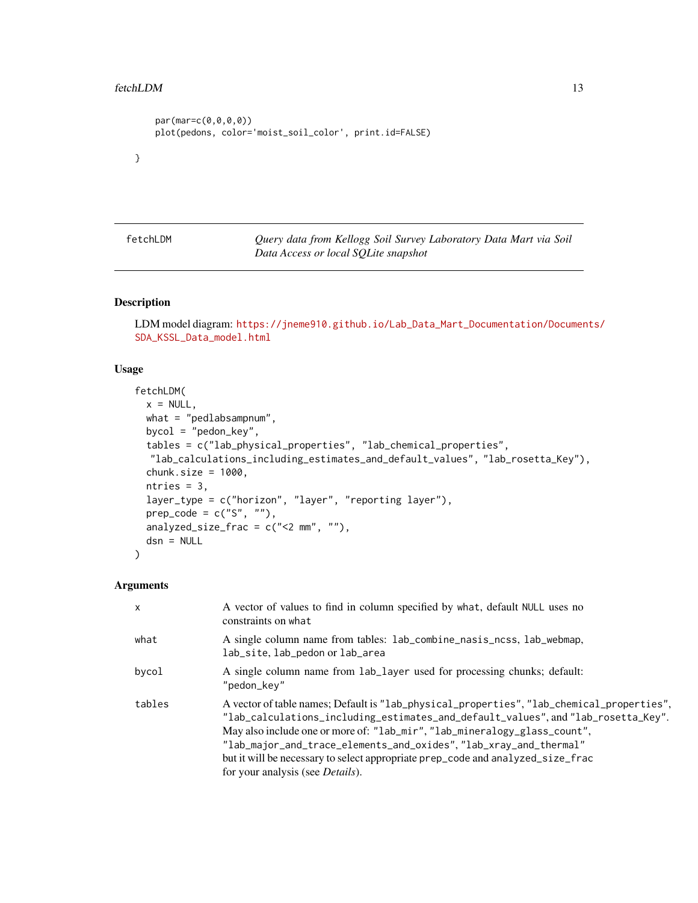#### <span id="page-12-0"></span>fetchLDM 13

```
par(mar=c(0,0,0,0))
plot(pedons, color='moist_soil_color', print.id=FALSE)
```
}

fetchLDM *Query data from Kellogg Soil Survey Laboratory Data Mart via Soil Data Access or local SQLite snapshot*

# Description

LDM model diagram: [https://jneme910.github.io/Lab\\_Data\\_Mart\\_Documentation/Documen](https://jneme910.github.io/Lab_Data_Mart_Documentation/Documents/SDA_KSSL_Data_model.html)ts/ [SDA\\_KSSL\\_Data\\_model.html](https://jneme910.github.io/Lab_Data_Mart_Documentation/Documents/SDA_KSSL_Data_model.html)

# Usage

```
fetchLDM(
 x = NULL,what = "pedlabsampnum",
 bycol = "pedon_key",
 tables = c("lab_physical_properties", "lab_chemical_properties",
  "lab_calculations_including_estimates_and_default_values", "lab_rosetta_Key"),
 chunk.size = 1000,ntries = 3,
 layer_type = c("horizon", "layer", "reporting layer"),
 prep\_code = c("S", ""),
 analyzed_size_frac = c("<2 mm", ""),
 dsn = NULL
)
```

| $\mathsf{x}$ | A vector of values to find in column specified by what, default NULL uses no<br>constraints on what                                                                                                                                                                                                                                                                                                                                                             |
|--------------|-----------------------------------------------------------------------------------------------------------------------------------------------------------------------------------------------------------------------------------------------------------------------------------------------------------------------------------------------------------------------------------------------------------------------------------------------------------------|
| what         | A single column name from tables: lab_combine_nasis_ncss, lab_webmap,<br>lab_site, lab_pedon or lab_area                                                                                                                                                                                                                                                                                                                                                        |
| bycol        | A single column name from lab_layer used for processing chunks; default:<br>"pedon kev"                                                                                                                                                                                                                                                                                                                                                                         |
| tables       | A vector of table names; Default is "lab_physical_properties", "lab_chemical_properties",<br>"lab_calculations_including_estimates_and_default_values", and "lab_rosetta_Key".<br>May also include one or more of: "lab_mir", "lab_mineralogy_glass_count",<br>"lab_major_and_trace_elements_and_oxides", "lab_xray_and_thermal"<br>but it will be necessary to select appropriate prep_code and analyzed_size_frac<br>for your analysis (see <i>Details</i> ). |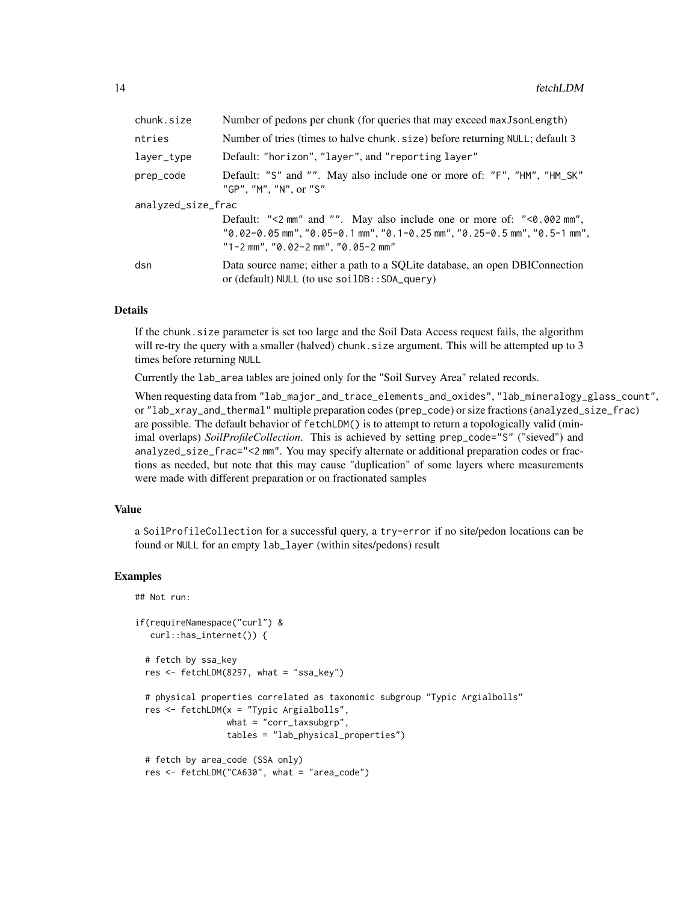| chunk.size         | Number of pedons per chunk (for queries that may exceed max J son Length)                                                                                                                          |  |
|--------------------|----------------------------------------------------------------------------------------------------------------------------------------------------------------------------------------------------|--|
| ntries             | Number of tries (times to halve chunk. size) before returning NULL; default 3                                                                                                                      |  |
| layer_type         | Default: "horizon", "layer", and "reporting layer"                                                                                                                                                 |  |
| prep_code          | Default: "S" and "". May also include one or more of: "F", "HM", "HM_SK"<br>"GP", "M", "N", or "S"                                                                                                 |  |
| analyzed_size_frac |                                                                                                                                                                                                    |  |
|                    | Default: "<2 mm" and "". May also include one or more of: "< $\theta$ . 002 mm",<br>"0.02-0.05 mm", "0.05-0.1 mm", "0.1-0.25 mm", "0.25-0.5 mm", "0.5-1 mm",<br>"1-2 mm", "0.02-2 mm", "0.05-2 mm" |  |
| dsn                | Data source name; either a path to a SQLite database, an open DBIConnection<br>or (default) NULL (to use soilDB:: SDA_query)                                                                       |  |

#### Details

If the chunk.size parameter is set too large and the Soil Data Access request fails, the algorithm will re-try the query with a smaller (halved) chunk. size argument. This will be attempted up to 3 times before returning NULL

Currently the lab\_area tables are joined only for the "Soil Survey Area" related records.

When requesting data from "lab\_major\_and\_trace\_elements\_and\_oxides", "lab\_mineralogy\_glass\_count", or "lab\_xray\_and\_thermal" multiple preparation codes (prep\_code) or size fractions (analyzed\_size\_frac) are possible. The default behavior of fetchLDM() is to attempt to return a topologically valid (minimal overlaps) *SoilProfileCollection*. This is achieved by setting prep\_code="S" ("sieved") and analyzed\_size\_frac="<2 mm". You may specify alternate or additional preparation codes or fractions as needed, but note that this may cause "duplication" of some layers where measurements were made with different preparation or on fractionated samples

## Value

a SoilProfileCollection for a successful query, a try-error if no site/pedon locations can be found or NULL for an empty lab\_layer (within sites/pedons) result

## Examples

```
## Not run:
if(requireNamespace("curl") &
   curl::has_internet()) {
 # fetch by ssa_key
 res <- fetchLDM(8297, what = "ssa_key")
 # physical properties correlated as taxonomic subgroup "Typic Argialbolls"
 res <- fetchLDM(x = "Typic Argialbolls",
                  what = "corr_taxsubgrp",
                  tables = "lab_physical_properties")
 # fetch by area_code (SSA only)
 res <- fetchLDM("CA630", what = "area_code")
```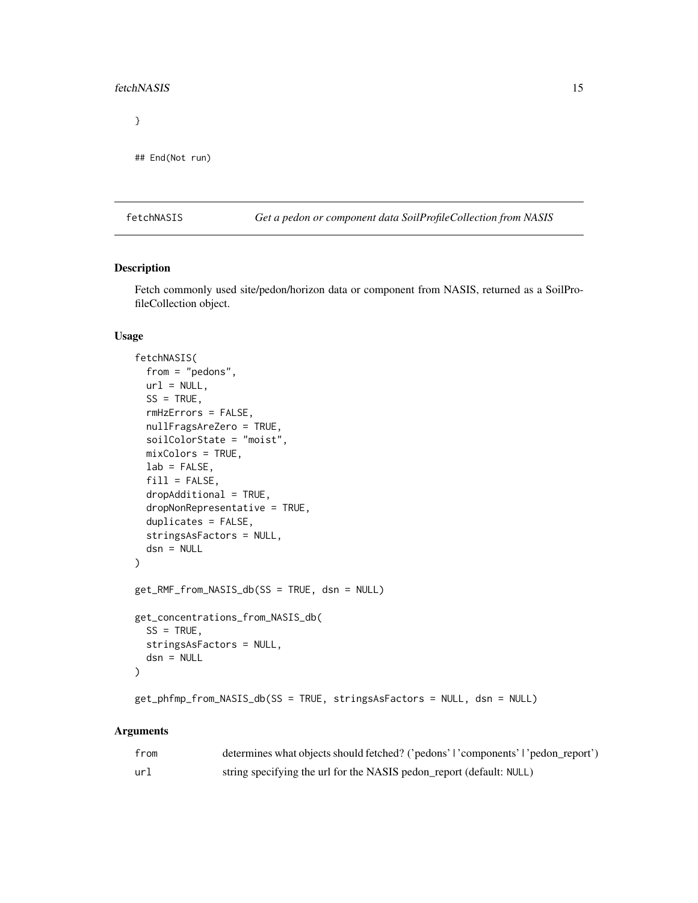#### <span id="page-14-0"></span>fetchNASIS 15

}

```
## End(Not run)
```
<span id="page-14-1"></span>fetchNASIS *Get a pedon or component data SoilProfileCollection from NASIS*

## Description

Fetch commonly used site/pedon/horizon data or component from NASIS, returned as a SoilProfileCollection object.

## Usage

```
fetchNASIS(
  from = "pedons",
  url = NULL,SS = TRUE,rmHzErrors = FALSE,
  nullFragsAreZero = TRUE,
  soilColorState = "moist",
 mixColors = TRUE,
  lab = FALSE,
  fill = FALSE,
  dropAdditional = TRUE,dropNonRepresentative = TRUE,
  duplicates = FALSE,
  stringsAsFactors = NULL,
  dsn = NULL\lambdaget_RMF_from_NASIS_db(SS = TRUE, dsn = NULL)
get_concentrations_from_NASIS_db(
  SS = TRUE,stringsAsFactors = NULL,
  dsn = NULL
)
get_phfmp_from_NASIS_db(SS = TRUE, stringsAsFactors = NULL, dsn = NULL)
```

| from | determines what objects should fetched? ('pedons'   'components'   'pedon_report') |
|------|------------------------------------------------------------------------------------|
| url  | string specifying the url for the NASIS pedon_report (default: NULL)               |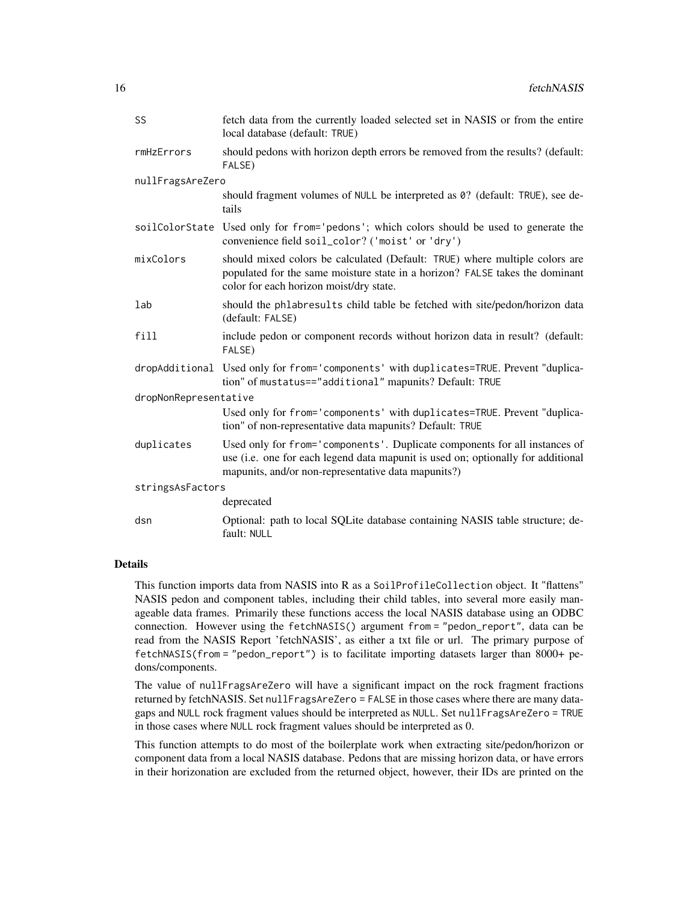| SS                    | fetch data from the currently loaded selected set in NASIS or from the entire<br>local database (default: TRUE)                                                                                                       |
|-----------------------|-----------------------------------------------------------------------------------------------------------------------------------------------------------------------------------------------------------------------|
| rmHzErrors            | should pedons with horizon depth errors be removed from the results? (default:<br>FALSE)                                                                                                                              |
| nullFragsAreZero      |                                                                                                                                                                                                                       |
|                       | should fragment volumes of NULL be interpreted as 0? (default: TRUE), see de-<br>tails                                                                                                                                |
|                       | soilColorState Used only for from='pedons'; which colors should be used to generate the<br>convenience field soil_color? ('moist' or 'dry')                                                                           |
| mixColors             | should mixed colors be calculated (Default: TRUE) where multiple colors are<br>populated for the same moisture state in a horizon? FALSE takes the dominant<br>color for each horizon moist/dry state.                |
| lab                   | should the phlabresults child table be fetched with site/pedon/horizon data<br>(default: FALSE)                                                                                                                       |
| fill                  | include pedon or component records without horizon data in result? (default:<br>FALSE)                                                                                                                                |
|                       | dropAdditional Used only for from='components' with duplicates=TRUE. Prevent "duplica-<br>tion" of mustatus=="additional" mapunits? Default: TRUE                                                                     |
| dropNonRepresentative |                                                                                                                                                                                                                       |
|                       | Used only for from='components' with duplicates=TRUE. Prevent "duplica-<br>tion" of non-representative data mapunits? Default: TRUE                                                                                   |
| duplicates            | Used only for from='components'. Duplicate components for all instances of<br>use (i.e. one for each legend data mapunit is used on; optionally for additional<br>mapunits, and/or non-representative data mapunits?) |
| stringsAsFactors      |                                                                                                                                                                                                                       |
|                       | deprecated                                                                                                                                                                                                            |
| dsn                   | Optional: path to local SQLite database containing NASIS table structure; de-<br>fault: NULL                                                                                                                          |

## Details

This function imports data from NASIS into R as a SoilProfileCollection object. It "flattens" NASIS pedon and component tables, including their child tables, into several more easily manageable data frames. Primarily these functions access the local NASIS database using an ODBC connection. However using the fetchNASIS() argument from = "pedon\_report", data can be read from the NASIS Report 'fetchNASIS', as either a txt file or url. The primary purpose of fetchNASIS(from = "pedon\_report") is to facilitate importing datasets larger than 8000+ pedons/components.

The value of nullFragsAreZero will have a significant impact on the rock fragment fractions returned by fetchNASIS. Set nullFragsAreZero = FALSE in those cases where there are many datagaps and NULL rock fragment values should be interpreted as NULL. Set nullFragsAreZero = TRUE in those cases where NULL rock fragment values should be interpreted as 0.

This function attempts to do most of the boilerplate work when extracting site/pedon/horizon or component data from a local NASIS database. Pedons that are missing horizon data, or have errors in their horizonation are excluded from the returned object, however, their IDs are printed on the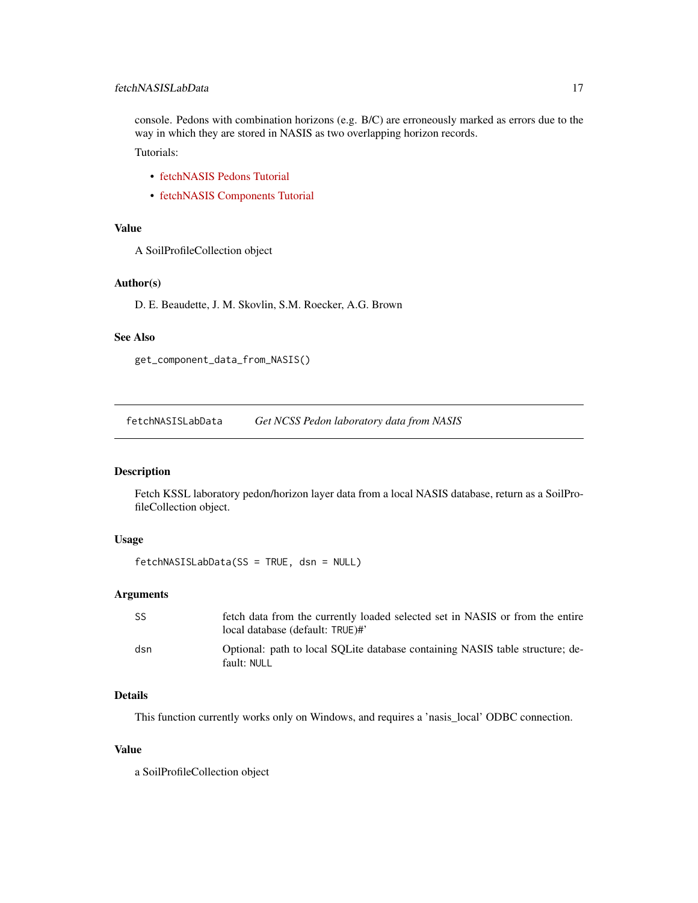<span id="page-16-0"></span>console. Pedons with combination horizons (e.g. B/C) are erroneously marked as errors due to the way in which they are stored in NASIS as two overlapping horizon records. Tutorials:

- [fetchNASIS Pedons Tutorial](http://ncss-tech.github.io/AQP/soilDB/fetchNASIS-mini-tutorial.html)
- [fetchNASIS Components Tutorial](http://ncss-tech.github.io/AQP/soilDB/NASIS-component-data.html)

## Value

A SoilProfileCollection object

#### Author(s)

D. E. Beaudette, J. M. Skovlin, S.M. Roecker, A.G. Brown

## See Also

```
get_component_data_from_NASIS()
```
fetchNASISLabData *Get NCSS Pedon laboratory data from NASIS*

## Description

Fetch KSSL laboratory pedon/horizon layer data from a local NASIS database, return as a SoilProfileCollection object.

# Usage

```
fetchNASISLabData(SS = TRUE, dsn = NULL)
```
## Arguments

| -SS | fetch data from the currently loaded selected set in NASIS or from the entire<br>local database (default: TRUE)#' |
|-----|-------------------------------------------------------------------------------------------------------------------|
| dsn | Optional: path to local SOLite database containing NASIS table structure; de-<br>fault: NULL                      |

# Details

This function currently works only on Windows, and requires a 'nasis\_local' ODBC connection.

#### Value

a SoilProfileCollection object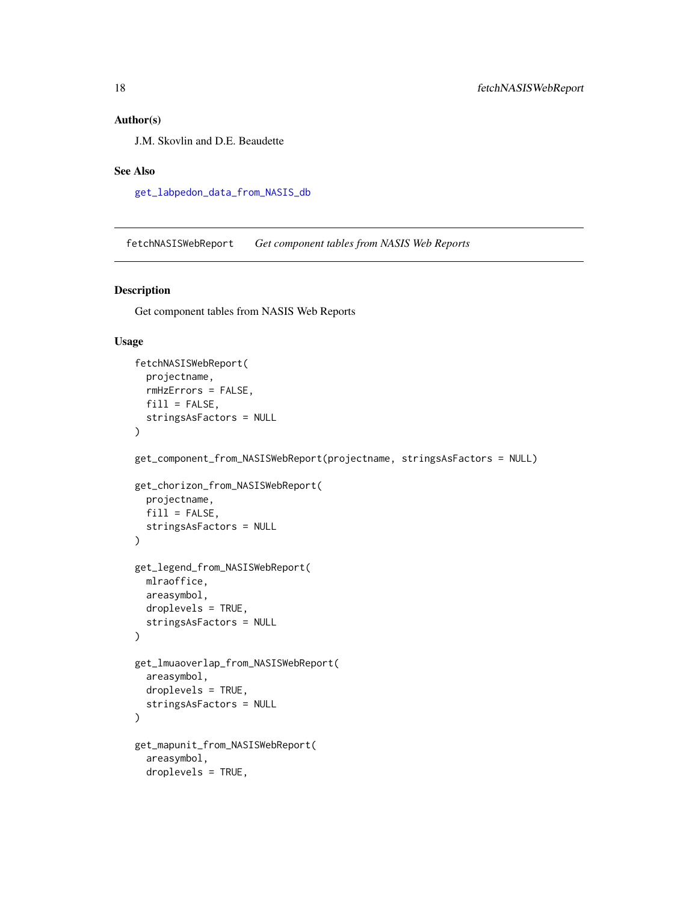# <span id="page-17-0"></span>Author(s)

J.M. Skovlin and D.E. Beaudette

#### See Also

[get\\_labpedon\\_data\\_from\\_NASIS\\_db](#page-49-1)

fetchNASISWebReport *Get component tables from NASIS Web Reports*

## Description

Get component tables from NASIS Web Reports

#### Usage

```
fetchNASISWebReport(
  projectname,
 rmHzErrors = FALSE,
 fill = FALSE,stringsAsFactors = NULL
)
get_component_from_NASISWebReport(projectname, stringsAsFactors = NULL)
get_chorizon_from_NASISWebReport(
  projectname,
  fill = FALSE,stringsAsFactors = NULL
\mathcal{L}get_legend_from_NASISWebReport(
 mlraoffice,
  areasymbol,
  droplevels = TRUE,
  stringsAsFactors = NULL
)
get_lmuaoverlap_from_NASISWebReport(
  areasymbol,
  droplevels = TRUE,
  stringsAsFactors = NULL
)
get_mapunit_from_NASISWebReport(
  areasymbol,
  droplevels = TRUE,
```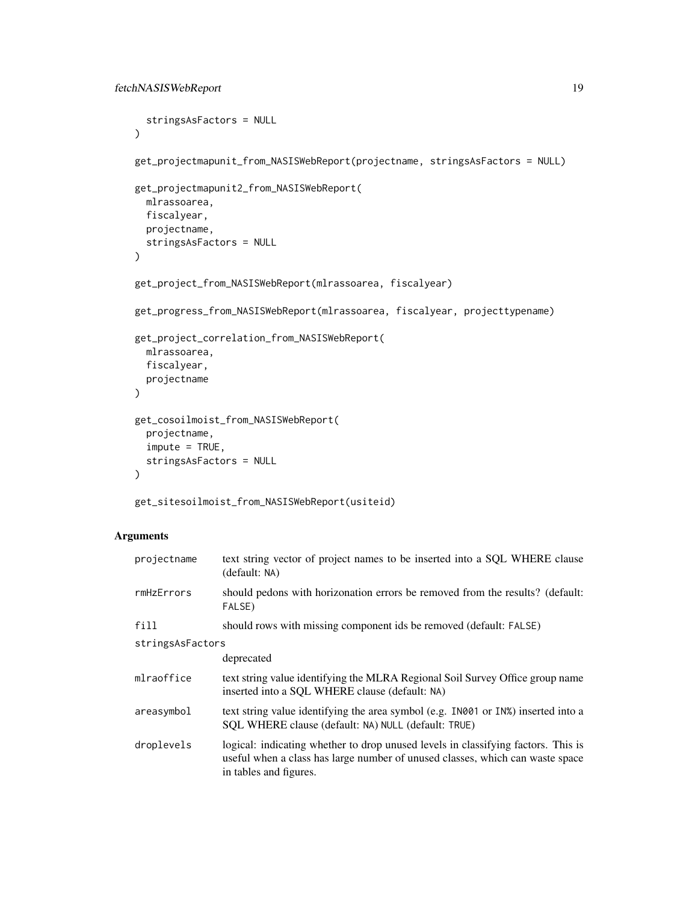```
stringsAsFactors = NULL
\lambdaget_projectmapunit_from_NASISWebReport(projectname, stringsAsFactors = NULL)
get_projectmapunit2_from_NASISWebReport(
 mlrassoarea,
 fiscalyear,
 projectname,
  stringsAsFactors = NULL
\mathcal{L}get_project_from_NASISWebReport(mlrassoarea, fiscalyear)
get_progress_from_NASISWebReport(mlrassoarea, fiscalyear, projecttypename)
get_project_correlation_from_NASISWebReport(
 mlrassoarea,
 fiscalyear,
 projectname
)
get_cosoilmoist_from_NASISWebReport(
 projectname,
  impute = TRUE,
  stringsAsFactors = NULL
\mathcal{L}
```

```
get_sitesoilmoist_from_NASISWebReport(usiteid)
```

| projectname      | text string vector of project names to be inserted into a SQL WHERE clause<br>(default: NA)                                                                                                  |  |
|------------------|----------------------------------------------------------------------------------------------------------------------------------------------------------------------------------------------|--|
| rmHzErrors       | should pedons with horizonation errors be removed from the results? (default:<br>FALSE)                                                                                                      |  |
| fill             | should rows with missing component ids be removed (default: FALSE)                                                                                                                           |  |
| stringsAsFactors |                                                                                                                                                                                              |  |
|                  | deprecated                                                                                                                                                                                   |  |
| mlraoffice       | text string value identifying the MLRA Regional Soil Survey Office group name<br>inserted into a SQL WHERE clause (default: NA)                                                              |  |
| areasymbol       | text string value identifying the area symbol (e.g. IN001 or IN%) inserted into a<br>SOL WHERE clause (default: NA) NULL (default: TRUE)                                                     |  |
| droplevels       | logical: indicating whether to drop unused levels in classifying factors. This is<br>useful when a class has large number of unused classes, which can waste space<br>in tables and figures. |  |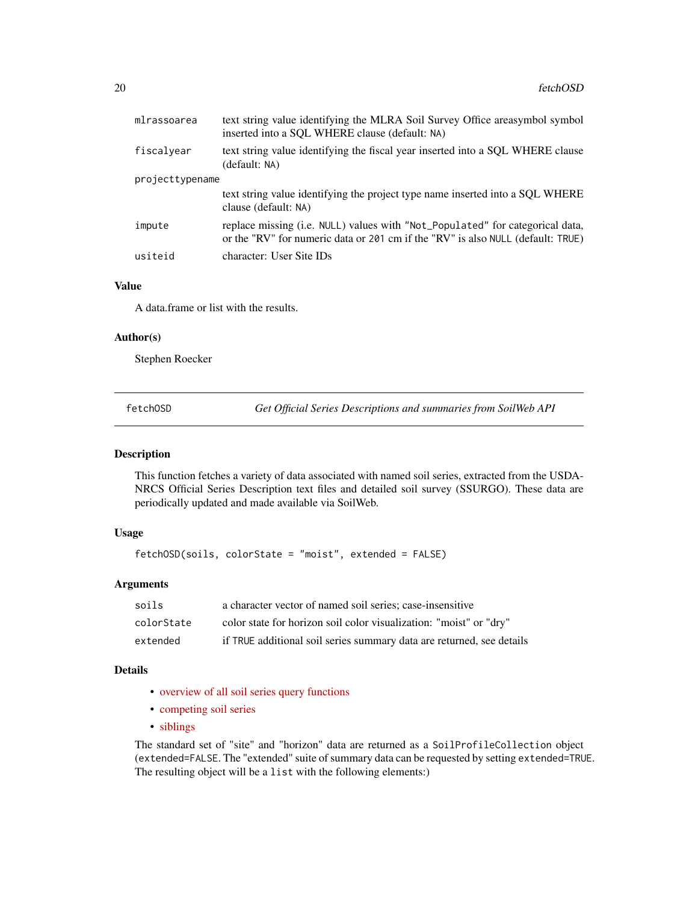<span id="page-19-0"></span>

| mlrassoarea     | text string value identifying the MLRA Soil Survey Office areasymbol symbol<br>inserted into a SQL WHERE clause (default: NA)                                    |
|-----------------|------------------------------------------------------------------------------------------------------------------------------------------------------------------|
| fiscalyear      | text string value identifying the fiscal year inserted into a SQL WHERE clause<br>(default: NA)                                                                  |
| projecttypename |                                                                                                                                                                  |
|                 | text string value identifying the project type name inserted into a SQL WHERE<br>clause (default: NA)                                                            |
| impute          | replace missing (i.e. NULL) values with "Not_Populated" for categorical data,<br>or the "RV" for numeric data or 201 cm if the "RV" is also NULL (default: TRUE) |
| usiteid         | character: User Site IDs                                                                                                                                         |
|                 |                                                                                                                                                                  |

## Value

A data.frame or list with the results.

## Author(s)

Stephen Roecker

<span id="page-19-1"></span>fetchOSD *Get Official Series Descriptions and summaries from SoilWeb API*

#### Description

This function fetches a variety of data associated with named soil series, extracted from the USDA-NRCS Official Series Description text files and detailed soil survey (SSURGO). These data are periodically updated and made available via SoilWeb.

## Usage

fetchOSD(soils, colorState = "moist", extended = FALSE)

# Arguments

| soils      | a character vector of named soil series; case-insensitive             |
|------------|-----------------------------------------------------------------------|
| colorState | color state for horizon soil color visualization: "moist" or "dry"    |
| extended   | if TRUE additional soil series summary data are returned, see details |

## Details

- [overview of all soil series query functions](https://ncss-tech.github.io/AQP/soilDB/soil-series-query-functions.html)
- [competing soil series](https://ncss-tech.github.io/AQP/soilDB/competing-series.html)
- [siblings](https://ncss-tech.github.io/AQP/soilDB/siblings.html)

The standard set of "site" and "horizon" data are returned as a SoilProfileCollection object (extended=FALSE. The "extended" suite of summary data can be requested by setting extended=TRUE. The resulting object will be a list with the following elements:)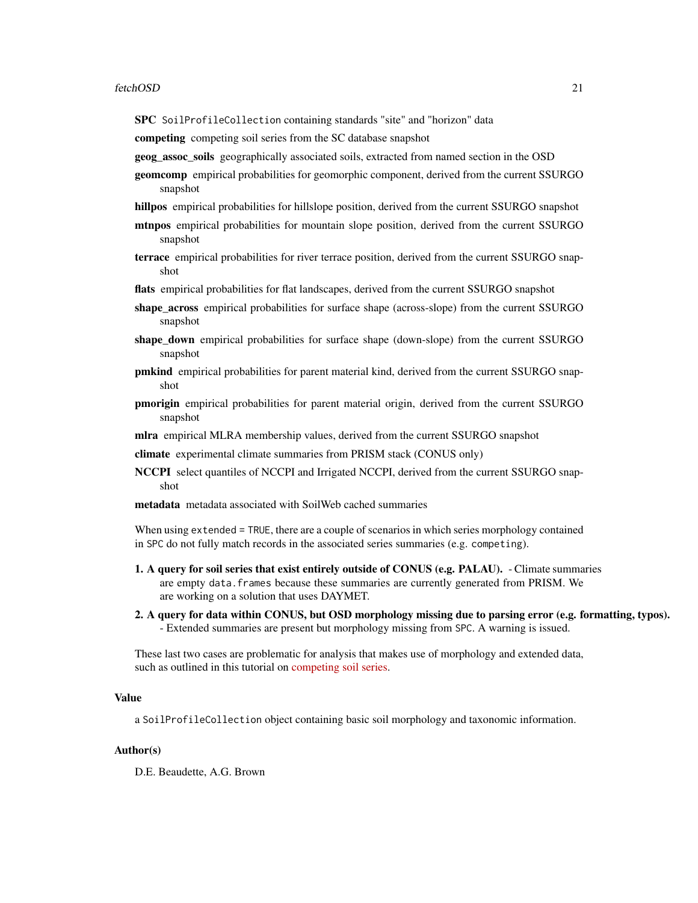SPC SoilProfileCollection containing standards "site" and "horizon" data

competing competing soil series from the SC database snapshot

geog\_assoc\_soils geographically associated soils, extracted from named section in the OSD

- geomcomp empirical probabilities for geomorphic component, derived from the current SSURGO snapshot
- hillpos empirical probabilities for hillslope position, derived from the current SSURGO snapshot
- mtnpos empirical probabilities for mountain slope position, derived from the current SSURGO snapshot
- terrace empirical probabilities for river terrace position, derived from the current SSURGO snapshot

flats empirical probabilities for flat landscapes, derived from the current SSURGO snapshot

- shape\_across empirical probabilities for surface shape (across-slope) from the current SSURGO snapshot
- shape\_down empirical probabilities for surface shape (down-slope) from the current SSURGO snapshot
- pmkind empirical probabilities for parent material kind, derived from the current SSURGO snapshot
- pmorigin empirical probabilities for parent material origin, derived from the current SSURGO snapshot
- mlra empirical MLRA membership values, derived from the current SSURGO snapshot

climate experimental climate summaries from PRISM stack (CONUS only)

- NCCPI select quantiles of NCCPI and Irrigated NCCPI, derived from the current SSURGO snapshot
- metadata metadata associated with SoilWeb cached summaries

When using extended = TRUE, there are a couple of scenarios in which series morphology contained in SPC do not fully match records in the associated series summaries (e.g. competing).

- 1. A query for soil series that exist entirely outside of CONUS (e.g. PALAU). Climate summaries are empty data.frames because these summaries are currently generated from PRISM. We are working on a solution that uses DAYMET.
- 2. A query for data within CONUS, but OSD morphology missing due to parsing error (e.g. formatting, typos). - Extended summaries are present but morphology missing from SPC. A warning is issued.

These last two cases are problematic for analysis that makes use of morphology and extended data, such as outlined in this tutorial on [competing soil series.](https://ncss-tech.github.io/AQP/soilDB/competing-series.html)

#### Value

a SoilProfileCollection object containing basic soil morphology and taxonomic information.

## Author(s)

D.E. Beaudette, A.G. Brown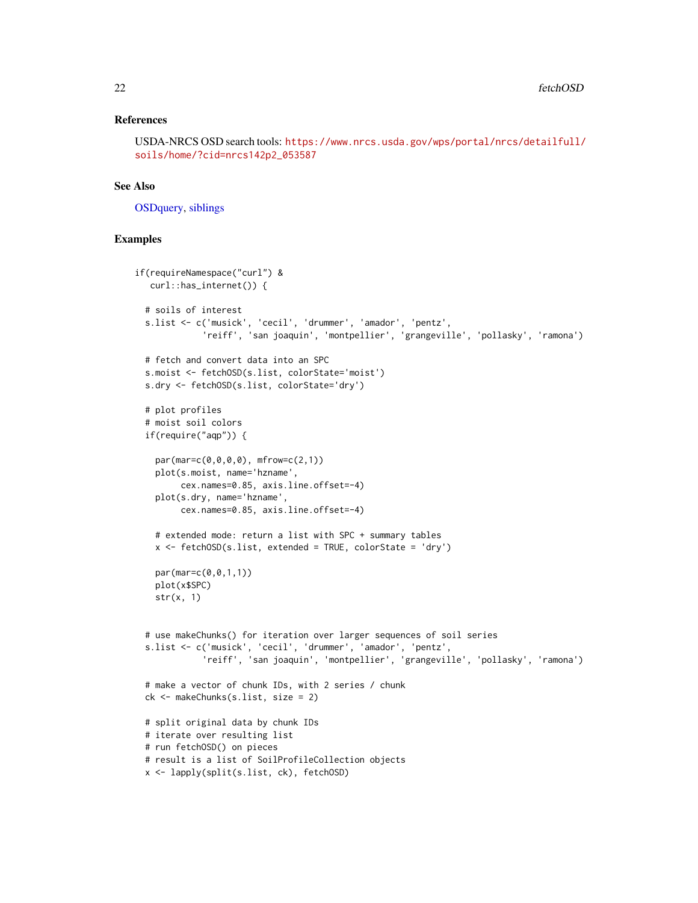## References

USDA-NRCS OSD search tools: [https://www.nrcs.usda.gov/wps/portal/nrcs/detailfull/](https://www.nrcs.usda.gov/wps/portal/nrcs/detailfull/soils/home/?cid=nrcs142p2_053587) [soils/home/?cid=nrcs142p2\\_053587](https://www.nrcs.usda.gov/wps/portal/nrcs/detailfull/soils/home/?cid=nrcs142p2_053587)

## See Also

[OSDquery,](#page-102-1) [siblings](#page-118-1)

## Examples

```
if(requireNamespace("curl") &
  curl::has_internet()) {
 # soils of interest
 s.list <- c('musick', 'cecil', 'drummer', 'amador', 'pentz',
             'reiff', 'san joaquin', 'montpellier', 'grangeville', 'pollasky', 'ramona')
 # fetch and convert data into an SPC
 s.moist <- fetchOSD(s.list, colorState='moist')
 s.dry <- fetchOSD(s.list, colorState='dry')
 # plot profiles
 # moist soil colors
 if(require("aqp")) {
   par(mar=c(0,0,0,0), mfrow=c(2,1))
   plot(s.moist, name='hzname',
        cex.names=0.85, axis.line.offset=-4)
   plot(s.dry, name='hzname',
        cex.names=0.85, axis.line.offset=-4)
   # extended mode: return a list with SPC + summary tables
   x \le fetchOSD(s.list, extended = TRUE, colorState = 'dry')
   par(mar=c(0,0,1,1))
   plot(x$SPC)
   str(x, 1)
 # use makeChunks() for iteration over larger sequences of soil series
 s.list <- c('musick', 'cecil', 'drummer', 'amador', 'pentz',
             'reiff', 'san joaquin', 'montpellier', 'grangeville', 'pollasky', 'ramona')
 # make a vector of chunk IDs, with 2 series / chunk
 ck <- makeChunks(s.list, size = 2)
 # split original data by chunk IDs
 # iterate over resulting list
 # run fetchOSD() on pieces
 # result is a list of SoilProfileCollection objects
 x <- lapply(split(s.list, ck), fetchOSD)
```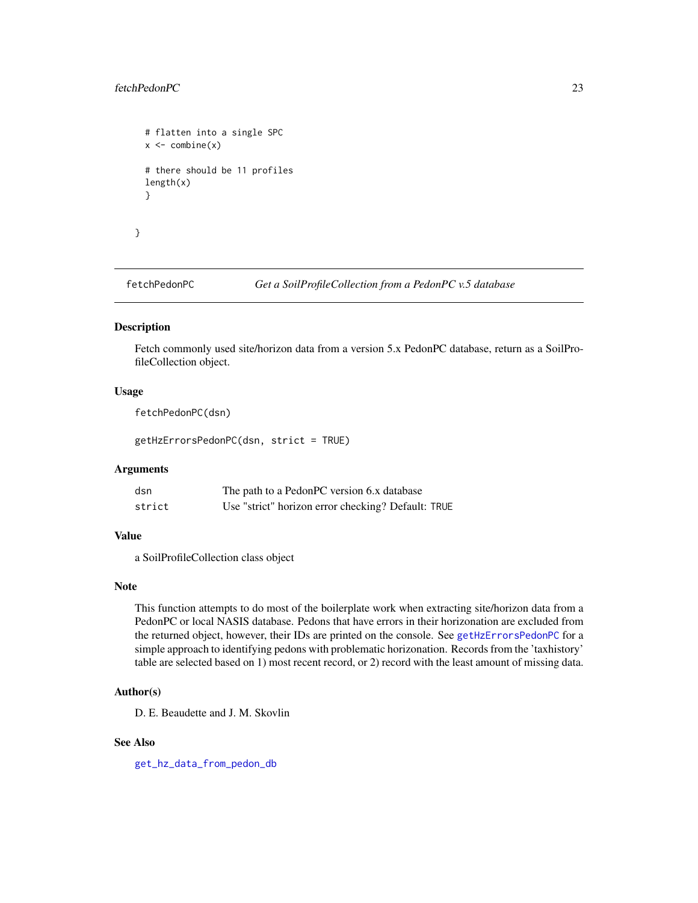## <span id="page-22-0"></span>fetchPedonPC 23

```
# flatten into a single SPC
x \leftarrow \text{combine}(x)# there should be 11 profiles
length(x)
}
```
}

<span id="page-22-1"></span>fetchPedonPC *Get a SoilProfileCollection from a PedonPC v.5 database*

## <span id="page-22-2"></span>Description

Fetch commonly used site/horizon data from a version 5.x PedonPC database, return as a SoilProfileCollection object.

## Usage

fetchPedonPC(dsn)

getHzErrorsPedonPC(dsn, strict = TRUE)

# Arguments

| dsn    | The path to a PedonPC version 6.x database         |
|--------|----------------------------------------------------|
| strict | Use "strict" horizon error checking? Default: TRUE |

#### Value

a SoilProfileCollection class object

## Note

This function attempts to do most of the boilerplate work when extracting site/horizon data from a PedonPC or local NASIS database. Pedons that have errors in their horizonation are excluded from the returned object, however, their IDs are printed on the console. See [getHzErrorsPedonPC](#page-22-2) for a simple approach to identifying pedons with problematic horizonation. Records from the 'taxhistory' table are selected based on 1) most recent record, or 2) record with the least amount of missing data.

#### Author(s)

D. E. Beaudette and J. M. Skovlin

## See Also

[get\\_hz\\_data\\_from\\_pedon\\_db](#page-47-1)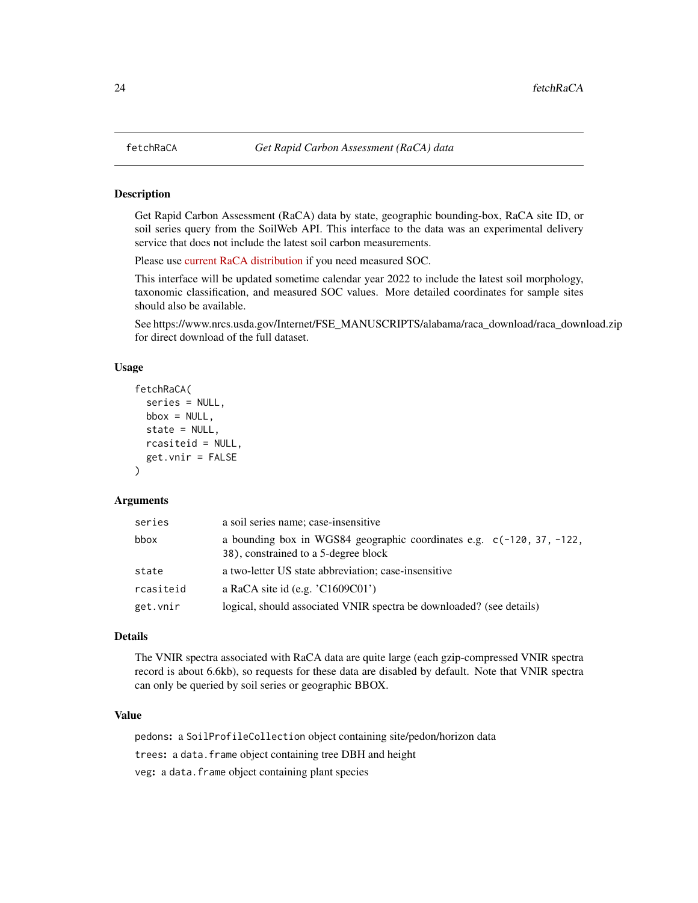#### Description

Get Rapid Carbon Assessment (RaCA) data by state, geographic bounding-box, RaCA site ID, or soil series query from the SoilWeb API. This interface to the data was an experimental delivery service that does not include the latest soil carbon measurements.

Please use [current RaCA distribution](https://www.nrcs.usda.gov/wps/portal/nrcs/detail/soils/survey/?cid=nrcs142p2_054164) if you need measured SOC.

This interface will be updated sometime calendar year 2022 to include the latest soil morphology, taxonomic classification, and measured SOC values. More detailed coordinates for sample sites should also be available.

See https://www.nrcs.usda.gov/Internet/FSE\_MANUSCRIPTS/alabama/raca\_download/raca\_download.zip for direct download of the full dataset.

#### Usage

```
fetchRaCA(
  series = NULL,
 bbox = NULL,state = NULL,
  rcasiteid = NULL,
  get.vnir = FALSE
)
```
### Arguments

| series    | a soil series name; case-insensitive                                                                            |
|-----------|-----------------------------------------------------------------------------------------------------------------|
| bbox      | a bounding box in WGS84 geographic coordinates e.g. $c(-120, 37, -122,$<br>38), constrained to a 5-degree block |
| state     | a two-letter US state abbreviation; case-insensitive                                                            |
| rcasiteid | a RaCA site id (e.g. $C1609C01$ )                                                                               |
| get.vnir  | logical, should associated VNIR spectra be downloaded? (see details)                                            |

## Details

The VNIR spectra associated with RaCA data are quite large (each gzip-compressed VNIR spectra record is about 6.6kb), so requests for these data are disabled by default. Note that VNIR spectra can only be queried by soil series or geographic BBOX.

#### Value

pedons: a SoilProfileCollection object containing site/pedon/horizon data trees: a data.frame object containing tree DBH and height veg: a data.frame object containing plant species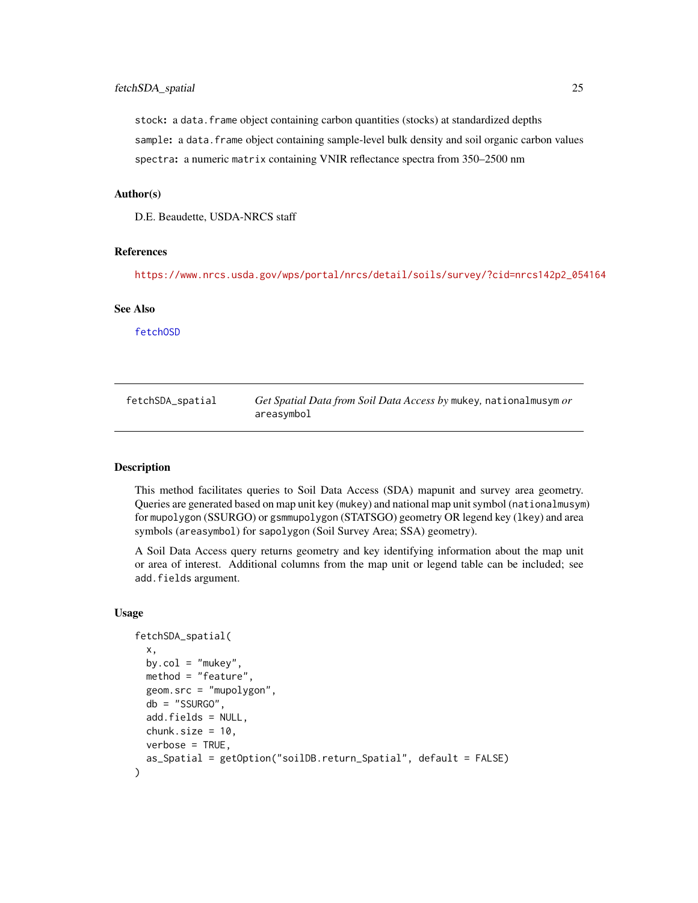<span id="page-24-0"></span>stock: a data.frame object containing carbon quantities (stocks) at standardized depths sample: a data.frame object containing sample-level bulk density and soil organic carbon values spectra: a numeric matrix containing VNIR reflectance spectra from 350–2500 nm

# Author(s)

D.E. Beaudette, USDA-NRCS staff

# References

[https://www.nrcs.usda.gov/wps/portal/nrcs/detail/soils/survey/?cid=nrcs142p2\\_054164](https://www.nrcs.usda.gov/wps/portal/nrcs/detail/soils/survey/?cid=nrcs142p2_054164)

#### See Also

[fetchOSD](#page-19-1)

| fetchSDA_spatial | Get Spatial Data from Soil Data Access by mukey, nationalmusym or |
|------------------|-------------------------------------------------------------------|
|                  | areasymbol                                                        |

#### Description

This method facilitates queries to Soil Data Access (SDA) mapunit and survey area geometry. Queries are generated based on map unit key (mukey) and national map unit symbol (nationalmusym) for mupolygon (SSURGO) or gsmmupolygon (STATSGO) geometry OR legend key (lkey) and area symbols (areasymbol) for sapolygon (Soil Survey Area; SSA) geometry).

A Soil Data Access query returns geometry and key identifying information about the map unit or area of interest. Additional columns from the map unit or legend table can be included; see add.fields argument.

#### Usage

```
fetchSDA_spatial(
  x,
 by.col = "mukey",
  method = "feature",
 geom.src = "mupolygon",
  db = "SSURGO",add.fields = NULL,
  chunk.size = 10,
 verbose = TRUE,
  as_Spatial = getOption("soilDB.return_Spatial", default = FALSE)
)
```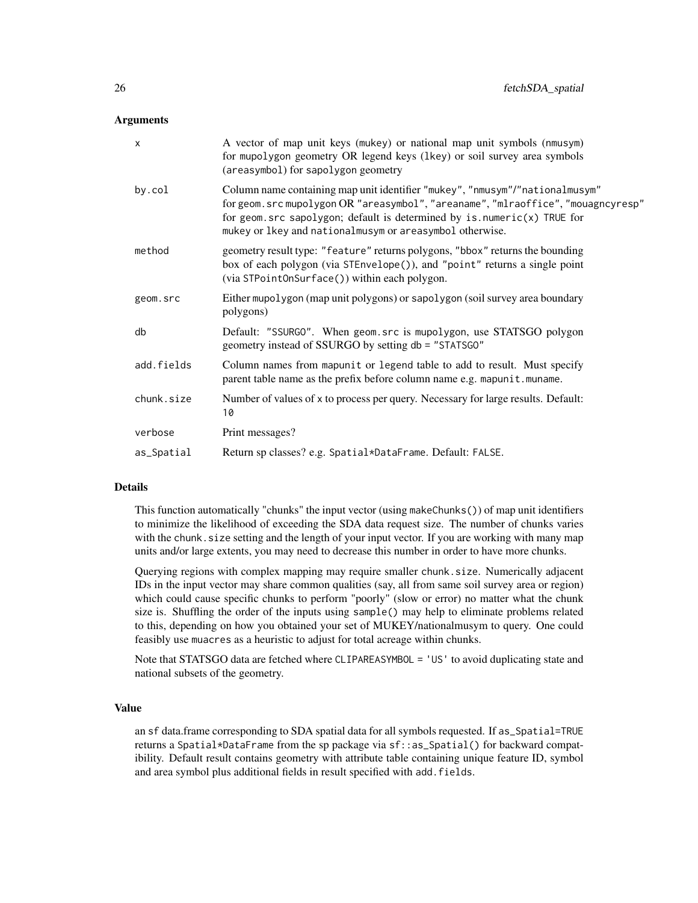#### Arguments

| $\boldsymbol{\mathsf{x}}$ | A vector of map unit keys (mukey) or national map unit symbols (nmusym)<br>for mupolygon geometry OR legend keys (lkey) or soil survey area symbols<br>(areasymbol) for sapolygon geometry                                                                                                                        |
|---------------------------|-------------------------------------------------------------------------------------------------------------------------------------------------------------------------------------------------------------------------------------------------------------------------------------------------------------------|
| by.col                    | Column name containing map unit identifier "mukey", "nmusym"/"nationalmusym"<br>for geom.src mupolygon OR "areasymbol", "areaname", "mlraoffice", "mouagncyresp"<br>for geom. $src$ sapolygon; default is determined by $is$ . numeric $(x)$ TRUE for<br>mukey or lkey and nationalmusym or areasymbol otherwise. |
| method                    | geometry result type: "feature" returns polygons, "bbox" returns the bounding<br>box of each polygon (via STEnvelope()), and "point" returns a single point<br>(via STPointOnSurface()) within each polygon.                                                                                                      |
| geom.src                  | Either mupolygon (map unit polygons) or sapolygon (soil survey area boundary<br>polygons)                                                                                                                                                                                                                         |
| db                        | Default: "SSURGO". When geom.src is mupolygon, use STATSGO polygon<br>geometry instead of SSURGO by setting db = "STATSGO"                                                                                                                                                                                        |
| add.fields                | Column names from mapunit or legend table to add to result. Must specify<br>parent table name as the prefix before column name e.g. mapunit.muname.                                                                                                                                                               |
| chunk.size                | Number of values of x to process per query. Necessary for large results. Default:<br>10                                                                                                                                                                                                                           |
| verbose                   | Print messages?                                                                                                                                                                                                                                                                                                   |
| as_Spatial                | Return sp classes? e.g. Spatial*DataFrame. Default: FALSE.                                                                                                                                                                                                                                                        |

#### Details

This function automatically "chunks" the input vector (using makeChunks()) of map unit identifiers to minimize the likelihood of exceeding the SDA data request size. The number of chunks varies with the chunk. size setting and the length of your input vector. If you are working with many map units and/or large extents, you may need to decrease this number in order to have more chunks.

Querying regions with complex mapping may require smaller chunk.size. Numerically adjacent IDs in the input vector may share common qualities (say, all from same soil survey area or region) which could cause specific chunks to perform "poorly" (slow or error) no matter what the chunk size is. Shuffling the order of the inputs using sample() may help to eliminate problems related to this, depending on how you obtained your set of MUKEY/nationalmusym to query. One could feasibly use muacres as a heuristic to adjust for total acreage within chunks.

Note that STATSGO data are fetched where CLIPAREASYMBOL = 'US' to avoid duplicating state and national subsets of the geometry.

## Value

an sf data.frame corresponding to SDA spatial data for all symbols requested. If as\_Spatial=TRUE returns a Spatial\*DataFrame from the sp package via sf::as\_Spatial() for backward compatibility. Default result contains geometry with attribute table containing unique feature ID, symbol and area symbol plus additional fields in result specified with add.fields.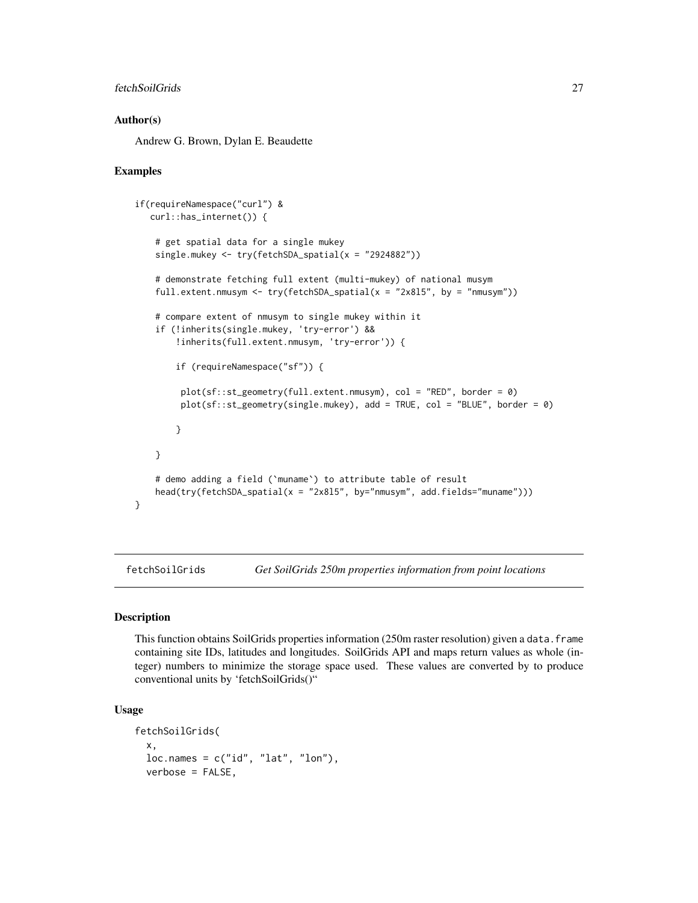## <span id="page-26-0"></span>fetchSoilGrids 27

#### Author(s)

Andrew G. Brown, Dylan E. Beaudette

#### Examples

```
if(requireNamespace("curl") &
   curl::has_internet()) {
    # get spatial data for a single mukey
    single.mukey \leq try(fetchSDA_spatial(x = "2924882"))
    # demonstrate fetching full extent (multi-mukey) of national musym
    full.extent.nmusym <- try(fetchSDA_spatial(x = "2x815", by = "nmusym"))
    # compare extent of nmusym to single mukey within it
    if (!inherits(single.mukey, 'try-error') &&
        !inherits(full.extent.nmusym, 'try-error')) {
        if (requireNamespace("sf")) {
        plot(sf::st_geometry(full.extent.nmusym), col = "RED", border = 0)
        plot(sf::st_geometry(single.mukey), add = TRUE, col = "BLUE", border = 0)
       }
    }
    # demo adding a field (`muname`) to attribute table of result
   head(try(fetchSDA_spatial(x = "2x815", by="nmusym", add.fields="muname")))
}
```
fetchSoilGrids *Get SoilGrids 250m properties information from point locations*

#### Description

This function obtains SoilGrids properties information (250m raster resolution) given a data.frame containing site IDs, latitudes and longitudes. SoilGrids API and maps return values as whole (integer) numbers to minimize the storage space used. These values are converted by to produce conventional units by 'fetchSoilGrids()"

#### Usage

```
fetchSoilGrids(
  x,
 loc.name = c("id", "lat", "lon"),verbose = FALSE,
```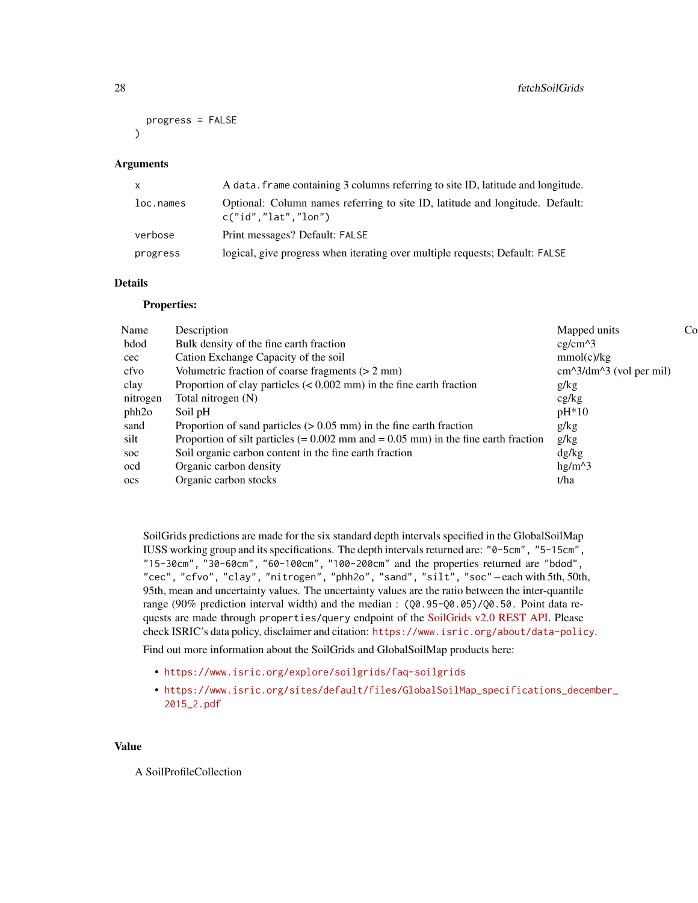```
progress = FALSE
\lambda
```
#### Arguments

| $\mathsf{X}$ | A data. frame containing 3 columns referring to site ID, latitude and longitude.                       |
|--------------|--------------------------------------------------------------------------------------------------------|
| loc.names    | Optional: Column names referring to site ID, latitude and longitude. Default:<br>c("id", "lat", "lon") |
| verbose      | Print messages? Default: FALSE                                                                         |
| progress     | logical, give progress when iterating over multiple requests; Default: FALSE                           |

# Details

#### Properties:

| Name         | Description                                                                            | Mapped units              | Co |
|--------------|----------------------------------------------------------------------------------------|---------------------------|----|
| bdod         | Bulk density of the fine earth fraction                                                | $cg/cm^{3}$               |    |
| $\csc$       | Cation Exchange Capacity of the soil                                                   | mmol(c)/kg                |    |
| cfvo         | Volumetric fraction of coarse fragments $(> 2 \text{ mm})$                             | $cm^2/dm^3$ (vol per mil) |    |
| clay         | Proportion of clay particles $(< 0.002$ mm) in the fine earth fraction                 | g/kg                      |    |
| nitrogen     | Total nitrogen (N)                                                                     | cg/kg                     |    |
| phh2o        | Soil pH                                                                                | $pH*10$                   |    |
| sand         | Proportion of sand particles $(> 0.05$ mm) in the fine earth fraction                  | g/kg                      |    |
| silt         | Proportion of silt particles $(= 0.002$ mm and $= 0.05$ mm) in the fine earth fraction | g/kg                      |    |
| soc          | Soil organic carbon content in the fine earth fraction                                 | dg/kg                     |    |
| ocd          | Organic carbon density                                                                 | $hg/m^{3}$                |    |
| $_{\rm OCS}$ | Organic carbon stocks                                                                  | t/ha                      |    |
|              |                                                                                        |                           |    |

SoilGrids predictions are made for the six standard depth intervals specified in the GlobalSoilMap IUSS working group and its specifications. The depth intervals returned are: "0-5cm", "5-15cm", "15-30cm", "30-60cm", "60-100cm", "100-200cm" and the properties returned are "bdod", "cec", "cfvo", "clay", "nitrogen", "phh2o", "sand", "silt", "soc" – each with 5th, 50th, 95th, mean and uncertainty values. The uncertainty values are the ratio between the inter-quantile range (90% prediction interval width) and the median : (Q0.95-Q0.05)/Q0.50. Point data requests are made through properties/query endpoint of the [SoilGrids v2.0 REST API.](https://www.isric.org/explore/soilgrids/faq-soilgrids) Please check ISRIC's data policy, disclaimer and citation: <https://www.isric.org/about/data-policy>.

Find out more information about the SoilGrids and GlobalSoilMap products here:

- <https://www.isric.org/explore/soilgrids/faq-soilgrids>
- [https://www.isric.org/sites/default/files/GlobalSoilMap\\_specifications\\_dece](https://www.isric.org/sites/default/files/GlobalSoilMap_specifications_december_2015_2.pdf)mber\_ [2015\\_2.pdf](https://www.isric.org/sites/default/files/GlobalSoilMap_specifications_december_2015_2.pdf)

## Value

A SoilProfileCollection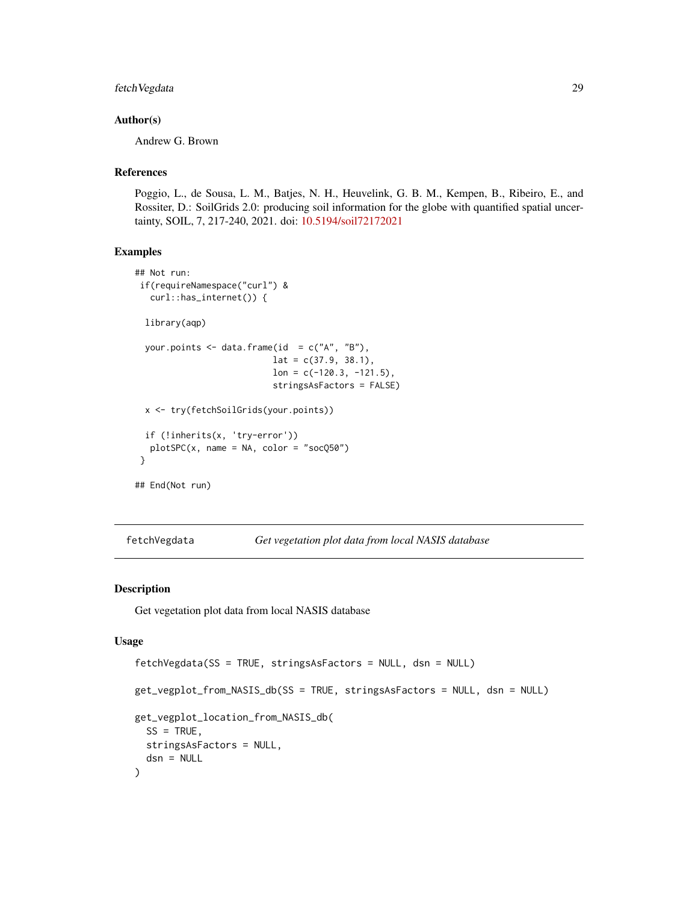# <span id="page-28-0"></span>fetchVegdata 29

#### Author(s)

Andrew G. Brown

# References

Poggio, L., de Sousa, L. M., Batjes, N. H., Heuvelink, G. B. M., Kempen, B., Ribeiro, E., and Rossiter, D.: SoilGrids 2.0: producing soil information for the globe with quantified spatial uncertainty, SOIL, 7, 217-240, 2021. doi: [10.5194/soil72172021](https://doi.org/10.5194/soil-7-217-2021)

#### Examples

```
## Not run:
if(requireNamespace("curl") &
  curl::has_internet()) {
 library(aqp)
 your.points \leq data.frame(id = c("A", "B"),
                           lat = c(37.9, 38.1),lon = c(-120.3, -121.5),
                           stringsAsFactors = FALSE)
 x <- try(fetchSoilGrids(your.points))
 if (!inherits(x, 'try-error'))
  plotSPC(x, name = NA, color = "socQ50")
}
## End(Not run)
```
fetchVegdata *Get vegetation plot data from local NASIS database*

## Description

Get vegetation plot data from local NASIS database

#### Usage

```
fetchVegdata(SS = TRUE, stringsAsFactors = NULL, dsn = NULL)
get_vegplot_from_NASIS_db(SS = TRUE, stringsAsFactors = NULL, dsn = NULL)
get_vegplot_location_from_NASIS_db(
 SS = TRUE,
  stringsAsFactors = NULL,
  dsn = NULL
)
```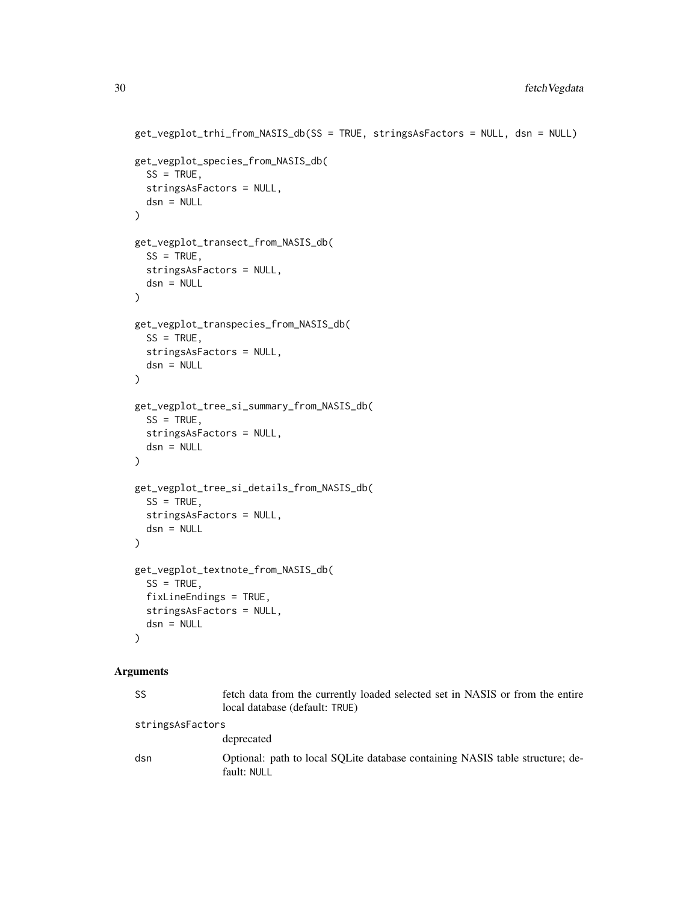```
get_vegplot_trhi_from_NASIS_db(SS = TRUE, stringsAsFactors = NULL, dsn = NULL)
   get_vegplot_species_from_NASIS_db(
     SS = TRUE,
     stringsAsFactors = NULL,
     dsn = NULL
   )
   get_vegplot_transect_from_NASIS_db(
     SS = TRUE,stringsAsFactors = NULL,
     dsn = NULL
   )
   get_vegplot_transpecies_from_NASIS_db(
     SS = TRUE,stringsAsFactors = NULL,
     dsn = NULL\lambdaget_vegplot_tree_si_summary_from_NASIS_db(
     SS = TRUE,stringsAsFactors = NULL,
     dsn = NULL
   \mathcal{L}get_vegplot_tree_si_details_from_NASIS_db(
      SS = TRUE,stringsAsFactors = NULL,
     dsn = NULL\mathcal{L}get_vegplot_textnote_from_NASIS_db(
     SS = TRUE,fixLineEndings = TRUE,
     stringsAsFactors = NULL,
     dsn = NULL
   \lambdaArguments
```

| SS               | fetch data from the currently loaded selected set in NASIS or from the entire<br>local database (default: TRUE) |
|------------------|-----------------------------------------------------------------------------------------------------------------|
| stringsAsFactors |                                                                                                                 |
|                  | deprecated                                                                                                      |
| dsn              | Optional: path to local SOLite database containing NASIS table structure; de-<br>fault: NULL                    |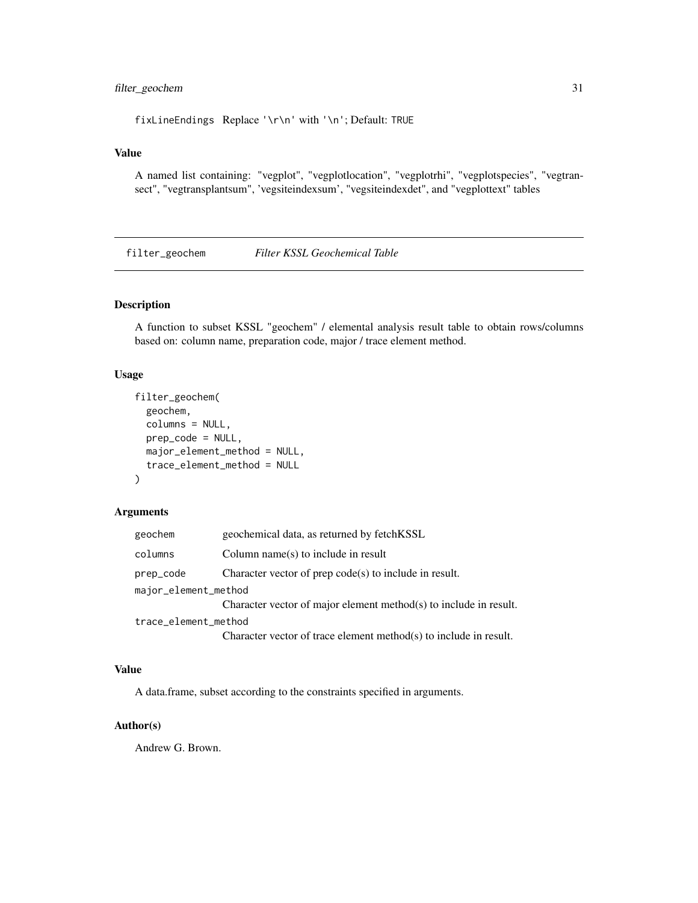# <span id="page-30-0"></span>filter\_geochem 31

fixLineEndings Replace '\r\n' with '\n'; Default: TRUE

## Value

A named list containing: "vegplot", "vegplotlocation", "vegplotrhi", "vegplotspecies", "vegtransect", "vegtransplantsum", 'vegsiteindexsum', "vegsiteindexdet", and "vegplottext" tables

filter\_geochem *Filter KSSL Geochemical Table*

# Description

A function to subset KSSL "geochem" / elemental analysis result table to obtain rows/columns based on: column name, preparation code, major / trace element method.

## Usage

```
filter_geochem(
  geochem,
  columns = NULL,
 prep_code = NULL,
 major_element_method = NULL,
  trace_element_method = NULL
\lambda
```
#### Arguments

| geochem              | geochemical data, as returned by fetchKSSL                        |
|----------------------|-------------------------------------------------------------------|
| columns              | Column name $(s)$ to include in result                            |
| prep_code            | Character vector of prep $code(s)$ to include in result.          |
| major_element_method |                                                                   |
|                      | Character vector of major element method(s) to include in result. |
| trace_element_method |                                                                   |
|                      | Character vector of trace element method(s) to include in result. |

#### Value

A data.frame, subset according to the constraints specified in arguments.

## Author(s)

Andrew G. Brown.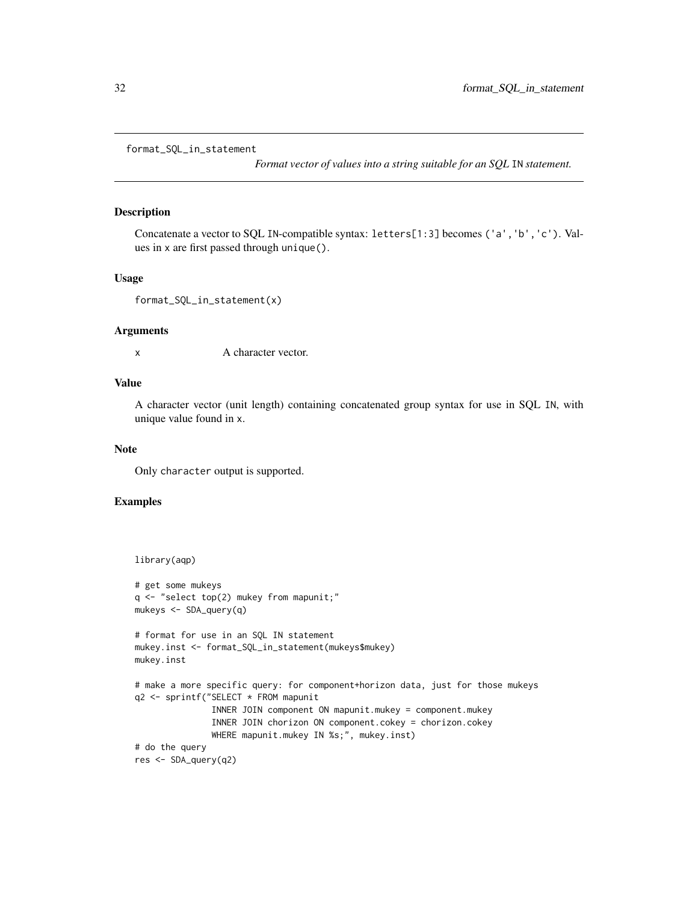<span id="page-31-0"></span>format\_SQL\_in\_statement

*Format vector of values into a string suitable for an SQL* IN *statement.*

## Description

Concatenate a vector to SQL IN-compatible syntax: letters[1:3] becomes ('a','b','c'). Values in x are first passed through unique().

#### Usage

```
format_SQL_in_statement(x)
```
#### Arguments

x A character vector.

# Value

A character vector (unit length) containing concatenated group syntax for use in SQL IN, with unique value found in x.

#### Note

Only character output is supported.

## Examples

```
library(aqp)
# get some mukeys
q <- "select top(2) mukey from mapunit;"
mukeys <- SDA_query(q)
# format for use in an SQL IN statement
mukey.inst <- format_SQL_in_statement(mukeys$mukey)
mukey.inst
# make a more specific query: for component+horizon data, just for those mukeys
q2 <- sprintf("SELECT * FROM mapunit
               INNER JOIN component ON mapunit.mukey = component.mukey
               INNER JOIN chorizon ON component.cokey = chorizon.cokey
               WHERE mapunit.mukey IN %s;", mukey.inst)
# do the query
res <- SDA_query(q2)
```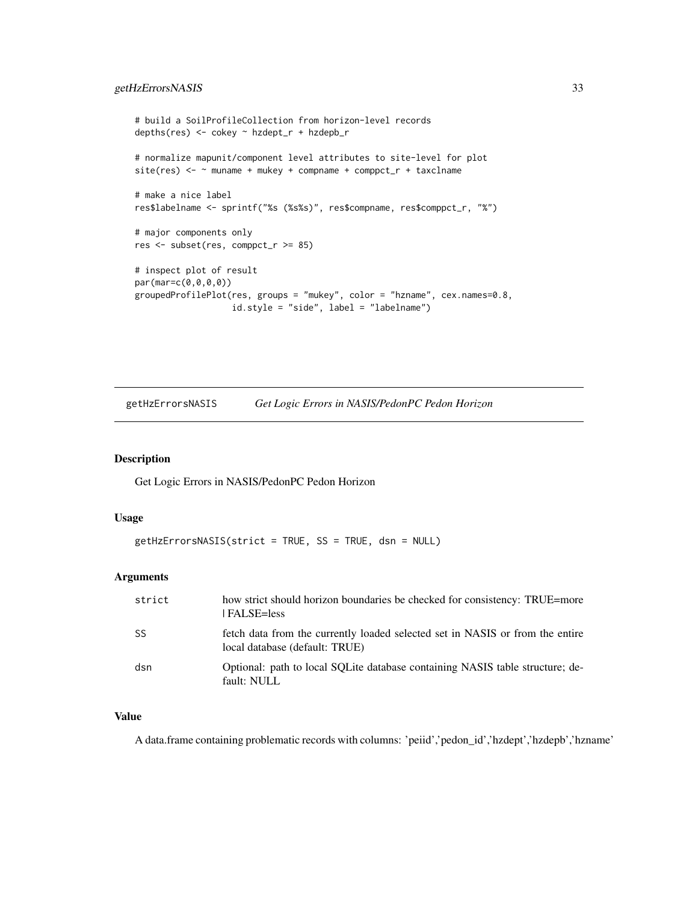## <span id="page-32-0"></span>getHzErrorsNASIS 33

```
# build a SoilProfileCollection from horizon-level records
depths(res) <- cokey ~ hzdept_r + hzdepb_r
# normalize mapunit/component level attributes to site-level for plot
site(res) <- ~ muname + mukey + compname + comppct_r + taxclname
# make a nice label
res$labelname <- sprintf("%s (%s%s)", res$compname, res$comppct_r, "%")
# major components only
res <- subset(res, comppct_r >= 85)
# inspect plot of result
par(mar=c(0,0,0,0))
groupedProfilePlot(res, groups = "mukey", color = "hzname", cex.names=0.8,
                   id.style = "side", label = "labelname")
```
getHzErrorsNASIS *Get Logic Errors in NASIS/PedonPC Pedon Horizon*

## Description

Get Logic Errors in NASIS/PedonPC Pedon Horizon

#### Usage

```
getHzErrorsNASIS(strict = TRUE, SS = TRUE, dsn = NULL)
```
## Arguments

| strict | how strict should horizon boundaries be checked for consistency: TRUE=more<br>  FALSE=less                      |
|--------|-----------------------------------------------------------------------------------------------------------------|
| SS     | fetch data from the currently loaded selected set in NASIS or from the entire<br>local database (default: TRUE) |
| dsn    | Optional: path to local SOLite database containing NASIS table structure; de-<br>fault: NULL                    |

## Value

A data.frame containing problematic records with columns: 'peiid','pedon\_id','hzdept','hzdepb','hzname'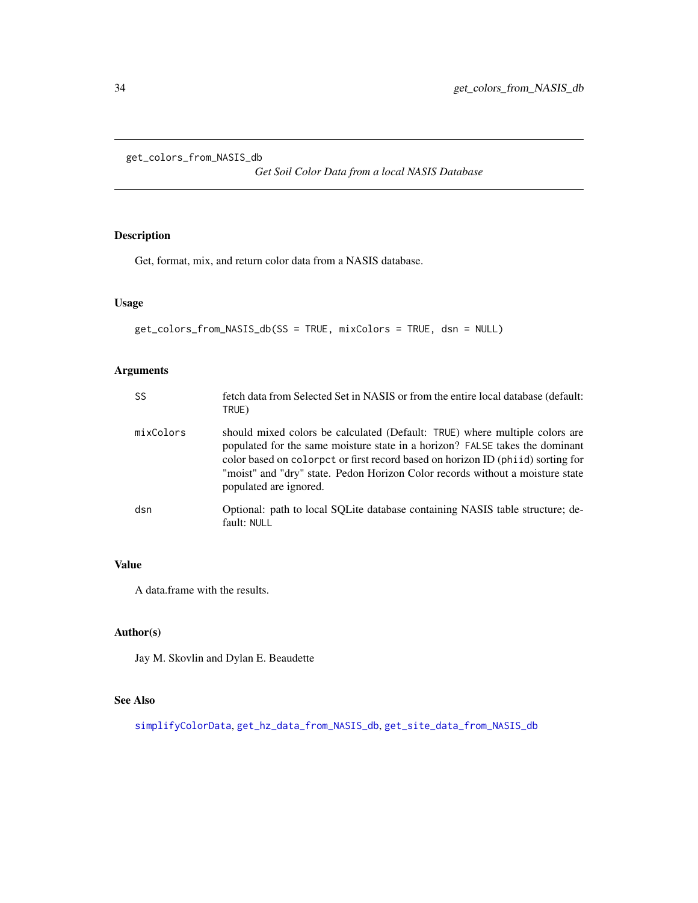<span id="page-33-0"></span>get\_colors\_from\_NASIS\_db

*Get Soil Color Data from a local NASIS Database*

# Description

Get, format, mix, and return color data from a NASIS database.

## Usage

```
get_colors_from_NASIS_db(SS = TRUE, mixColors = TRUE, dsn = NULL)
```
# Arguments

| <b>SS</b> | fetch data from Selected Set in NASIS or from the entire local database (default:<br>TRUE)                                                                                                                                                                                                                                                                |
|-----------|-----------------------------------------------------------------------------------------------------------------------------------------------------------------------------------------------------------------------------------------------------------------------------------------------------------------------------------------------------------|
| mixColors | should mixed colors be calculated (Default: TRUE) where multiple colors are<br>populated for the same moisture state in a horizon? FALSE takes the dominant<br>color based on colorpct or first record based on horizon ID (phild) sorting for<br>"moist" and "dry" state. Pedon Horizon Color records without a moisture state<br>populated are ignored. |
| dsn       | Optional: path to local SQLite database containing NASIS table structure; de-<br>fault: NULL                                                                                                                                                                                                                                                              |

# Value

A data.frame with the results.

# Author(s)

Jay M. Skovlin and Dylan E. Beaudette

# See Also

[simplifyColorData](#page-119-1), [get\\_hz\\_data\\_from\\_NASIS\\_db](#page-46-1), [get\\_site\\_data\\_from\\_NASIS\\_db](#page-83-1)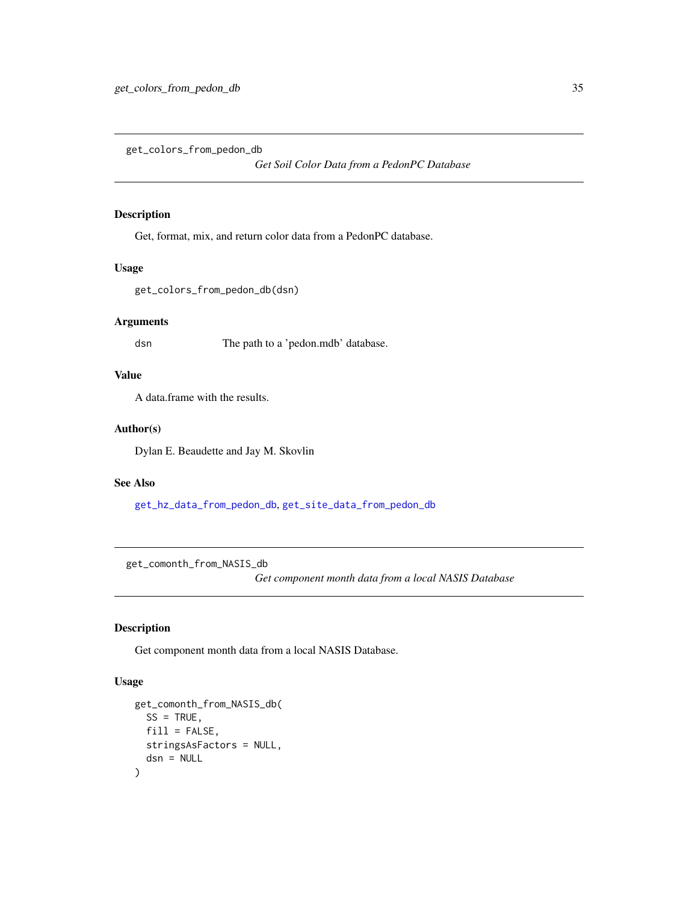<span id="page-34-0"></span>get\_colors\_from\_pedon\_db

*Get Soil Color Data from a PedonPC Database*

## Description

Get, format, mix, and return color data from a PedonPC database.

# Usage

get\_colors\_from\_pedon\_db(dsn)

## Arguments

dsn The path to a 'pedon.mdb' database.

## Value

A data.frame with the results.

## Author(s)

Dylan E. Beaudette and Jay M. Skovlin

# See Also

[get\\_hz\\_data\\_from\\_pedon\\_db](#page-47-1), [get\\_site\\_data\\_from\\_pedon\\_db](#page-84-1)

get\_comonth\_from\_NASIS\_db

*Get component month data from a local NASIS Database*

# Description

Get component month data from a local NASIS Database.

## Usage

```
get_comonth_from_NASIS_db(
 SS = TRUE,fill = FALSE,stringsAsFactors = NULL,
  dsn = NULL
)
```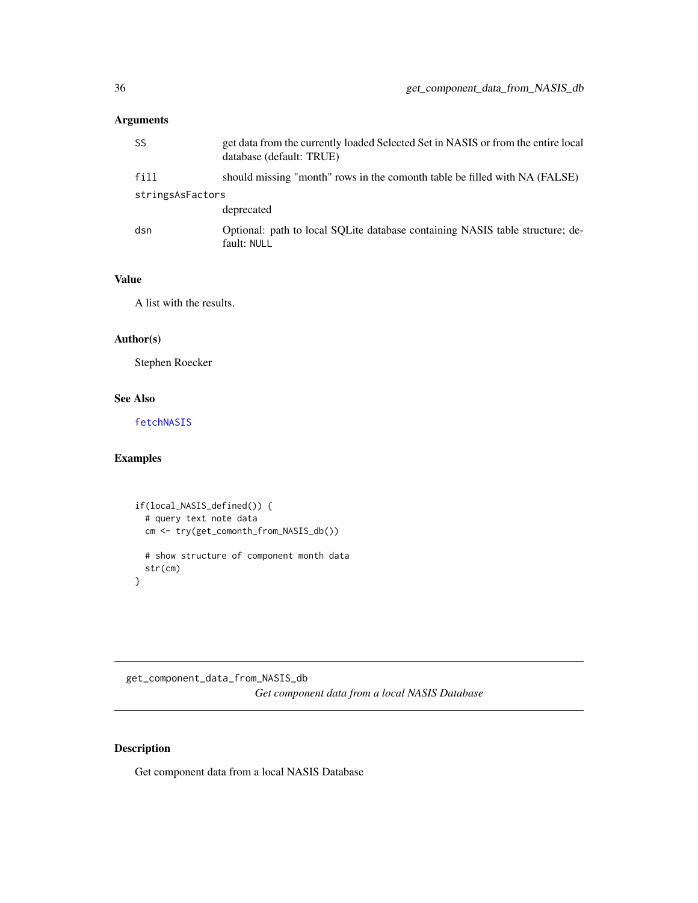# <span id="page-35-0"></span>Arguments

| SS               | get data from the currently loaded Selected Set in NASIS or from the entire local<br>database (default: TRUE) |
|------------------|---------------------------------------------------------------------------------------------------------------|
| fill             | should missing "month" rows in the comonth table be filled with NA (FALSE)                                    |
| stringsAsFactors |                                                                                                               |
|                  | deprecated                                                                                                    |
| dsn              | Optional: path to local SOLite database containing NASIS table structure; de-<br>fault: NULL                  |

# Value

A list with the results.

## Author(s)

Stephen Roecker

## See Also

[fetchNASIS](#page-14-1)

# Examples

```
if(local_NASIS_defined()) {
  # query text note data
 cm <- try(get_comonth_from_NASIS_db())
  # show structure of component month data
  str(cm)
}
```
get\_component\_data\_from\_NASIS\_db *Get component data from a local NASIS Database*

# Description

Get component data from a local NASIS Database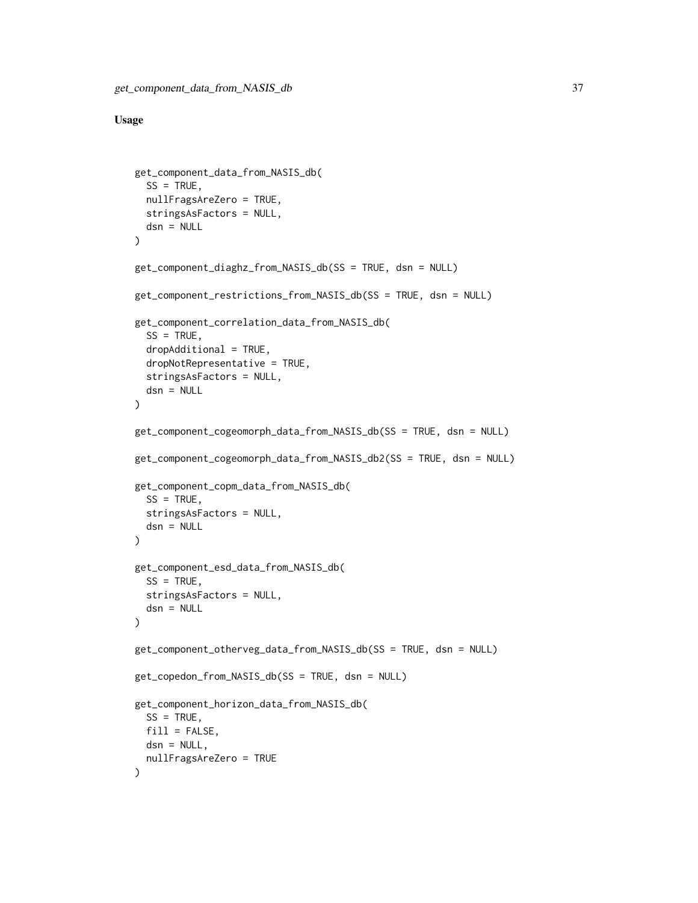```
get_component_data_from_NASIS_db(
  SS = TRUE,
 nullFragsAreZero = TRUE,
 stringsAsFactors = NULL,
 dsn = NULL
)
get_component_diaghz_from_NASIS_db(SS = TRUE, dsn = NULL)
get_component_restrictions_from_NASIS_db(SS = TRUE, dsn = NULL)
get_component_correlation_data_from_NASIS_db(
  SS = TRUE,
 dropAdditional = TRUE,dropNotRepresentative = TRUE,
 stringsAsFactors = NULL,
 dsn = NULL
)
get_component_cogeomorph_data_from_NASIS_db(SS = TRUE, dsn = NULL)
get_component_cogeomorph_data_from_NASIS_db2(SS = TRUE, dsn = NULL)
get_component_copm_data_from_NASIS_db(
  SS = TRUE,
 stringsAsFactors = NULL,
 dsn = NULL
)
get_component_esd_data_from_NASIS_db(
 SS = TRUE,
 stringsAsFactors = NULL,
 dsn = NULL
)
get_component_otherveg_data_from_NASIS_db(SS = TRUE, dsn = NULL)
get_copedon_from_NASIS_db(SS = TRUE, dsn = NULL)
get_component_horizon_data_from_NASIS_db(
 SS = TRUE,
 fill = FALSE,dsn = NULL,nullFragsAreZero = TRUE
)
```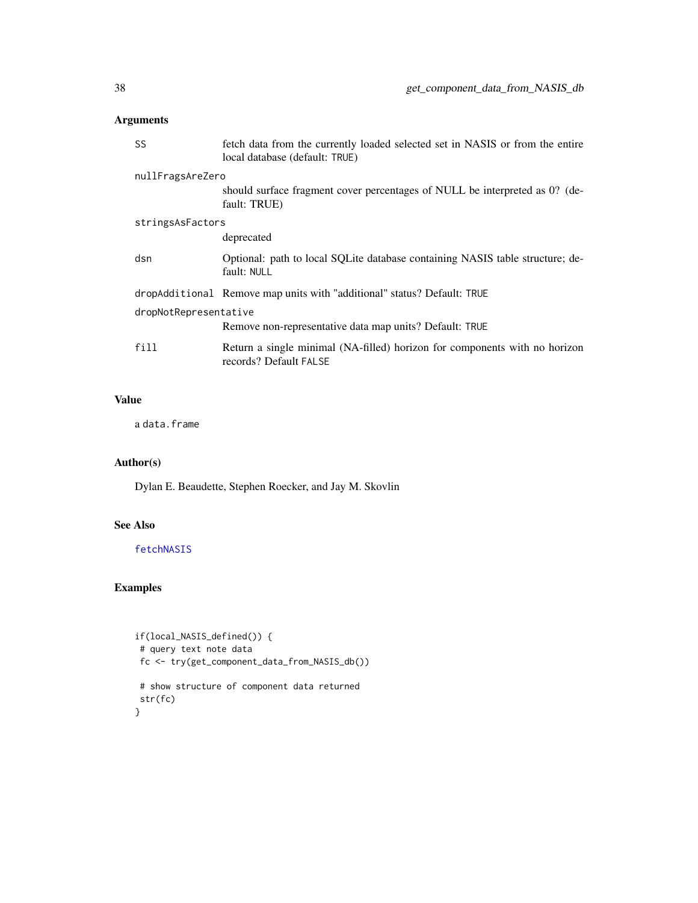| SS                    | fetch data from the currently loaded selected set in NASIS or from the entire<br>local database (default: TRUE) |  |
|-----------------------|-----------------------------------------------------------------------------------------------------------------|--|
| nullFragsAreZero      |                                                                                                                 |  |
|                       | should surface fragment cover percentages of NULL be interpreted as 0? (de-<br>fault: TRUE)                     |  |
| stringsAsFactors      |                                                                                                                 |  |
|                       | deprecated                                                                                                      |  |
| dsn                   | Optional: path to local SQLite database containing NASIS table structure; de-<br>fault: NULL                    |  |
|                       | dropAdditional Remove map units with "additional" status? Default: TRUE                                         |  |
| dropNotRepresentative |                                                                                                                 |  |
|                       | Remove non-representative data map units? Default: TRUE                                                         |  |
| fill                  | Return a single minimal (NA-filled) horizon for components with no horizon<br>records? Default FALSE            |  |

## Value

a data.frame

## Author(s)

Dylan E. Beaudette, Stephen Roecker, and Jay M. Skovlin

## See Also

## [fetchNASIS](#page-14-0)

## Examples

```
if(local_NASIS_defined()) {
 # query text note data
 fc <- try(get_component_data_from_NASIS_db())
 # show structure of component data returned
 str(fc)
}
```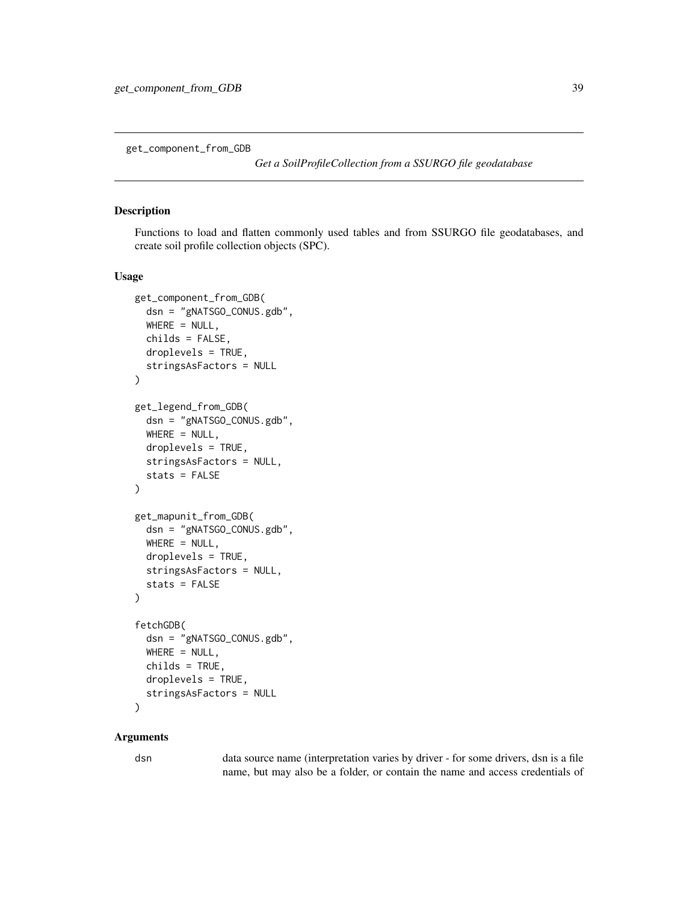get\_component\_from\_GDB

*Get a SoilProfileCollection from a SSURGO file geodatabase*

#### Description

Functions to load and flatten commonly used tables and from SSURGO file geodatabases, and create soil profile collection objects (SPC).

## Usage

```
get_component_from_GDB(
  dsn = "gNATSGO_CONUS.gdb",
  WHERE = NULL,
  childs = FALSE,
  droplevels = TRUE,
  stringsAsFactors = NULL
\lambdaget_legend_from_GDB(
  dsn = "gNATSGO_CONUS.gdb",
  WHERE = NULL,
  droplevels = TRUE,
  stringsAsFactors = NULL,
  stats = FALSE
)
get_mapunit_from_GDB(
  dsn = "gNATSGO_CONUS.gdb",
  WHERE = NULL,
  droplevels = TRUE,
  stringsAsFactors = NULL,
  stats = FALSE
\lambdafetchGDB(
  dsn = "gNATSGO_CONUS.gdb",
 WHERE = NULL,childs = TRUE,
  droplevels = TRUE,
  stringsAsFactors = NULL
)
```
### Arguments

dsn data source name (interpretation varies by driver - for some drivers, dsn is a file name, but may also be a folder, or contain the name and access credentials of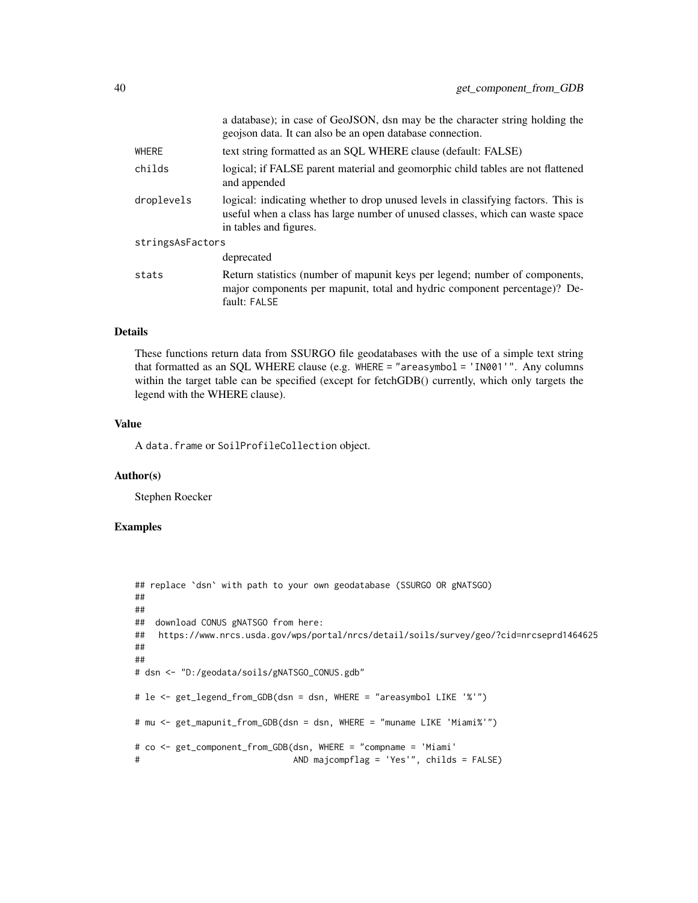|                  | a database); in case of GeoJSON, dsn may be the character string holding the<br>geojson data. It can also be an open database connection.                                                    |  |
|------------------|----------------------------------------------------------------------------------------------------------------------------------------------------------------------------------------------|--|
| WHERE            | text string formatted as an SQL WHERE clause (default: FALSE)                                                                                                                                |  |
| childs           | logical; if FALSE parent material and geomorphic child tables are not flattened<br>and appended                                                                                              |  |
| droplevels       | logical: indicating whether to drop unused levels in classifying factors. This is<br>useful when a class has large number of unused classes, which can waste space<br>in tables and figures. |  |
| stringsAsFactors |                                                                                                                                                                                              |  |
|                  | deprecated                                                                                                                                                                                   |  |
| stats            | Return statistics (number of mapunit keys per legend; number of components,<br>major components per mapunit, total and hydric component percentage)? De-<br>fault: FALSE                     |  |

## Details

These functions return data from SSURGO file geodatabases with the use of a simple text string that formatted as an SQL WHERE clause (e.g. WHERE = "areasymbol = 'IN001'". Any columns within the target table can be specified (except for fetchGDB() currently, which only targets the legend with the WHERE clause).

#### Value

A data.frame or SoilProfileCollection object.

### Author(s)

Stephen Roecker

## Examples

```
## replace `dsn` with path to your own geodatabase (SSURGO OR gNATSGO)
##
##
## download CONUS gNATSGO from here:
## https://www.nrcs.usda.gov/wps/portal/nrcs/detail/soils/survey/geo/?cid=nrcseprd1464625
##
##
# dsn <- "D:/geodata/soils/gNATSGO_CONUS.gdb"
# le <- get_legend_from_GDB(dsn = dsn, WHERE = "areasymbol LIKE '%'")
# mu <- get_mapunit_from_GDB(dsn = dsn, WHERE = "muname LIKE 'Miami%'")
# co <- get_component_from_GDB(dsn, WHERE = "compname = 'Miami'
# AND majcompflag = 'Yes'", childs = FALSE)
```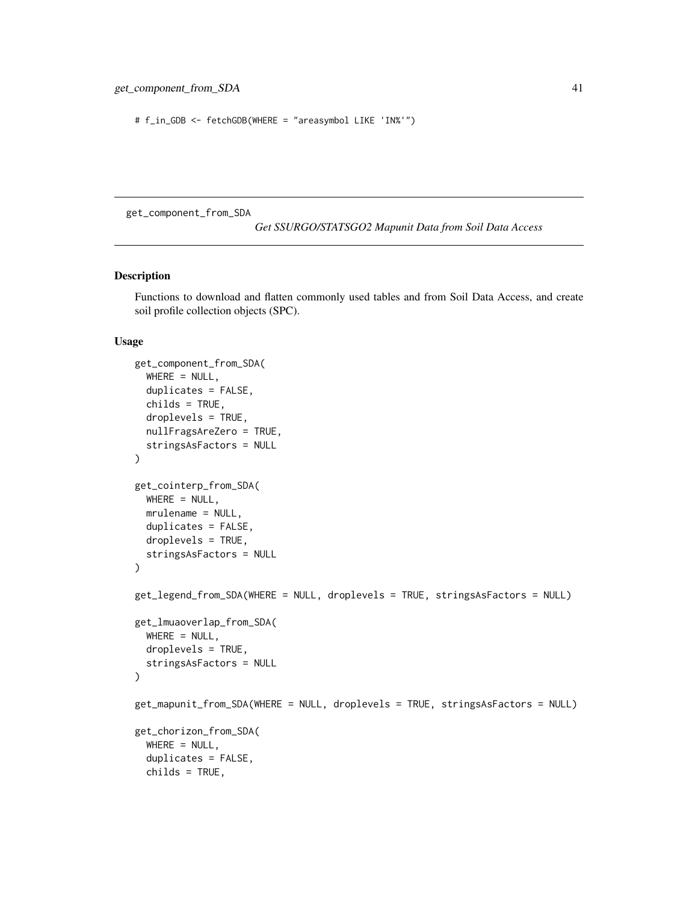```
# f_in_GDB <- fetchGDB(WHERE = "areasymbol LIKE 'IN%'")
```
get\_component\_from\_SDA

*Get SSURGO/STATSGO2 Mapunit Data from Soil Data Access*

## <span id="page-40-0"></span>Description

Functions to download and flatten commonly used tables and from Soil Data Access, and create soil profile collection objects (SPC).

```
get_component_from_SDA(
  WHERE = NULL,duplicates = FALSE,
 childs = TRUE,
  droplevels = TRUE,
 nullFragsAreZero = TRUE,
  stringsAsFactors = NULL
)
get_cointerp_from_SDA(
 WHERE = NULL,
 mrulename = NULL,
 duplicates = FALSE,
  droplevels = TRUE,
  stringsAsFactors = NULL
)
get_legend_from_SDA(WHERE = NULL, droplevels = TRUE, stringsAsFactors = NULL)
get_lmuaoverlap_from_SDA(
 WHERE = NULL,droplevels = TRUE,
  stringsAsFactors = NULL
)
get_mapunit_from_SDA(WHERE = NULL, droplevels = TRUE, stringsAsFactors = NULL)
get_chorizon_from_SDA(
 WHERE = NULL,duplicates = FALSE,
  childs = TRUE,
```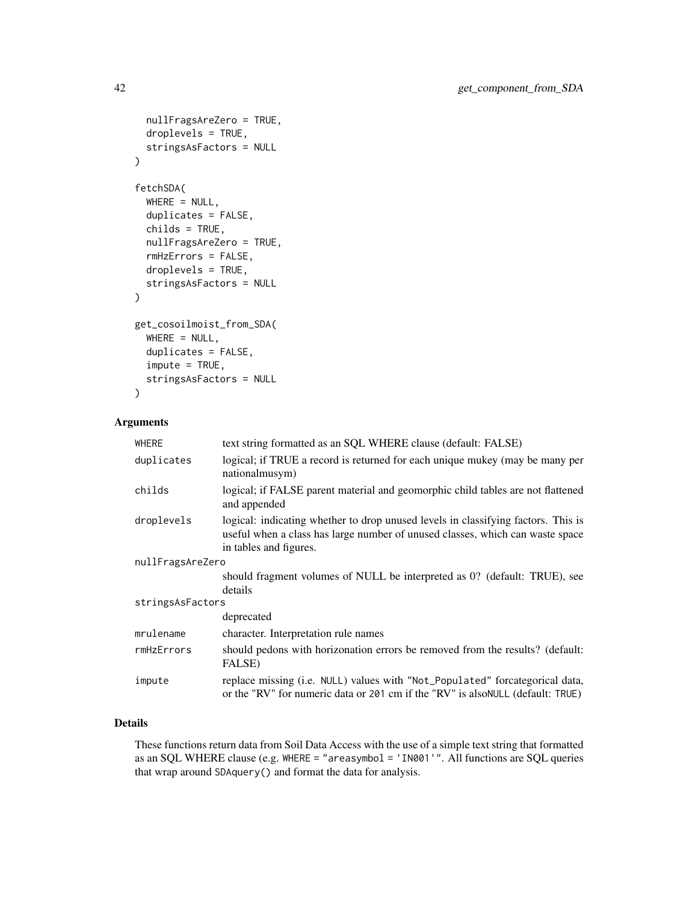```
nullFragsAreZero = TRUE,
  droplevels = TRUE,
  stringsAsFactors = NULL
\mathcal{L}fetchSDA(
  WHERE = NULL,duplicates = FALSE,
  childs = TRUE,
  nullFragsAreZero = TRUE,
  rmHzErrors = FALSE,
  droplevels = TRUE,
  stringsAsFactors = NULL
)
get_cosoilmoist_from_SDA(
 WHERE = NULL,
  duplicates = FALSE,
  impute = TRUE,stringsAsFactors = NULL
)
```

| WHERE            | text string formatted as an SQL WHERE clause (default: FALSE)                                                                                                                                |  |
|------------------|----------------------------------------------------------------------------------------------------------------------------------------------------------------------------------------------|--|
| duplicates       | logical; if TRUE a record is returned for each unique mukey (may be many per<br>nationalmusym)                                                                                               |  |
| childs           | logical; if FALSE parent material and geomorphic child tables are not flattened<br>and appended                                                                                              |  |
| droplevels       | logical: indicating whether to drop unused levels in classifying factors. This is<br>useful when a class has large number of unused classes, which can waste space<br>in tables and figures. |  |
| nullFragsAreZero |                                                                                                                                                                                              |  |
|                  | should fragment volumes of NULL be interpreted as 0? (default: TRUE), see                                                                                                                    |  |
|                  | details                                                                                                                                                                                      |  |
| stringsAsFactors |                                                                                                                                                                                              |  |
|                  | deprecated                                                                                                                                                                                   |  |
| mrulename        | character. Interpretation rule names                                                                                                                                                         |  |
| rmHzErrors       | should pedons with horizonation errors be removed from the results? (default:<br>FALSE)                                                                                                      |  |
| impute           | replace missing (i.e. NULL) values with "Not_Populated" forcategorical data,<br>or the "RV" for numeric data or 201 cm if the "RV" is also NULL (default: TRUE)                              |  |

## Details

These functions return data from Soil Data Access with the use of a simple text string that formatted as an SQL WHERE clause (e.g. WHERE = "areasymbol = 'IN001'". All functions are SQL queries that wrap around SDAquery() and format the data for analysis.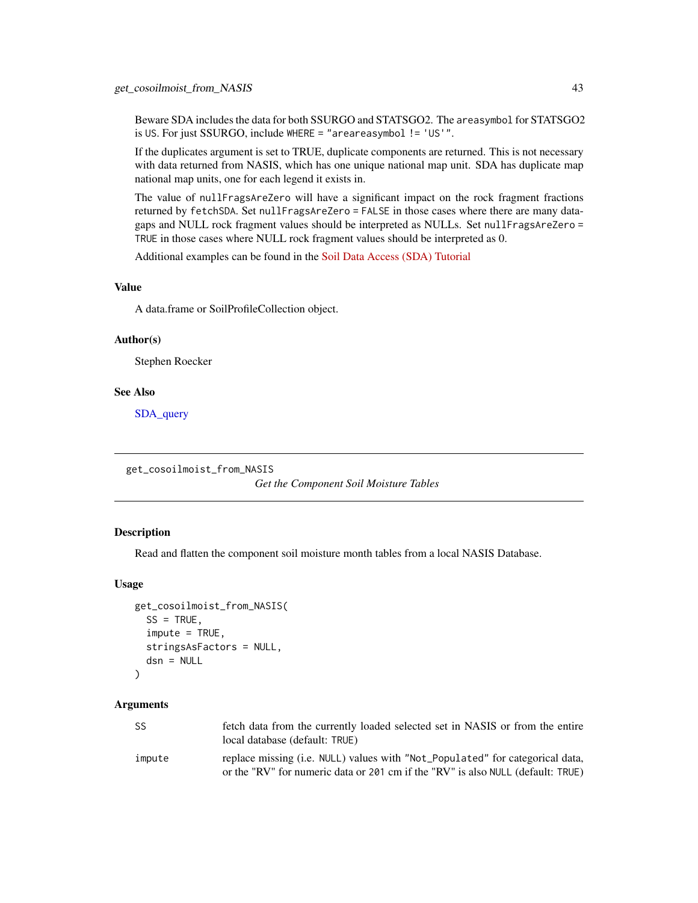Beware SDA includes the data for both SSURGO and STATSGO2. The areasymbol for STATSGO2 is US. For just SSURGO, include WHERE = "areareasymbol != 'US'".

If the duplicates argument is set to TRUE, duplicate components are returned. This is not necessary with data returned from NASIS, which has one unique national map unit. SDA has duplicate map national map units, one for each legend it exists in.

The value of nullFragsAreZero will have a significant impact on the rock fragment fractions returned by fetchSDA. Set nullFragsAreZero = FALSE in those cases where there are many datagaps and NULL rock fragment values should be interpreted as NULLs. Set nullFragsAreZero = TRUE in those cases where NULL rock fragment values should be interpreted as 0.

Additional examples can be found in the [Soil Data Access \(SDA\) Tutorial](http://ncss-tech.github.io/AQP/soilDB/SDA-tutorial.html)

### Value

A data.frame or SoilProfileCollection object.

#### Author(s)

Stephen Roecker

#### See Also

[SDA\\_query](#page-110-0)

get\_cosoilmoist\_from\_NASIS

*Get the Component Soil Moisture Tables*

### Description

Read and flatten the component soil moisture month tables from a local NASIS Database.

#### Usage

```
get_cosoilmoist_from_NASIS(
  SS = TRUE,
  impute = TRUE,stringsAsFactors = NULL,
  dsn = NULL
```
## )

## Arguments

| <b>SS</b> | fetch data from the currently loaded selected set in NASIS or from the entire<br>local database (default: TRUE)                                                  |
|-----------|------------------------------------------------------------------------------------------------------------------------------------------------------------------|
| impute    | replace missing (i.e. NULL) values with "Not_Populated" for categorical data,<br>or the "RV" for numeric data or 201 cm if the "RV" is also NULL (default: TRUE) |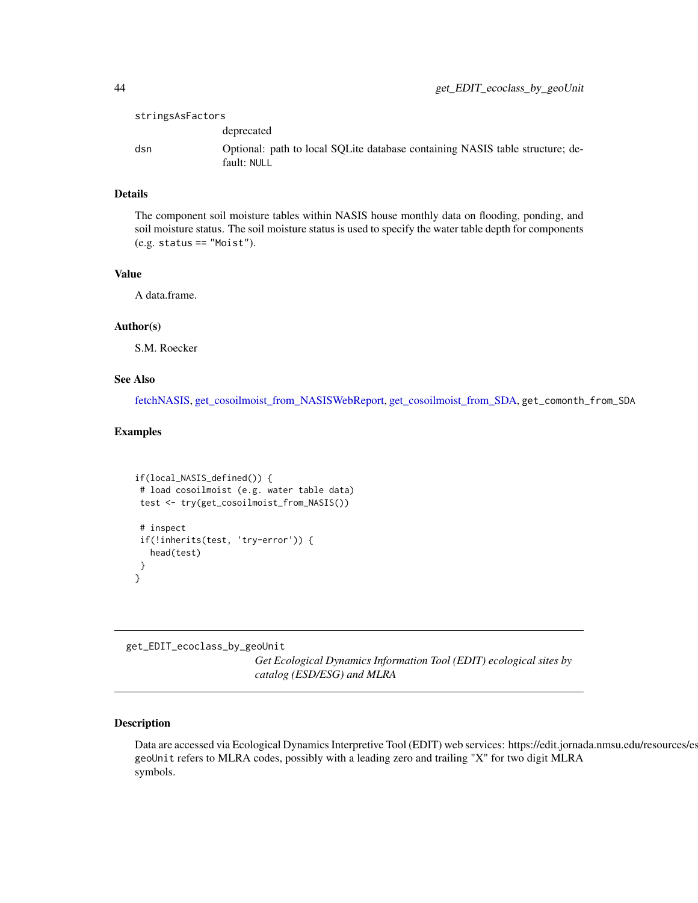| stringsAsFactors |                                                                                              |
|------------------|----------------------------------------------------------------------------------------------|
|                  | deprecated                                                                                   |
| dsn              | Optional: path to local SQLite database containing NASIS table structure; de-<br>fault: NULL |

## Details

The component soil moisture tables within NASIS house monthly data on flooding, ponding, and soil moisture status. The soil moisture status is used to specify the water table depth for components (e.g. status == "Moist").

#### Value

A data.frame.

## Author(s)

S.M. Roecker

### See Also

[fetchNASIS,](#page-14-0) [get\\_cosoilmoist\\_from\\_NASISWebReport,](#page-17-0) [get\\_cosoilmoist\\_from\\_SDA,](#page-40-0) get\_comonth\_from\_SDA

## Examples

```
if(local_NASIS_defined()) {
# load cosoilmoist (e.g. water table data)
test <- try(get_cosoilmoist_from_NASIS())
# inspect
if(!inherits(test, 'try-error')) {
  head(test)
}
}
```
get\_EDIT\_ecoclass\_by\_geoUnit

*Get Ecological Dynamics Information Tool (EDIT) ecological sites by catalog (ESD/ESG) and MLRA*

### Description

Data are accessed via Ecological Dynamics Interpretive Tool (EDIT) web services: https://edit.jornada.nmsu.edu/resources/es geoUnit refers to MLRA codes, possibly with a leading zero and trailing "X" for two digit MLRA symbols.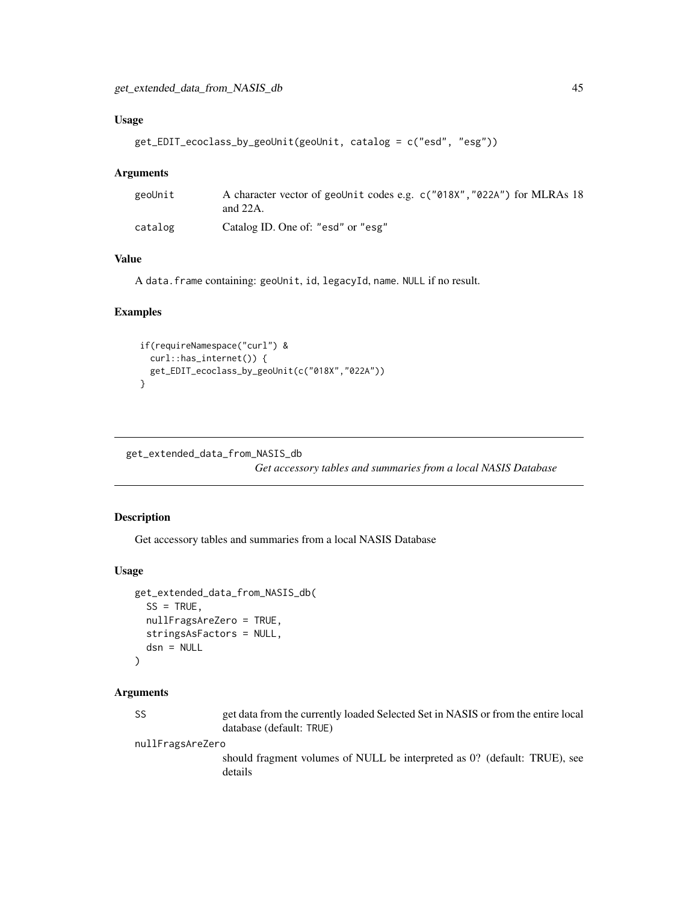## Usage

```
get_EDIT_ecoclass_by_geoUnit(geoUnit, catalog = c("esd", "esg"))
```
#### Arguments

| geoUnit | A character vector of geoUnit codes e.g. c("018X", "022A") for MLRAs 18<br>and $22A$ . |
|---------|----------------------------------------------------------------------------------------|
| catalog | Catalog ID. One of: "esd" or "esg"                                                     |

## Value

A data.frame containing: geoUnit, id, legacyId, name. NULL if no result.

#### Examples

```
if(requireNamespace("curl") &
  curl::has_internet()) {
  get_EDIT_ecoclass_by_geoUnit(c("018X","022A"))
}
```
get\_extended\_data\_from\_NASIS\_db

*Get accessory tables and summaries from a local NASIS Database*

## Description

Get accessory tables and summaries from a local NASIS Database

#### Usage

```
get_extended_data_from_NASIS_db(
  SS = TRUE,nullFragsAreZero = TRUE,
  stringsAsFactors = NULL,
  dsn = NULL\lambda
```
#### Arguments

SS get data from the currently loaded Selected Set in NASIS or from the entire local database (default: TRUE)

nullFragsAreZero

should fragment volumes of NULL be interpreted as 0? (default: TRUE), see details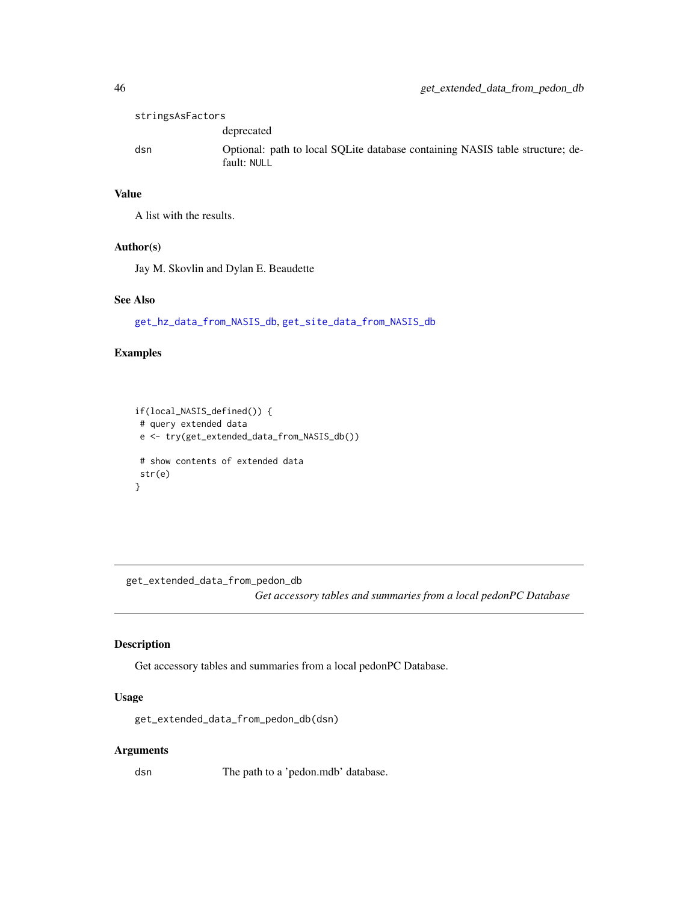| stringsAsFactors |                                                                                              |
|------------------|----------------------------------------------------------------------------------------------|
|                  | deprecated                                                                                   |
| dsn              | Optional: path to local SOLite database containing NASIS table structure; de-<br>fault: NULL |

## Value

A list with the results.

#### Author(s)

Jay M. Skovlin and Dylan E. Beaudette

### See Also

[get\\_hz\\_data\\_from\\_NASIS\\_db](#page-46-0), [get\\_site\\_data\\_from\\_NASIS\\_db](#page-83-0)

## Examples

```
if(local_NASIS_defined()) {
# query extended data
e <- try(get_extended_data_from_NASIS_db())
# show contents of extended data
str(e)
}
```
get\_extended\_data\_from\_pedon\_db

*Get accessory tables and summaries from a local pedonPC Database*

## Description

Get accessory tables and summaries from a local pedonPC Database.

## Usage

get\_extended\_data\_from\_pedon\_db(dsn)

### Arguments

dsn The path to a 'pedon.mdb' database.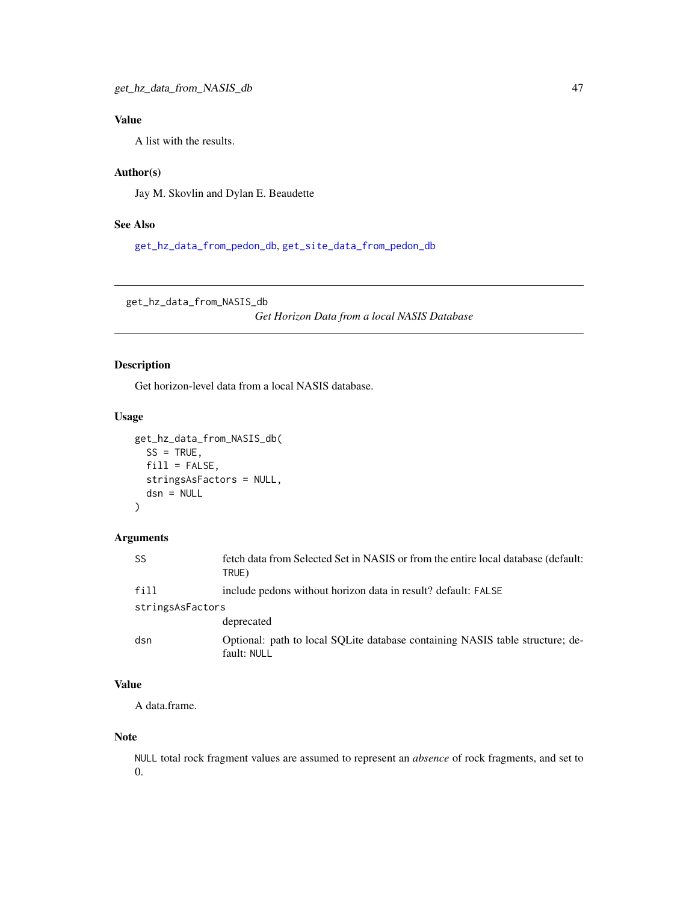## Value

A list with the results.

## Author(s)

Jay M. Skovlin and Dylan E. Beaudette

## See Also

[get\\_hz\\_data\\_from\\_pedon\\_db](#page-47-0), [get\\_site\\_data\\_from\\_pedon\\_db](#page-84-0)

<span id="page-46-0"></span>get\_hz\_data\_from\_NASIS\_db

*Get Horizon Data from a local NASIS Database*

## Description

Get horizon-level data from a local NASIS database.

### Usage

```
get_hz_data_from_NASIS_db(
  SS = TRUE,fill = FALSE,stringsAsFactors = NULL,
  dsn = NULL
\mathcal{L}
```
## Arguments

| <b>SS</b>        | fetch data from Selected Set in NASIS or from the entire local database (default:<br>TRUE)   |
|------------------|----------------------------------------------------------------------------------------------|
| fill             | include pedons without horizon data in result? default: FALSE                                |
| stringsAsFactors |                                                                                              |
|                  | deprecated                                                                                   |
| dsn              | Optional: path to local SQLite database containing NASIS table structure; de-<br>fault: NULL |

# Value

A data.frame.

### Note

NULL total rock fragment values are assumed to represent an *absence* of rock fragments, and set to 0.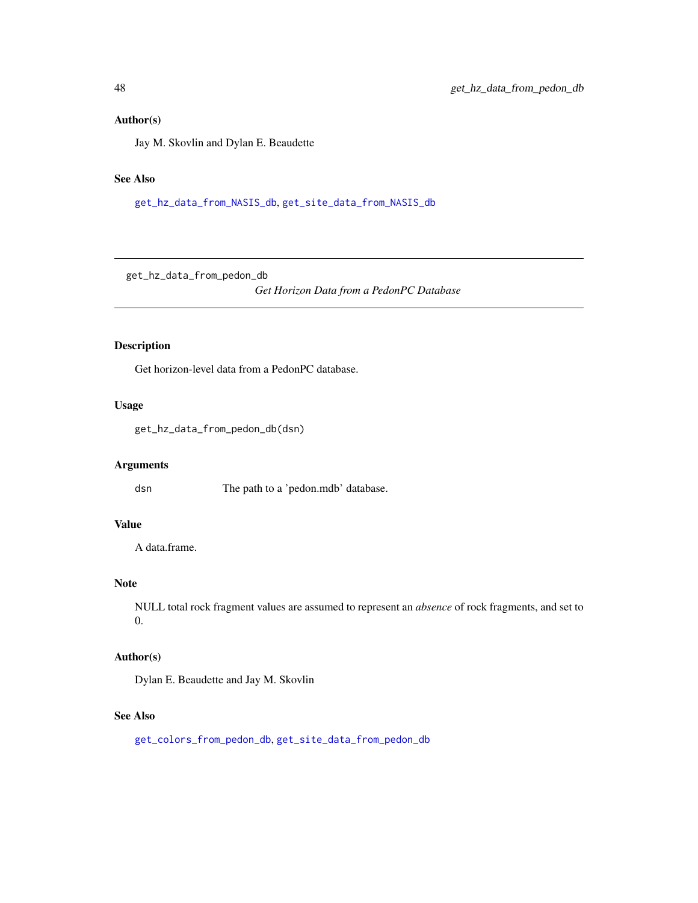## Author(s)

Jay M. Skovlin and Dylan E. Beaudette

## See Also

[get\\_hz\\_data\\_from\\_NASIS\\_db](#page-46-0), [get\\_site\\_data\\_from\\_NASIS\\_db](#page-83-0)

<span id="page-47-0"></span>get\_hz\_data\_from\_pedon\_db

*Get Horizon Data from a PedonPC Database*

## Description

Get horizon-level data from a PedonPC database.

### Usage

get\_hz\_data\_from\_pedon\_db(dsn)

## Arguments

dsn The path to a 'pedon.mdb' database.

## Value

A data.frame.

## Note

NULL total rock fragment values are assumed to represent an *absence* of rock fragments, and set to 0.

#### Author(s)

Dylan E. Beaudette and Jay M. Skovlin

#### See Also

[get\\_colors\\_from\\_pedon\\_db](#page-34-0), [get\\_site\\_data\\_from\\_pedon\\_db](#page-84-0)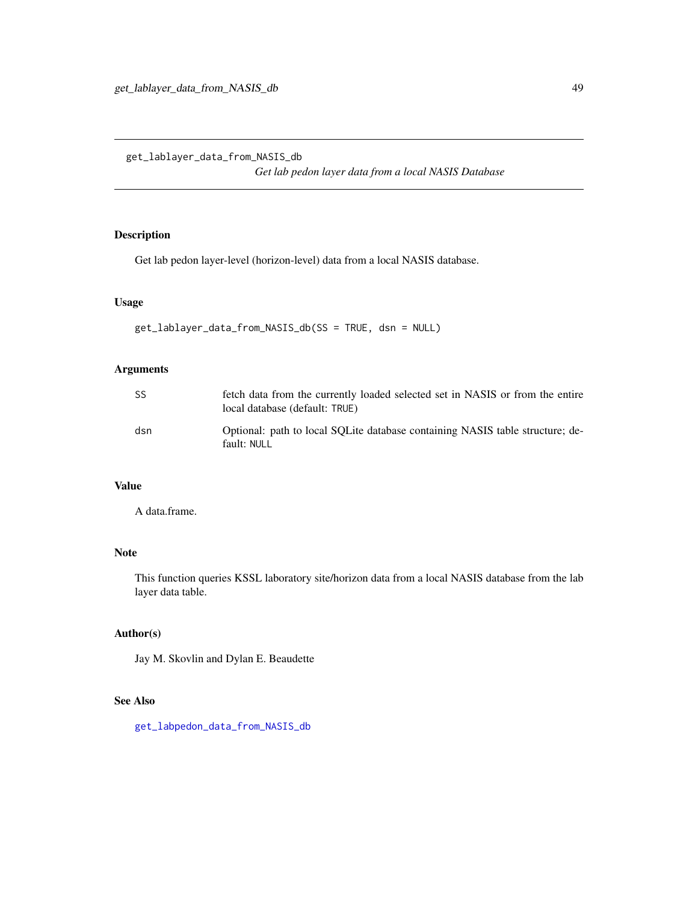<span id="page-48-0"></span>get\_lablayer\_data\_from\_NASIS\_db

*Get lab pedon layer data from a local NASIS Database*

## Description

Get lab pedon layer-level (horizon-level) data from a local NASIS database.

## Usage

```
get_lablayer_data_from_NASIS_db(SS = TRUE, dsn = NULL)
```
## Arguments

| SS  | fetch data from the currently loaded selected set in NASIS or from the entire<br>local database (default: TRUE) |
|-----|-----------------------------------------------------------------------------------------------------------------|
| dsn | Optional: path to local SOLite database containing NASIS table structure; de-<br>fault: NULL                    |

## Value

A data.frame.

# Note

This function queries KSSL laboratory site/horizon data from a local NASIS database from the lab layer data table.

# Author(s)

Jay M. Skovlin and Dylan E. Beaudette

#### See Also

[get\\_labpedon\\_data\\_from\\_NASIS\\_db](#page-49-0)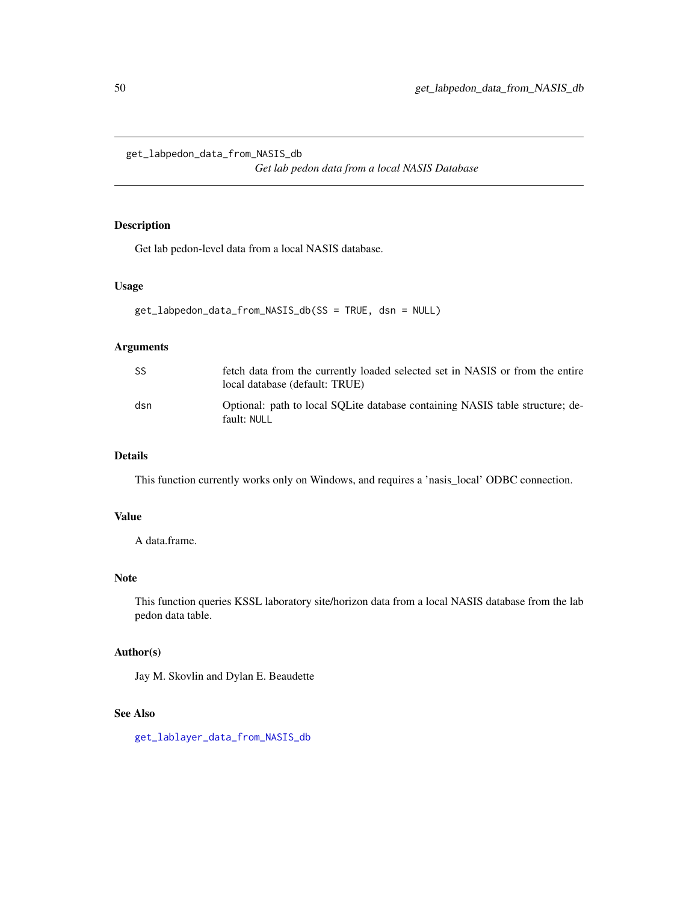<span id="page-49-0"></span>get\_labpedon\_data\_from\_NASIS\_db

*Get lab pedon data from a local NASIS Database*

## Description

Get lab pedon-level data from a local NASIS database.

#### Usage

```
get_labpedon_data_from_NASIS_db(SS = TRUE, dsn = NULL)
```
### Arguments

| <b>SS</b> | fetch data from the currently loaded selected set in NASIS or from the entire<br>local database (default: TRUE) |
|-----------|-----------------------------------------------------------------------------------------------------------------|
| dsn       | Optional: path to local SOLite database containing NASIS table structure; de-<br>fault: NULL                    |

## Details

This function currently works only on Windows, and requires a 'nasis\_local' ODBC connection.

## Value

A data.frame.

## Note

This function queries KSSL laboratory site/horizon data from a local NASIS database from the lab pedon data table.

## Author(s)

Jay M. Skovlin and Dylan E. Beaudette

### See Also

[get\\_lablayer\\_data\\_from\\_NASIS\\_db](#page-48-0)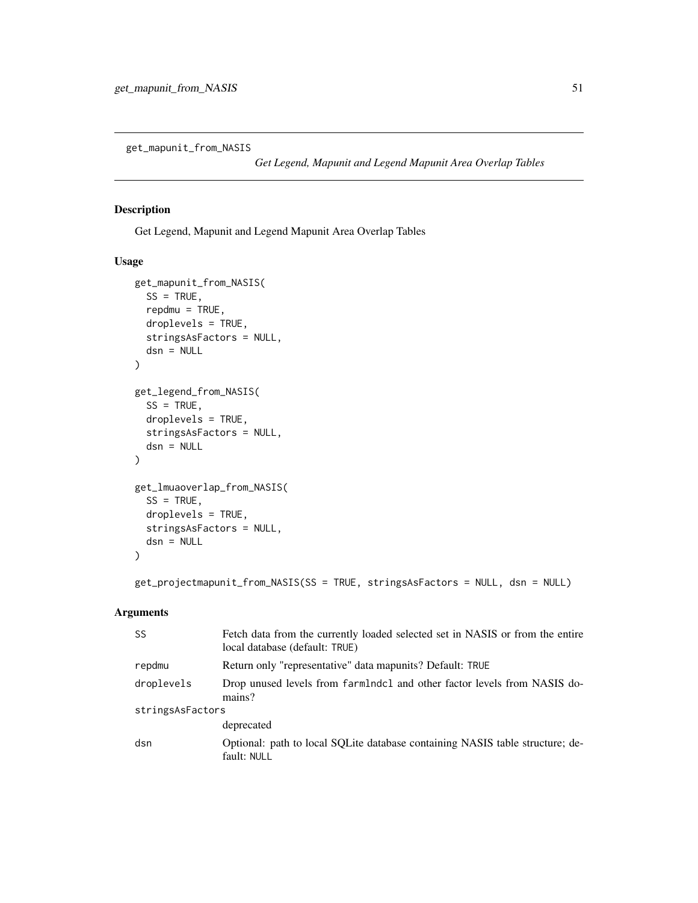get\_mapunit\_from\_NASIS

*Get Legend, Mapunit and Legend Mapunit Area Overlap Tables*

## Description

Get Legend, Mapunit and Legend Mapunit Area Overlap Tables

### Usage

```
get_mapunit_from_NASIS(
  SS = TRUE,repdmu = TRUE,droplevels = TRUE,
  stringsAsFactors = NULL,
  dsn = NULL
\mathcal{L}get_legend_from_NASIS(
  SS = TRUE,droplevels = TRUE,
  stringsAsFactors = NULL,
  dsn = NULL
)
get_lmuaoverlap_from_NASIS(
  SS = TRUE,droplevels = TRUE,
  stringsAsFactors = NULL,
  dsn = NULL)
```
get\_projectmapunit\_from\_NASIS(SS = TRUE, stringsAsFactors = NULL, dsn = NULL)

#### Arguments

| <b>SS</b>        | Fetch data from the currently loaded selected set in NASIS or from the entire<br>local database (default: TRUE) |  |
|------------------|-----------------------------------------------------------------------------------------------------------------|--|
| repdmu           | Return only "representative" data mapunits? Default: TRUE                                                       |  |
| droplevels       | Drop unused levels from farmlndcl and other factor levels from NASIS do-<br>mains?                              |  |
| stringsAsFactors |                                                                                                                 |  |
|                  | deprecated                                                                                                      |  |
| dsn              | Optional: path to local SQLite database containing NASIS table structure; de-<br>fault: NULL                    |  |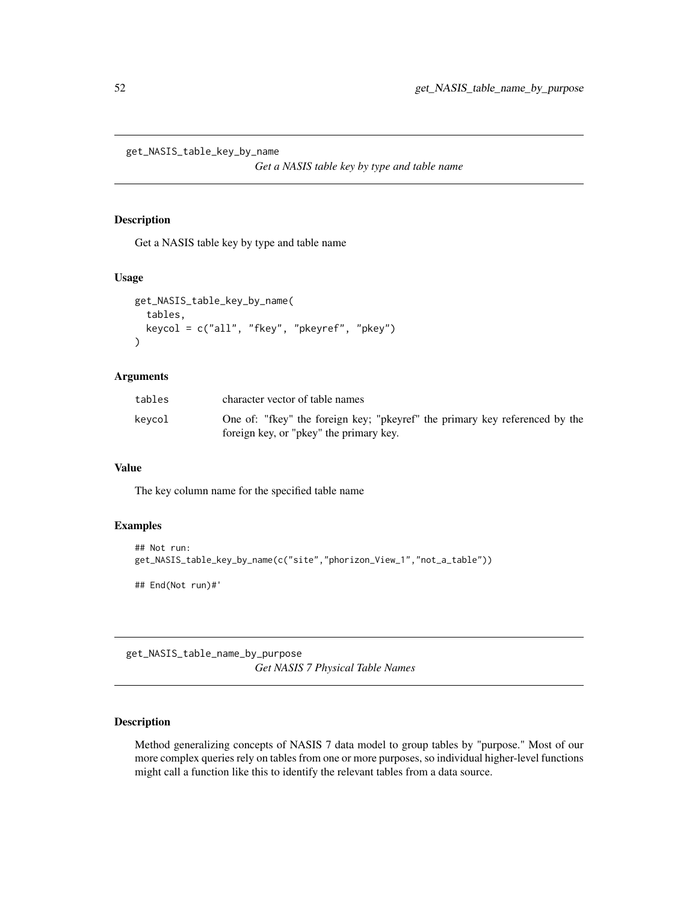get\_NASIS\_table\_key\_by\_name

*Get a NASIS table key by type and table name*

### Description

Get a NASIS table key by type and table name

## Usage

```
get_NASIS_table_key_by_name(
  tables,
  keycol = c("all", "fkey", "pkeyref", "pkey")
\lambda
```
## Arguments

| tables | character vector of table names                                                                                        |
|--------|------------------------------------------------------------------------------------------------------------------------|
| kevcol | One of: "fkey" the foreign key; "pkeyref" the primary key referenced by the<br>foreign key, or "pkey" the primary key. |

## Value

The key column name for the specified table name

## Examples

```
## Not run:
get_NASIS_table_key_by_name(c("site","phorizon_View_1","not_a_table"))
## End(Not run)#'
```
get\_NASIS\_table\_name\_by\_purpose *Get NASIS 7 Physical Table Names*

## Description

Method generalizing concepts of NASIS 7 data model to group tables by "purpose." Most of our more complex queries rely on tables from one or more purposes, so individual higher-level functions might call a function like this to identify the relevant tables from a data source.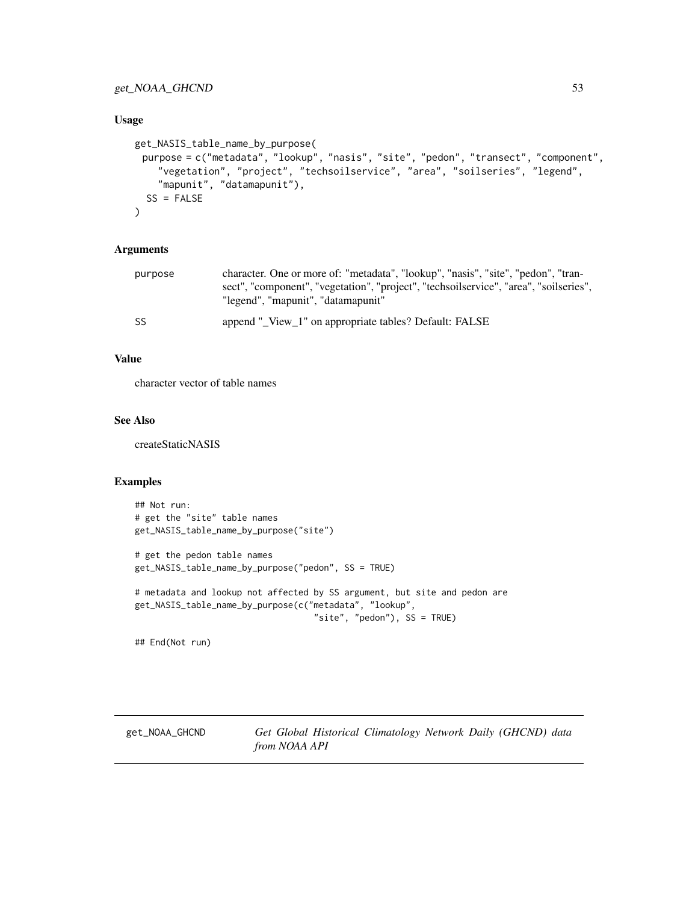## get\_NOAA\_GHCND 53

#### Usage

```
get_NASIS_table_name_by_purpose(
 purpose = c("metadata", "lookup", "nasis", "site", "pedon", "transect", "component",
    "vegetation", "project", "techsoilservice", "area", "soilseries", "legend",
    "mapunit", "datamapunit"),
 SS = FALSE)
```
### Arguments

| purpose | character. One or more of: "metadata", "lookup", "nasis", "site", "pedon", "tran-                                           |
|---------|-----------------------------------------------------------------------------------------------------------------------------|
|         | sect", "component", "vegetation", "project", "techsoilservice", "area", "soilseries",<br>"legend", "mapunit", "datamapunit" |
| SS      | append "_View_1" on appropriate tables? Default: FALSE                                                                      |

## Value

character vector of table names

## See Also

createStaticNASIS

## Examples

```
## Not run:
# get the "site" table names
get_NASIS_table_name_by_purpose("site")
# get the pedon table names
get_NASIS_table_name_by_purpose("pedon", SS = TRUE)
# metadata and lookup not affected by SS argument, but site and pedon are
get_NASIS_table_name_by_purpose(c("metadata", "lookup",
```

```
"site", "pedon"), SS = TRUE)
```
## End(Not run)

get\_NOAA\_GHCND *Get Global Historical Climatology Network Daily (GHCND) data from NOAA API*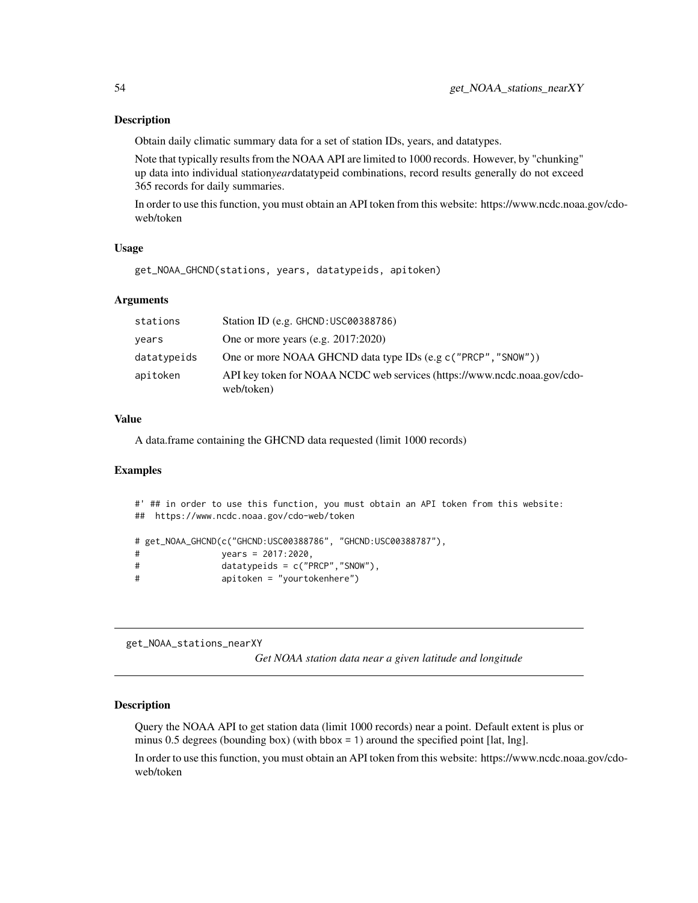#### Description

Obtain daily climatic summary data for a set of station IDs, years, and datatypes.

Note that typically results from the NOAA API are limited to 1000 records. However, by "chunking" up data into individual station*year*datatypeid combinations, record results generally do not exceed 365 records for daily summaries.

In order to use this function, you must obtain an API token from this website: https://www.ncdc.noaa.gov/cdoweb/token

### Usage

```
get_NOAA_GHCND(stations, years, datatypeids, apitoken)
```
### Arguments

| stations    | Station ID (e.g. GHCND: USC00388786)                                                   |
|-------------|----------------------------------------------------------------------------------------|
| years       | One or more years (e.g. $2017:2020$ )                                                  |
| datatypeids | One or more NOAA GHCND data type IDs (e.g c ("PRCP", "SNOW"))                          |
| apitoken    | API key token for NOAA NCDC web services (https://www.ncdc.noaa.gov/cdo-<br>web/token) |

#### Value

A data.frame containing the GHCND data requested (limit 1000 records)

#### Examples

```
#' ## in order to use this function, you must obtain an API token from this website:
## https://www.ncdc.noaa.gov/cdo-web/token
# get_NOAA_GHCND(c("GHCND:USC00388786", "GHCND:USC00388787"),
# years = 2017:2020,
# datatypeids = c("PRCP","SNOW"),
# apitoken = "yourtokenhere")
```
get\_NOAA\_stations\_nearXY

*Get NOAA station data near a given latitude and longitude*

## **Description**

Query the NOAA API to get station data (limit 1000 records) near a point. Default extent is plus or minus 0.5 degrees (bounding box) (with bbox = 1) around the specified point [lat, lng].

In order to use this function, you must obtain an API token from this website: https://www.ncdc.noaa.gov/cdoweb/token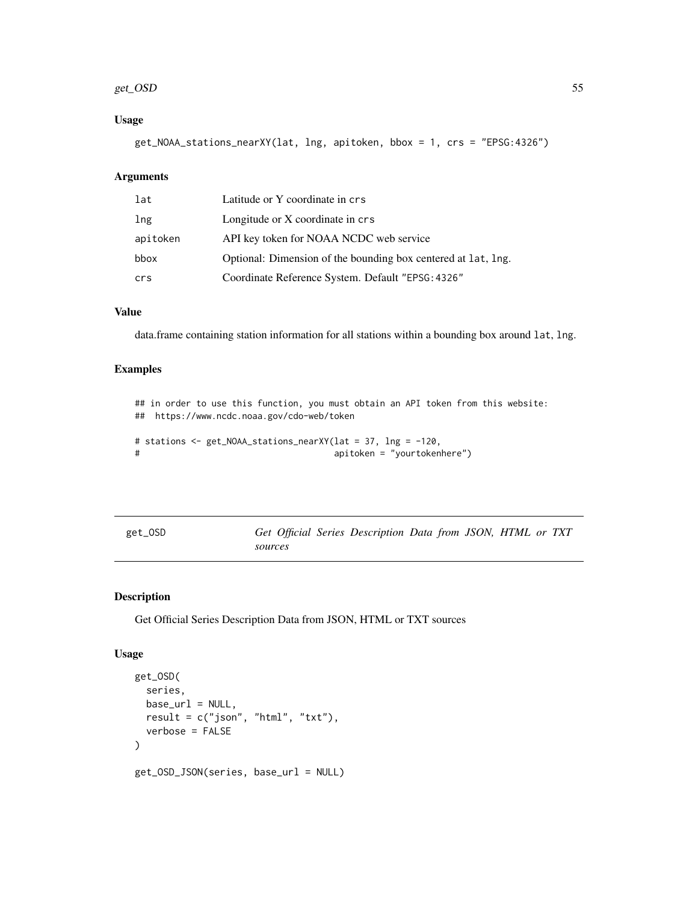#### get\_OSD 55

## Usage

get\_NOAA\_stations\_nearXY(lat, lng, apitoken, bbox = 1, crs = "EPSG:4326")

#### Arguments

| lat      | Latitude or Y coordinate in crs                               |
|----------|---------------------------------------------------------------|
| lng      | Longitude or X coordinate in crs                              |
| apitoken | API key token for NOAA NCDC web service                       |
| bbox     | Optional: Dimension of the bounding box centered at lat, lng. |
| crs      | Coordinate Reference System. Default "EPSG: 4326"             |

### Value

data.frame containing station information for all stations within a bounding box around lat, lng.

## Examples

```
## in order to use this function, you must obtain an API token from this website:
## https://www.ncdc.noaa.gov/cdo-web/token
# stations <- get_NOAA_stations_nearXY(lat = 37, lng = -120,
# apitoken = "yourtokenhere")
```

| get_OSD | Get Official Series Description Data from JSON, HTML or TXT |  |  |  |  |
|---------|-------------------------------------------------------------|--|--|--|--|
|         | sources                                                     |  |  |  |  |

### Description

Get Official Series Description Data from JSON, HTML or TXT sources

```
get_OSD(
 series,
 base\_url = NULL,result = c("json", "html", "txt"),verbose = FALSE
)
get_OSD_JSON(series, base_url = NULL)
```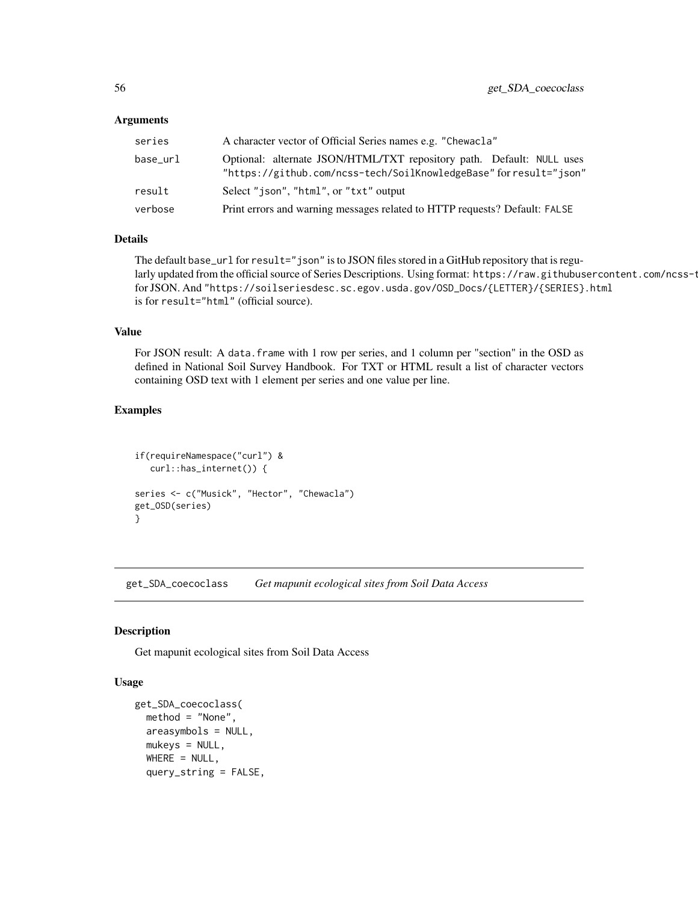| series   | A character vector of Official Series names e.g. "Chewacla"                                                                                 |
|----------|---------------------------------------------------------------------------------------------------------------------------------------------|
| base_url | Optional: alternate JSON/HTML/TXT repository path. Default: NULL uses<br>"https://github.com/ncss-tech/SoilKnowledgeBase" for result="json" |
| result   | Select "json", "html", or "txt" output                                                                                                      |
| verbose  | Print errors and warning messages related to HTTP requests? Default: FALSE                                                                  |

## Details

The default base\_url for result="json" is to JSON files stored in a GitHub repository that is regularly updated from the official source of Series Descriptions. Using format: https://raw.githubusercontent.com/ncss-t for JSON. And "https://soilseriesdesc.sc.egov.usda.gov/OSD\_Docs/{LETTER}/{SERIES}.html is for result="html" (official source).

## Value

For JSON result: A data.frame with 1 row per series, and 1 column per "section" in the OSD as defined in National Soil Survey Handbook. For TXT or HTML result a list of character vectors containing OSD text with 1 element per series and one value per line.

#### Examples

```
if(requireNamespace("curl") &
  curl::has_internet()) {
series <- c("Musick", "Hector", "Chewacla")
get_OSD(series)
}
```
get\_SDA\_coecoclass *Get mapunit ecological sites from Soil Data Access*

### **Description**

Get mapunit ecological sites from Soil Data Access

```
get_SDA_coecoclass(
 method = "None",
  areasymbols = NULL,
 mukeys = NULL,
 WHERE = NULL,
  query_string = FALSE,
```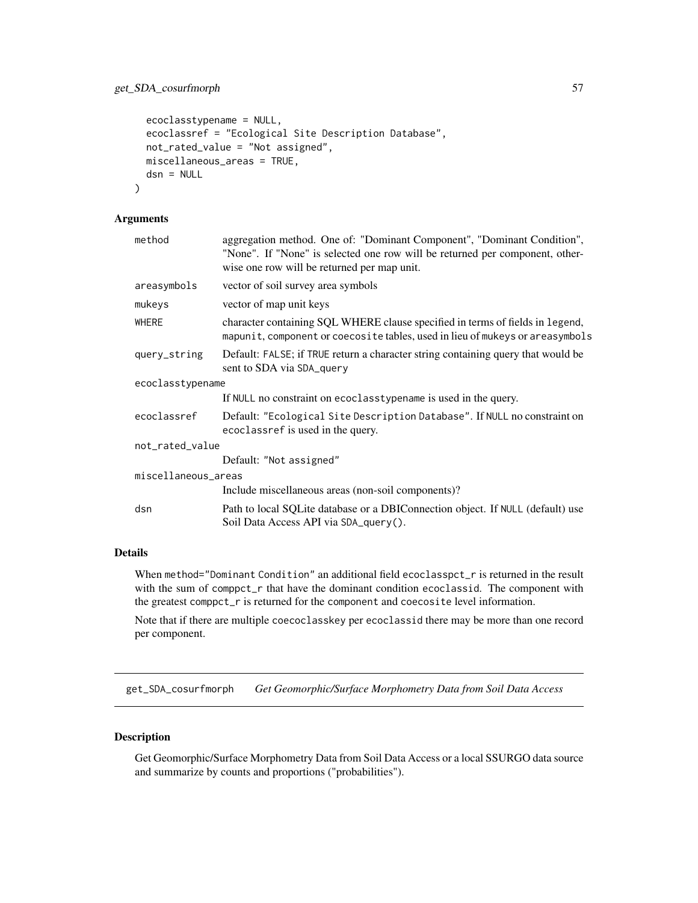```
ecoclasstypename = NULL,
 ecoclassref = "Ecological Site Description Database",
 not_rated_value = "Not assigned",
 miscellaneous_areas = TRUE,
 dsn = NULL
)
```

| method              | aggregation method. One of: "Dominant Component", "Dominant Condition",<br>"None". If "None" is selected one row will be returned per component, other-<br>wise one row will be returned per map unit. |  |
|---------------------|--------------------------------------------------------------------------------------------------------------------------------------------------------------------------------------------------------|--|
| areasymbols         | vector of soil survey area symbols                                                                                                                                                                     |  |
| mukeys              | vector of map unit keys                                                                                                                                                                                |  |
| <b>WHERE</b>        | character containing SQL WHERE clause specified in terms of fields in legend,<br>mapunit, component or coecosite tables, used in lieu of mukeys or areasymbols                                         |  |
| query_string        | Default: FALSE; if TRUE return a character string containing query that would be<br>sent to SDA via SDA query                                                                                          |  |
| ecoclasstypename    |                                                                                                                                                                                                        |  |
|                     | If NULL no constraint on ecoclasstypename is used in the query.                                                                                                                                        |  |
| ecoclassref         | Default: "Ecological Site Description Database". If NULL no constraint on<br>ecoclassref is used in the query.                                                                                         |  |
| not_rated_value     |                                                                                                                                                                                                        |  |
|                     | Default: "Not assigned"                                                                                                                                                                                |  |
| miscellaneous_areas |                                                                                                                                                                                                        |  |
|                     | Include miscellaneous areas (non-soil components)?                                                                                                                                                     |  |
| dsn                 | Path to local SQLite database or a DBIConnection object. If NULL (default) use<br>Soil Data Access API via SDA_query().                                                                                |  |

## Details

When method="Dominant Condition" an additional field ecoclasspct\_r is returned in the result with the sum of comppct<sub>r</sub> that have the dominant condition ecoclassid. The component with the greatest comppct\_r is returned for the component and coecosite level information.

Note that if there are multiple coecoclasskey per ecoclassid there may be more than one record per component.

get\_SDA\_cosurfmorph *Get Geomorphic/Surface Morphometry Data from Soil Data Access*

### Description

Get Geomorphic/Surface Morphometry Data from Soil Data Access or a local SSURGO data source and summarize by counts and proportions ("probabilities").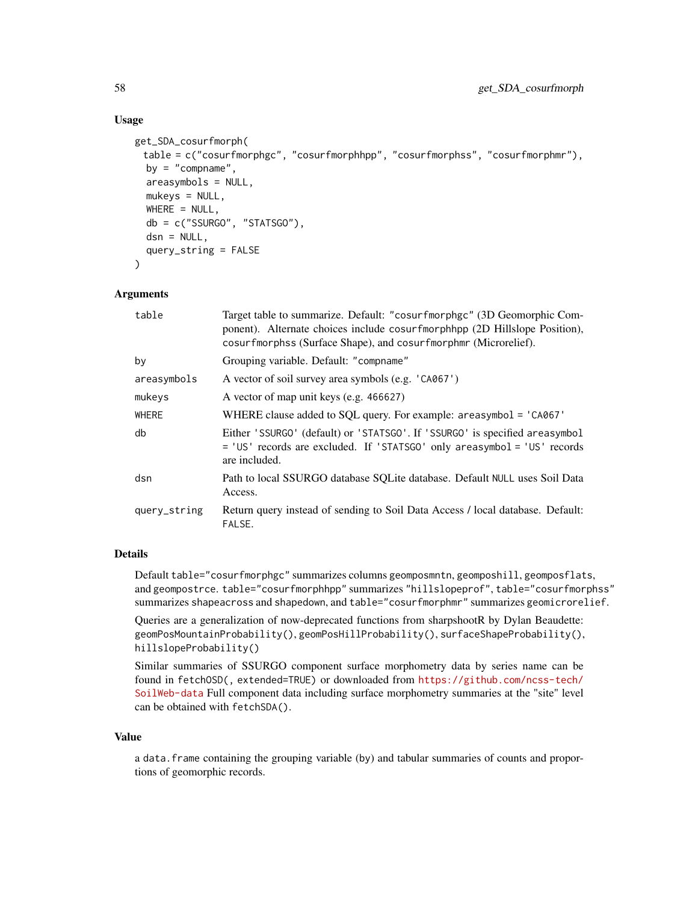## Usage

```
get_SDA_cosurfmorph(
 table = c("cosurfmorphgc", "cosurfmorphhpp", "cosurfmorphss", "cosurfmorphmr"),
  by = "compname",
  areasymbols = NULL,
  mukeys = NULL,
  WHERE = NULL,db = c("SSURGO", "STATSGO"),
  dsn = NULL,query_string = FALSE
\lambda
```
### Arguments

| table        | Target table to summarize. Default: "cosurfmorphgc" (3D Geomorphic Com-<br>ponent). Alternate choices include cosurfmorphhpp (2D Hillslope Position),<br>cosurfmorphss (Surface Shape), and cosurfmorphmr (Microrelief). |
|--------------|--------------------------------------------------------------------------------------------------------------------------------------------------------------------------------------------------------------------------|
| by           | Grouping variable. Default: "compname"                                                                                                                                                                                   |
| areasymbols  | A vector of soil survey area symbols (e.g. 'CA067')                                                                                                                                                                      |
| mukeys       | A vector of map unit keys (e.g. 466627)                                                                                                                                                                                  |
| <b>WHERE</b> | WHERE clause added to SQL query. For example: $areasymbol = 'CAO67'$                                                                                                                                                     |
| db           | Either 'SSURGO' (default) or 'STATSGO'. If 'SSURGO' is specified areasymbol<br>= 'US' records are excluded. If 'STATSGO' only areasymbol = 'US' records<br>are included.                                                 |
| dsn          | Path to local SSURGO database SQLite database. Default NULL uses Soil Data<br>Access.                                                                                                                                    |
| query_string | Return query instead of sending to Soil Data Access / local database. Default:<br>FALSE.                                                                                                                                 |

#### Details

Default table="cosurfmorphgc" summarizes columns geomposmntn, geomposhill, geomposflats, and geompostrce. table="cosurfmorphhpp" summarizes "hillslopeprof", table="cosurfmorphss" summarizes shapeacross and shapedown, and table="cosurfmorphmr" summarizes geomicrorelief.

Queries are a generalization of now-deprecated functions from sharpshootR by Dylan Beaudette: geomPosMountainProbability(), geomPosHillProbability(), surfaceShapeProbability(), hillslopeProbability()

Similar summaries of SSURGO component surface morphometry data by series name can be found in fetchOSD(, extended=TRUE) or downloaded from [https://github.com/ncss-tech/](https://github.com/ncss-tech/SoilWeb-data) [SoilWeb-data](https://github.com/ncss-tech/SoilWeb-data) Full component data including surface morphometry summaries at the "site" level can be obtained with fetchSDA().

#### Value

a data.frame containing the grouping variable (by) and tabular summaries of counts and proportions of geomorphic records.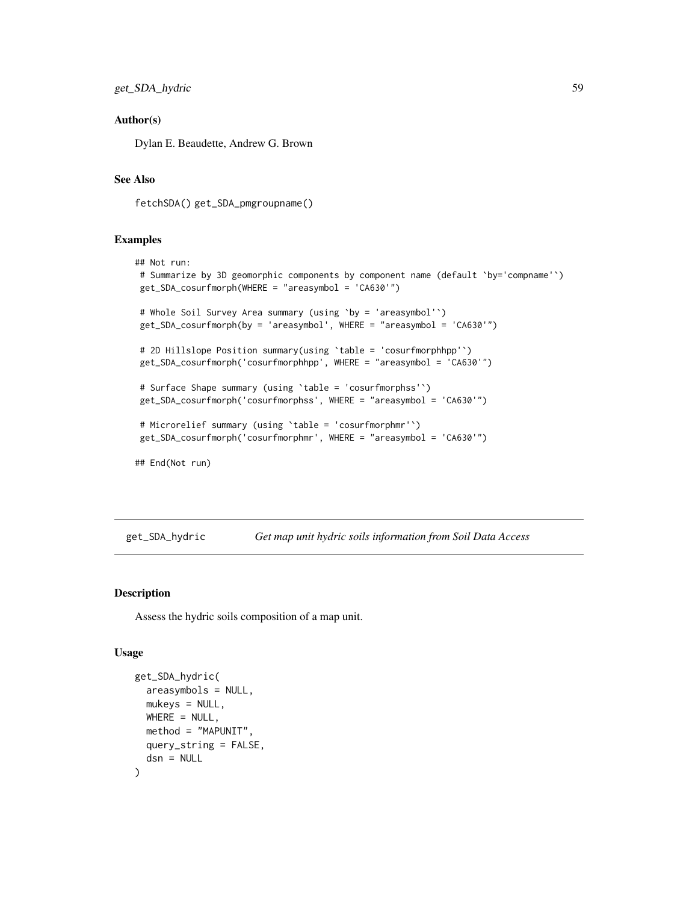#### Author(s)

Dylan E. Beaudette, Andrew G. Brown

#### See Also

fetchSDA() get\_SDA\_pmgroupname()

#### Examples

```
## Not run:
# Summarize by 3D geomorphic components by component name (default `by='compname'`)
get_SDA_cosurfmorph(WHERE = "areasymbol = 'CA630'")
 # Whole Soil Survey Area summary (using `by = 'areasymbol'`)
 get_SDA_cosurfmorph(by = 'areasymbol', WHERE = "areasymbol = 'CA630'")
 # 2D Hillslope Position summary(using `table = 'cosurfmorphhpp'`)
get_SDA_cosurfmorph('cosurfmorphhpp', WHERE = "areasymbol = 'CA630'")
 # Surface Shape summary (using `table = 'cosurfmorphss'`)
get_SDA_cosurfmorph('cosurfmorphss', WHERE = "areasymbol = 'CA630'")
 # Microrelief summary (using `table = 'cosurfmorphmr'`)
get_SDA_cosurfmorph('cosurfmorphmr', WHERE = "areasymbol = 'CA630'")
## End(Not run)
```
get\_SDA\_hydric *Get map unit hydric soils information from Soil Data Access*

#### Description

Assess the hydric soils composition of a map unit.

```
get_SDA_hydric(
  areasymbols = NULL,
 mukevs = NULL,
 WHERE = NULL,
 method = "MAPUNIT",
 query_string = FALSE,
  dsn = NULL
)
```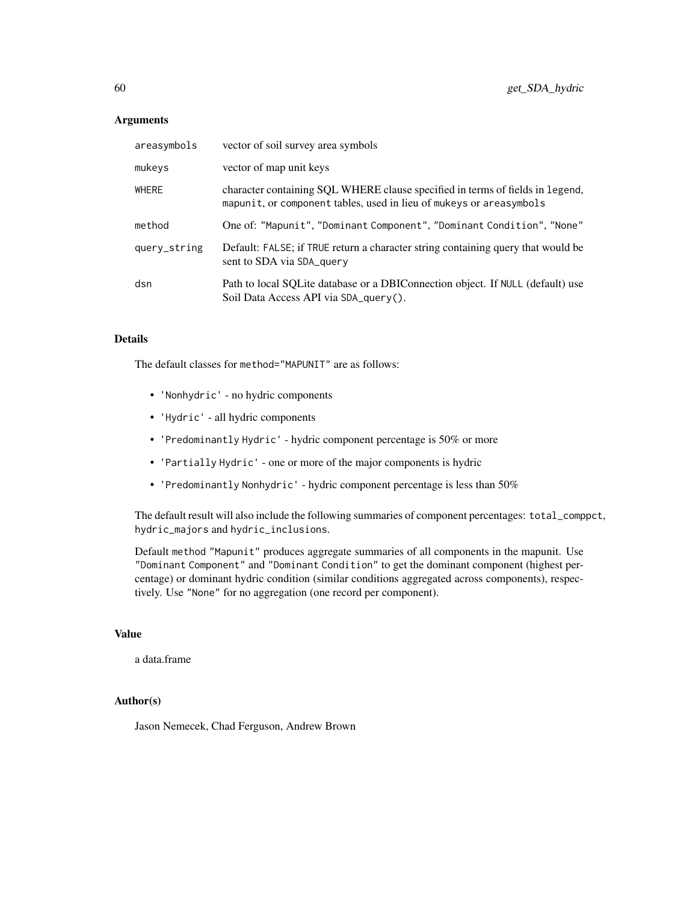| areasymbols  | vector of soil survey area symbols                                                                                                                   |
|--------------|------------------------------------------------------------------------------------------------------------------------------------------------------|
| mukeys       | vector of map unit keys                                                                                                                              |
| <b>WHERE</b> | character containing SQL WHERE clause specified in terms of fields in legend,<br>mapunit, or component tables, used in lieu of mukeys or areasymbols |
| method       | One of: "Mapunit", "Dominant Component", "Dominant Condition", "None"                                                                                |
| query_string | Default: FALSE; if TRUE return a character string containing query that would be<br>sent to SDA via SDA query                                        |
| dsn          | Path to local SQLite database or a DBIConnection object. If NULL (default) use<br>Soil Data Access API via SDA_query().                              |

### Details

The default classes for method="MAPUNIT" are as follows:

- 'Nonhydric' no hydric components
- 'Hydric' all hydric components
- 'Predominantly Hydric' hydric component percentage is 50% or more
- 'Partially Hydric' one or more of the major components is hydric
- 'Predominantly Nonhydric' hydric component percentage is less than 50%

The default result will also include the following summaries of component percentages: total\_comppct, hydric\_majors and hydric\_inclusions.

Default method "Mapunit" produces aggregate summaries of all components in the mapunit. Use "Dominant Component" and "Dominant Condition" to get the dominant component (highest percentage) or dominant hydric condition (similar conditions aggregated across components), respectively. Use "None" for no aggregation (one record per component).

## Value

a data.frame

### Author(s)

Jason Nemecek, Chad Ferguson, Andrew Brown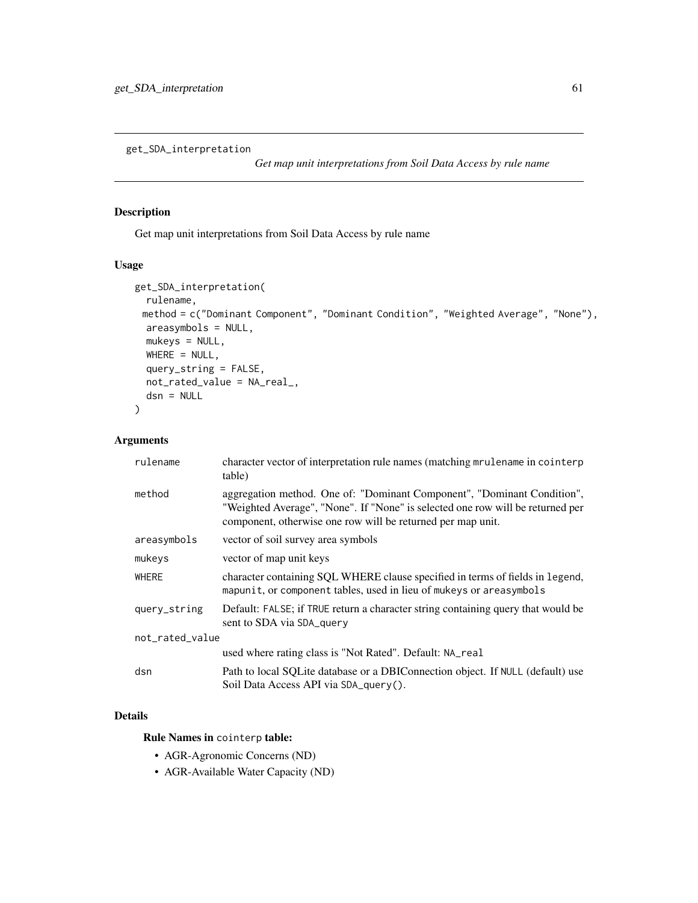get\_SDA\_interpretation

*Get map unit interpretations from Soil Data Access by rule name*

## Description

Get map unit interpretations from Soil Data Access by rule name

## Usage

```
get_SDA_interpretation(
  rulename,
 method = c("Dominant Component", "Dominant Condition", "Weighted Average", "None"),
 areasymbols = NULL,
 mukeys = NULL,
 WHERE = NULL,query_string = FALSE,
 not_rated_value = NA_real_,
  dsn = NULL
)
```
## Arguments

| rulename        | character vector of interpretation rule names (matching mrulename in cointerp<br>table)                                                                                                                                  |  |  |
|-----------------|--------------------------------------------------------------------------------------------------------------------------------------------------------------------------------------------------------------------------|--|--|
| method          | aggregation method. One of: "Dominant Component", "Dominant Condition",<br>"Weighted Average", "None". If "None" is selected one row will be returned per<br>component, otherwise one row will be returned per map unit. |  |  |
| areasymbols     | vector of soil survey area symbols                                                                                                                                                                                       |  |  |
| mukeys          | vector of map unit keys                                                                                                                                                                                                  |  |  |
| <b>WHERE</b>    | character containing SQL WHERE clause specified in terms of fields in legend,<br>mapunit, or component tables, used in lieu of mukeys or areasymbols                                                                     |  |  |
| query_string    | Default: FALSE; if TRUE return a character string containing query that would be<br>sent to SDA via SDA_query                                                                                                            |  |  |
| not_rated_value |                                                                                                                                                                                                                          |  |  |
|                 | used where rating class is "Not Rated". Default: NA_real                                                                                                                                                                 |  |  |
| dsn             | Path to local SQLite database or a DBIConnection object. If NULL (default) use<br>Soil Data Access API via SDA_query().                                                                                                  |  |  |

## Details

#### Rule Names in cointerp table:

- AGR-Agronomic Concerns (ND)
- AGR-Available Water Capacity (ND)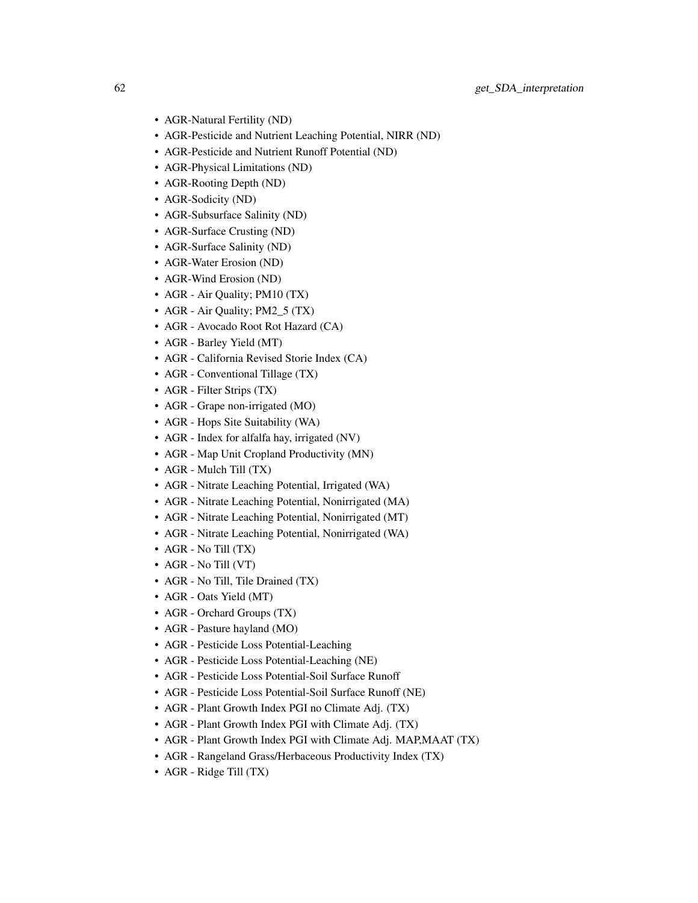- AGR-Natural Fertility (ND)
- AGR-Pesticide and Nutrient Leaching Potential, NIRR (ND)
- AGR-Pesticide and Nutrient Runoff Potential (ND)
- AGR-Physical Limitations (ND)
- AGR-Rooting Depth (ND)
- AGR-Sodicity (ND)
- AGR-Subsurface Salinity (ND)
- AGR-Surface Crusting (ND)
- AGR-Surface Salinity (ND)
- AGR-Water Erosion (ND)
- AGR-Wind Erosion (ND)
- AGR Air Quality; PM10 (TX)
- AGR Air Quality; PM2\_5 (TX)
- AGR Avocado Root Rot Hazard (CA)
- AGR Barley Yield (MT)
- AGR California Revised Storie Index (CA)
- AGR Conventional Tillage (TX)
- AGR Filter Strips (TX)
- AGR Grape non-irrigated (MO)
- AGR Hops Site Suitability (WA)
- AGR Index for alfalfa hay, irrigated (NV)
- AGR Map Unit Cropland Productivity (MN)
- AGR Mulch Till (TX)
- AGR Nitrate Leaching Potential, Irrigated (WA)
- AGR Nitrate Leaching Potential, Nonirrigated (MA)
- AGR Nitrate Leaching Potential, Nonirrigated (MT)
- AGR Nitrate Leaching Potential, Nonirrigated (WA)
- AGR No Till (TX)
- AGR No Till (VT)
- AGR No Till, Tile Drained (TX)
- AGR Oats Yield (MT)
- AGR Orchard Groups (TX)
- AGR Pasture hayland (MO)
- AGR Pesticide Loss Potential-Leaching
- AGR Pesticide Loss Potential-Leaching (NE)
- AGR Pesticide Loss Potential-Soil Surface Runoff
- AGR Pesticide Loss Potential-Soil Surface Runoff (NE)
- AGR Plant Growth Index PGI no Climate Adj. (TX)
- AGR Plant Growth Index PGI with Climate Adj. (TX)
- AGR Plant Growth Index PGI with Climate Adj. MAP,MAAT (TX)
- AGR Rangeland Grass/Herbaceous Productivity Index (TX)
- AGR Ridge Till (TX)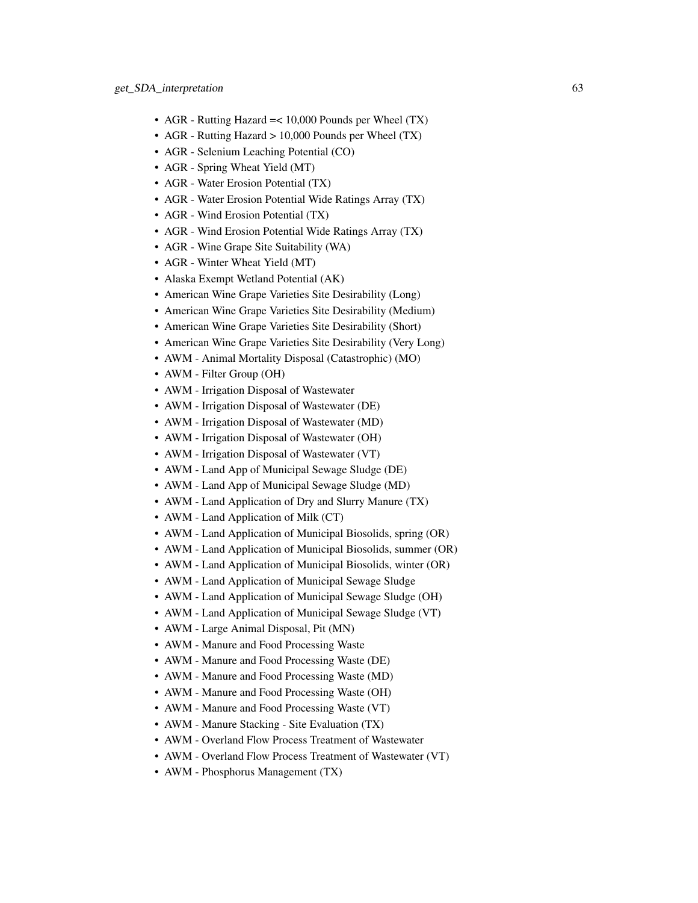- AGR Rutting Hazard = < 10,000 Pounds per Wheel (TX)
- AGR Rutting Hazard > 10,000 Pounds per Wheel (TX)
- AGR Selenium Leaching Potential (CO)
- AGR Spring Wheat Yield (MT)
- AGR Water Erosion Potential (TX)
- AGR Water Erosion Potential Wide Ratings Array (TX)
- AGR Wind Erosion Potential (TX)
- AGR Wind Erosion Potential Wide Ratings Array (TX)
- AGR Wine Grape Site Suitability (WA)
- AGR Winter Wheat Yield (MT)
- Alaska Exempt Wetland Potential (AK)
- American Wine Grape Varieties Site Desirability (Long)
- American Wine Grape Varieties Site Desirability (Medium)
- American Wine Grape Varieties Site Desirability (Short)
- American Wine Grape Varieties Site Desirability (Very Long)
- AWM Animal Mortality Disposal (Catastrophic) (MO)
- AWM Filter Group (OH)
- AWM Irrigation Disposal of Wastewater
- AWM Irrigation Disposal of Wastewater (DE)
- AWM Irrigation Disposal of Wastewater (MD)
- AWM Irrigation Disposal of Wastewater (OH)
- AWM Irrigation Disposal of Wastewater (VT)
- AWM Land App of Municipal Sewage Sludge (DE)
- AWM Land App of Municipal Sewage Sludge (MD)
- AWM Land Application of Dry and Slurry Manure (TX)
- AWM Land Application of Milk (CT)
- AWM Land Application of Municipal Biosolids, spring (OR)
- AWM Land Application of Municipal Biosolids, summer (OR)
- AWM Land Application of Municipal Biosolids, winter (OR)
- AWM Land Application of Municipal Sewage Sludge
- AWM Land Application of Municipal Sewage Sludge (OH)
- AWM Land Application of Municipal Sewage Sludge (VT)
- AWM Large Animal Disposal, Pit (MN)
- AWM Manure and Food Processing Waste
- AWM Manure and Food Processing Waste (DE)
- AWM Manure and Food Processing Waste (MD)
- AWM Manure and Food Processing Waste (OH)
- AWM Manure and Food Processing Waste (VT)
- AWM Manure Stacking Site Evaluation (TX)
- AWM Overland Flow Process Treatment of Wastewater
- AWM Overland Flow Process Treatment of Wastewater (VT)
- AWM Phosphorus Management (TX)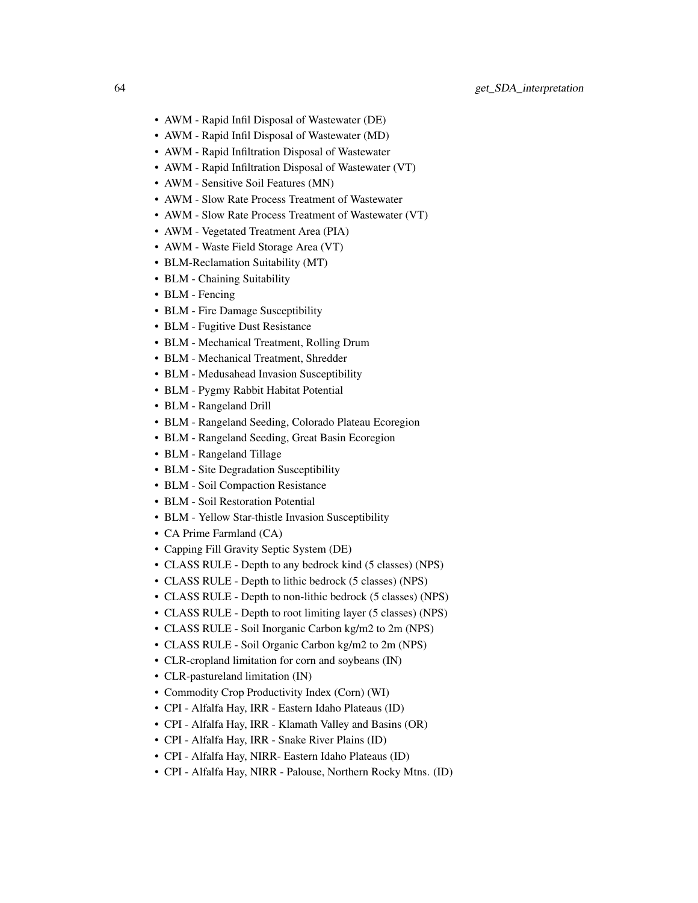- AWM Rapid Infil Disposal of Wastewater (DE)
- AWM Rapid Infil Disposal of Wastewater (MD)
- AWM Rapid Infiltration Disposal of Wastewater
- AWM Rapid Infiltration Disposal of Wastewater (VT)
- AWM Sensitive Soil Features (MN)
- AWM Slow Rate Process Treatment of Wastewater
- AWM Slow Rate Process Treatment of Wastewater (VT)
- AWM Vegetated Treatment Area (PIA)
- AWM Waste Field Storage Area (VT)
- BLM-Reclamation Suitability (MT)
- BLM Chaining Suitability
- BLM Fencing
- BLM Fire Damage Susceptibility
- BLM Fugitive Dust Resistance
- BLM Mechanical Treatment, Rolling Drum
- BLM Mechanical Treatment, Shredder
- BLM Medusahead Invasion Susceptibility
- BLM Pygmy Rabbit Habitat Potential
- BLM Rangeland Drill
- BLM Rangeland Seeding, Colorado Plateau Ecoregion
- BLM Rangeland Seeding, Great Basin Ecoregion
- BLM Rangeland Tillage
- BLM Site Degradation Susceptibility
- BLM Soil Compaction Resistance
- BLM Soil Restoration Potential
- BLM Yellow Star-thistle Invasion Susceptibility
- CA Prime Farmland (CA)
- Capping Fill Gravity Septic System (DE)
- CLASS RULE Depth to any bedrock kind (5 classes) (NPS)
- CLASS RULE Depth to lithic bedrock (5 classes) (NPS)
- CLASS RULE Depth to non-lithic bedrock (5 classes) (NPS)
- CLASS RULE Depth to root limiting layer (5 classes) (NPS)
- CLASS RULE Soil Inorganic Carbon kg/m2 to 2m (NPS)
- CLASS RULE Soil Organic Carbon kg/m2 to 2m (NPS)
- CLR-cropland limitation for corn and soybeans (IN)
- CLR-pastureland limitation (IN)
- Commodity Crop Productivity Index (Corn) (WI)
- CPI Alfalfa Hay, IRR Eastern Idaho Plateaus (ID)
- CPI Alfalfa Hay, IRR Klamath Valley and Basins (OR)
- CPI Alfalfa Hay, IRR Snake River Plains (ID)
- CPI Alfalfa Hay, NIRR- Eastern Idaho Plateaus (ID)
- CPI Alfalfa Hay, NIRR Palouse, Northern Rocky Mtns. (ID)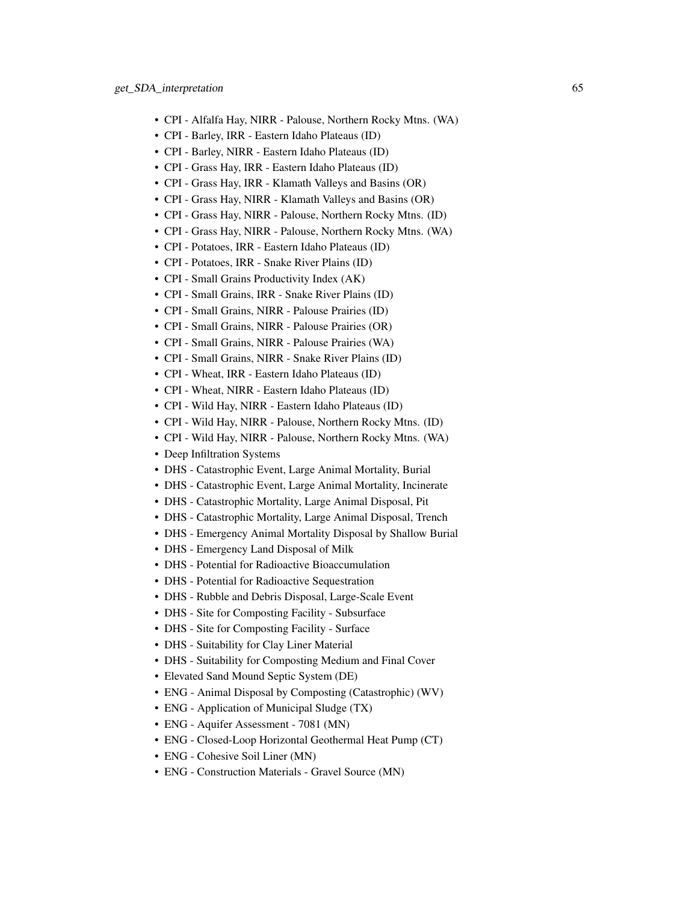- CPI Alfalfa Hay, NIRR Palouse, Northern Rocky Mtns. (WA)
- CPI Barley, IRR Eastern Idaho Plateaus (ID)
- CPI Barley, NIRR Eastern Idaho Plateaus (ID)
- CPI Grass Hay, IRR Eastern Idaho Plateaus (ID)
- CPI Grass Hay, IRR Klamath Valleys and Basins (OR)
- CPI Grass Hay, NIRR Klamath Valleys and Basins (OR)
- CPI Grass Hay, NIRR Palouse, Northern Rocky Mtns. (ID)
- CPI Grass Hay, NIRR Palouse, Northern Rocky Mtns. (WA)
- CPI Potatoes, IRR Eastern Idaho Plateaus (ID)
- CPI Potatoes, IRR Snake River Plains (ID)
- CPI Small Grains Productivity Index (AK)
- CPI Small Grains, IRR Snake River Plains (ID)
- CPI Small Grains, NIRR Palouse Prairies (ID)
- CPI Small Grains, NIRR Palouse Prairies (OR)
- CPI Small Grains, NIRR Palouse Prairies (WA)
- CPI Small Grains, NIRR Snake River Plains (ID)
- CPI Wheat, IRR Eastern Idaho Plateaus (ID)
- CPI Wheat, NIRR Eastern Idaho Plateaus (ID)
- CPI Wild Hay, NIRR Eastern Idaho Plateaus (ID)
- CPI Wild Hay, NIRR Palouse, Northern Rocky Mtns. (ID)
- CPI Wild Hay, NIRR Palouse, Northern Rocky Mtns. (WA)
- Deep Infiltration Systems
- DHS Catastrophic Event, Large Animal Mortality, Burial
- DHS Catastrophic Event, Large Animal Mortality, Incinerate
- DHS Catastrophic Mortality, Large Animal Disposal, Pit
- DHS Catastrophic Mortality, Large Animal Disposal, Trench
- DHS Emergency Animal Mortality Disposal by Shallow Burial
- DHS Emergency Land Disposal of Milk
- DHS Potential for Radioactive Bioaccumulation
- DHS Potential for Radioactive Sequestration
- DHS Rubble and Debris Disposal, Large-Scale Event
- DHS Site for Composting Facility Subsurface
- DHS Site for Composting Facility Surface
- DHS Suitability for Clay Liner Material
- DHS Suitability for Composting Medium and Final Cover
- Elevated Sand Mound Septic System (DE)
- ENG Animal Disposal by Composting (Catastrophic) (WV)
- ENG Application of Municipal Sludge (TX)
- ENG Aquifer Assessment 7081 (MN)
- ENG Closed-Loop Horizontal Geothermal Heat Pump (CT)
- ENG Cohesive Soil Liner (MN)
- ENG Construction Materials Gravel Source (MN)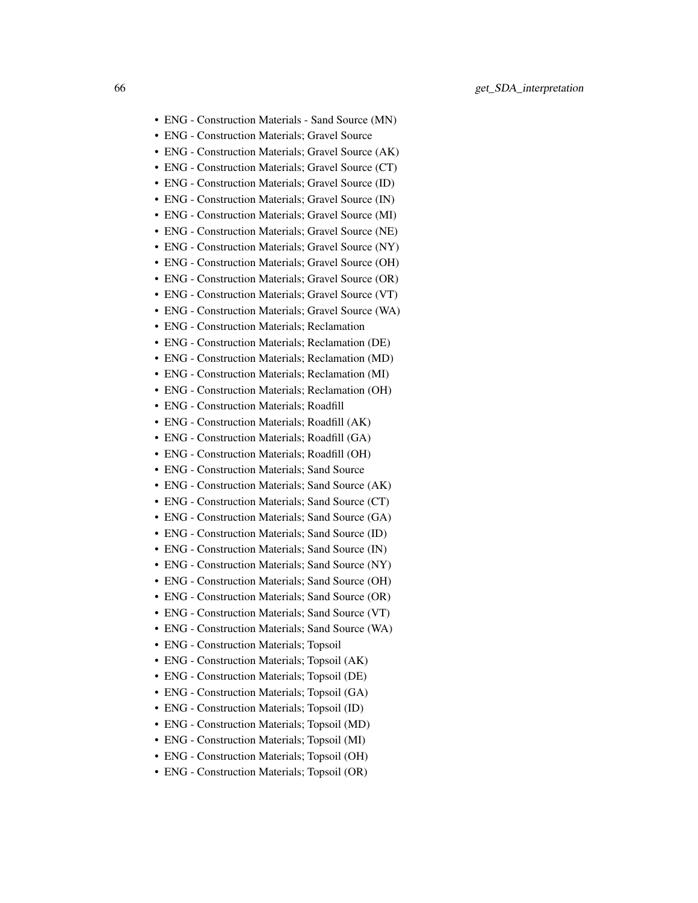- ENG Construction Materials Sand Source (MN)
- ENG Construction Materials; Gravel Source
- ENG Construction Materials; Gravel Source (AK)
- ENG Construction Materials; Gravel Source (CT)
- ENG Construction Materials; Gravel Source (ID)
- ENG Construction Materials; Gravel Source (IN)
- ENG Construction Materials; Gravel Source (MI)
- ENG Construction Materials; Gravel Source (NE)
- ENG Construction Materials; Gravel Source (NY)
- ENG Construction Materials; Gravel Source (OH)
- ENG Construction Materials; Gravel Source (OR)
- ENG Construction Materials; Gravel Source (VT)
- ENG Construction Materials; Gravel Source (WA)
- ENG Construction Materials; Reclamation
- ENG Construction Materials; Reclamation (DE)
- ENG Construction Materials; Reclamation (MD)
- ENG Construction Materials; Reclamation (MI)
- ENG Construction Materials; Reclamation (OH)
- ENG Construction Materials; Roadfill
- ENG Construction Materials; Roadfill (AK)
- ENG Construction Materials; Roadfill (GA)
- ENG Construction Materials; Roadfill (OH)
- ENG Construction Materials; Sand Source
- ENG Construction Materials; Sand Source (AK)
- ENG Construction Materials; Sand Source (CT)
- ENG Construction Materials; Sand Source (GA)
- ENG Construction Materials; Sand Source (ID)
- ENG Construction Materials; Sand Source (IN)
- ENG Construction Materials; Sand Source (NY)
- ENG Construction Materials; Sand Source (OH)
- ENG Construction Materials; Sand Source (OR)
- ENG Construction Materials; Sand Source (VT)
- ENG Construction Materials; Sand Source (WA)
- ENG Construction Materials; Topsoil
- ENG Construction Materials; Topsoil (AK)
- ENG Construction Materials; Topsoil (DE)
- ENG Construction Materials; Topsoil (GA)
- ENG Construction Materials; Topsoil (ID)
- ENG Construction Materials; Topsoil (MD)
- ENG Construction Materials; Topsoil (MI)
- ENG Construction Materials; Topsoil (OH)
- ENG Construction Materials; Topsoil (OR)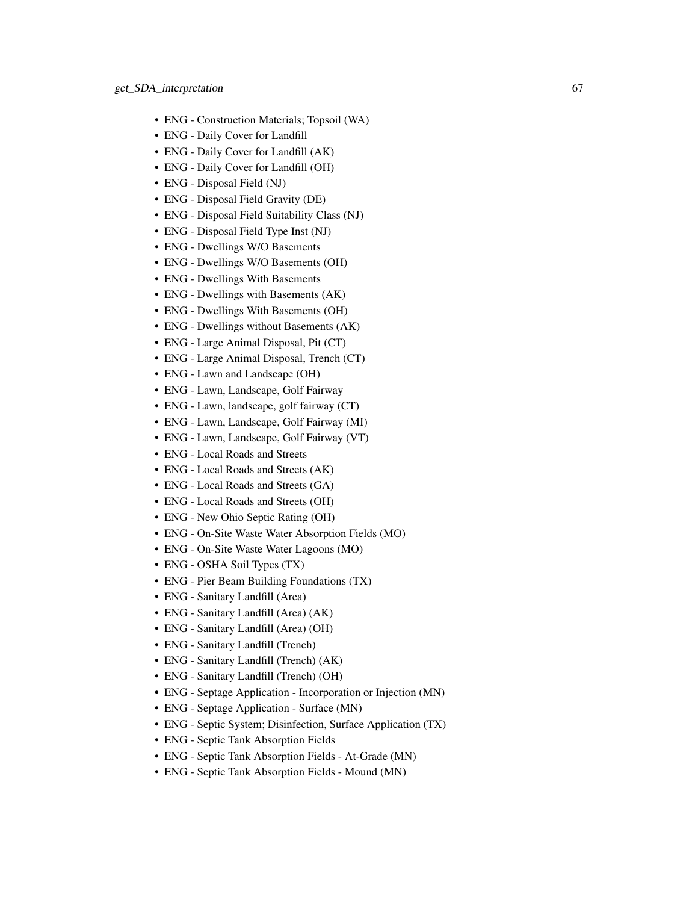- ENG Construction Materials; Topsoil (WA)
- ENG Daily Cover for Landfill
- ENG Daily Cover for Landfill (AK)
- ENG Daily Cover for Landfill (OH)
- ENG Disposal Field (NJ)
- ENG Disposal Field Gravity (DE)
- ENG Disposal Field Suitability Class (NJ)
- ENG Disposal Field Type Inst (NJ)
- ENG Dwellings W/O Basements
- ENG Dwellings W/O Basements (OH)
- ENG Dwellings With Basements
- ENG Dwellings with Basements (AK)
- ENG Dwellings With Basements (OH)
- ENG Dwellings without Basements (AK)
- ENG Large Animal Disposal, Pit (CT)
- ENG Large Animal Disposal, Trench (CT)
- ENG Lawn and Landscape (OH)
- ENG Lawn, Landscape, Golf Fairway
- ENG Lawn, landscape, golf fairway (CT)
- ENG Lawn, Landscape, Golf Fairway (MI)
- ENG Lawn, Landscape, Golf Fairway (VT)
- ENG Local Roads and Streets
- ENG Local Roads and Streets (AK)
- ENG Local Roads and Streets (GA)
- ENG Local Roads and Streets (OH)
- ENG New Ohio Septic Rating (OH)
- ENG On-Site Waste Water Absorption Fields (MO)
- ENG On-Site Waste Water Lagoons (MO)
- ENG OSHA Soil Types (TX)
- ENG Pier Beam Building Foundations (TX)
- ENG Sanitary Landfill (Area)
- ENG Sanitary Landfill (Area) (AK)
- ENG Sanitary Landfill (Area) (OH)
- ENG Sanitary Landfill (Trench)
- ENG Sanitary Landfill (Trench) (AK)
- ENG Sanitary Landfill (Trench) (OH)
- ENG Septage Application Incorporation or Injection (MN)
- ENG Septage Application Surface (MN)
- ENG Septic System; Disinfection, Surface Application (TX)
- ENG Septic Tank Absorption Fields
- ENG Septic Tank Absorption Fields At-Grade (MN)
- ENG Septic Tank Absorption Fields Mound (MN)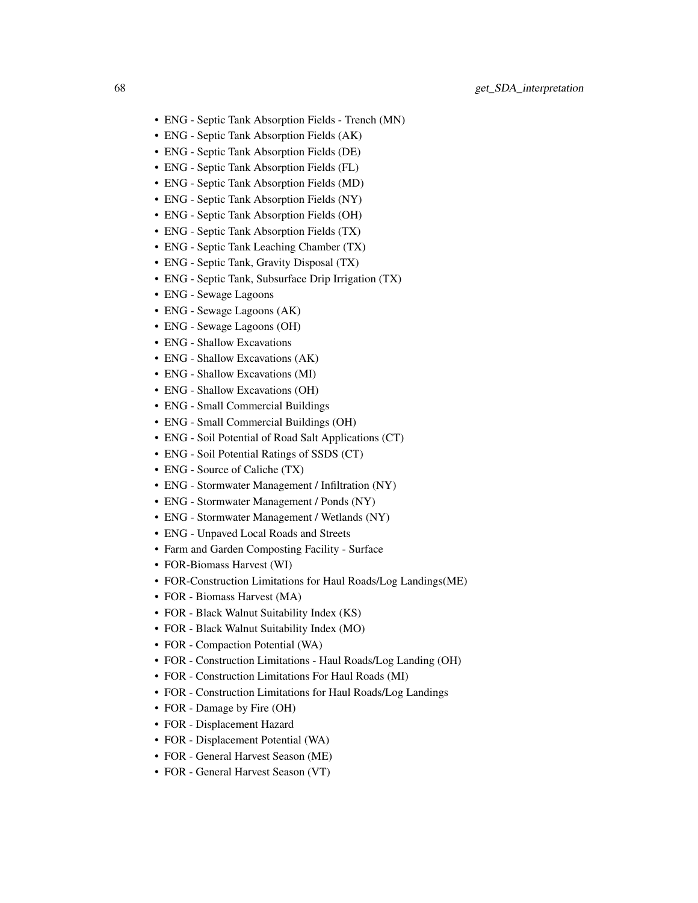- ENG Septic Tank Absorption Fields Trench (MN)
- ENG Septic Tank Absorption Fields (AK)
- ENG Septic Tank Absorption Fields (DE)
- ENG Septic Tank Absorption Fields (FL)
- ENG Septic Tank Absorption Fields (MD)
- ENG Septic Tank Absorption Fields (NY)
- ENG Septic Tank Absorption Fields (OH)
- ENG Septic Tank Absorption Fields (TX)
- ENG Septic Tank Leaching Chamber (TX)
- ENG Septic Tank, Gravity Disposal (TX)
- ENG Septic Tank, Subsurface Drip Irrigation (TX)
- ENG Sewage Lagoons
- ENG Sewage Lagoons (AK)
- ENG Sewage Lagoons (OH)
- ENG Shallow Excavations
- ENG Shallow Excavations (AK)
- ENG Shallow Excavations (MI)
- ENG Shallow Excavations (OH)
- ENG Small Commercial Buildings
- ENG Small Commercial Buildings (OH)
- ENG Soil Potential of Road Salt Applications (CT)
- ENG Soil Potential Ratings of SSDS (CT)
- ENG Source of Caliche (TX)
- ENG Stormwater Management / Infiltration (NY)
- ENG Stormwater Management / Ponds (NY)
- ENG Stormwater Management / Wetlands (NY)
- ENG Unpaved Local Roads and Streets
- Farm and Garden Composting Facility Surface
- FOR-Biomass Harvest (WI)
- FOR-Construction Limitations for Haul Roads/Log Landings(ME)
- FOR Biomass Harvest (MA)
- FOR Black Walnut Suitability Index (KS)
- FOR Black Walnut Suitability Index (MO)
- FOR Compaction Potential (WA)
- FOR Construction Limitations Haul Roads/Log Landing (OH)
- FOR Construction Limitations For Haul Roads (MI)
- FOR Construction Limitations for Haul Roads/Log Landings
- FOR Damage by Fire (OH)
- FOR Displacement Hazard
- FOR Displacement Potential (WA)
- FOR General Harvest Season (ME)
- FOR General Harvest Season (VT)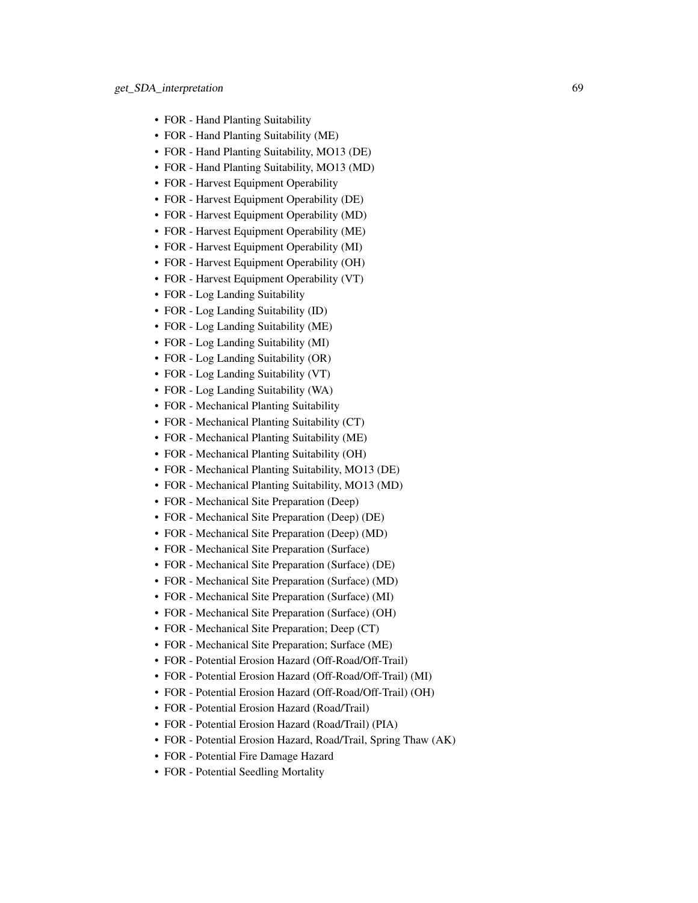- FOR Hand Planting Suitability
- FOR Hand Planting Suitability (ME)
- FOR Hand Planting Suitability, MO13 (DE)
- FOR Hand Planting Suitability, MO13 (MD)
- FOR Harvest Equipment Operability
- FOR Harvest Equipment Operability (DE)
- FOR Harvest Equipment Operability (MD)
- FOR Harvest Equipment Operability (ME)
- FOR Harvest Equipment Operability (MI)
- FOR Harvest Equipment Operability (OH)
- FOR Harvest Equipment Operability (VT)
- FOR Log Landing Suitability
- FOR Log Landing Suitability (ID)
- FOR Log Landing Suitability (ME)
- FOR Log Landing Suitability (MI)
- FOR Log Landing Suitability (OR)
- FOR Log Landing Suitability (VT)
- FOR Log Landing Suitability (WA)
- FOR Mechanical Planting Suitability
- FOR Mechanical Planting Suitability (CT)
- FOR Mechanical Planting Suitability (ME)
- FOR Mechanical Planting Suitability (OH)
- FOR Mechanical Planting Suitability, MO13 (DE)
- FOR Mechanical Planting Suitability, MO13 (MD)
- FOR Mechanical Site Preparation (Deep)
- FOR Mechanical Site Preparation (Deep) (DE)
- FOR Mechanical Site Preparation (Deep) (MD)
- FOR Mechanical Site Preparation (Surface)
- FOR Mechanical Site Preparation (Surface) (DE)
- FOR Mechanical Site Preparation (Surface) (MD)
- FOR Mechanical Site Preparation (Surface) (MI)
- FOR Mechanical Site Preparation (Surface) (OH)
- FOR Mechanical Site Preparation; Deep (CT)
- FOR Mechanical Site Preparation; Surface (ME)
- FOR Potential Erosion Hazard (Off-Road/Off-Trail)
- FOR Potential Erosion Hazard (Off-Road/Off-Trail) (MI)
- FOR Potential Erosion Hazard (Off-Road/Off-Trail) (OH)
- FOR Potential Erosion Hazard (Road/Trail)
- FOR Potential Erosion Hazard (Road/Trail) (PIA)
- FOR Potential Erosion Hazard, Road/Trail, Spring Thaw (AK)
- FOR Potential Fire Damage Hazard
- FOR Potential Seedling Mortality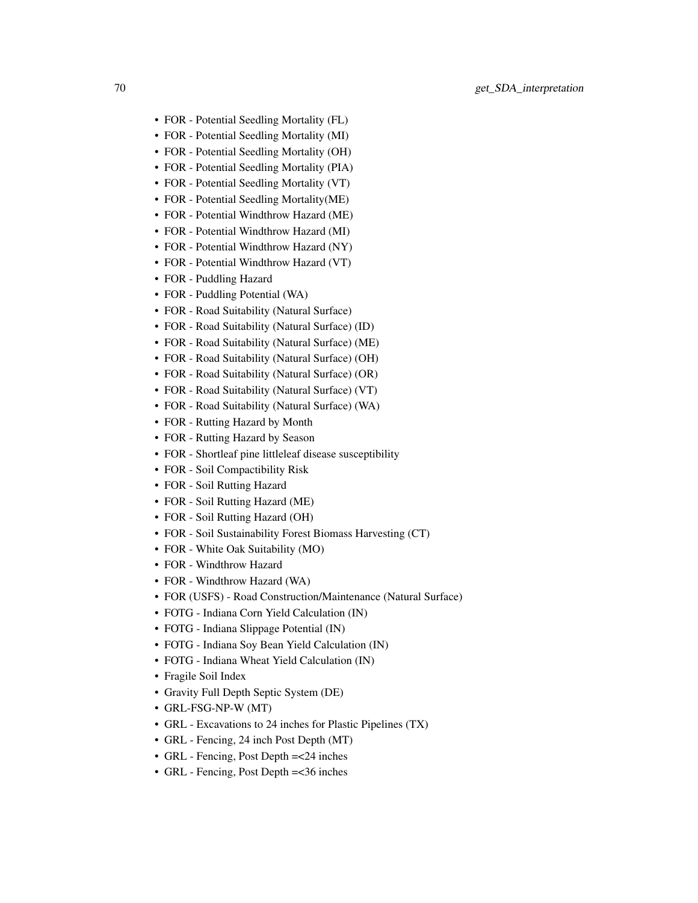- FOR Potential Seedling Mortality (FL)
- FOR Potential Seedling Mortality (MI)
- FOR Potential Seedling Mortality (OH)
- FOR Potential Seedling Mortality (PIA)
- FOR Potential Seedling Mortality (VT)
- FOR Potential Seedling Mortality(ME)
- FOR Potential Windthrow Hazard (ME)
- FOR Potential Windthrow Hazard (MI)
- FOR Potential Windthrow Hazard (NY)
- FOR Potential Windthrow Hazard (VT)
- FOR Puddling Hazard
- FOR Puddling Potential (WA)
- FOR Road Suitability (Natural Surface)
- FOR Road Suitability (Natural Surface) (ID)
- FOR Road Suitability (Natural Surface) (ME)
- FOR Road Suitability (Natural Surface) (OH)
- FOR Road Suitability (Natural Surface) (OR)
- FOR Road Suitability (Natural Surface) (VT)
- FOR Road Suitability (Natural Surface) (WA)
- FOR Rutting Hazard by Month
- FOR Rutting Hazard by Season
- FOR Shortleaf pine littleleaf disease susceptibility
- FOR Soil Compactibility Risk
- FOR Soil Rutting Hazard
- FOR Soil Rutting Hazard (ME)
- FOR Soil Rutting Hazard (OH)
- FOR Soil Sustainability Forest Biomass Harvesting (CT)
- FOR White Oak Suitability (MO)
- FOR Windthrow Hazard
- FOR Windthrow Hazard (WA)
- FOR (USFS) Road Construction/Maintenance (Natural Surface)
- FOTG Indiana Corn Yield Calculation (IN)
- FOTG Indiana Slippage Potential (IN)
- FOTG Indiana Soy Bean Yield Calculation (IN)
- FOTG Indiana Wheat Yield Calculation (IN)
- Fragile Soil Index
- Gravity Full Depth Septic System (DE)
- GRL-FSG-NP-W (MT)
- GRL Excavations to 24 inches for Plastic Pipelines (TX)
- GRL Fencing, 24 inch Post Depth (MT)
- GRL Fencing, Post Depth = < 24 inches
- GRL Fencing, Post Depth =<36 inches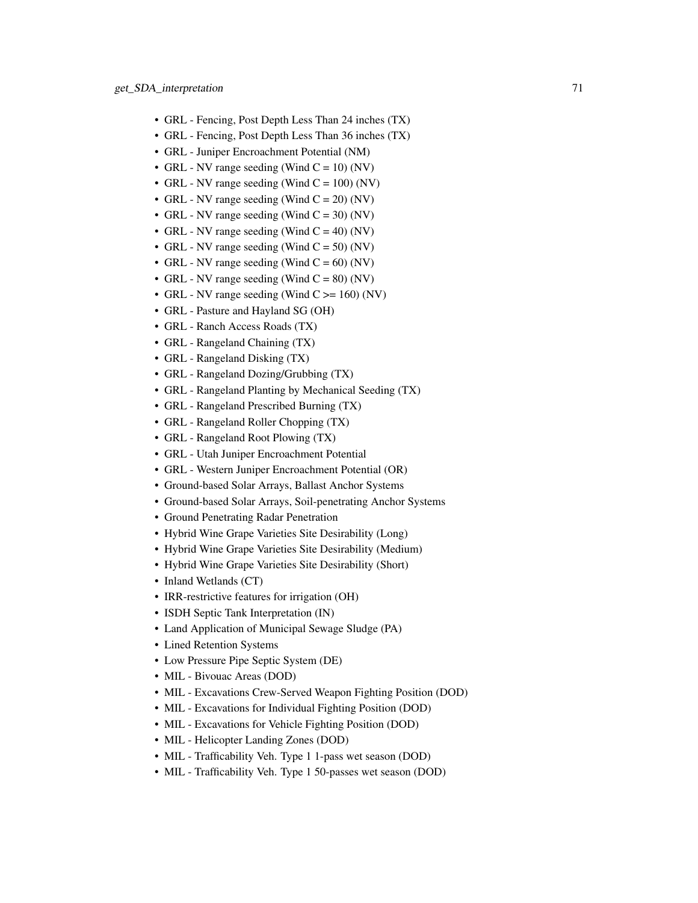- GRL Fencing, Post Depth Less Than 24 inches (TX)
- GRL Fencing, Post Depth Less Than 36 inches (TX)
- GRL Juniper Encroachment Potential (NM)
- GRL NV range seeding (Wind  $C = 10$ ) (NV)
- GRL NV range seeding (Wind  $C = 100$ ) (NV)
- GRL NV range seeding (Wind  $C = 20$ ) (NV)
- GRL NV range seeding (Wind  $C = 30$ ) (NV)
- GRL NV range seeding (Wind  $C = 40$ ) (NV)
- GRL NV range seeding (Wind  $C = 50$ ) (NV)
- GRL NV range seeding (Wind  $C = 60$ ) (NV)
- GRL NV range seeding (Wind  $C = 80$ ) (NV)
- GRL NV range seeding (Wind  $C \ge 160$ ) (NV)
- GRL Pasture and Hayland SG (OH)
- GRL Ranch Access Roads (TX)
- GRL Rangeland Chaining (TX)
- GRL Rangeland Disking (TX)
- GRL Rangeland Dozing/Grubbing (TX)
- GRL Rangeland Planting by Mechanical Seeding (TX)
- GRL Rangeland Prescribed Burning (TX)
- GRL Rangeland Roller Chopping (TX)
- GRL Rangeland Root Plowing (TX)
- GRL Utah Juniper Encroachment Potential
- GRL Western Juniper Encroachment Potential (OR)
- Ground-based Solar Arrays, Ballast Anchor Systems
- Ground-based Solar Arrays, Soil-penetrating Anchor Systems
- Ground Penetrating Radar Penetration
- Hybrid Wine Grape Varieties Site Desirability (Long)
- Hybrid Wine Grape Varieties Site Desirability (Medium)
- Hybrid Wine Grape Varieties Site Desirability (Short)
- Inland Wetlands (CT)
- IRR-restrictive features for irrigation (OH)
- ISDH Septic Tank Interpretation (IN)
- Land Application of Municipal Sewage Sludge (PA)
- Lined Retention Systems
- Low Pressure Pipe Septic System (DE)
- MIL Bivouac Areas (DOD)
- MIL Excavations Crew-Served Weapon Fighting Position (DOD)
- MIL Excavations for Individual Fighting Position (DOD)
- MIL Excavations for Vehicle Fighting Position (DOD)
- MIL Helicopter Landing Zones (DOD)
- MIL Trafficability Veh. Type 1 1-pass wet season (DOD)
- MIL Trafficability Veh. Type 1 50-passes wet season (DOD)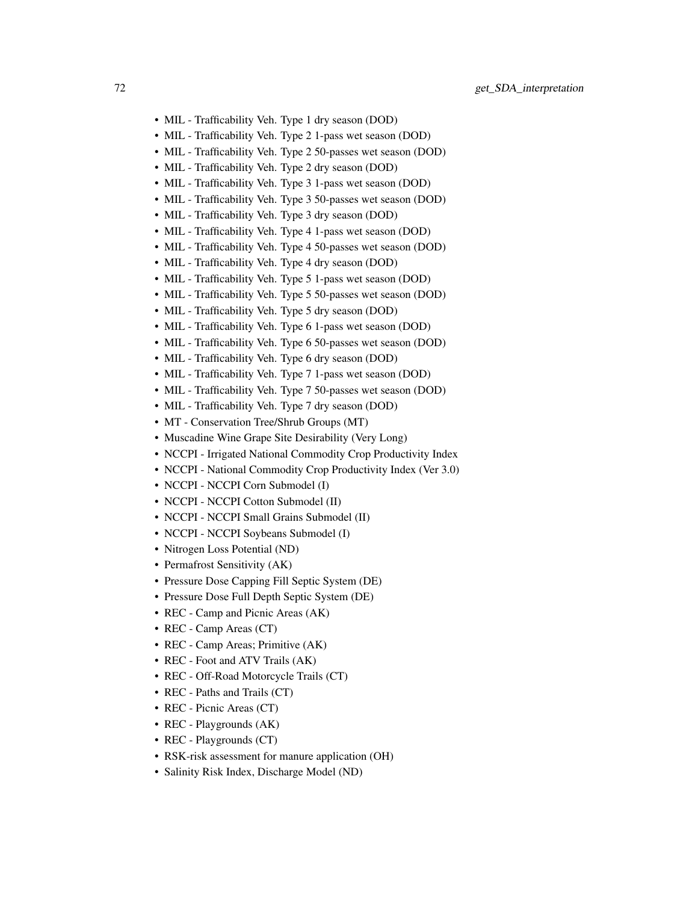- MIL Trafficability Veh. Type 1 dry season (DOD)
- MIL Trafficability Veh. Type 2 1-pass wet season (DOD)
- MIL Trafficability Veh. Type 2 50-passes wet season (DOD)
- MIL Trafficability Veh. Type 2 dry season (DOD)
- MIL Trafficability Veh. Type 3 1-pass wet season (DOD)
- MIL Trafficability Veh. Type 3 50-passes wet season (DOD)
- MIL Trafficability Veh. Type 3 dry season (DOD)
- MIL Trafficability Veh. Type 4 1-pass wet season (DOD)
- MIL Trafficability Veh. Type 4 50-passes wet season (DOD)
- MIL Trafficability Veh. Type 4 dry season (DOD)
- MIL Trafficability Veh. Type 5 1-pass wet season (DOD)
- MIL Trafficability Veh. Type 5 50-passes wet season (DOD)
- MIL Trafficability Veh. Type 5 dry season (DOD)
- MIL Trafficability Veh. Type 6 1-pass wet season (DOD)
- MIL Trafficability Veh. Type 6 50-passes wet season (DOD)
- MIL Trafficability Veh. Type 6 dry season (DOD)
- MIL Trafficability Veh. Type 7 1-pass wet season (DOD)
- MIL Trafficability Veh. Type 7 50-passes wet season (DOD)
- MIL Trafficability Veh. Type 7 dry season (DOD)
- MT Conservation Tree/Shrub Groups (MT)
- Muscadine Wine Grape Site Desirability (Very Long)
- NCCPI Irrigated National Commodity Crop Productivity Index
- NCCPI National Commodity Crop Productivity Index (Ver 3.0)
- NCCPI NCCPI Corn Submodel (I)
- NCCPI NCCPI Cotton Submodel (II)
- NCCPI NCCPI Small Grains Submodel (II)
- NCCPI NCCPI Soybeans Submodel (I)
- Nitrogen Loss Potential (ND)
- Permafrost Sensitivity (AK)
- Pressure Dose Capping Fill Septic System (DE)
- Pressure Dose Full Depth Septic System (DE)
- REC Camp and Picnic Areas (AK)
- REC Camp Areas (CT)
- REC Camp Areas; Primitive (AK)
- REC Foot and ATV Trails (AK)
- REC Off-Road Motorcycle Trails (CT)
- REC Paths and Trails (CT)
- REC Picnic Areas (CT)
- REC Playgrounds (AK)
- REC Playgrounds (CT)
- RSK-risk assessment for manure application (OH)
- Salinity Risk Index, Discharge Model (ND)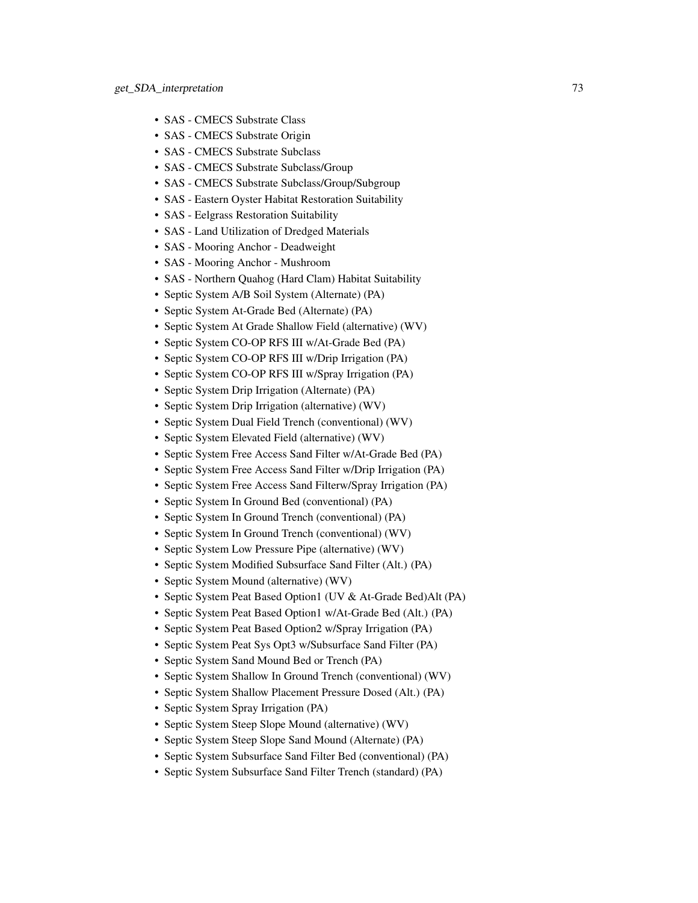- SAS CMECS Substrate Class
- SAS CMECS Substrate Origin
- SAS CMECS Substrate Subclass
- SAS CMECS Substrate Subclass/Group
- SAS CMECS Substrate Subclass/Group/Subgroup
- SAS Eastern Oyster Habitat Restoration Suitability
- SAS Eelgrass Restoration Suitability
- SAS Land Utilization of Dredged Materials
- SAS Mooring Anchor Deadweight
- SAS Mooring Anchor Mushroom
- SAS Northern Quahog (Hard Clam) Habitat Suitability
- Septic System A/B Soil System (Alternate) (PA)
- Septic System At-Grade Bed (Alternate) (PA)
- Septic System At Grade Shallow Field (alternative) (WV)
- Septic System CO-OP RFS III w/At-Grade Bed (PA)
- Septic System CO-OP RFS III w/Drip Irrigation (PA)
- Septic System CO-OP RFS III w/Spray Irrigation (PA)
- Septic System Drip Irrigation (Alternate) (PA)
- Septic System Drip Irrigation (alternative) (WV)
- Septic System Dual Field Trench (conventional) (WV)
- Septic System Elevated Field (alternative) (WV)
- Septic System Free Access Sand Filter w/At-Grade Bed (PA)
- Septic System Free Access Sand Filter w/Drip Irrigation (PA)
- Septic System Free Access Sand Filterw/Spray Irrigation (PA)
- Septic System In Ground Bed (conventional) (PA)
- Septic System In Ground Trench (conventional) (PA)
- Septic System In Ground Trench (conventional) (WV)
- Septic System Low Pressure Pipe (alternative) (WV)
- Septic System Modified Subsurface Sand Filter (Alt.) (PA)
- Septic System Mound (alternative) (WV)
- Septic System Peat Based Option1 (UV & At-Grade Bed)Alt (PA)
- Septic System Peat Based Option1 w/At-Grade Bed (Alt.) (PA)
- Septic System Peat Based Option2 w/Spray Irrigation (PA)
- Septic System Peat Sys Opt3 w/Subsurface Sand Filter (PA)
- Septic System Sand Mound Bed or Trench (PA)
- Septic System Shallow In Ground Trench (conventional) (WV)
- Septic System Shallow Placement Pressure Dosed (Alt.) (PA)
- Septic System Spray Irrigation (PA)
- Septic System Steep Slope Mound (alternative) (WV)
- Septic System Steep Slope Sand Mound (Alternate) (PA)
- Septic System Subsurface Sand Filter Bed (conventional) (PA)
- Septic System Subsurface Sand Filter Trench (standard) (PA)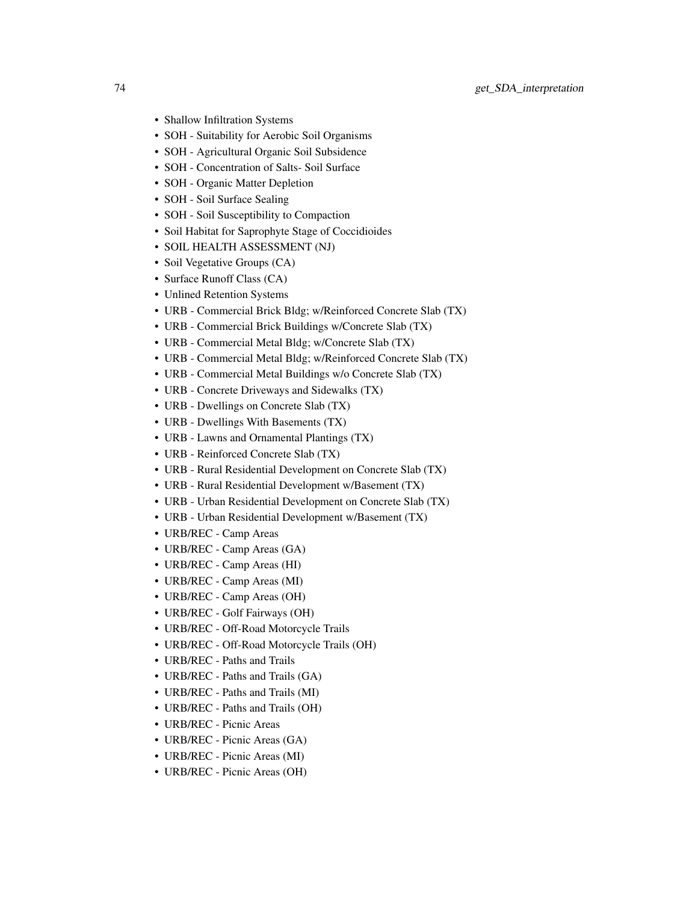- Shallow Infiltration Systems
- SOH Suitability for Aerobic Soil Organisms
- SOH Agricultural Organic Soil Subsidence
- SOH Concentration of Salts- Soil Surface
- SOH Organic Matter Depletion
- SOH Soil Surface Sealing
- SOH Soil Susceptibility to Compaction
- Soil Habitat for Saprophyte Stage of Coccidioides
- SOIL HEALTH ASSESSMENT (NJ)
- Soil Vegetative Groups (CA)
- Surface Runoff Class (CA)
- Unlined Retention Systems
- URB Commercial Brick Bldg; w/Reinforced Concrete Slab (TX)
- URB Commercial Brick Buildings w/Concrete Slab (TX)
- URB Commercial Metal Bldg; w/Concrete Slab (TX)
- URB Commercial Metal Bldg; w/Reinforced Concrete Slab (TX)
- URB Commercial Metal Buildings w/o Concrete Slab (TX)
- URB Concrete Driveways and Sidewalks (TX)
- URB Dwellings on Concrete Slab (TX)
- URB Dwellings With Basements (TX)
- URB Lawns and Ornamental Plantings (TX)
- URB Reinforced Concrete Slab (TX)
- URB Rural Residential Development on Concrete Slab (TX)
- URB Rural Residential Development w/Basement (TX)
- URB Urban Residential Development on Concrete Slab (TX)
- URB Urban Residential Development w/Basement (TX)
- URB/REC Camp Areas
- URB/REC Camp Areas (GA)
- URB/REC Camp Areas (HI)
- URB/REC Camp Areas (MI)
- URB/REC Camp Areas (OH)
- URB/REC Golf Fairways (OH)
- URB/REC Off-Road Motorcycle Trails
- URB/REC Off-Road Motorcycle Trails (OH)
- URB/REC Paths and Trails
- URB/REC Paths and Trails (GA)
- URB/REC Paths and Trails (MI)
- URB/REC Paths and Trails (OH)
- URB/REC Picnic Areas
- URB/REC Picnic Areas (GA)
- URB/REC Picnic Areas (MI)
- URB/REC Picnic Areas (OH)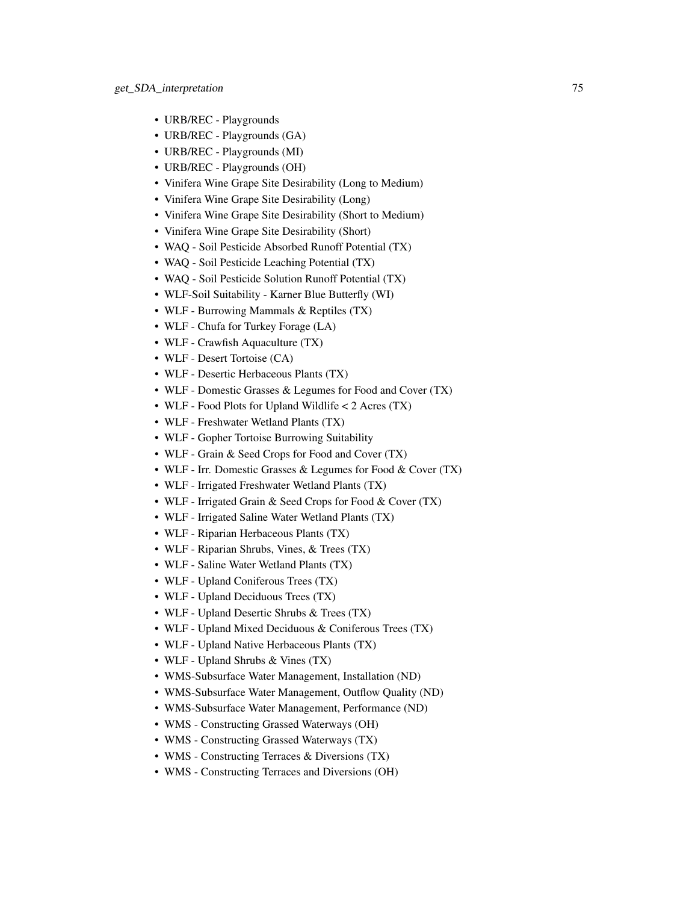- URB/REC Playgrounds
- URB/REC Playgrounds (GA)
- URB/REC Playgrounds (MI)
- URB/REC Playgrounds (OH)
- Vinifera Wine Grape Site Desirability (Long to Medium)
- Vinifera Wine Grape Site Desirability (Long)
- Vinifera Wine Grape Site Desirability (Short to Medium)
- Vinifera Wine Grape Site Desirability (Short)
- WAQ Soil Pesticide Absorbed Runoff Potential (TX)
- WAQ Soil Pesticide Leaching Potential (TX)
- WAQ Soil Pesticide Solution Runoff Potential (TX)
- WLF-Soil Suitability Karner Blue Butterfly (WI)
- WLF Burrowing Mammals & Reptiles (TX)
- WLF Chufa for Turkey Forage (LA)
- WLF Crawfish Aquaculture (TX)
- WLF Desert Tortoise (CA)
- WLF Desertic Herbaceous Plants (TX)
- WLF Domestic Grasses & Legumes for Food and Cover (TX)
- WLF Food Plots for Upland Wildlife < 2 Acres (TX)
- WLF Freshwater Wetland Plants (TX)
- WLF Gopher Tortoise Burrowing Suitability
- WLF Grain & Seed Crops for Food and Cover (TX)
- WLF Irr. Domestic Grasses & Legumes for Food & Cover (TX)
- WLF Irrigated Freshwater Wetland Plants (TX)
- WLF Irrigated Grain & Seed Crops for Food & Cover (TX)
- WLF Irrigated Saline Water Wetland Plants (TX)
- WLF Riparian Herbaceous Plants (TX)
- WLF Riparian Shrubs, Vines, & Trees (TX)
- WLF Saline Water Wetland Plants (TX)
- WLF Upland Coniferous Trees (TX)
- WLF Upland Deciduous Trees (TX)
- WLF Upland Desertic Shrubs & Trees (TX)
- WLF Upland Mixed Deciduous & Coniferous Trees (TX)
- WLF Upland Native Herbaceous Plants (TX)
- WLF Upland Shrubs & Vines (TX)
- WMS-Subsurface Water Management, Installation (ND)
- WMS-Subsurface Water Management, Outflow Quality (ND)
- WMS-Subsurface Water Management, Performance (ND)
- WMS Constructing Grassed Waterways (OH)
- WMS Constructing Grassed Waterways (TX)
- WMS Constructing Terraces & Diversions (TX)
- WMS Constructing Terraces and Diversions (OH)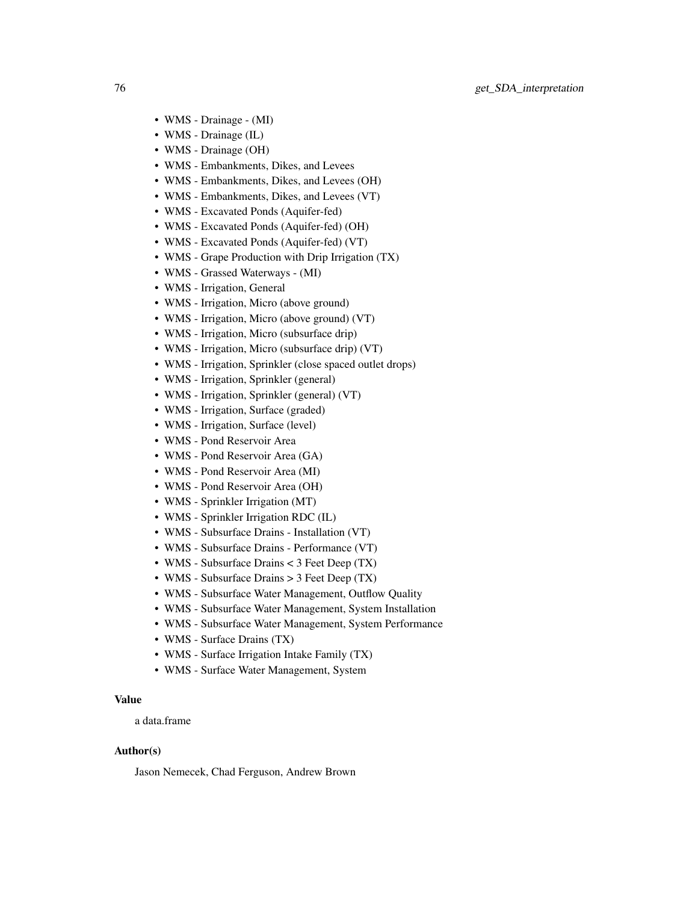- WMS Drainage (MI)
- WMS Drainage (IL)
- WMS Drainage (OH)
- WMS Embankments, Dikes, and Levees
- WMS Embankments, Dikes, and Levees (OH)
- WMS Embankments, Dikes, and Levees (VT)
- WMS Excavated Ponds (Aquifer-fed)
- WMS Excavated Ponds (Aquifer-fed) (OH)
- WMS Excavated Ponds (Aquifer-fed) (VT)
- WMS Grape Production with Drip Irrigation (TX)
- WMS Grassed Waterways (MI)
- WMS Irrigation, General
- WMS Irrigation, Micro (above ground)
- WMS Irrigation, Micro (above ground) (VT)
- WMS Irrigation, Micro (subsurface drip)
- WMS Irrigation, Micro (subsurface drip) (VT)
- WMS Irrigation, Sprinkler (close spaced outlet drops)
- WMS Irrigation, Sprinkler (general)
- WMS Irrigation, Sprinkler (general) (VT)
- WMS Irrigation, Surface (graded)
- WMS Irrigation, Surface (level)
- WMS Pond Reservoir Area
- WMS Pond Reservoir Area (GA)
- WMS Pond Reservoir Area (MI)
- WMS Pond Reservoir Area (OH)
- WMS Sprinkler Irrigation (MT)
- WMS Sprinkler Irrigation RDC (IL)
- WMS Subsurface Drains Installation (VT)
- WMS Subsurface Drains Performance (VT)
- WMS Subsurface Drains < 3 Feet Deep (TX)
- WMS Subsurface Drains > 3 Feet Deep (TX)
- WMS Subsurface Water Management, Outflow Quality
- WMS Subsurface Water Management, System Installation
- WMS Subsurface Water Management, System Performance
- WMS Surface Drains (TX)
- WMS Surface Irrigation Intake Family (TX)
- WMS Surface Water Management, System

### Value

a data.frame

### Author(s)

Jason Nemecek, Chad Ferguson, Andrew Brown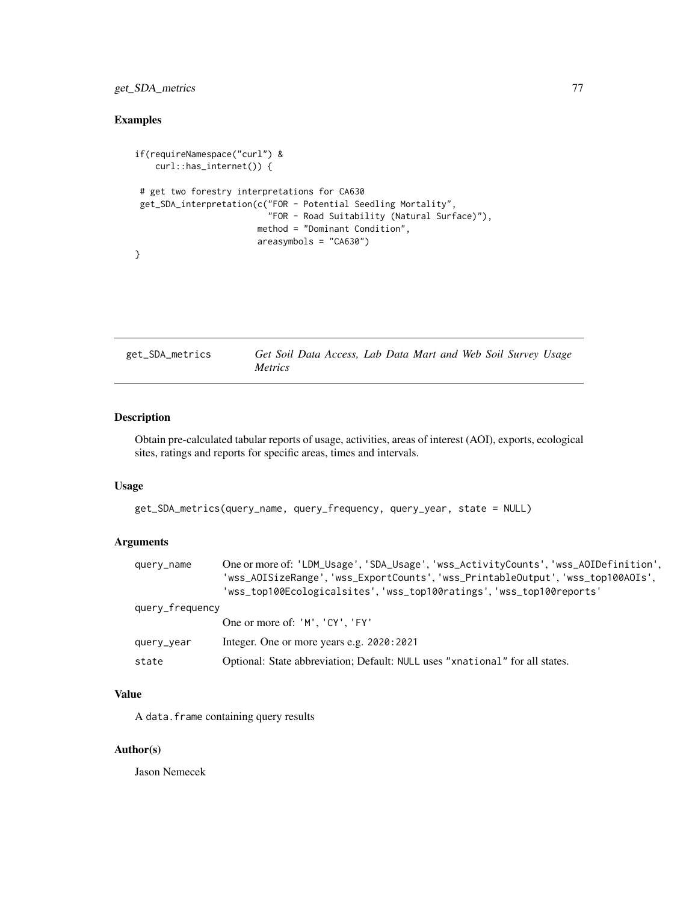## get\_SDA\_metrics 77

# Examples

```
if(requireNamespace("curl") &
   curl::has_internet()) {
# get two forestry interpretations for CA630
get_SDA_interpretation(c("FOR - Potential Seedling Mortality",
                          "FOR - Road Suitability (Natural Surface)"),
                        method = "Dominant Condition",
                        areasymbols = "CA630")
}
```
get\_SDA\_metrics *Get Soil Data Access, Lab Data Mart and Web Soil Survey Usage Metrics*

## Description

Obtain pre-calculated tabular reports of usage, activities, areas of interest (AOI), exports, ecological sites, ratings and reports for specific areas, times and intervals.

## Usage

```
get_SDA_metrics(query_name, query_frequency, query_year, state = NULL)
```
## Arguments

| query_name      | One or more of: 'LDM_Usage', 'SDA_Usage', 'wss_ActivityCounts', 'wss_AOIDefinition',<br>'wss_AOISizeRange','wss_ExportCounts','wss_PrintableOutput','wss_top100AOIs',<br>'wss_top100Ecologicalsites','wss_top100ratings','wss_top100reports' |
|-----------------|----------------------------------------------------------------------------------------------------------------------------------------------------------------------------------------------------------------------------------------------|
| query_frequency |                                                                                                                                                                                                                                              |
|                 | One or more of: 'M', 'CY', 'FY'                                                                                                                                                                                                              |
| query_year      | Integer. One or more years e.g. 2020:2021                                                                                                                                                                                                    |
| state           | Optional: State abbreviation; Default: NULL uses "xnational" for all states.                                                                                                                                                                 |

# Value

A data.frame containing query results

#### Author(s)

Jason Nemecek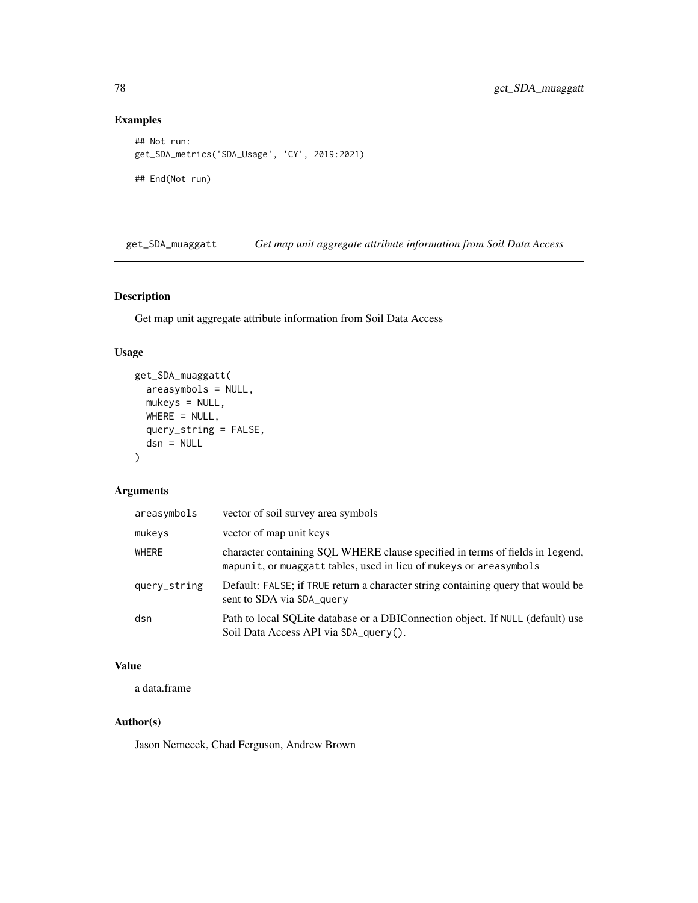## Examples

```
## Not run:
get_SDA_metrics('SDA_Usage', 'CY', 2019:2021)
## End(Not run)
```
get\_SDA\_muaggatt *Get map unit aggregate attribute information from Soil Data Access*

# Description

Get map unit aggregate attribute information from Soil Data Access

## Usage

```
get_SDA_muaggatt(
 areasymbols = NULL,
 mukeys = NULL,
 WHERE = NULL,query_string = FALSE,
 dsn = NULL
)
```
## Arguments

| areasymbols  | vector of soil survey area symbols                                                                                                                  |
|--------------|-----------------------------------------------------------------------------------------------------------------------------------------------------|
| mukeys       | vector of map unit keys                                                                                                                             |
| <b>WHERE</b> | character containing SQL WHERE clause specified in terms of fields in legend,<br>mapunit, or muaggatt tables, used in lieu of mukeys or areasymbols |
| query_string | Default: FALSE; if TRUE return a character string containing query that would be<br>sent to SDA via SDA query                                       |
| dsn          | Path to local SQLite database or a DBIConnection object. If NULL (default) use<br>Soil Data Access API via SDA_query().                             |

## Value

a data.frame

# Author(s)

Jason Nemecek, Chad Ferguson, Andrew Brown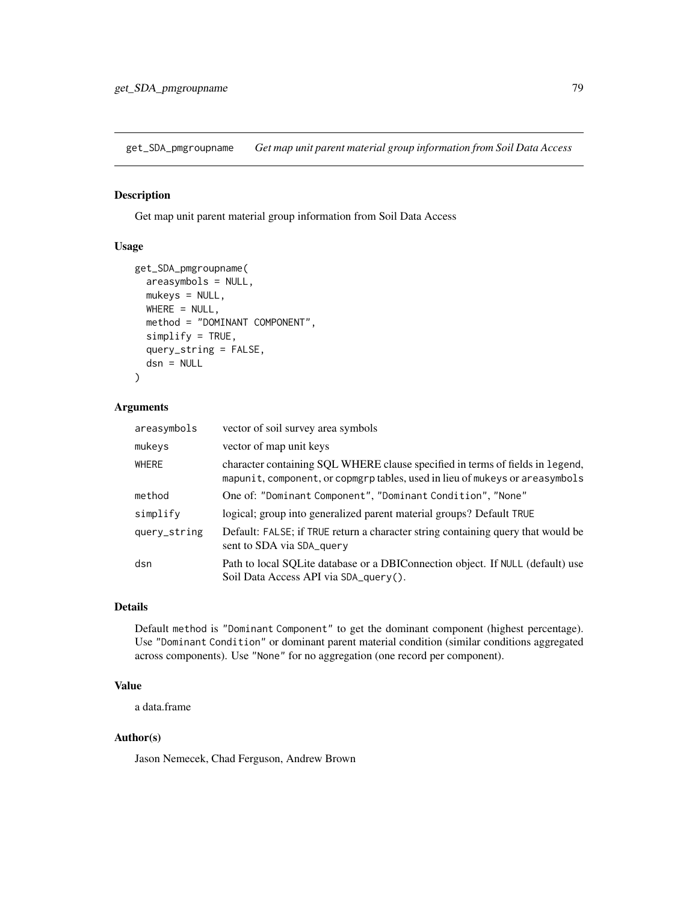get\_SDA\_pmgroupname *Get map unit parent material group information from Soil Data Access*

### Description

Get map unit parent material group information from Soil Data Access

### Usage

```
get_SDA_pmgroupname(
  areasymbols = NULL,
 mukeys = NULL,
 WHERE = NULL,
  method = "DOMINANT COMPONENT",
  simplify = TRUE,
  query_string = FALSE,
  dsn = NULL
)
```
## Arguments

| areasymbols  | vector of soil survey area symbols                                                                                                                            |
|--------------|---------------------------------------------------------------------------------------------------------------------------------------------------------------|
| mukeys       | vector of map unit keys                                                                                                                                       |
| WHERE        | character containing SQL WHERE clause specified in terms of fields in legend,<br>mapunit, component, or copmgrp tables, used in lieu of mukeys or areasymbols |
| method       | One of: "Dominant Component", "Dominant Condition", "None"                                                                                                    |
| simplify     | logical; group into generalized parent material groups? Default TRUE                                                                                          |
| query_string | Default: FALSE; if TRUE return a character string containing query that would be<br>sent to SDA via SDA query                                                 |
| dsn          | Path to local SQLite database or a DBIConnection object. If NULL (default) use<br>Soil Data Access API via SDA_query().                                       |

## Details

Default method is "Dominant Component" to get the dominant component (highest percentage). Use "Dominant Condition" or dominant parent material condition (similar conditions aggregated across components). Use "None" for no aggregation (one record per component).

### Value

a data.frame

### Author(s)

Jason Nemecek, Chad Ferguson, Andrew Brown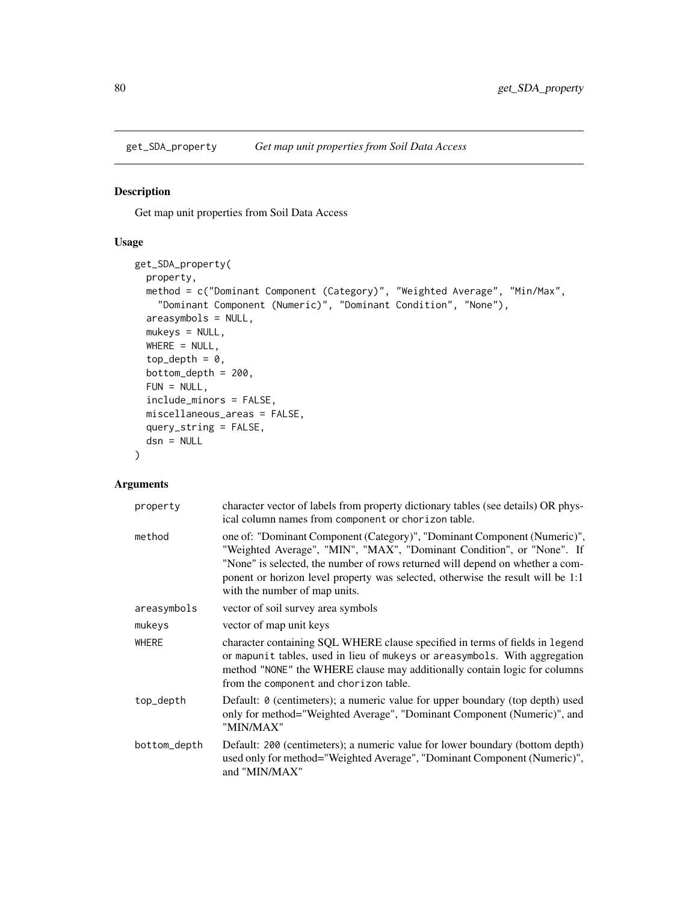### Description

Get map unit properties from Soil Data Access

## Usage

```
get_SDA_property(
 property,
 method = c("Dominant Component (Category)", "Weighted Average", "Min/Max",
    "Dominant Component (Numeric)", "Dominant Condition", "None"),
  areasymbols = NULL,
 mukeys = NULL,
 WHERE = NULL,
  top\_depth = 0,
  bottom\_depth = 200,
 FUN = NULL,include_minors = FALSE,
 miscellaneous_areas = FALSE,
  query_string = FALSE,
  dsn = NULL
\mathcal{L}
```
## Arguments

| property     | character vector of labels from property dictionary tables (see details) OR phys-<br>ical column names from component or chorizon table.                                                                                                                                                                                                               |
|--------------|--------------------------------------------------------------------------------------------------------------------------------------------------------------------------------------------------------------------------------------------------------------------------------------------------------------------------------------------------------|
| method       | one of: "Dominant Component (Category)", "Dominant Component (Numeric)",<br>"Weighted Average", "MIN", "MAX", "Dominant Condition", or "None". If<br>"None" is selected, the number of rows returned will depend on whether a com-<br>ponent or horizon level property was selected, otherwise the result will be 1:1<br>with the number of map units. |
| areasymbols  | vector of soil survey area symbols                                                                                                                                                                                                                                                                                                                     |
| mukeys       | vector of map unit keys                                                                                                                                                                                                                                                                                                                                |
| <b>WHERE</b> | character containing SQL WHERE clause specified in terms of fields in legend<br>or mapunit tables, used in lieu of mukeys or areasymbols. With aggregation<br>method "NONE" the WHERE clause may additionally contain logic for columns<br>from the component and chorizon table.                                                                      |
| top_depth    | Default: 0 (centimeters); a numeric value for upper boundary (top depth) used<br>only for method="Weighted Average", "Dominant Component (Numeric)", and<br>"MIN/MAX"                                                                                                                                                                                  |
| bottom_depth | Default: 200 (centimeters); a numeric value for lower boundary (bottom depth)<br>used only for method="Weighted Average", "Dominant Component (Numeric)",<br>and "MIN/MAX"                                                                                                                                                                             |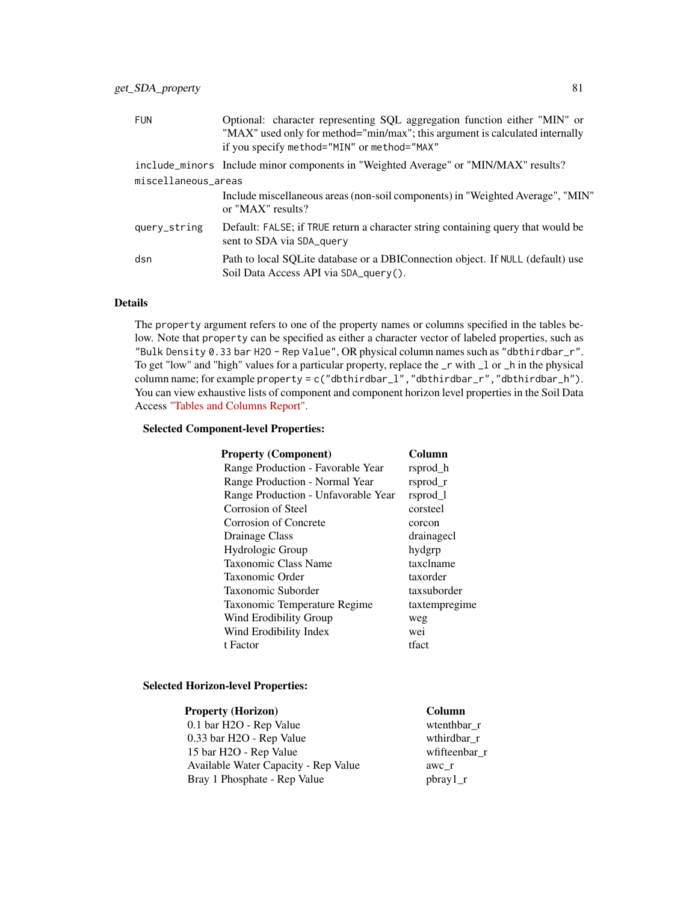| Optional: character representing SQL aggregation function either "MIN" or<br>"MAX" used only for method="min/max"; this argument is calculated internally<br>if you specify method="MIN" or method="MAX" |  |  |
|----------------------------------------------------------------------------------------------------------------------------------------------------------------------------------------------------------|--|--|
| include_minors Include minor components in "Weighted Average" or "MIN/MAX" results?                                                                                                                      |  |  |
| miscellaneous_areas                                                                                                                                                                                      |  |  |
| Include miscellaneous areas (non-soil components) in "Weighted Average", "MIN"<br>or "MAX" results?                                                                                                      |  |  |
| Default: FALSE; if TRUE return a character string containing query that would be<br>sent to SDA via SDA_query                                                                                            |  |  |
| Path to local SQLite database or a DBIConnection object. If NULL (default) use<br>Soil Data Access API via SDA_query().                                                                                  |  |  |
|                                                                                                                                                                                                          |  |  |

# Details

The property argument refers to one of the property names or columns specified in the tables below. Note that property can be specified as either a character vector of labeled properties, such as "Bulk Density 0.33 bar H2O - Rep Value", OR physical column names such as "dbthirdbar\_r". To get "low" and "high" values for a particular property, replace the \_r with \_l or \_h in the physical column name; for example property = c("dbthirdbar\_l","dbthirdbar\_r","dbthirdbar\_h"). You can view exhaustive lists of component and component horizon level properties in the Soil Data Access ["Tables and Columns Report".](https://sdmdataaccess.sc.egov.usda.gov/documents/TablesAndColumnsReport.pdf)

### Selected Component-level Properties:

| Column        |
|---------------|
| rsprod h      |
| rsprod r      |
| rsprod_1      |
| corsteel      |
| corcon        |
| drainagecl    |
| hydgrp        |
| taxclname     |
| taxorder      |
| taxsuborder   |
| taxtempregime |
| weg           |
| wei           |
| tfact         |
|               |

## Selected Horizon-level Properties:

| <b>Property (Horizon)</b>            | Column          |
|--------------------------------------|-----------------|
| 0.1 bar H2O - Rep Value              | wtenthbar r     |
| 0.33 bar H2O - Rep Value             | wthirdbar r     |
| 15 bar H2O - Rep Value               | wfifteenbar r   |
| Available Water Capacity - Rep Value | awc r           |
| Bray 1 Phosphate - Rep Value         | $\rm phray 1_r$ |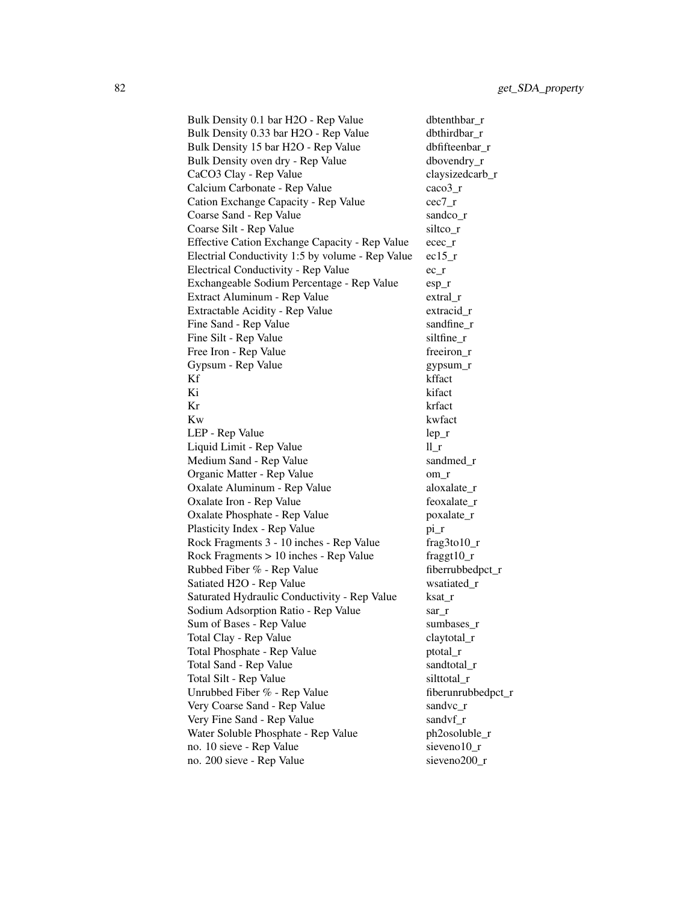Bulk Density 0.1 bar H2O - Rep Value dbtenthbar\_r Bulk Density 0.33 bar H2O - Rep Value dbthirdbar r Bulk Density 15 bar H2O - Rep Value dbfifteenbar r Bulk Density oven dry - Rep Value dbovendry\_r CaCO3 Clay - Rep Value claysizedcarb r Calcium Carbonate - Rep Value caco3\_r Cation Exchange Capacity - Rep Value cec7\_r Coarse Sand - Rep Value sandco r Coarse Silt - Rep Value siltco r Effective Cation Exchange Capacity - Rep Value ecec\_r Electrial Conductivity 1:5 by volume - Rep Value ec15\_r Electrical Conductivity - Rep Value ec\_r Exchangeable Sodium Percentage - Rep Value esp\_r Extract Aluminum - Rep Value extral\_r Extractable Acidity - Rep Value extracid\_r Fine Sand - Rep Value sandfine\_r Fine Silt - Rep Value siltfine\_r Free Iron - Rep Value freeiron\_r Gypsum - Rep Value gypsum\_r Kf kffact Ki kifact Kr krfact Kw kwfact LEP - Rep Value lep r Liquid Limit - Rep Value ll r Medium Sand - Rep Value sandmed r Organic Matter - Rep Value om r Oxalate Aluminum - Rep Value aloxalate r Oxalate Iron - Rep Value feoxalate\_r Oxalate Phosphate - Rep Value poxalate\_r Plasticity Index - Rep Value pi\_r Rock Fragments 3 - 10 inches - Rep Value frag3to10\_r Rock Fragments  $> 10$  inches - Rep Value fraggt $10<sub>r</sub>$ Rubbed Fiber % - Rep Value fiberrubbedpct\_r Satiated H2O - Rep Value wsatiated\_r Saturated Hydraulic Conductivity - Rep Value ksat\_r Sodium Adsorption Ratio - Rep Value sar\_r Sum of Bases - Rep Value sumbases r Total Clay - Rep Value claytotal r Total Phosphate - Rep Value ptotal\_r Total Sand - Rep Value sandtotal r Total Silt - Rep Value silttotal r Unrubbed Fiber % - Rep Value fiberunrubbedpct r Very Coarse Sand - Rep Value sandvc\_r Very Fine Sand - Rep Value sandvf r Water Soluble Phosphate - Rep Value ph2osoluble\_r no. 10 sieve - Rep Value sieveno10<sub>\_r</sub> no. 200 sieve - Rep Value sieveno200\_r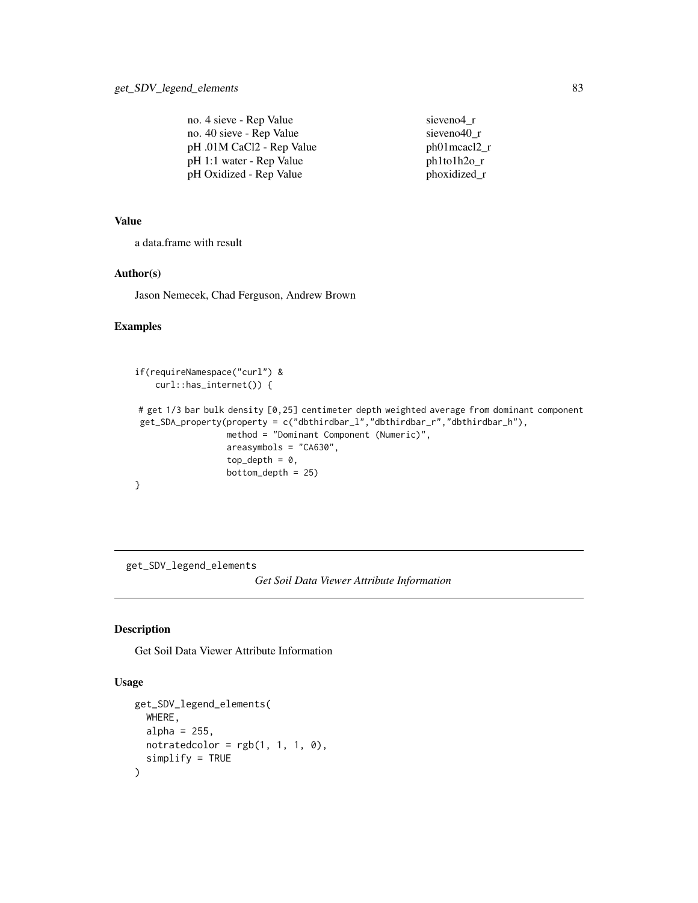| no. 4 sieve - Rep Value   | sieveno4 r         |
|---------------------------|--------------------|
| no. 40 sieve - Rep Value  | sieveno40 r        |
| pH .01M CaCl2 - Rep Value | ph01mcacl2_r       |
| pH 1:1 water - Rep Value  | $ph1$ to $1h2$ o_r |
| pH Oxidized - Rep Value   | phoxidized_r       |

### Value

a data.frame with result

#### Author(s)

Jason Nemecek, Chad Ferguson, Andrew Brown

## Examples

```
if(requireNamespace("curl") &
   curl::has_internet()) {
# get 1/3 bar bulk density [0,25] centimeter depth weighted average from dominant component
get_SDA_property(property = c("dbthirdbar_l","dbthirdbar_r","dbthirdbar_h"),
                  method = "Dominant Component (Numeric)",
                  areasymbols = "CA630",
                  top\_depth = 0,
                  bottom_depth = 25)
}
```
get\_SDV\_legend\_elements

*Get Soil Data Viewer Attribute Information*

## Description

Get Soil Data Viewer Attribute Information

### Usage

```
get_SDV_legend_elements(
  WHERE,
  alpha = 255,
  notratedcolor = rgb(1, 1, 1, 0),
  simplify = TRUE
\mathcal{E}
```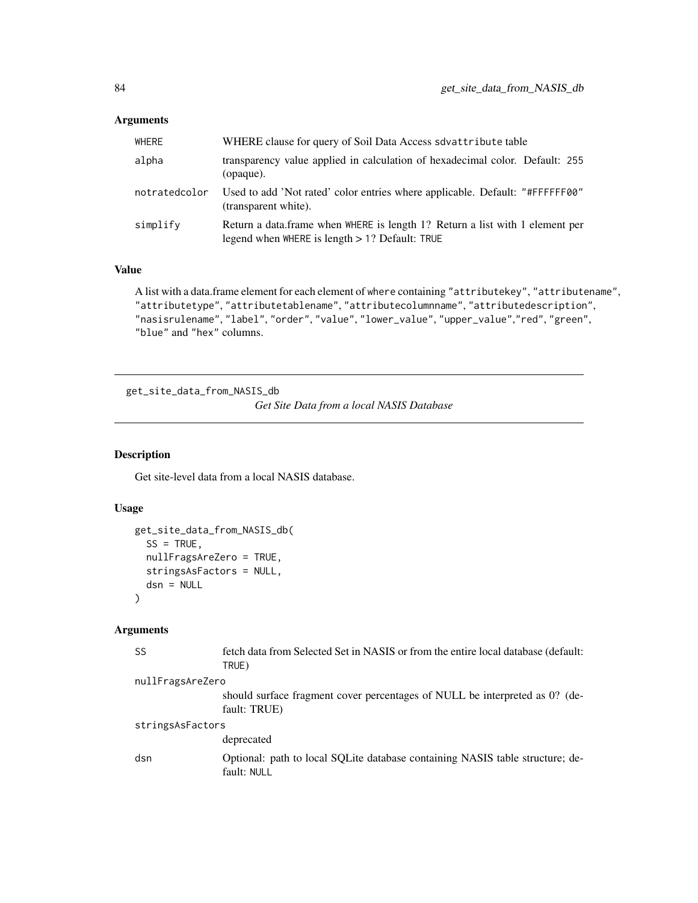# Arguments

| WHERE         | WHERE clause for query of Soil Data Access sdvattribute table                                                                     |
|---------------|-----------------------------------------------------------------------------------------------------------------------------------|
| alpha         | transparency value applied in calculation of hexadecimal color. Default: 255<br>(opaque).                                         |
| notratedcolor | Used to add 'Not rated' color entries where applicable. Default: "#FFFFFF00"<br>(transparent white).                              |
| simplify      | Return a data frame when WHERE is length 1? Return a list with 1 element per<br>legend when WHERE is length $> 1$ ? Default: TRUE |

# Value

A list with a data.frame element for each element of where containing "attributekey", "attributename", "attributetype", "attributetablename", "attributecolumnname", "attributedescription", "nasisrulename", "label", "order", "value", "lower\_value", "upper\_value","red", "green", "blue" and "hex" columns.

get\_site\_data\_from\_NASIS\_db

*Get Site Data from a local NASIS Database*

### Description

Get site-level data from a local NASIS database.

# Usage

```
get_site_data_from_NASIS_db(
  SS = TRUE,nullFragsAreZero = TRUE,
  stringsAsFactors = NULL,
 dsn = NULL
\mathcal{L}
```
### Arguments

| SS               | fetch data from Selected Set in NASIS or from the entire local database (default:<br>TRUE)   |
|------------------|----------------------------------------------------------------------------------------------|
| nullFragsAreZero |                                                                                              |
|                  | should surface fragment cover percentages of NULL be interpreted as 0? (de-<br>fault: TRUE)  |
| stringsAsFactors |                                                                                              |
|                  | deprecated                                                                                   |
| dsn              | Optional: path to local SOLite database containing NASIS table structure; de-<br>fault: NULL |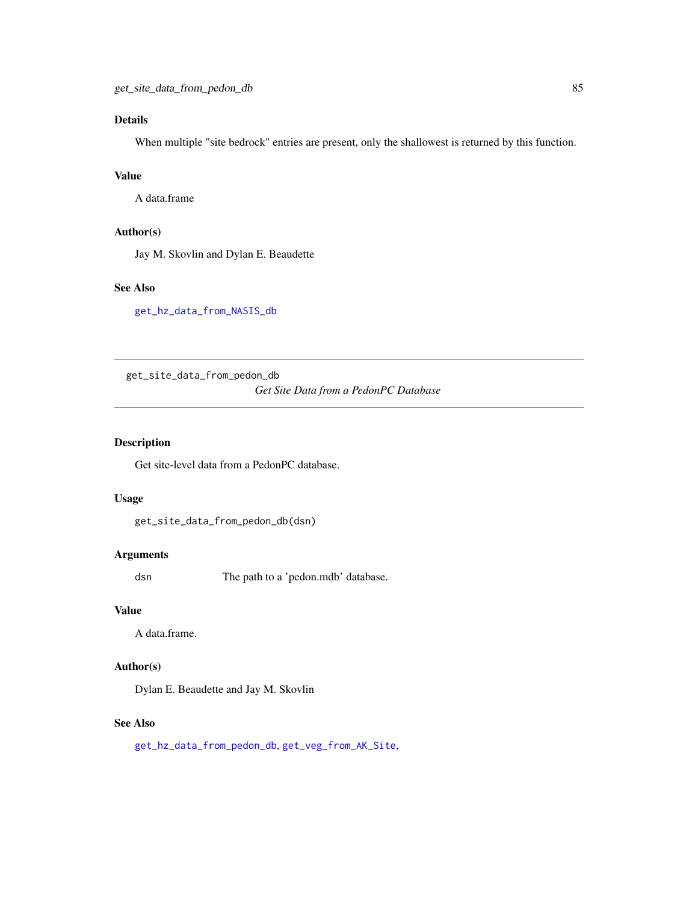# Details

When multiple "site bedrock" entries are present, only the shallowest is returned by this function.

# Value

A data.frame

# Author(s)

Jay M. Skovlin and Dylan E. Beaudette

## See Also

[get\\_hz\\_data\\_from\\_NASIS\\_db](#page-46-0)

<span id="page-84-0"></span>get\_site\_data\_from\_pedon\_db

*Get Site Data from a PedonPC Database*

### Description

Get site-level data from a PedonPC database.

#### Usage

```
get_site_data_from_pedon_db(dsn)
```
## Arguments

dsn The path to a 'pedon.mdb' database.

#### Value

A data.frame.

## Author(s)

Dylan E. Beaudette and Jay M. Skovlin

### See Also

[get\\_hz\\_data\\_from\\_pedon\\_db](#page-47-0), [get\\_veg\\_from\\_AK\\_Site](#page-88-0),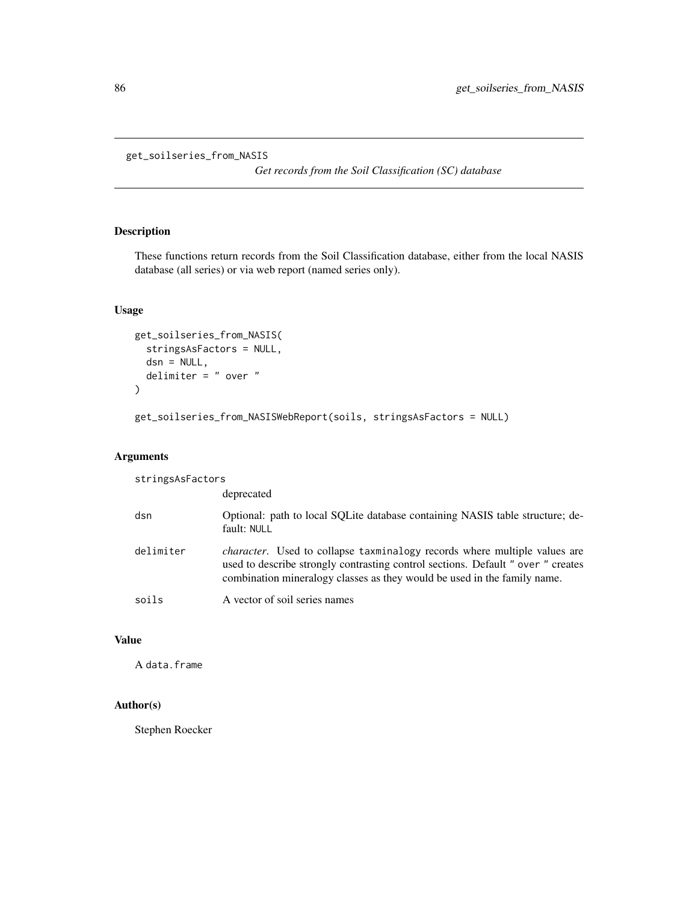```
get_soilseries_from_NASIS
```
*Get records from the Soil Classification (SC) database*

## Description

These functions return records from the Soil Classification database, either from the local NASIS database (all series) or via web report (named series only).

## Usage

```
get_soilseries_from_NASIS(
  stringsAsFactors = NULL,
 dsn = NULL,delimiter = " over "
)
```

```
get_soilseries_from_NASISWebReport(soils, stringsAsFactors = NULL)
```
## Arguments

| stringsAsFactors |                                                                                                                                                                                                                                                  |
|------------------|--------------------------------------------------------------------------------------------------------------------------------------------------------------------------------------------------------------------------------------------------|
|                  | deprecated                                                                                                                                                                                                                                       |
| dsn              | Optional: path to local SQLite database containing NASIS table structure; de-<br>fault: NULL                                                                                                                                                     |
| delimiter        | <i>character.</i> Used to collapse taxminalogy records where multiple values are<br>used to describe strongly contrasting control sections. Default " over " creates<br>combination mineralogy classes as they would be used in the family name. |
| soils            | A vector of soil series names                                                                                                                                                                                                                    |

# Value

A data.frame

# Author(s)

Stephen Roecker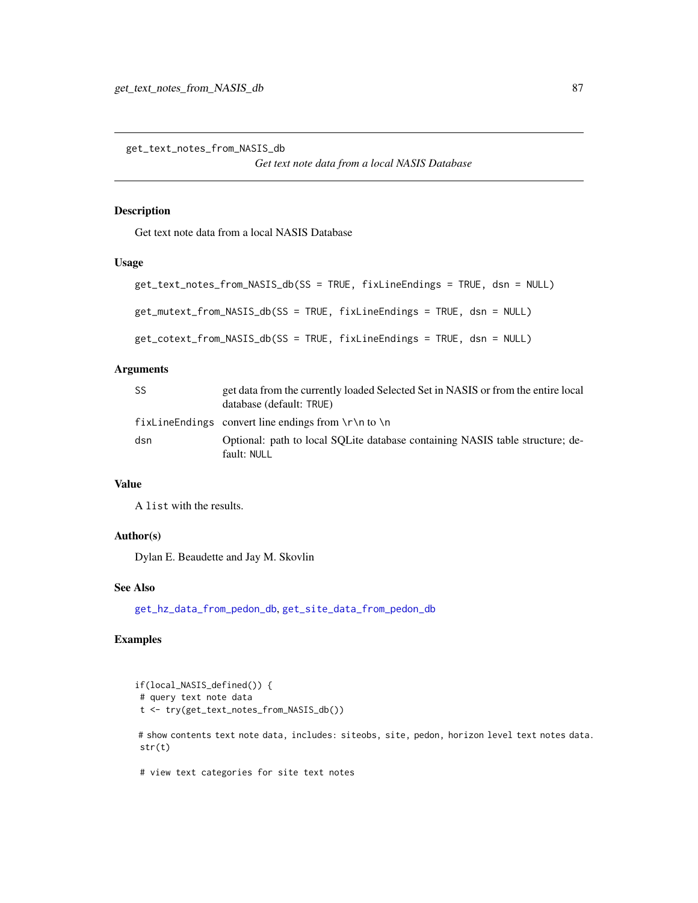get\_text\_notes\_from\_NASIS\_db

*Get text note data from a local NASIS Database*

#### Description

Get text note data from a local NASIS Database

### Usage

```
get_text_notes_from_NASIS_db(SS = TRUE, fixLineEndings = TRUE, dsn = NULL)
get_mutext_from_NASIS_db(SS = TRUE, fixLineEndings = TRUE, dsn = NULL)
get_cotext_from_NASIS_db(SS = TRUE, fixLineEndings = TRUE, dsn = NULL)
```
### Arguments

| SS  | get data from the currently loaded Selected Set in NASIS or from the entire local<br>database (default: TRUE) |
|-----|---------------------------------------------------------------------------------------------------------------|
|     | fixLine Endings convert line endings from $\r \n \n \n \n$ to $\n \n \n$                                      |
| dsn | Optional: path to local SQLite database containing NASIS table structure; de-<br>fault: NULL                  |

#### Value

A list with the results.

#### Author(s)

Dylan E. Beaudette and Jay M. Skovlin

### See Also

[get\\_hz\\_data\\_from\\_pedon\\_db](#page-47-0), [get\\_site\\_data\\_from\\_pedon\\_db](#page-84-0)

```
if(local_NASIS_defined()) {
# query text note data
t <- try(get_text_notes_from_NASIS_db())
# show contents text note data, includes: siteobs, site, pedon, horizon level text notes data.
str(t)
# view text categories for site text notes
```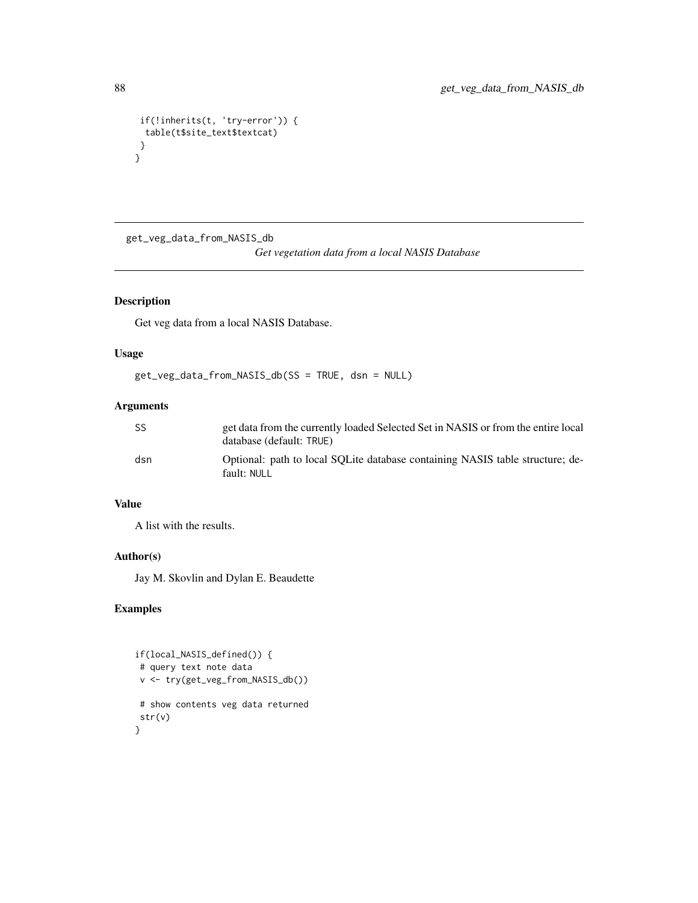```
if(!inherits(t, 'try-error')) {
 table(t$site_text$textcat)
}
}
```
get\_veg\_data\_from\_NASIS\_db

```
Get vegetation data from a local NASIS Database
```
# Description

Get veg data from a local NASIS Database.

## Usage

get\_veg\_data\_from\_NASIS\_db(SS = TRUE, dsn = NULL)

#### Arguments

| SS  | get data from the currently loaded Selected Set in NASIS or from the entire local<br>database (default: TRUE) |
|-----|---------------------------------------------------------------------------------------------------------------|
| dsn | Optional: path to local SOLite database containing NASIS table structure; de-<br>fault: NULL                  |

# Value

A list with the results.

#### Author(s)

Jay M. Skovlin and Dylan E. Beaudette

```
if(local_NASIS_defined()) {
 # query text note data
 v <- try(get_veg_from_NASIS_db())
 # show contents veg data returned
 str(v)
}
```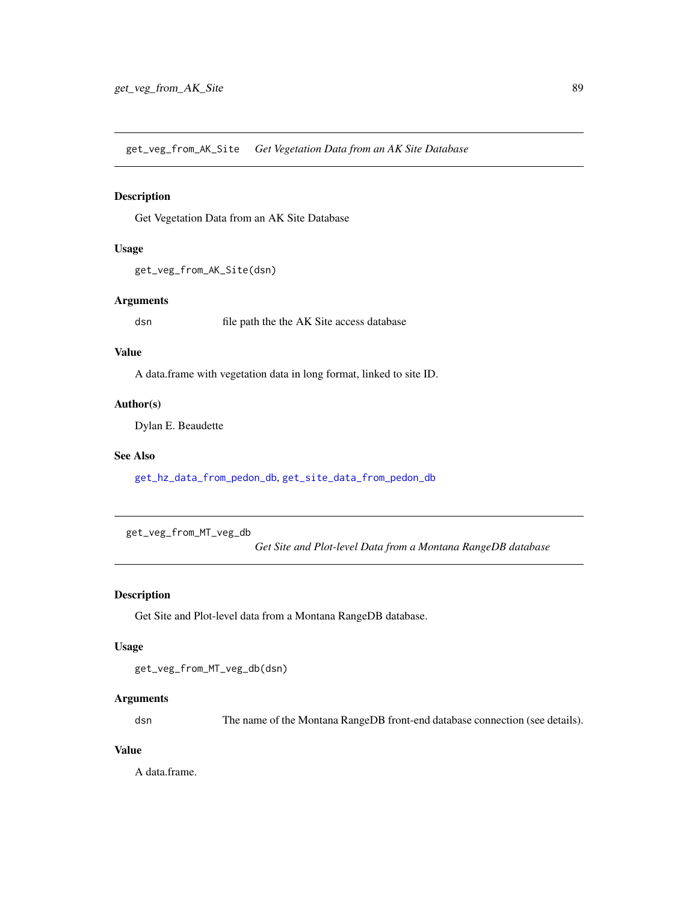<span id="page-88-0"></span>get\_veg\_from\_AK\_Site *Get Vegetation Data from an AK Site Database*

## Description

Get Vegetation Data from an AK Site Database

#### Usage

```
get_veg_from_AK_Site(dsn)
```
## Arguments

dsn file path the the AK Site access database

### Value

A data.frame with vegetation data in long format, linked to site ID.

### Author(s)

Dylan E. Beaudette

### See Also

[get\\_hz\\_data\\_from\\_pedon\\_db](#page-47-0), [get\\_site\\_data\\_from\\_pedon\\_db](#page-84-0)

<span id="page-88-1"></span>get\_veg\_from\_MT\_veg\_db

*Get Site and Plot-level Data from a Montana RangeDB database*

### Description

Get Site and Plot-level data from a Montana RangeDB database.

#### Usage

```
get_veg_from_MT_veg_db(dsn)
```
# Arguments

dsn The name of the Montana RangeDB front-end database connection (see details).

## Value

A data.frame.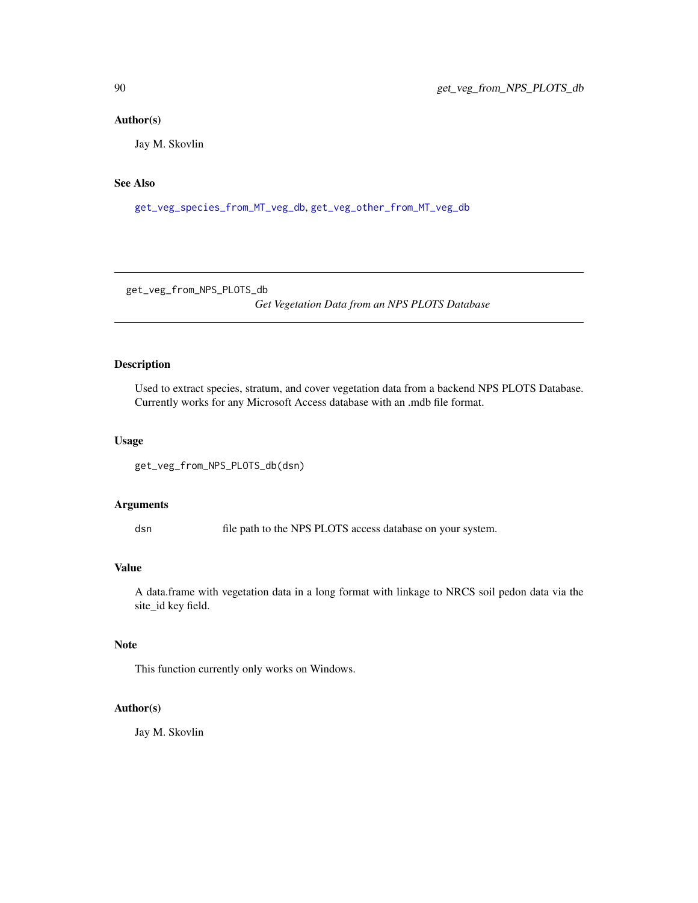### Author(s)

Jay M. Skovlin

# See Also

[get\\_veg\\_species\\_from\\_MT\\_veg\\_db](#page-90-0), [get\\_veg\\_other\\_from\\_MT\\_veg\\_db](#page-90-1)

get\_veg\_from\_NPS\_PLOTS\_db

*Get Vegetation Data from an NPS PLOTS Database*

### Description

Used to extract species, stratum, and cover vegetation data from a backend NPS PLOTS Database. Currently works for any Microsoft Access database with an .mdb file format.

### Usage

```
get_veg_from_NPS_PLOTS_db(dsn)
```
#### Arguments

dsn file path to the NPS PLOTS access database on your system.

## Value

A data.frame with vegetation data in a long format with linkage to NRCS soil pedon data via the site\_id key field.

#### Note

This function currently only works on Windows.

# Author(s)

Jay M. Skovlin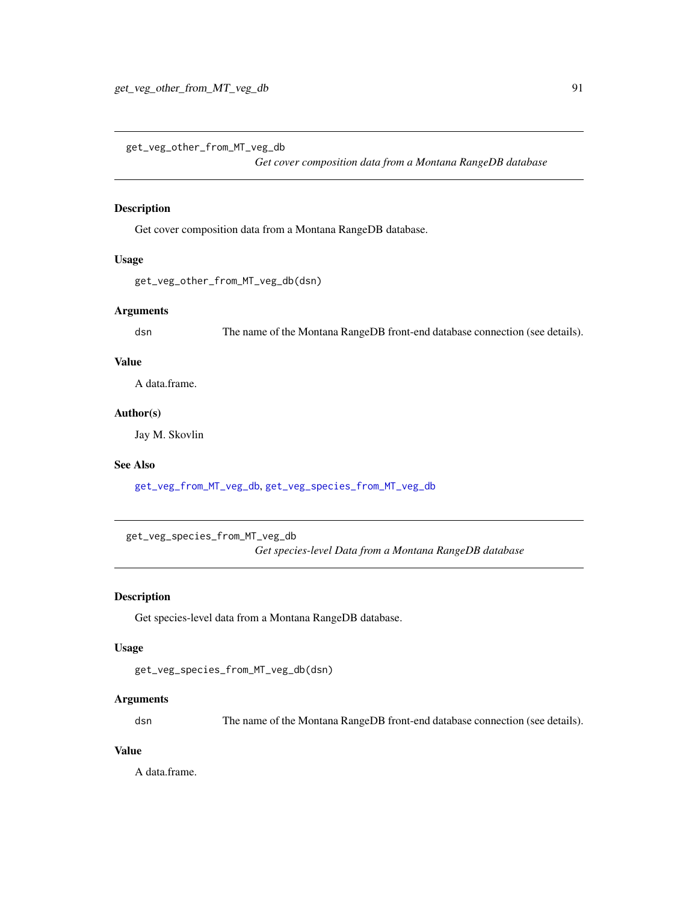<span id="page-90-1"></span>get\_veg\_other\_from\_MT\_veg\_db

*Get cover composition data from a Montana RangeDB database*

## Description

Get cover composition data from a Montana RangeDB database.

#### Usage

get\_veg\_other\_from\_MT\_veg\_db(dsn)

### Arguments

dsn The name of the Montana RangeDB front-end database connection (see details).

## Value

A data.frame.

## Author(s)

Jay M. Skovlin

# See Also

[get\\_veg\\_from\\_MT\\_veg\\_db](#page-88-1), [get\\_veg\\_species\\_from\\_MT\\_veg\\_db](#page-90-0)

<span id="page-90-0"></span>get\_veg\_species\_from\_MT\_veg\_db

*Get species-level Data from a Montana RangeDB database*

### Description

Get species-level data from a Montana RangeDB database.

## Usage

```
get_veg_species_from_MT_veg_db(dsn)
```
## Arguments

dsn The name of the Montana RangeDB front-end database connection (see details).

## Value

A data.frame.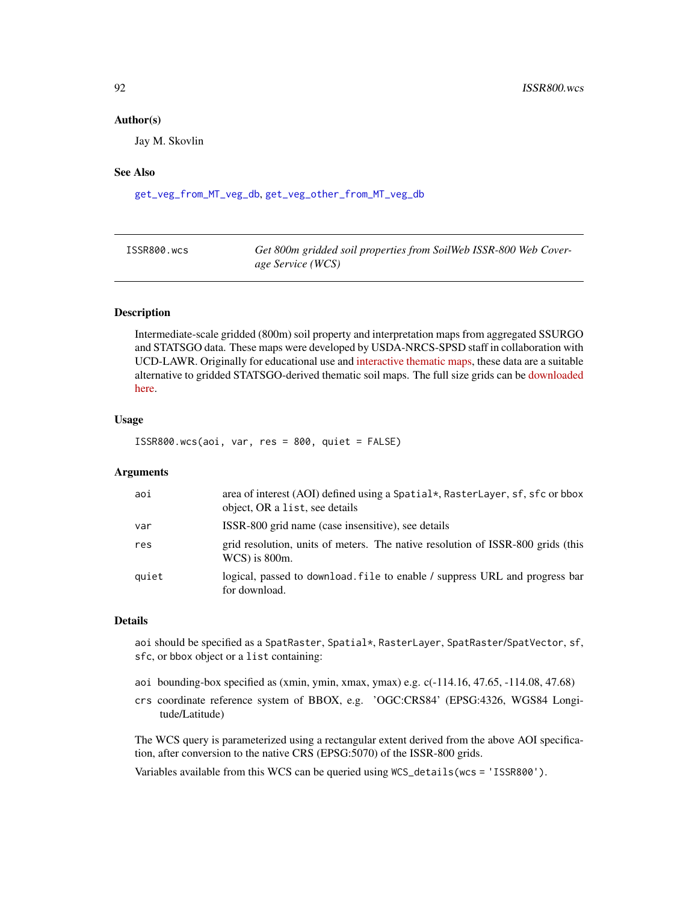#### Author(s)

Jay M. Skovlin

#### See Also

[get\\_veg\\_from\\_MT\\_veg\\_db](#page-88-1), [get\\_veg\\_other\\_from\\_MT\\_veg\\_db](#page-90-1)

| ISSR800.wcs | Get 800m gridded soil properties from SoilWeb ISSR-800 Web Cover- |
|-------------|-------------------------------------------------------------------|
|             | age Service (WCS)                                                 |

#### Description

Intermediate-scale gridded (800m) soil property and interpretation maps from aggregated SSURGO and STATSGO data. These maps were developed by USDA-NRCS-SPSD staff in collaboration with UCD-LAWR. Originally for educational use and [interactive thematic maps,](https://casoilresource.lawr.ucdavis.edu/soil-properties/) these data are a suitable alternative to gridded STATSGO-derived thematic soil maps. The full size grids can be [downloaded](https://casoilresource.lawr.ucdavis.edu/soil-properties/download.php) [here.](https://casoilresource.lawr.ucdavis.edu/soil-properties/download.php)

## Usage

ISSR800.wcs(aoi, var, res = 800, quiet = FALSE)

#### Arguments

| aoi   | area of interest (AOI) defined using a Spatial*, RasterLayer, sf, sfc or bbox<br>object, OR a list, see details |
|-------|-----------------------------------------------------------------------------------------------------------------|
| var   | ISSR-800 grid name (case insensitive), see details                                                              |
| res   | grid resolution, units of meters. The native resolution of ISSR-800 grids (this<br>$WCS$ ) is 800m.             |
| quiet | logical, passed to download. File to enable / suppress URL and progress bar<br>for download.                    |

#### Details

aoi should be specified as a SpatRaster, Spatial\*, RasterLayer, SpatRaster/SpatVector, sf, sfc, or bbox object or a list containing:

- aoi bounding-box specified as (xmin, ymin, xmax, ymax) e.g. c(-114.16, 47.65, -114.08, 47.68)
- crs coordinate reference system of BBOX, e.g. 'OGC:CRS84' (EPSG:4326, WGS84 Longitude/Latitude)

The WCS query is parameterized using a rectangular extent derived from the above AOI specification, after conversion to the native CRS (EPSG:5070) of the ISSR-800 grids.

Variables available from this WCS can be queried using WCS\_details(wcs = 'ISSR800').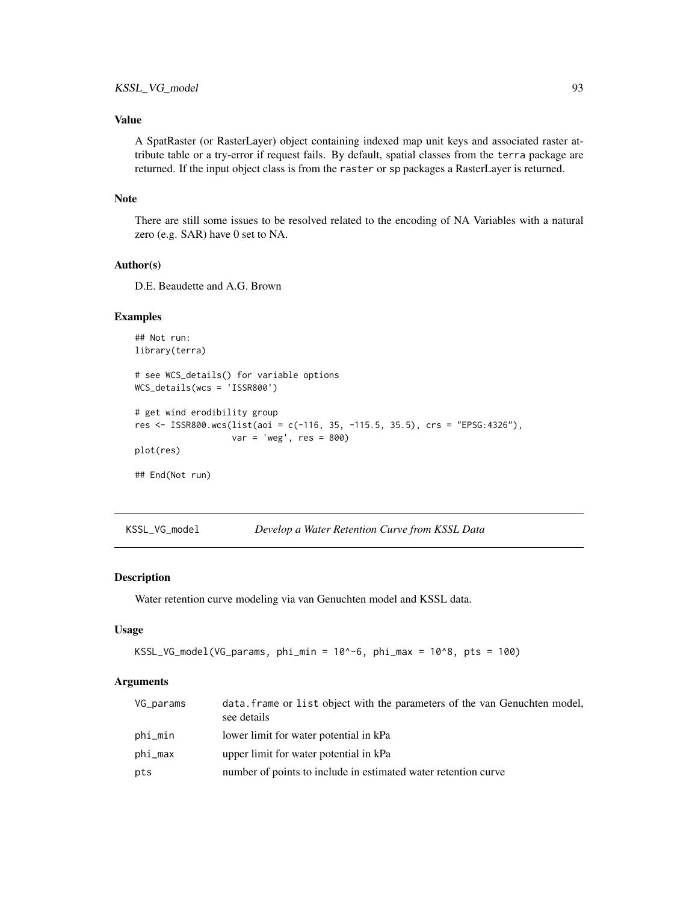## Value

A SpatRaster (or RasterLayer) object containing indexed map unit keys and associated raster attribute table or a try-error if request fails. By default, spatial classes from the terra package are returned. If the input object class is from the raster or sp packages a RasterLayer is returned.

#### Note

There are still some issues to be resolved related to the encoding of NA Variables with a natural zero (e.g. SAR) have 0 set to NA.

#### Author(s)

D.E. Beaudette and A.G. Brown

#### Examples

```
## Not run:
library(terra)
# see WCS_details() for variable options
WCS_details(wcs = 'ISSR800')
# get wind erodibility group
res <- ISSR800.wcs(list(aoi = c(-116, 35, -115.5, 35.5), crs = "EPSG:4326"),
                   var = 'weg', res = 800)
plot(res)
## End(Not run)
```
KSSL\_VG\_model *Develop a Water Retention Curve from KSSL Data*

#### Description

Water retention curve modeling via van Genuchten model and KSSL data.

#### Usage

```
KSSL_VG_model(VG_params, phi_min = 10^-6, phi_max = 10^8, pts = 100)
```
#### Arguments

| VG_params | data. frame or list object with the parameters of the van Genuchten model,<br>see details |
|-----------|-------------------------------------------------------------------------------------------|
| phi_min   | lower limit for water potential in kPa                                                    |
| phi_max   | upper limit for water potential in kPa                                                    |
| pts       | number of points to include in estimated water retention curve                            |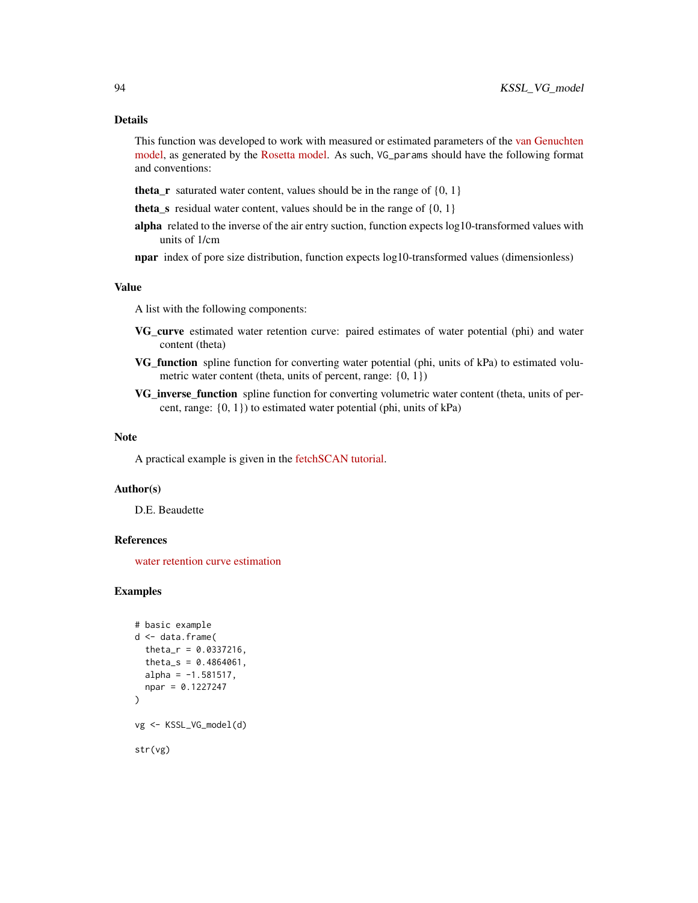#### Details

This function was developed to work with measured or estimated parameters of the [van Genuchten](https://en.wikipedia.org/wiki/Water_retention_curve) [model,](https://en.wikipedia.org/wiki/Water_retention_curve) as generated by the [Rosetta model.](https://www.ars.usda.gov/pacific-west-area/riverside-ca/agricultural-water-efficiency-and-salinity-research-unit/docs/model/rosetta-model/) As such, VG\_params should have the following format and conventions:

**theta\_r** saturated water content, values should be in the range of  $\{0, 1\}$ 

theta s residual water content, values should be in the range of  ${0, 1}$ 

alpha related to the inverse of the air entry suction, function expects  $log 10$ -transformed values with units of 1/cm

npar index of pore size distribution, function expects log10-transformed values (dimensionless)

#### Value

A list with the following components:

- VG\_curve estimated water retention curve: paired estimates of water potential (phi) and water content (theta)
- VG\_function spline function for converting water potential (phi, units of kPa) to estimated volumetric water content (theta, units of percent, range:  $\{0, 1\}$ )
- VG\_inverse\_function spline function for converting volumetric water content (theta, units of percent, range: {0, 1}) to estimated water potential (phi, units of kPa)

#### Note

A practical example is given in the [fetchSCAN tutorial.](http://ncss-tech.github.io/AQP/soilDB/fetchSCAN-demo.html)

#### Author(s)

D.E. Beaudette

## References

[water retention curve estimation](https://en.wikipedia.org/wiki/Water_retention_curve)

```
# basic example
d <- data.frame(
 theta_r = 0.0337216,
 theta_s = 0.4864061,
 alpha = -1.581517,
 npar = 0.1227247)
vg <- KSSL_VG_model(d)
str(vg)
```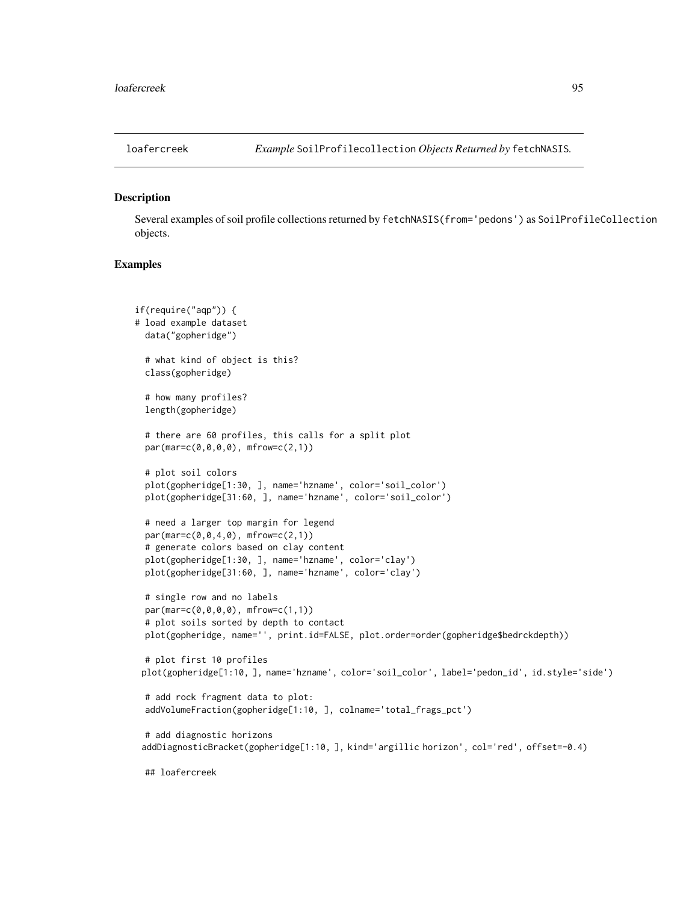#### Description

Several examples of soil profile collections returned by fetchNASIS(from='pedons') as SoilProfileCollection objects.

```
if(require("aqp")) {
# load example dataset
 data("gopheridge")
 # what kind of object is this?
 class(gopheridge)
 # how many profiles?
 length(gopheridge)
 # there are 60 profiles, this calls for a split plot
 par(max=c(0,0,0,0), mfrow=c(2,1))
 # plot soil colors
 plot(gopheridge[1:30, ], name='hzname', color='soil_color')
 plot(gopheridge[31:60, ], name='hzname', color='soil_color')
 # need a larger top margin for legend
 par(max=c(0,0,4,0), mfrow=c(2,1))# generate colors based on clay content
 plot(gopheridge[1:30, ], name='hzname', color='clay')
 plot(gopheridge[31:60, ], name='hzname', color='clay')
 # single row and no labels
 par(mar=c(0,0,0,0), mfrow=c(1,1))
 # plot soils sorted by depth to contact
 plot(gopheridge, name='', print.id=FALSE, plot.order=order(gopheridge$bedrckdepth))
 # plot first 10 profiles
 plot(gopheridge[1:10, ], name='hzname', color='soil_color', label='pedon_id', id.style='side')
 # add rock fragment data to plot:
 addVolumeFraction(gopheridge[1:10, ], colname='total_frags_pct')
 # add diagnostic horizons
 addDiagnosticBracket(gopheridge[1:10, ], kind='argillic horizon', col='red', offset=-0.4)
 ## loafercreek
```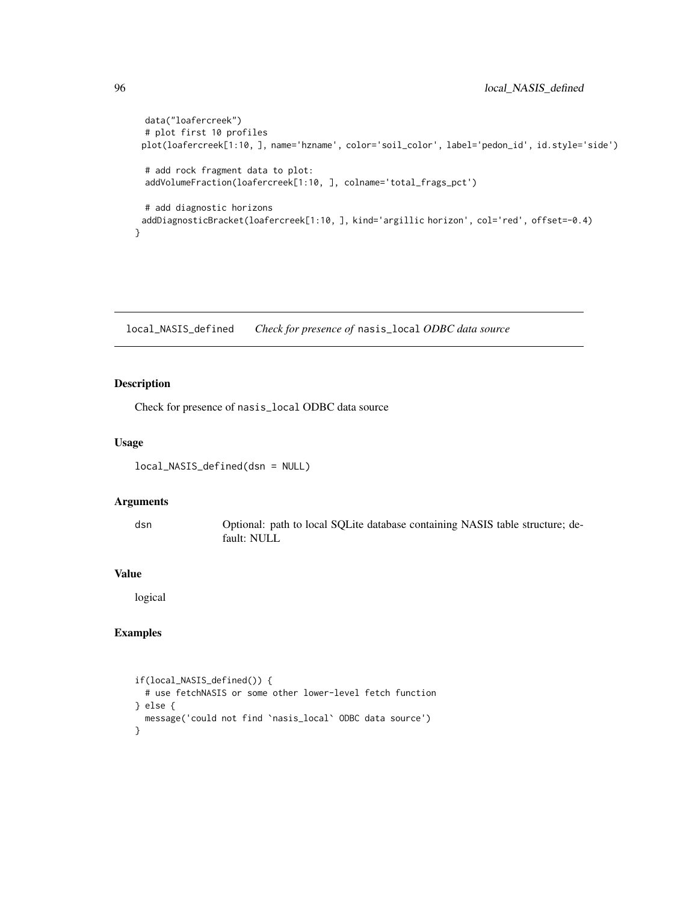```
data("loafercreek")
 # plot first 10 profiles
 plot(loafercreek[1:10, ], name='hzname', color='soil_color', label='pedon_id', id.style='side')
 # add rock fragment data to plot:
 addVolumeFraction(loafercreek[1:10, ], colname='total_frags_pct')
 # add diagnostic horizons
 addDiagnosticBracket(loafercreek[1:10, ], kind='argillic horizon', col='red', offset=-0.4)
}
```
local\_NASIS\_defined *Check for presence of* nasis\_local *ODBC data source*

### Description

Check for presence of nasis\_local ODBC data source

#### Usage

local\_NASIS\_defined(dsn = NULL)

#### Arguments

dsn Optional: path to local SQLite database containing NASIS table structure; default: NULL

#### Value

logical

```
if(local_NASIS_defined()) {
  # use fetchNASIS or some other lower-level fetch function
} else {
  message('could not find `nasis_local` ODBC data source')
}
```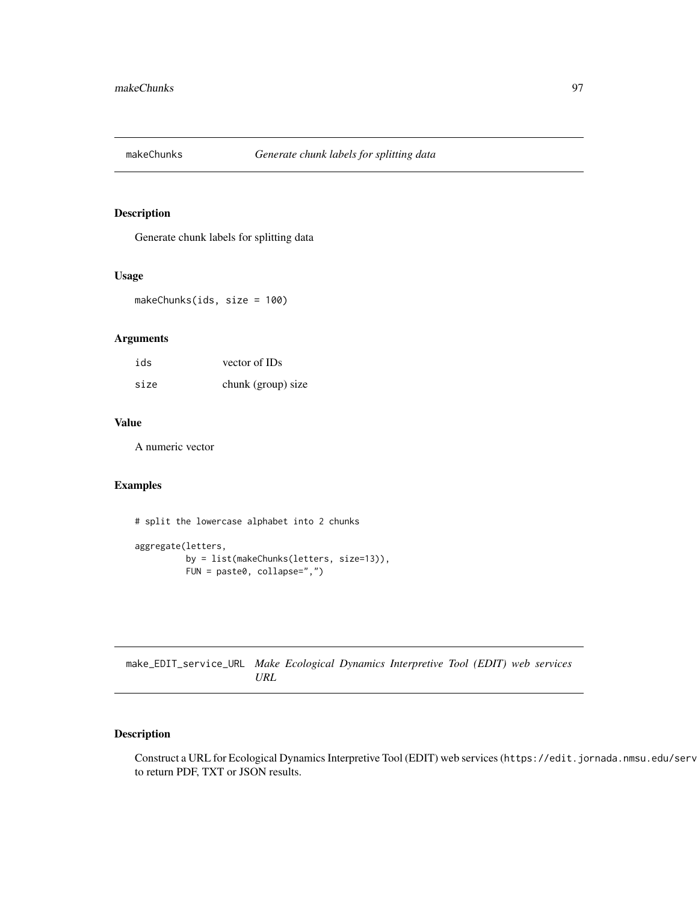### Description

Generate chunk labels for splitting data

## Usage

makeChunks(ids, size = 100)

## Arguments

| ids  | vector of IDs      |
|------|--------------------|
| size | chunk (group) size |

### Value

A numeric vector

## Examples

# split the lowercase alphabet into 2 chunks

```
aggregate(letters,
         by = list(makeChunks(letters, size=13)),
         FUN = paste0, collapse=",")
```
make\_EDIT\_service\_URL *Make Ecological Dynamics Interpretive Tool (EDIT) web services URL*

# Description

Construct a URL for Ecological Dynamics Interpretive Tool (EDIT) web services (https://edit.jornada.nmsu.edu/serv to return PDF, TXT or JSON results.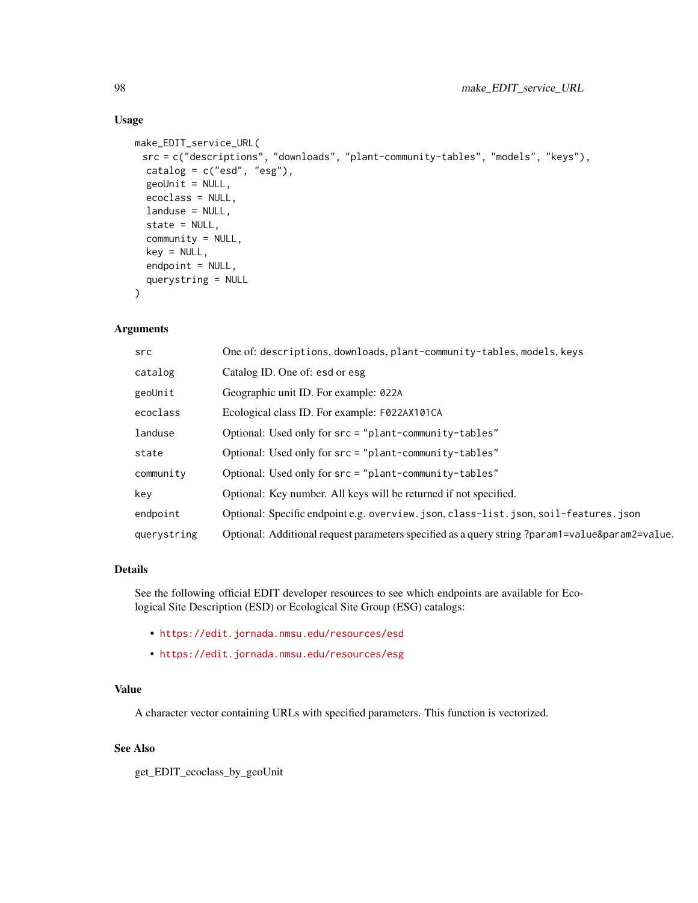#### Usage

```
make_EDIT_service_URL(
 src = c("descriptions", "downloads", "plant-community-tables", "models", "keys"),
 catalog = c("esd", "esg"),geolnit = NULL,ecoclass = NULL,
 landuse = NULL,
 state = NULL,
 community = NULL,
 key = NULL,
 endpoint = NULL,
 querystring = NULL
)
```
## Arguments

| src         | One of: descriptions, downloads, plant-community-tables, models, keys                           |
|-------------|-------------------------------------------------------------------------------------------------|
| catalog     | Catalog ID. One of: esd or esg                                                                  |
| geoUnit     | Geographic unit ID. For example: 022A                                                           |
| ecoclass    | Ecological class ID. For example: F022AX101CA                                                   |
| landuse     | Optional: Used only for src = "plant-community-tables"                                          |
| state       | Optional: Used only for $src = "plant-community-tables"$                                        |
| community   | Optional: Used only for src = "plant-community-tables"                                          |
| key         | Optional: Key number. All keys will be returned if not specified.                               |
| endpoint    | Optional: Specific endpoint e.g. overview.json, class-list.json, soil-features.json             |
| querystring | Optional: Additional request parameters specified as a query string ?param1=value&param2=value. |
|             |                                                                                                 |

## Details

See the following official EDIT developer resources to see which endpoints are available for Ecological Site Description (ESD) or Ecological Site Group (ESG) catalogs:

- <https://edit.jornada.nmsu.edu/resources/esd>
- <https://edit.jornada.nmsu.edu/resources/esg>

### Value

A character vector containing URLs with specified parameters. This function is vectorized.

## See Also

get\_EDIT\_ecoclass\_by\_geoUnit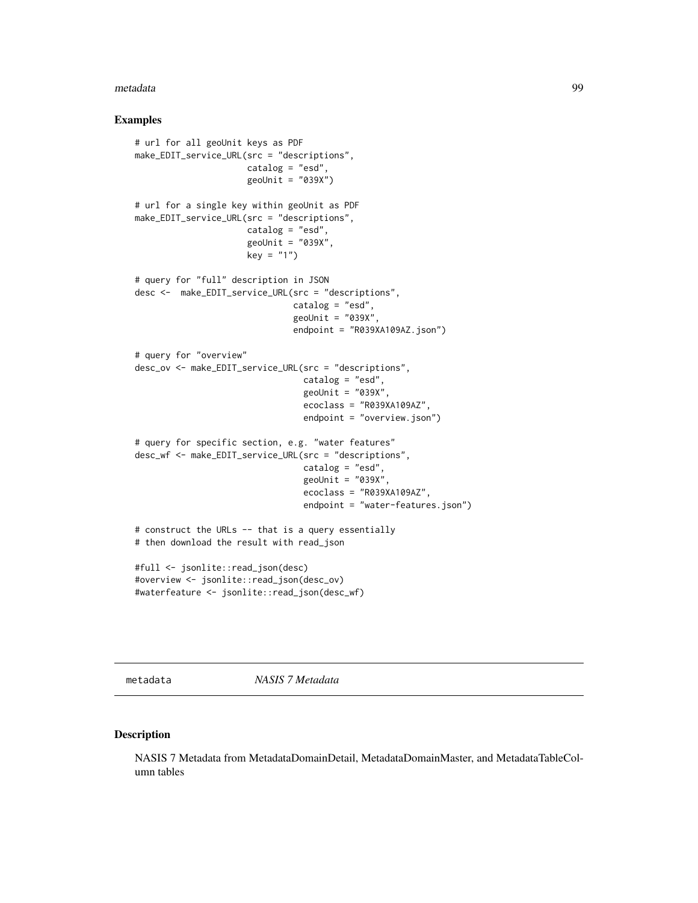#### metadata 99

#### Examples

```
# url for all geoUnit keys as PDF
make_EDIT_service_URL(src = "descriptions",
                      catalog = "esd",
                      geoUnit = "039X")
# url for a single key within geoUnit as PDF
make_EDIT_service_URL(src = "descriptions",
                     catalog = "esd",
                      geoUnit = "039X",
                      key = "1")# query for "full" description in JSON
desc <- make_EDIT_service_URL(src = "descriptions",
                               catalog = "esd",
                               geoUnit = "039X",
                               endpoint = "R039XA109AZ.json")
# query for "overview"
desc_ov <- make_EDIT_service_URL(src = "descriptions",
                                 catalog = "esd",
                                 geolnit = "039X",ecoclass = "R039XA109AZ",
                                 endpoint = "overview.json")
# query for specific section, e.g. "water features"
desc_wf <- make_EDIT_service_URL(src = "descriptions",
                                 catalog = "esd",
                                 geoUnit = "039X",
                                 ecoclass = "R039XA109AZ",
                                 endpoint = "water-features.json")
# construct the URLs -- that is a query essentially
# then download the result with read_json
#full <- jsonlite::read_json(desc)
#overview <- jsonlite::read_json(desc_ov)
#waterfeature <- jsonlite::read_json(desc_wf)
```
metadata *NASIS 7 Metadata*

#### Description

NASIS 7 Metadata from MetadataDomainDetail, MetadataDomainMaster, and MetadataTableColumn tables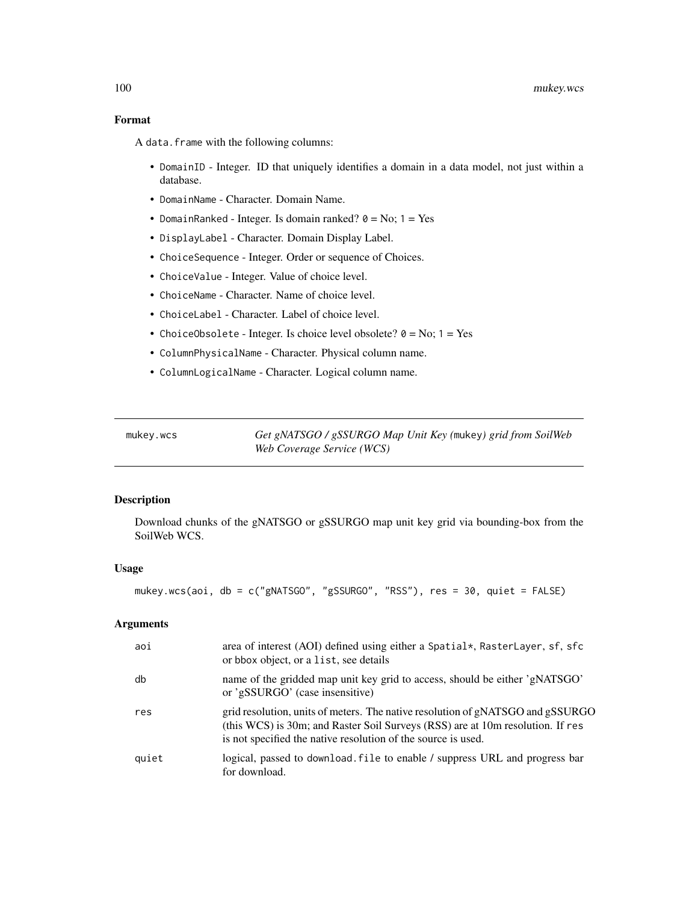## Format

A data.frame with the following columns:

- DomainID Integer. ID that uniquely identifies a domain in a data model, not just within a database.
- DomainName Character. Domain Name.
- DomainRanked Integer. Is domain ranked?  $0 = No$ ;  $1 = Yes$
- DisplayLabel Character. Domain Display Label.
- ChoiceSequence Integer. Order or sequence of Choices.
- ChoiceValue Integer. Value of choice level.
- ChoiceName Character. Name of choice level.
- ChoiceLabel Character. Label of choice level.
- ChoiceObsolete Integer. Is choice level obsolete?  $0 = No$ ;  $1 = Yes$
- ColumnPhysicalName Character. Physical column name.
- ColumnLogicalName Character. Logical column name.

mukey.wcs *Get gNATSGO / gSSURGO Map Unit Key (*mukey*) grid from SoilWeb Web Coverage Service (WCS)*

#### Description

Download chunks of the gNATSGO or gSSURGO map unit key grid via bounding-box from the SoilWeb WCS.

#### Usage

mukey.wcs(aoi, db = c("gNATSGO", "gSSURGO", "RSS"), res = 30, quiet = FALSE)

### Arguments

| aoi   | area of interest (AOI) defined using either a Spatial*, RasterLayer, sf, sfc<br>or bbox object, or a list, see details                                                                                                            |
|-------|-----------------------------------------------------------------------------------------------------------------------------------------------------------------------------------------------------------------------------------|
| db    | name of the gridded map unit key grid to access, should be either 'gNATSGO'<br>or 'gSSURGO' (case insensitive)                                                                                                                    |
| res   | grid resolution, units of meters. The native resolution of gNATSGO and gSSURGO<br>(this WCS) is 30m; and Raster Soil Surveys (RSS) are at 10m resolution. If res<br>is not specified the native resolution of the source is used. |
| quiet | logical, passed to download. file to enable / suppress URL and progress bar<br>for download.                                                                                                                                      |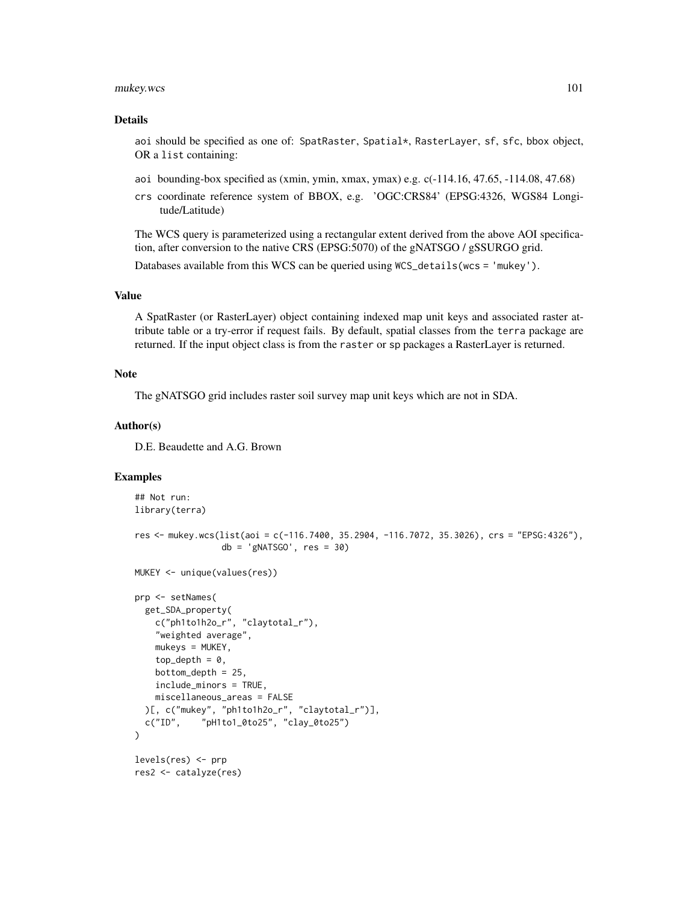#### mukey.wcs 101

#### Details

aoi should be specified as one of: SpatRaster, Spatial\*, RasterLayer, sf, sfc, bbox object, OR a list containing:

- aoi bounding-box specified as (xmin, ymin, xmax, ymax) e.g. c(-114.16, 47.65, -114.08, 47.68)
- crs coordinate reference system of BBOX, e.g. 'OGC:CRS84' (EPSG:4326, WGS84 Longitude/Latitude)

The WCS query is parameterized using a rectangular extent derived from the above AOI specification, after conversion to the native CRS (EPSG:5070) of the gNATSGO / gSSURGO grid.

Databases available from this WCS can be queried using WCS\_details(wcs = 'mukey').

# Value

A SpatRaster (or RasterLayer) object containing indexed map unit keys and associated raster attribute table or a try-error if request fails. By default, spatial classes from the terra package are returned. If the input object class is from the raster or sp packages a RasterLayer is returned.

#### Note

The gNATSGO grid includes raster soil survey map unit keys which are not in SDA.

#### Author(s)

D.E. Beaudette and A.G. Brown

```
## Not run:
library(terra)
res <- mukey.wcs(list(aoi = c(-116.7400, 35.2904, -116.7072, 35.3026), crs = "EPSG:4326"),
                 db = 'gNATSGO', res = 30)MUKEY <- unique(values(res))
prp <- setNames(
  get_SDA_property(
    c("ph1to1h2o_r", "claytotal_r"),
    "weighted average",
   mukeys = MUKEY,
   top\_depth = 0,
   bottom_depth = 25,
   include_minors = TRUE,
   miscellaneous_areas = FALSE
  )[, c("mukey", "ph1to1h2o_r", "claytotal_r")],
  c("ID", "pH1to1_0to25", "clay_0to25")
)
levels(res) <- prp
res2 <- catalyze(res)
```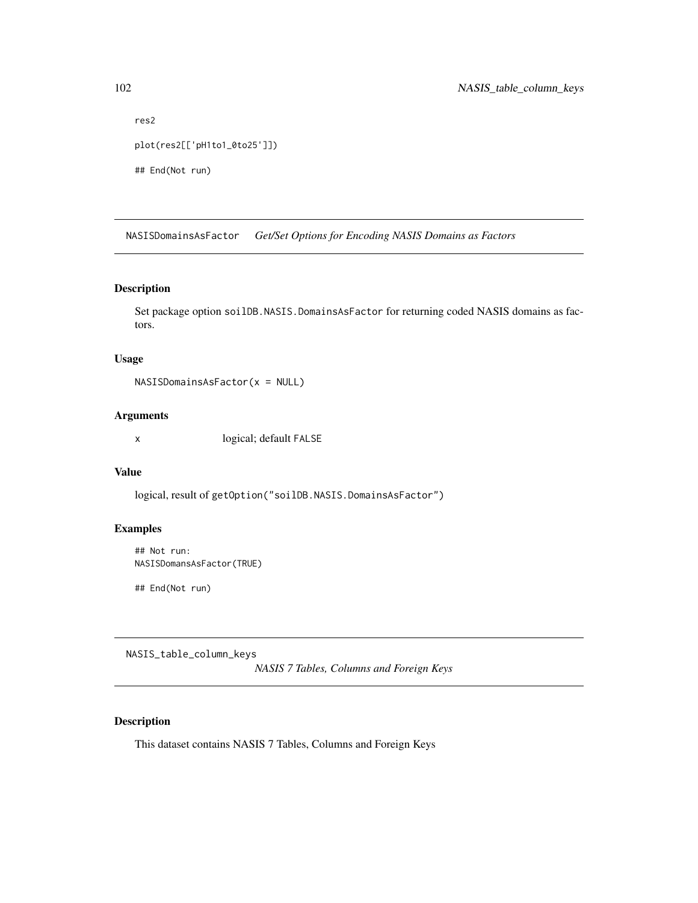```
res2
plot(res2[['pH1to1_0to25']])
## End(Not run)
```
NASISDomainsAsFactor *Get/Set Options for Encoding NASIS Domains as Factors*

#### Description

Set package option soilDB.NASIS.DomainsAsFactor for returning coded NASIS domains as factors.

## Usage

```
NASISDomainsAsFactor(x = NULL)
```
## Arguments

x logical; default FALSE

#### Value

logical, result of getOption("soilDB.NASIS.DomainsAsFactor")

## Examples

## Not run: NASISDomansAsFactor(TRUE)

## End(Not run)

NASIS\_table\_column\_keys

*NASIS 7 Tables, Columns and Foreign Keys*

# Description

This dataset contains NASIS 7 Tables, Columns and Foreign Keys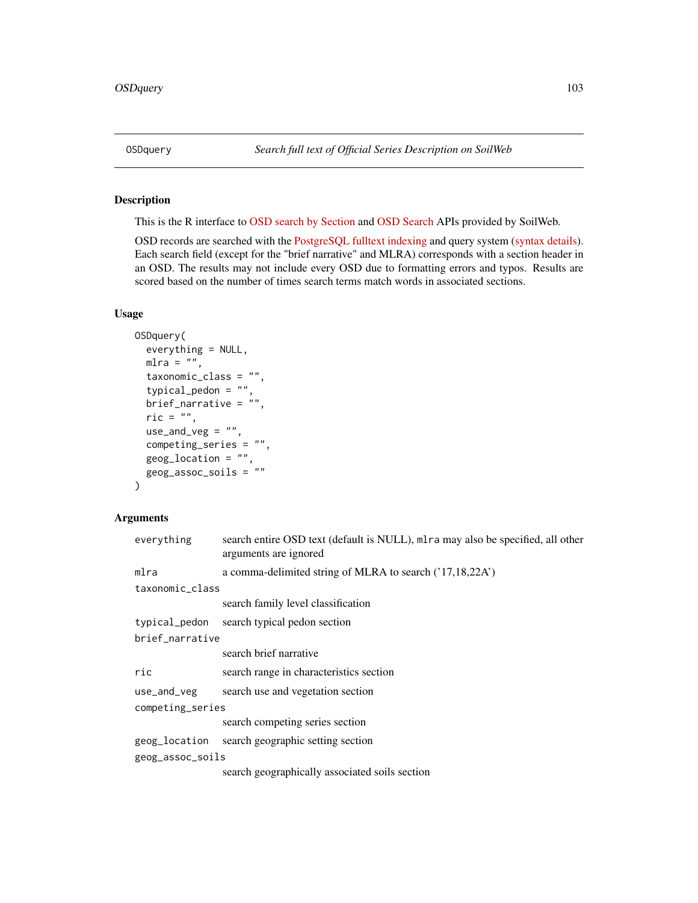## Description

This is the R interface to [OSD search by Section](https://casoilresource.lawr.ucdavis.edu/osd-search/) and [OSD Search](https://casoilresource.lawr.ucdavis.edu/osd-search/search-entire-osd.php) APIs provided by SoilWeb.

OSD records are searched with the [PostgreSQL fulltext indexing](https://www.postgresql.org/docs/9.5/textsearch.html) and query system [\(syntax details\)](https://www.postgresql.org/docs/9.5/datatype-textsearch.html). Each search field (except for the "brief narrative" and MLRA) corresponds with a section header in an OSD. The results may not include every OSD due to formatting errors and typos. Results are scored based on the number of times search terms match words in associated sections.

## Usage

```
OSDquery(
  everything = NULL,
  mlra = "",taxonomic_class = "",
  typical_pedon = "",
  brief_narrative = ",
  ric = ",
  use_and_veg = ",
  competing_series = "",
  geog_location = "",
  geog_assoc_soils = ""
)
```
## Arguments

| everything       | search entire OSD text (default is NULL), mlra may also be specified, all other<br>arguments are ignored |  |
|------------------|----------------------------------------------------------------------------------------------------------|--|
| mlra             | a comma-delimited string of MLRA to search ('17,18,22A')                                                 |  |
| taxonomic_class  |                                                                                                          |  |
|                  | search family level classification                                                                       |  |
| typical_pedon    | search typical pedon section                                                                             |  |
| brief narrative  |                                                                                                          |  |
|                  | search brief narrative                                                                                   |  |
| ric              | search range in characteristics section                                                                  |  |
| use_and_veg      | search use and vegetation section                                                                        |  |
| competing_series |                                                                                                          |  |
|                  | search competing series section                                                                          |  |
| geog_location    | search geographic setting section                                                                        |  |
| geog_assoc_soils |                                                                                                          |  |
|                  | search geographically associated soils section                                                           |  |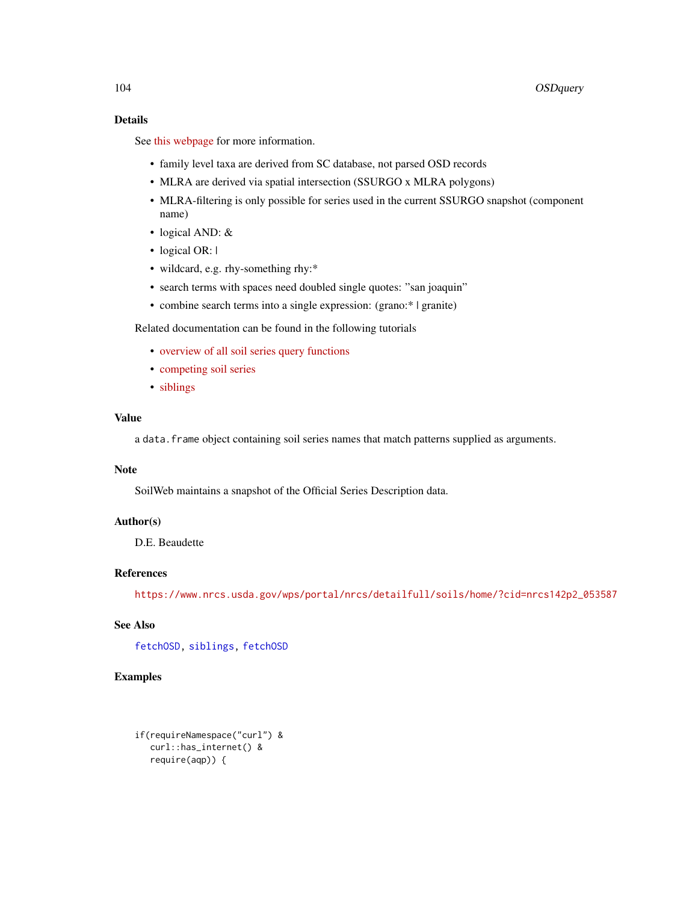## Details

See [this webpage](https://casoilresource.lawr.ucdavis.edu/osd-search/) for more information.

- family level taxa are derived from SC database, not parsed OSD records
- MLRA are derived via spatial intersection (SSURGO x MLRA polygons)
- MLRA-filtering is only possible for series used in the current SSURGO snapshot (component name)
- logical AND: &
- logical OR: |
- wildcard, e.g. rhy-something rhy:\*
- search terms with spaces need doubled single quotes: "san joaquin"
- combine search terms into a single expression: (grano: \* | granite)

Related documentation can be found in the following tutorials

- [overview of all soil series query functions](http://ncss-tech.github.io/AQP/soilDB/soil-series-query-functions.html)
- [competing soil series](https://ncss-tech.github.io/AQP/soilDB/competing-series.html)
- [siblings](https://ncss-tech.github.io/AQP/soilDB/siblings.html)

### Value

a data.frame object containing soil series names that match patterns supplied as arguments.

## Note

SoilWeb maintains a snapshot of the Official Series Description data.

# Author(s)

D.E. Beaudette

# References

[https://www.nrcs.usda.gov/wps/portal/nrcs/detailfull/soils/home/?cid=nrcs142p2\\_053587](https://www.nrcs.usda.gov/wps/portal/nrcs/detailfull/soils/home/?cid=nrcs142p2_053587)

# See Also

[fetchOSD,](#page-19-0) [siblings,](#page-118-0) [fetchOSD](#page-19-0)

# Examples

if(requireNamespace("curl") & curl::has\_internet() & require(aqp)) {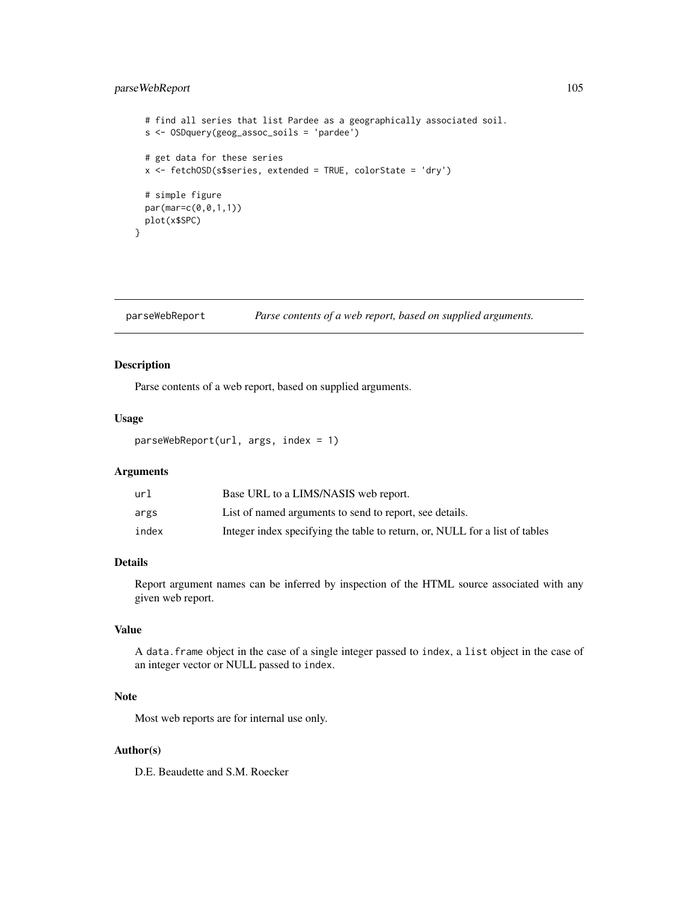## parseWebReport 105

```
# find all series that list Pardee as a geographically associated soil.
 s <- OSDquery(geog_assoc_soils = 'pardee')
 # get data for these series
 x <- fetchOSD(s$series, extended = TRUE, colorState = 'dry')
 # simple figure
 par(mar=c(0,0,1,1))
 plot(x$SPC)
}
```
parseWebReport *Parse contents of a web report, based on supplied arguments.*

## Description

Parse contents of a web report, based on supplied arguments.

## Usage

parseWebReport(url, args, index = 1)

## Arguments

| url   | Base URL to a LIMS/NASIS web report.                                        |
|-------|-----------------------------------------------------------------------------|
| args  | List of named arguments to send to report, see details.                     |
| index | Integer index specifying the table to return, or, NULL for a list of tables |

# Details

Report argument names can be inferred by inspection of the HTML source associated with any given web report.

# Value

A data.frame object in the case of a single integer passed to index, a list object in the case of an integer vector or NULL passed to index.

## Note

Most web reports are for internal use only.

### Author(s)

D.E. Beaudette and S.M. Roecker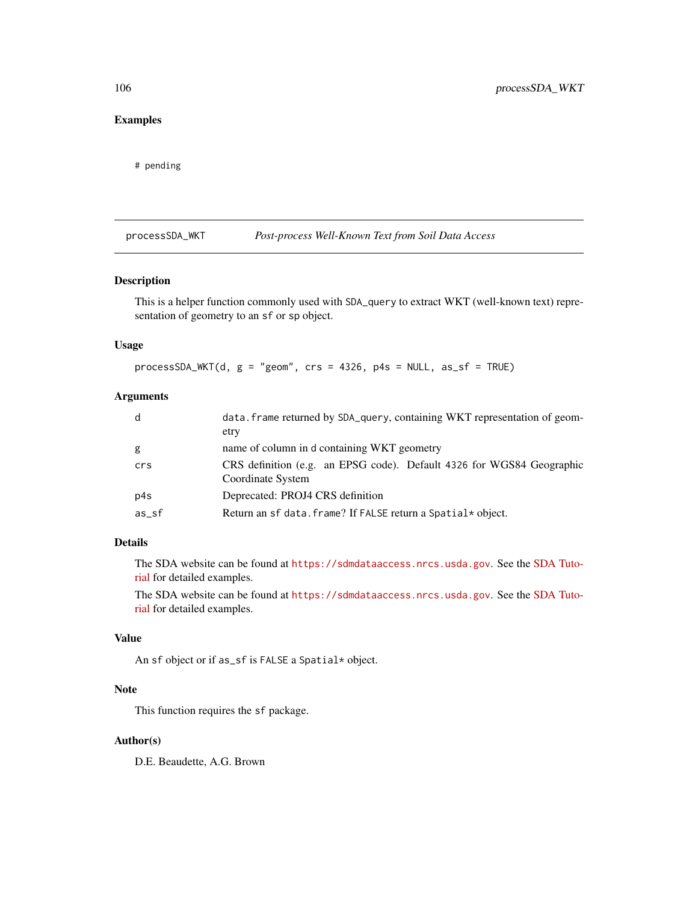# Examples

# pending

processSDA\_WKT *Post-process Well-Known Text from Soil Data Access*

#### Description

This is a helper function commonly used with SDA\_query to extract WKT (well-known text) representation of geometry to an sf or sp object.

### Usage

```
processSDA_WKT(d, g = "geom", crs = 4326, p4s = NULL, as_sf = TRUE)
```
### Arguments

| d        | data. frame returned by SDA_query, containing WKT representation of geom-<br>etry          |
|----------|--------------------------------------------------------------------------------------------|
| g        | name of column in d containing WKT geometry                                                |
| crs      | CRS definition (e.g. an EPSG code). Default 4326 for WGS84 Geographic<br>Coordinate System |
| p4s      | Deprecated: PROJ4 CRS definition                                                           |
| $as\_sf$ | Return an sf data. frame? If FALSE return a Spatial* object.                               |

## Details

The SDA website can be found at <https://sdmdataaccess.nrcs.usda.gov>. See the [SDA Tuto](http://ncss-tech.github.io/AQP/soilDB/SDA-tutorial.html)[rial](http://ncss-tech.github.io/AQP/soilDB/SDA-tutorial.html) for detailed examples.

The SDA website can be found at <https://sdmdataaccess.nrcs.usda.gov>. See the [SDA Tuto](http://ncss-tech.github.io/AQP/soilDB/SDA-tutorial.html)[rial](http://ncss-tech.github.io/AQP/soilDB/SDA-tutorial.html) for detailed examples.

### Value

An sf object or if as\_sf is FALSE a Spatial\* object.

### Note

This function requires the sf package.

## Author(s)

D.E. Beaudette, A.G. Brown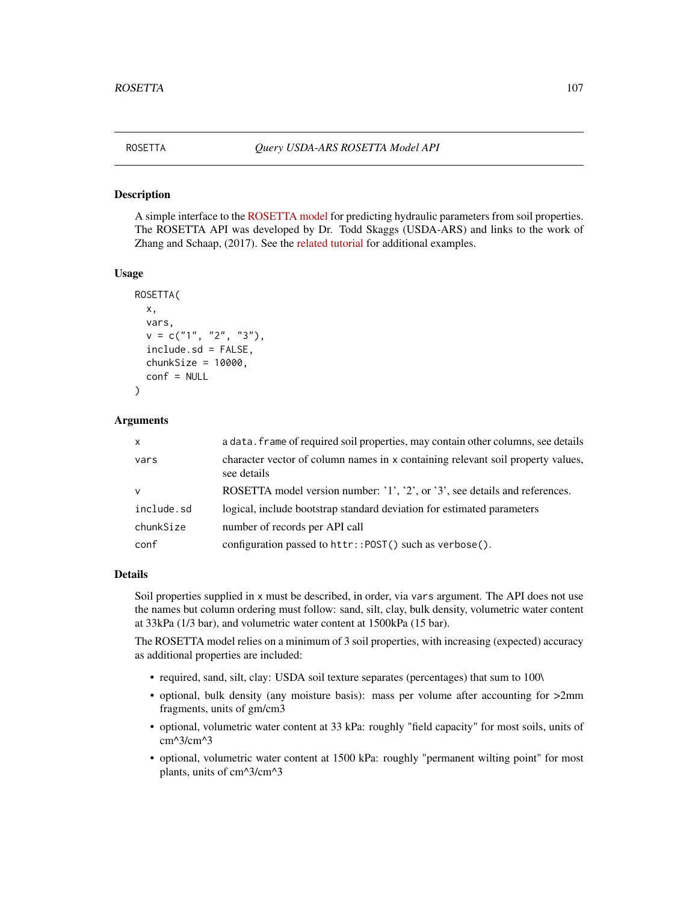#### Description

A simple interface to the [ROSETTA model](https://www.ars.usda.gov/pacific-west-area/riverside-ca/agricultural-water-efficiency-and-salinity-research-unit/docs/model/rosetta-model/) for predicting hydraulic parameters from soil properties. The ROSETTA API was developed by Dr. Todd Skaggs (USDA-ARS) and links to the work of Zhang and Schaap, (2017). See the [related tutorial](http://ncss-tech.github.io/AQP/soilDB/ROSETTA-API.html) for additional examples.

#### Usage

```
ROSETTA(
  x,
  vars,
  v = c("1", "2", "3"),
  include.sd = FALSE,
  chunkSize = 10000,conf = NULL
)
```
#### Arguments

| $\mathsf{x}$ | a data. frame of required soil properties, may contain other columns, see details              |
|--------------|------------------------------------------------------------------------------------------------|
| vars         | character vector of column names in x containing relevant soil property values,<br>see details |
| $\mathbf v$  | ROSETTA model version number: '1', '2', or '3', see details and references.                    |
| include.sd   | logical, include bootstrap standard deviation for estimated parameters                         |
| chunkSize    | number of records per API call                                                                 |
| conf         | configuration passed to httr:: POST() such as verbose().                                       |

#### Details

Soil properties supplied in x must be described, in order, via vars argument. The API does not use the names but column ordering must follow: sand, silt, clay, bulk density, volumetric water content at 33kPa (1/3 bar), and volumetric water content at 1500kPa (15 bar).

The ROSETTA model relies on a minimum of 3 soil properties, with increasing (expected) accuracy as additional properties are included:

- required, sand, silt, clay: USDA soil texture separates (percentages) that sum to 100\
- optional, bulk density (any moisture basis): mass per volume after accounting for >2mm fragments, units of gm/cm3
- optional, volumetric water content at 33 kPa: roughly "field capacity" for most soils, units of cm^3/cm^3
- optional, volumetric water content at 1500 kPa: roughly "permanent wilting point" for most plants, units of cm^3/cm^3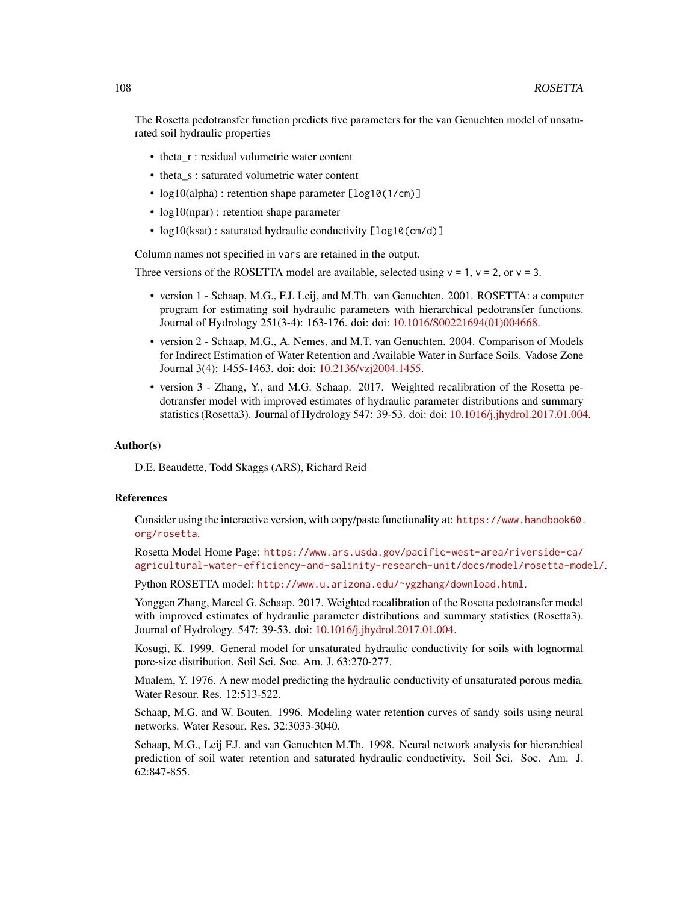The Rosetta pedotransfer function predicts five parameters for the van Genuchten model of unsaturated soil hydraulic properties

- theta\_r : residual volumetric water content
- theta s : saturated volumetric water content
- log10(alpha) : retention shape parameter [log10(1/cm)]
- $log10(npar)$ : retention shape parameter
- log10(ksat) : saturated hydraulic conductivity [log10(cm/d)]

Column names not specified in vars are retained in the output.

Three versions of the ROSETTA model are available, selected using  $v = 1$ ,  $v = 2$ , or  $v = 3$ .

- version 1 Schaap, M.G., F.J. Leij, and M.Th. van Genuchten. 2001. ROSETTA: a computer program for estimating soil hydraulic parameters with hierarchical pedotransfer functions. Journal of Hydrology 251(3-4): 163-176. doi: doi: [10.1016/S00221694\(01\)004668.](https://doi.org/10.1016/S0022-1694(01)00466-8)
- version 2 Schaap, M.G., A. Nemes, and M.T. van Genuchten. 2004. Comparison of Models for Indirect Estimation of Water Retention and Available Water in Surface Soils. Vadose Zone Journal 3(4): 1455-1463. doi: doi: [10.2136/vzj2004.1455.](https://doi.org/10.2136/vzj2004.1455)
- version 3 Zhang, Y., and M.G. Schaap. 2017. Weighted recalibration of the Rosetta pedotransfer model with improved estimates of hydraulic parameter distributions and summary statistics (Rosetta3). Journal of Hydrology 547: 39-53. doi: doi: [10.1016/j.jhydrol.2017.01.004.](https://doi.org/10.1016/j.jhydrol.2017.01.004)

#### Author(s)

D.E. Beaudette, Todd Skaggs (ARS), Richard Reid

#### References

Consider using the interactive version, with copy/paste functionality at: [https://www.handbook60.](https://www.handbook60.org/rosetta) [org/rosetta](https://www.handbook60.org/rosetta).

Rosetta Model Home Page: [https://www.ars.usda.gov/pacific-west-area/riverside-ca/](https://www.ars.usda.gov/pacific-west-area/riverside-ca/agricultural-water-efficiency-and-salinity-research-unit/docs/model/rosetta-model/) [agricultural-water-efficiency-and-salinity-research-unit/docs/model/rosetta-model/](https://www.ars.usda.gov/pacific-west-area/riverside-ca/agricultural-water-efficiency-and-salinity-research-unit/docs/model/rosetta-model/).

Python ROSETTA model: <http://www.u.arizona.edu/~ygzhang/download.html>.

Yonggen Zhang, Marcel G. Schaap. 2017. Weighted recalibration of the Rosetta pedotransfer model with improved estimates of hydraulic parameter distributions and summary statistics (Rosetta3). Journal of Hydrology. 547: 39-53. doi: [10.1016/j.jhydrol.2017.01.004.](https://doi.org/10.1016/j.jhydrol.2017.01.004)

Kosugi, K. 1999. General model for unsaturated hydraulic conductivity for soils with lognormal pore-size distribution. Soil Sci. Soc. Am. J. 63:270-277.

Mualem, Y. 1976. A new model predicting the hydraulic conductivity of unsaturated porous media. Water Resour. Res. 12:513-522.

Schaap, M.G. and W. Bouten. 1996. Modeling water retention curves of sandy soils using neural networks. Water Resour. Res. 32:3033-3040.

Schaap, M.G., Leij F.J. and van Genuchten M.Th. 1998. Neural network analysis for hierarchical prediction of soil water retention and saturated hydraulic conductivity. Soil Sci. Soc. Am. J. 62:847-855.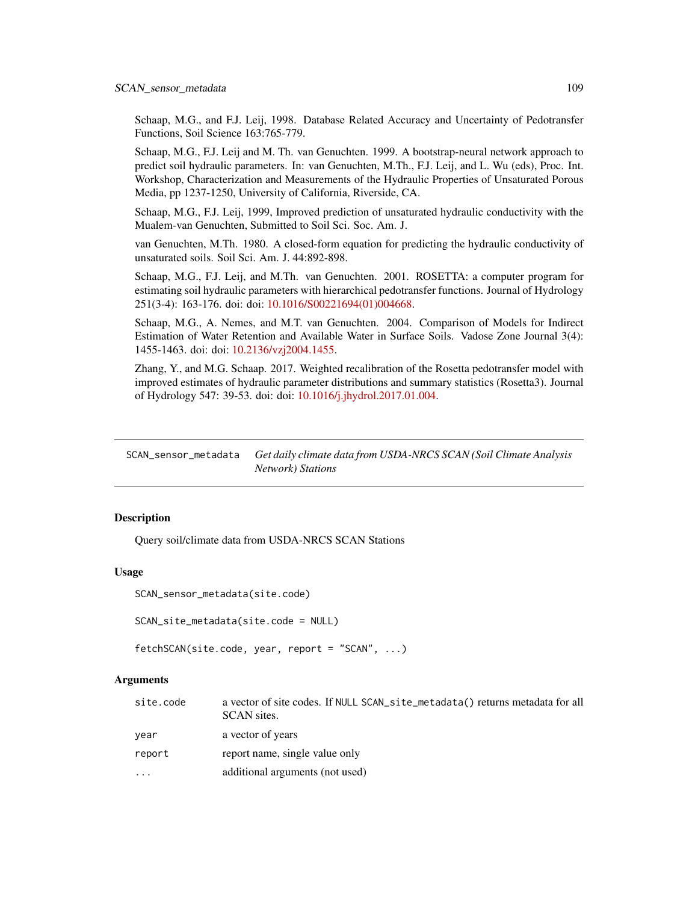<span id="page-108-1"></span>Schaap, M.G., and F.J. Leij, 1998. Database Related Accuracy and Uncertainty of Pedotransfer Functions, Soil Science 163:765-779.

Schaap, M.G., F.J. Leij and M. Th. van Genuchten. 1999. A bootstrap-neural network approach to predict soil hydraulic parameters. In: van Genuchten, M.Th., F.J. Leij, and L. Wu (eds), Proc. Int. Workshop, Characterization and Measurements of the Hydraulic Properties of Unsaturated Porous Media, pp 1237-1250, University of California, Riverside, CA.

Schaap, M.G., F.J. Leij, 1999, Improved prediction of unsaturated hydraulic conductivity with the Mualem-van Genuchten, Submitted to Soil Sci. Soc. Am. J.

van Genuchten, M.Th. 1980. A closed-form equation for predicting the hydraulic conductivity of unsaturated soils. Soil Sci. Am. J. 44:892-898.

Schaap, M.G., F.J. Leij, and M.Th. van Genuchten. 2001. ROSETTA: a computer program for estimating soil hydraulic parameters with hierarchical pedotransfer functions. Journal of Hydrology 251(3-4): 163-176. doi: doi: [10.1016/S00221694\(01\)004668.](https://doi.org/10.1016/S0022-1694(01)00466-8)

Schaap, M.G., A. Nemes, and M.T. van Genuchten. 2004. Comparison of Models for Indirect Estimation of Water Retention and Available Water in Surface Soils. Vadose Zone Journal 3(4): 1455-1463. doi: doi: [10.2136/vzj2004.1455.](https://doi.org/10.2136/vzj2004.1455)

Zhang, Y., and M.G. Schaap. 2017. Weighted recalibration of the Rosetta pedotransfer model with improved estimates of hydraulic parameter distributions and summary statistics (Rosetta3). Journal of Hydrology 547: 39-53. doi: doi: [10.1016/j.jhydrol.2017.01.004.](https://doi.org/10.1016/j.jhydrol.2017.01.004)

SCAN\_sensor\_metadata *Get daily climate data from USDA-NRCS SCAN (Soil Climate Analysis Network) Stations*

#### <span id="page-108-0"></span>**Description**

Query soil/climate data from USDA-NRCS SCAN Stations

# Usage

```
SCAN_sensor_metadata(site.code)
```

```
SCAN_site_metadata(site.code = NULL)
```

```
fetchSCAN(site.code, year, report = "SCAN", ...)
```
# Arguments

| site.code | a vector of site codes. If NULL SCAN_site_metadata() returns metadata for all<br>SCAN sites. |
|-----------|----------------------------------------------------------------------------------------------|
| vear      | a vector of years                                                                            |
| report    | report name, single value only                                                               |
| $\ddotsc$ | additional arguments (not used)                                                              |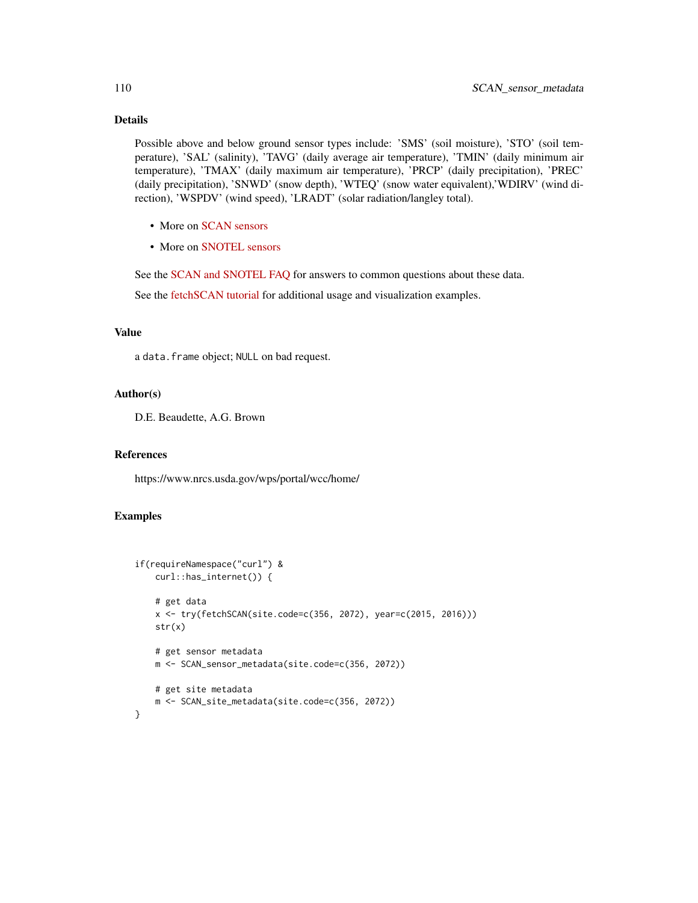# Details

Possible above and below ground sensor types include: 'SMS' (soil moisture), 'STO' (soil temperature), 'SAL' (salinity), 'TAVG' (daily average air temperature), 'TMIN' (daily minimum air temperature), 'TMAX' (daily maximum air temperature), 'PRCP' (daily precipitation), 'PREC' (daily precipitation), 'SNWD' (snow depth), 'WTEQ' (snow water equivalent),'WDIRV' (wind direction), 'WSPDV' (wind speed), 'LRADT' (solar radiation/langley total).

- More on [SCAN sensors](https://www.nrcs.usda.gov/wps/portal/wcc/home/dataAccessHelp/faqs/scanSensors/)
- More on [SNOTEL sensors](https://www.nrcs.usda.gov/wps/portal/wcc/home/dataAccessHelp/faqs/snotelSensors/)

See the [SCAN and SNOTEL FAQ](https://www.nrcs.usda.gov/wps/portal/wcc/home/dataAccessHelp/faqs/) for answers to common questions about these data.

See the [fetchSCAN tutorial](http://ncss-tech.github.io/AQP/soilDB/fetchSCAN-demo.html) for additional usage and visualization examples.

# Value

a data.frame object; NULL on bad request.

#### Author(s)

D.E. Beaudette, A.G. Brown

#### References

https://www.nrcs.usda.gov/wps/portal/wcc/home/

#### Examples

```
if(requireNamespace("curl") &
   curl::has_internet()) {
    # get data
    x <- try(fetchSCAN(site.code=c(356, 2072), year=c(2015, 2016)))
   str(x)
    # get sensor metadata
   m <- SCAN_sensor_metadata(site.code=c(356, 2072))
    # get site metadata
   m <- SCAN_site_metadata(site.code=c(356, 2072))
}
```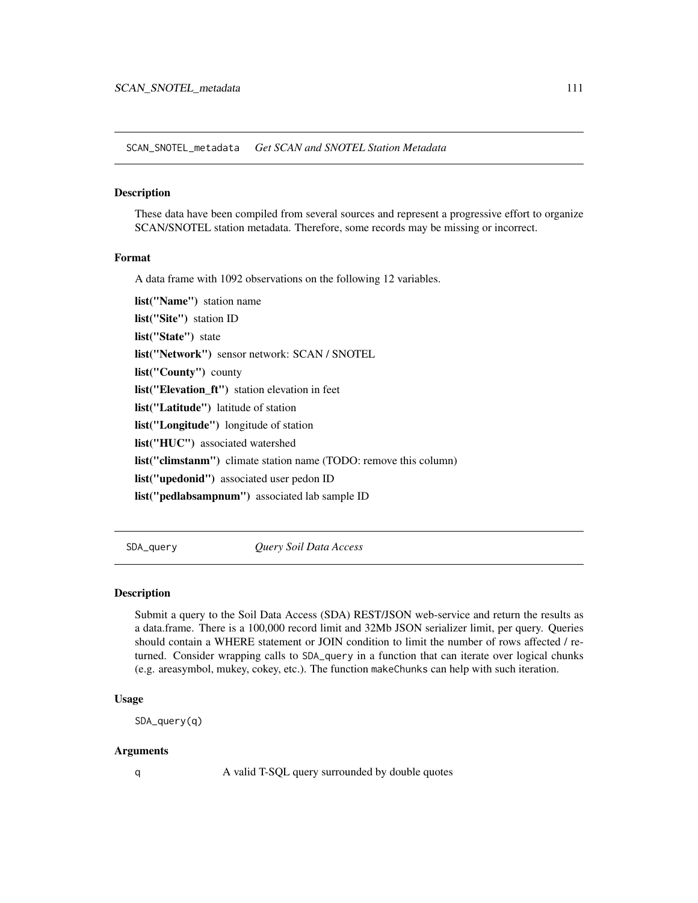<span id="page-110-1"></span>SCAN\_SNOTEL\_metadata *Get SCAN and SNOTEL Station Metadata*

#### Description

These data have been compiled from several sources and represent a progressive effort to organize SCAN/SNOTEL station metadata. Therefore, some records may be missing or incorrect.

#### Format

A data frame with 1092 observations on the following 12 variables.

list("Name") station name list("Site") station ID list("State") state list("Network") sensor network: SCAN / SNOTEL list("County") county list("Elevation\_ft") station elevation in feet list("Latitude") latitude of station list("Longitude") longitude of station list("HUC") associated watershed list("climstanm") climate station name (TODO: remove this column) list("upedonid") associated user pedon ID list("pedlabsampnum") associated lab sample ID

<span id="page-110-0"></span>SDA\_query *Query Soil Data Access*

## **Description**

Submit a query to the Soil Data Access (SDA) REST/JSON web-service and return the results as a data.frame. There is a 100,000 record limit and 32Mb JSON serializer limit, per query. Queries should contain a WHERE statement or JOIN condition to limit the number of rows affected / returned. Consider wrapping calls to SDA\_query in a function that can iterate over logical chunks (e.g. areasymbol, mukey, cokey, etc.). The function makeChunks can help with such iteration.

#### Usage

SDA\_query(q)

#### Arguments

q A valid T-SQL query surrounded by double quotes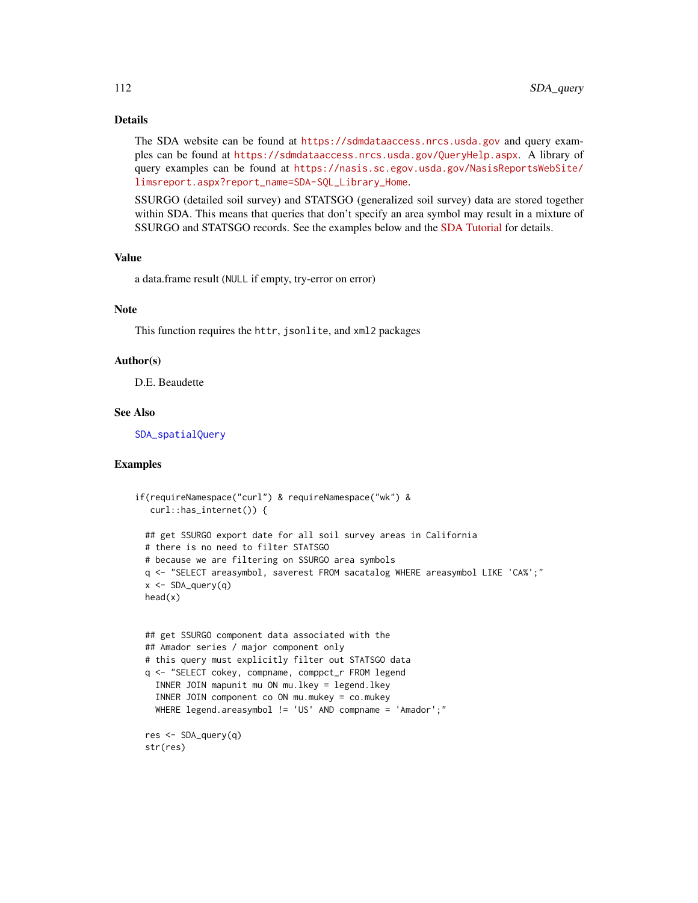# <span id="page-111-0"></span>Details

The SDA website can be found at <https://sdmdataaccess.nrcs.usda.gov> and query examples can be found at <https://sdmdataaccess.nrcs.usda.gov/QueryHelp.aspx>. A library of query examples can be found at [https://nasis.sc.egov.usda.gov/NasisReportsWebSite/](https://nasis.sc.egov.usda.gov/NasisReportsWebSite/limsreport.aspx?report_name=SDA-SQL_Library_Home) [limsreport.aspx?report\\_name=SDA-SQL\\_Library\\_Home](https://nasis.sc.egov.usda.gov/NasisReportsWebSite/limsreport.aspx?report_name=SDA-SQL_Library_Home).

SSURGO (detailed soil survey) and STATSGO (generalized soil survey) data are stored together within SDA. This means that queries that don't specify an area symbol may result in a mixture of SSURGO and STATSGO records. See the examples below and the [SDA Tutorial](http://ncss-tech.github.io/AQP/soilDB/SDA-tutorial.html) for details.

#### Value

a data.frame result (NULL if empty, try-error on error)

#### Note

This function requires the httr, jsonlite, and xml2 packages

#### Author(s)

D.E. Beaudette

# See Also

[SDA\\_spatialQuery](#page-112-0)

# Examples

```
if(requireNamespace("curl") & requireNamespace("wk") &
  curl::has_internet()) {
 ## get SSURGO export date for all soil survey areas in California
 # there is no need to filter STATSGO
 # because we are filtering on SSURGO area symbols
 q <- "SELECT areasymbol, saverest FROM sacatalog WHERE areasymbol LIKE 'CA%';"
 x <- SDA_query(q)
 head(x)
 ## get SSURGO component data associated with the
 ## Amador series / major component only
 # this query must explicitly filter out STATSGO data
 q <- "SELECT cokey, compname, comppct_r FROM legend
   INNER JOIN mapunit mu ON mu.lkey = legend.lkey
   INNER JOIN component co ON mu.mukey = co.mukey
   WHERE legend.areasymbol != 'US' AND compname = 'Amador';"
 res <- SDA_query(q)
 str(res)
```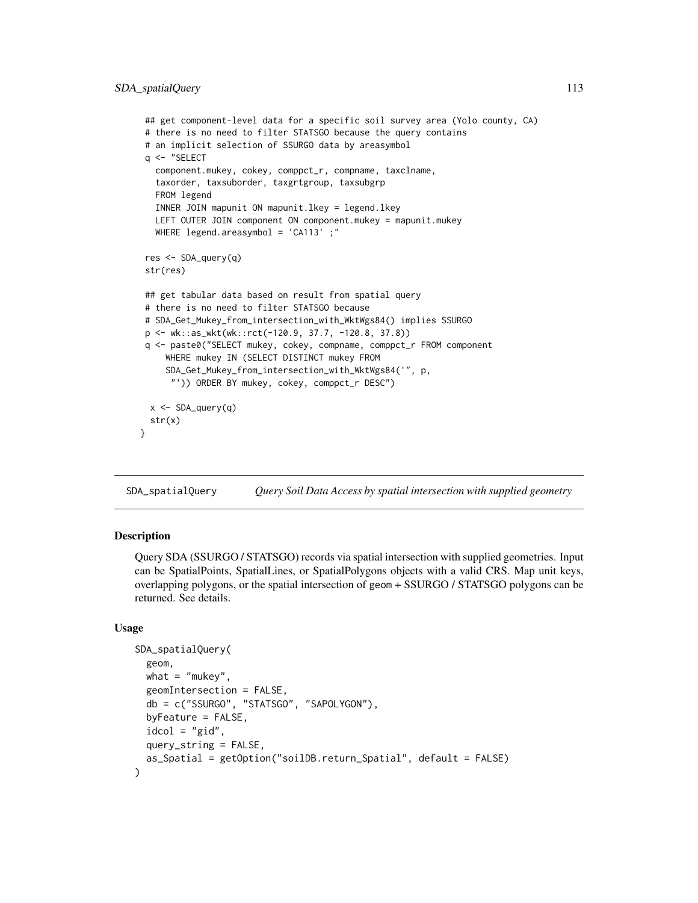```
## get component-level data for a specific soil survey area (Yolo county, CA)
# there is no need to filter STATSGO because the query contains
# an implicit selection of SSURGO data by areasymbol
q <- "SELECT
  component.mukey, cokey, comppct_r, compname, taxclname,
   taxorder, taxsuborder, taxgrtgroup, taxsubgrp
  FROM legend
  INNER JOIN mapunit ON mapunit.lkey = legend.lkey
  LEFT OUTER JOIN component ON component.mukey = mapunit.mukey
  WHERE legend.areasymbol = 'CA113';"
res <- SDA_query(q)
str(res)
## get tabular data based on result from spatial query
# there is no need to filter STATSGO because
# SDA_Get_Mukey_from_intersection_with_WktWgs84() implies SSURGO
p <- wk::as_wkt(wk::rct(-120.9, 37.7, -120.8, 37.8))
q <- paste0("SELECT mukey, cokey, compname, comppct_r FROM component
    WHERE mukey IN (SELECT DISTINCT mukey FROM
     SDA_Get_Mukey_from_intersection_with_WktWgs84('", p,
      "')) ORDER BY mukey, cokey, comppct_r DESC")
 x <- SDA_query(q)
 str(x)
}
```
<span id="page-112-0"></span>SDA\_spatialQuery *Query Soil Data Access by spatial intersection with supplied geometry*

# **Description**

Query SDA (SSURGO / STATSGO) records via spatial intersection with supplied geometries. Input can be SpatialPoints, SpatialLines, or SpatialPolygons objects with a valid CRS. Map unit keys, overlapping polygons, or the spatial intersection of geom + SSURGO / STATSGO polygons can be returned. See details.

# Usage

```
SDA_spatialQuery(
  geom,
  what = "mukey",
  geomIntersection = FALSE,
  db = c("SSURGO", "STATSGO", "SAPOLYGON"),
 byFeature = FALSE,
  idcol = "gid".query_string = FALSE,
  as_Spatial = getOption("soilDB.return_Spatial", default = FALSE)
)
```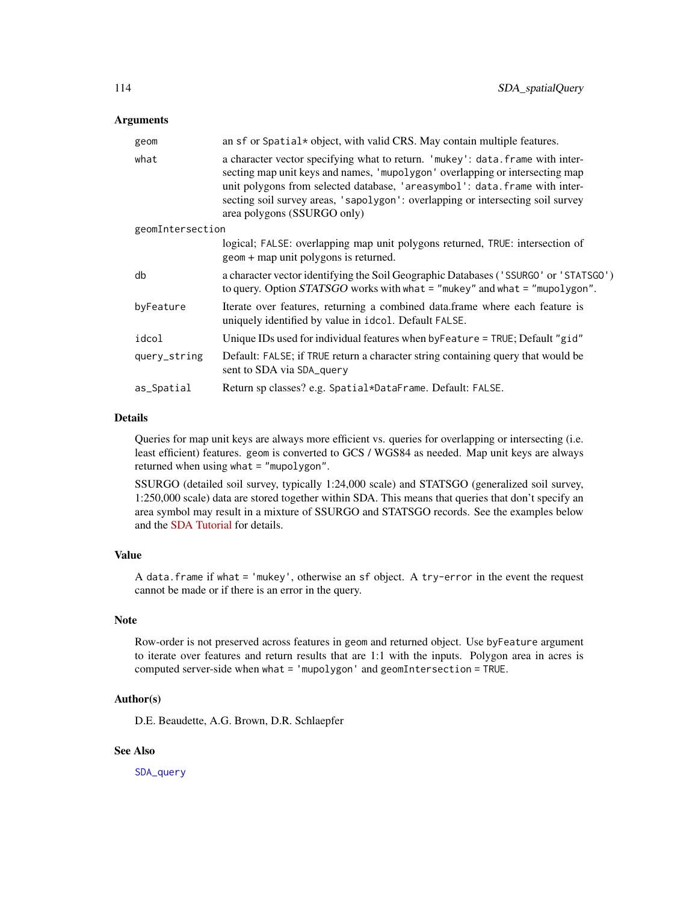#### <span id="page-113-0"></span>Arguments

| geom             | an sf or Spatial* object, with valid CRS. May contain multiple features.                                                                                                                                                                                                                                                                                       |  |
|------------------|----------------------------------------------------------------------------------------------------------------------------------------------------------------------------------------------------------------------------------------------------------------------------------------------------------------------------------------------------------------|--|
| what             | a character vector specifying what to return. 'mukey': data. frame with inter-<br>secting map unit keys and names, 'mupolygon' overlapping or intersecting map<br>unit polygons from selected database, 'areasymbol': data.frame with inter-<br>secting soil survey areas, 'sapolygon': overlapping or intersecting soil survey<br>area polygons (SSURGO only) |  |
| geomIntersection |                                                                                                                                                                                                                                                                                                                                                                |  |
|                  | logical; FALSE: overlapping map unit polygons returned, TRUE: intersection of<br>geom + map unit polygons is returned.                                                                                                                                                                                                                                         |  |
| db               | a character vector identifying the Soil Geographic Databases ('SSURGO' or 'STATSGO')<br>to query. Option $STATSGO$ works with what = "mukey" and what = "mupolygon".                                                                                                                                                                                           |  |
| byFeature        | Iterate over features, returning a combined data.frame where each feature is<br>uniquely identified by value in idcol. Default FALSE.                                                                                                                                                                                                                          |  |
| idcol            | Unique IDs used for individual features when by Feature = TRUE; Default "gid"                                                                                                                                                                                                                                                                                  |  |
| query_string     | Default: FALSE; if TRUE return a character string containing query that would be<br>sent to SDA via SDA_query                                                                                                                                                                                                                                                  |  |
| as_Spatial       | Return sp classes? e.g. Spatial*DataFrame. Default: FALSE.                                                                                                                                                                                                                                                                                                     |  |

#### Details

Queries for map unit keys are always more efficient vs. queries for overlapping or intersecting (i.e. least efficient) features. geom is converted to GCS / WGS84 as needed. Map unit keys are always returned when using what = "mupolygon".

SSURGO (detailed soil survey, typically 1:24,000 scale) and STATSGO (generalized soil survey, 1:250,000 scale) data are stored together within SDA. This means that queries that don't specify an area symbol may result in a mixture of SSURGO and STATSGO records. See the examples below and the [SDA Tutorial](http://ncss-tech.github.io/AQP/soilDB/SDA-tutorial.html) for details.

# Value

A data.frame if what = 'mukey', otherwise an sf object. A try-error in the event the request cannot be made or if there is an error in the query.

# Note

Row-order is not preserved across features in geom and returned object. Use byFeature argument to iterate over features and return results that are 1:1 with the inputs. Polygon area in acres is computed server-side when what = 'mupolygon' and geomIntersection = TRUE.

#### Author(s)

D.E. Beaudette, A.G. Brown, D.R. Schlaepfer

# See Also

[SDA\\_query](#page-110-0)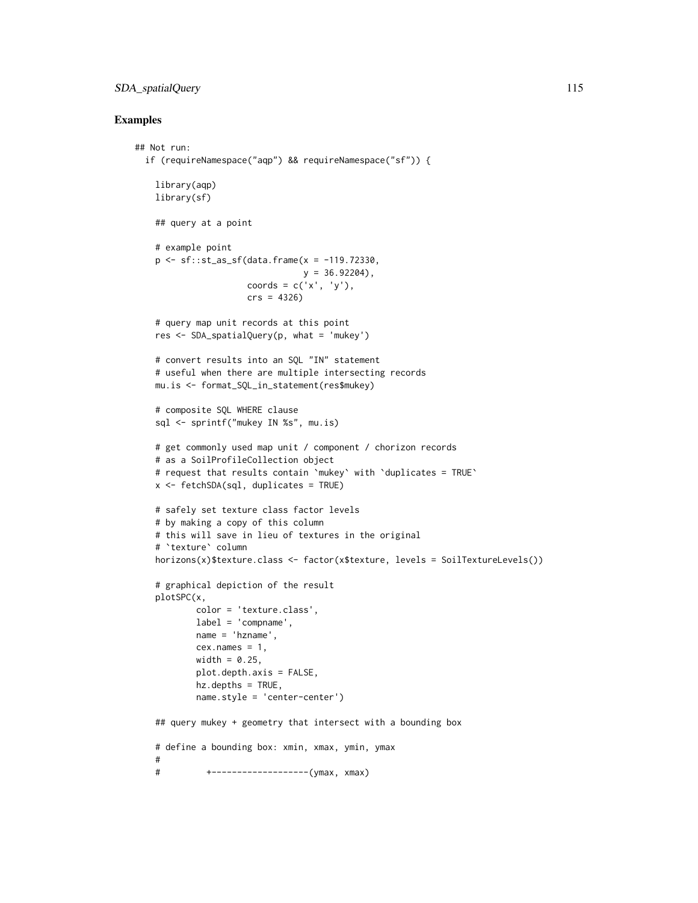# SDA\_spatialQuery 115

#### Examples

```
## Not run:
 if (requireNamespace("aqp") && requireNamespace("sf")) {
   library(aqp)
   library(sf)
    ## query at a point
   # example point
   p <- sf::st_as_sf(data.frame(x = -119.72330,
                              y = 36.92204),
                     coords = c('x', 'y'),crs = 4326)
   # query map unit records at this point
   res <- SDA_spatialQuery(p, what = 'mukey')
   # convert results into an SQL "IN" statement
    # useful when there are multiple intersecting records
   mu.is <- format_SQL_in_statement(res$mukey)
   # composite SQL WHERE clause
   sql <- sprintf("mukey IN %s", mu.is)
   # get commonly used map unit / component / chorizon records
   # as a SoilProfileCollection object
   # request that results contain `mukey` with `duplicates = TRUE`
   x <- fetchSDA(sql, duplicates = TRUE)
   # safely set texture class factor levels
   # by making a copy of this column
    # this will save in lieu of textures in the original
   # `texture` column
   horizons(x)$texture.class <- factor(x$texture, levels = SoilTextureLevels())
   # graphical depiction of the result
   plotSPC(x,
           color = 'texture.class',
           label = 'compname',
           name = 'hzname',
           cex.name = 1,
           width = 0.25,
           plot.depth.axis = FALSE,
           hz.depths = TRUE,
           name.style = 'center-center')
    ## query mukey + geometry that intersect with a bounding box
   # define a bounding box: xmin, xmax, ymin, ymax
    #
   # +-------------------(ymax, xmax)
```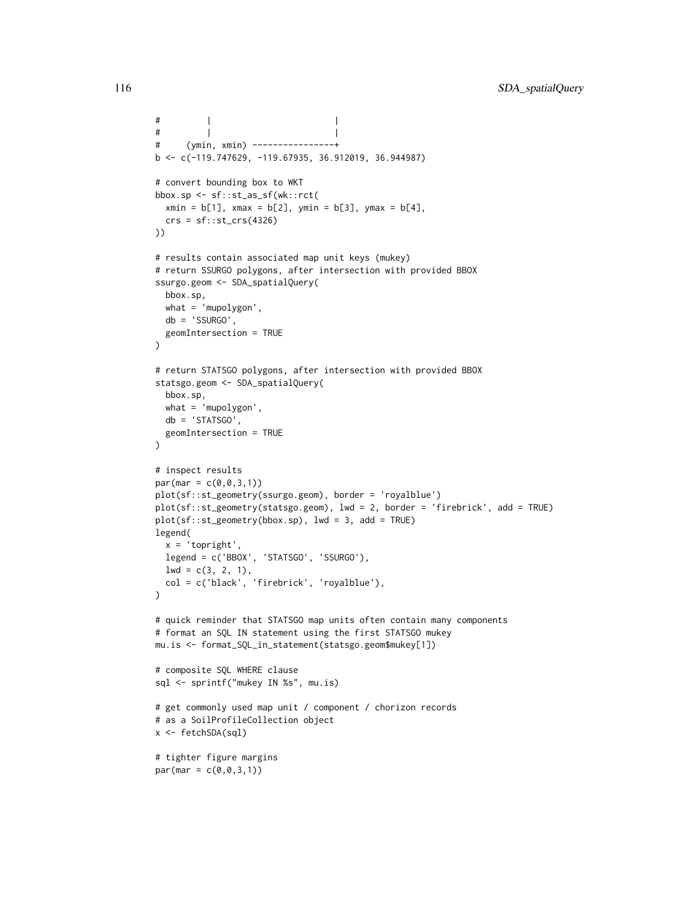```
# | |
# | |
# (ymin, xmin) ----------------+
b \leq c(-119.747629, -119.67935, 36.912019, 36.944987)# convert bounding box to WKT
bbox.sp <- sf::st_as_sf(wk::rct(
  xmin = b[1], xmax = b[2], ymin = b[3], ymax = b[4],crs = sf::st_ccrs(4326)))
# results contain associated map unit keys (mukey)
# return SSURGO polygons, after intersection with provided BBOX
ssurgo.geom <- SDA_spatialQuery(
  bbox.sp,
  what = 'mupolygon',
  db = 'SSURGO',
  geomIntersection = TRUE
\lambda# return STATSGO polygons, after intersection with provided BBOX
statsgo.geom <- SDA_spatialQuery(
  bbox.sp,
  what = 'mupolygon',
  db = 'STATSGO',
  geomIntersection = TRUE
)
# inspect results
par(max = c(0, 0, 3, 1))plot(sf::st_geometry(ssurgo.geom), border = 'royalblue')
plot(sf::st_geometry(statsgo.geom), lwd = 2, border = 'firebrick', add = TRUE)
plot(sf::st\_geometry(bbox(sp), lwd = 3, add = TRUE)legend(
  x = 'topright',legend = c('BBOX', 'STATSGO', 'SSURGO'),
 1wd = c(3, 2, 1),col = c('black', 'firebrick', 'royalblue'),
)
# quick reminder that STATSGO map units often contain many components
# format an SQL IN statement using the first STATSGO mukey
mu.is <- format_SQL_in_statement(statsgo.geom$mukey[1])
# composite SQL WHERE clause
sql <- sprintf("mukey IN %s", mu.is)
# get commonly used map unit / component / chorizon records
# as a SoilProfileCollection object
x <- fetchSDA(sql)
# tighter figure margins
par(max = c(0, 0, 3, 1))
```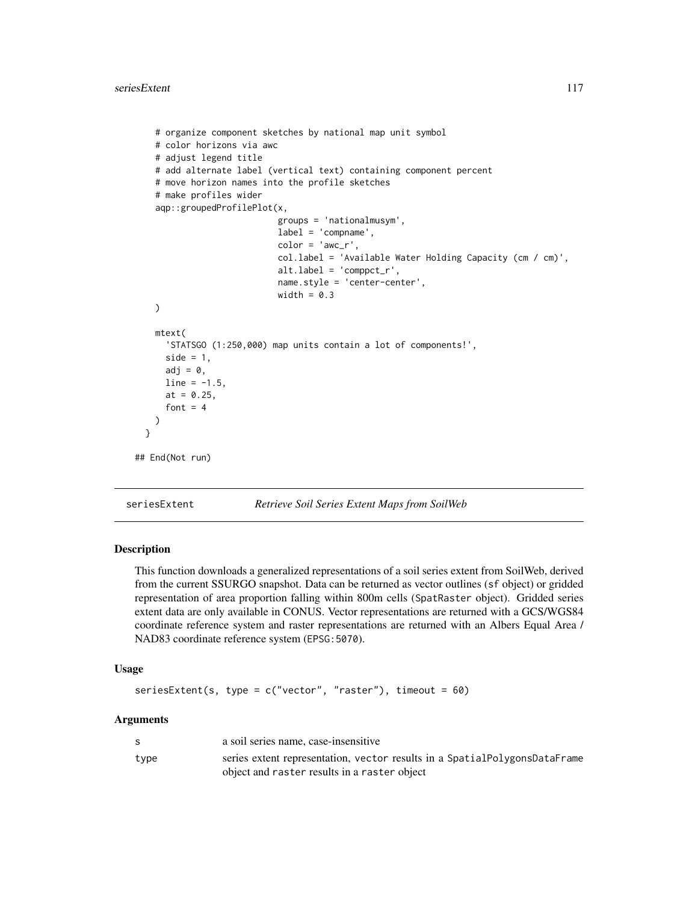```
# organize component sketches by national map unit symbol
    # color horizons via awc
   # adjust legend title
    # add alternate label (vertical text) containing component percent
    # move horizon names into the profile sketches
    # make profiles wider
    aqp::groupedProfilePlot(x,
                            groups = 'nationalmusym',
                            label = 'compname',
                            color = 'awc_r',col.label = 'Available Water Holding Capacity (cm / cm)',
                            alt.label = 'comppct_r',
                            name.style = 'center-center',
                            width = 0.3)
   mtext(
      'STATSGO (1:250,000) map units contain a lot of components!',
     side = 1,
     adj = 0,line = -1.5,
     at = 0.25,font = 4)
 }
## End(Not run)
```

```
seriesExtent Retrieve Soil Series Extent Maps from SoilWeb
```
This function downloads a generalized representations of a soil series extent from SoilWeb, derived from the current SSURGO snapshot. Data can be returned as vector outlines (sf object) or gridded representation of area proportion falling within 800m cells (SpatRaster object). Gridded series extent data are only available in CONUS. Vector representations are returned with a GCS/WGS84 coordinate reference system and raster representations are returned with an Albers Equal Area / NAD83 coordinate reference system (EPSG:5070).

#### Usage

```
seriesExtent(s, type = c("vector", "raster"), timeout = 60)
```
#### Arguments

| -S   | a soil series name, case-insensitive                                                                                       |
|------|----------------------------------------------------------------------------------------------------------------------------|
| type | series extent representation, vector results in a SpatialPolygonsDataFrame<br>object and raster results in a raster object |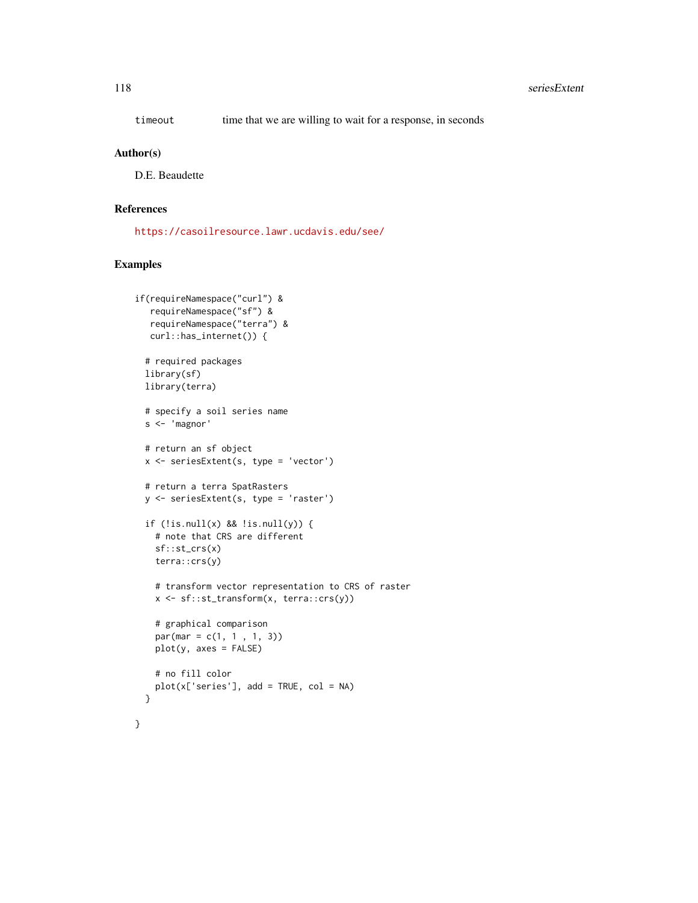timeout time that we are willing to wait for a response, in seconds

#### Author(s)

D.E. Beaudette

# References

<https://casoilresource.lawr.ucdavis.edu/see/>

# Examples

```
if(requireNamespace("curl") &
  requireNamespace("sf") &
  requireNamespace("terra") &
  curl::has_internet()) {
 # required packages
 library(sf)
 library(terra)
 # specify a soil series name
 s <- 'magnor'
 # return an sf object
 x <- seriesExtent(s, type = 'vector')
 # return a terra SpatRasters
 y <- seriesExtent(s, type = 'raster')
 if (!is.null(x) && !is.null(y)) {
    # note that CRS are different
   sf::st_crs(x)
   terra::crs(y)
   # transform vector representation to CRS of raster
   x <- sf::st_transform(x, terra::crs(y))
   # graphical comparison
   par(max = c(1, 1, 1, 3))plot(y, axes = FALSE)
   # no fill color
   plot(x['series'], add = TRUE, col = NA)}
}
```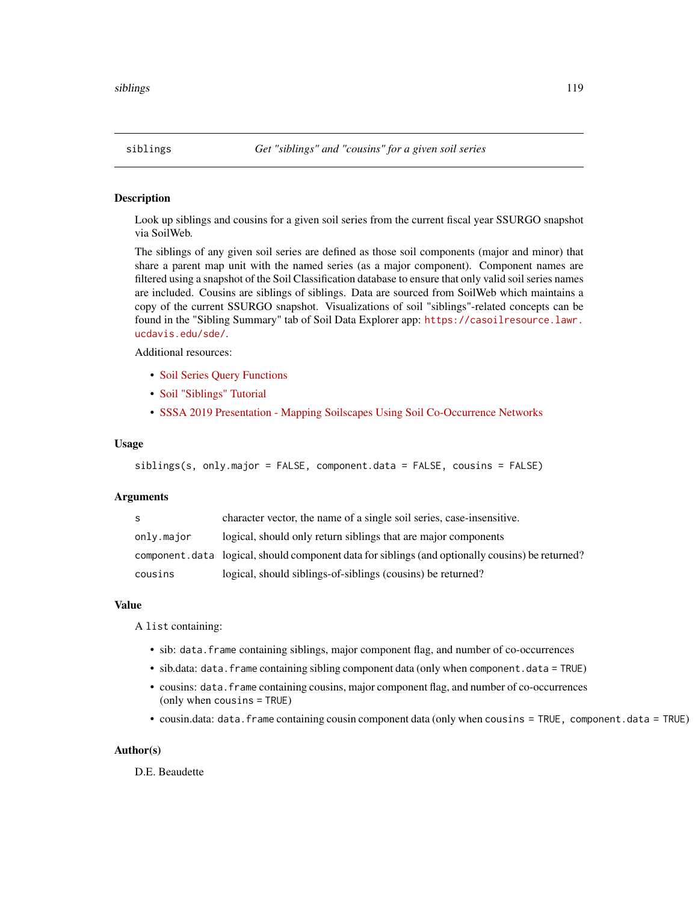<span id="page-118-1"></span><span id="page-118-0"></span>

Look up siblings and cousins for a given soil series from the current fiscal year SSURGO snapshot via SoilWeb.

The siblings of any given soil series are defined as those soil components (major and minor) that share a parent map unit with the named series (as a major component). Component names are filtered using a snapshot of the Soil Classification database to ensure that only valid soil series names are included. Cousins are siblings of siblings. Data are sourced from SoilWeb which maintains a copy of the current SSURGO snapshot. Visualizations of soil "siblings"-related concepts can be found in the "Sibling Summary" tab of Soil Data Explorer app: [https://casoilresource.lawr.](https://casoilresource.lawr.ucdavis.edu/sde/) [ucdavis.edu/sde/](https://casoilresource.lawr.ucdavis.edu/sde/).

Additional resources:

- [Soil Series Query Functions](http://ncss-tech.github.io/AQP/soilDB/soil-series-query-functions.html)
- [Soil "Siblings" Tutorial](http://ncss-tech.github.io/AQP/soilDB/siblings.html)
- [SSSA 2019 Presentation Mapping Soilscapes Using Soil Co-Occurrence Networks](http://ncss-tech.github.io/AQP/presentations/beaudette-soil-networks-2019-www.pdf)

#### Usage

```
siblings(s, only.major = FALSE, component.data = FALSE, cousins = FALSE)
```
#### Arguments

| S.         | character vector, the name of a single soil series, case-insensitive.                             |
|------------|---------------------------------------------------------------------------------------------------|
| only.major | logical, should only return siblings that are major components                                    |
|            | component. data logical, should component data for siblings (and optionally cousins) be returned? |
| cousins    | logical, should siblings-of-siblings (cousins) be returned?                                       |

#### Value

A list containing:

- sib: data. frame containing siblings, major component flag, and number of co-occurrences
- sib.data: data.frame containing sibling component data (only when component.data = TRUE)
- cousins: data.frame containing cousins, major component flag, and number of co-occurrences (only when cousins = TRUE)
- cousin.data: data. frame containing cousin component data (only when cousins = TRUE, component.data = TRUE)

#### Author(s)

D.E. Beaudette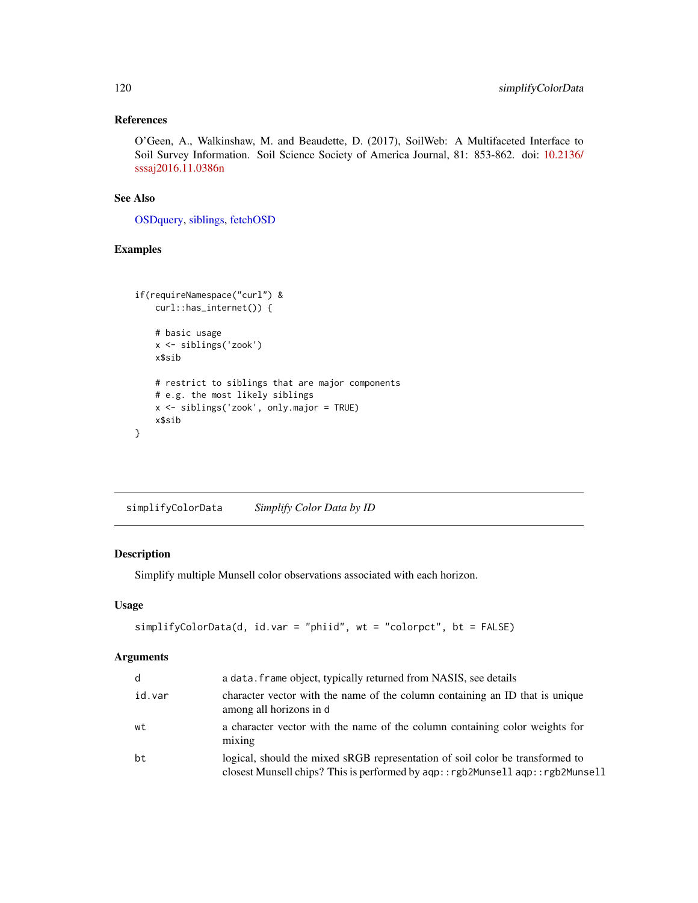# References

O'Geen, A., Walkinshaw, M. and Beaudette, D. (2017), SoilWeb: A Multifaceted Interface to Soil Survey Information. Soil Science Society of America Journal, 81: 853-862. doi: [10.2136/](https://doi.org/10.2136/sssaj2016.11.0386n) [sssaj2016.11.0386n](https://doi.org/10.2136/sssaj2016.11.0386n)

#### See Also

[OSDquery,](#page-102-0) [siblings,](#page-118-0) [fetchOSD](#page-19-0)

# Examples

```
if(requireNamespace("curl") &
    curl::has_internet()) {
   # basic usage
   x <- siblings('zook')
   x$sib
   # restrict to siblings that are major components
   # e.g. the most likely siblings
   x <- siblings('zook', only.major = TRUE)
   x$sib
}
```
simplifyColorData *Simplify Color Data by ID*

# Description

Simplify multiple Munsell color observations associated with each horizon.

#### Usage

```
simplifyColorData(d, id.var = "phiid", wt = "colorpct", bt = FALSE)
```
#### Arguments

| d      | a data. frame object, typically returned from NASIS, see details                                                                                               |
|--------|----------------------------------------------------------------------------------------------------------------------------------------------------------------|
| id.var | character vector with the name of the column containing an ID that is unique<br>among all horizons in d                                                        |
| wt     | a character vector with the name of the column containing color weights for<br>mixing                                                                          |
| bt     | logical, should the mixed sRGB representation of soil color be transformed to<br>closest Munsell chips? This is performed by aqp::rgb2Munsell aqp::rgb2Munsell |

<span id="page-119-0"></span>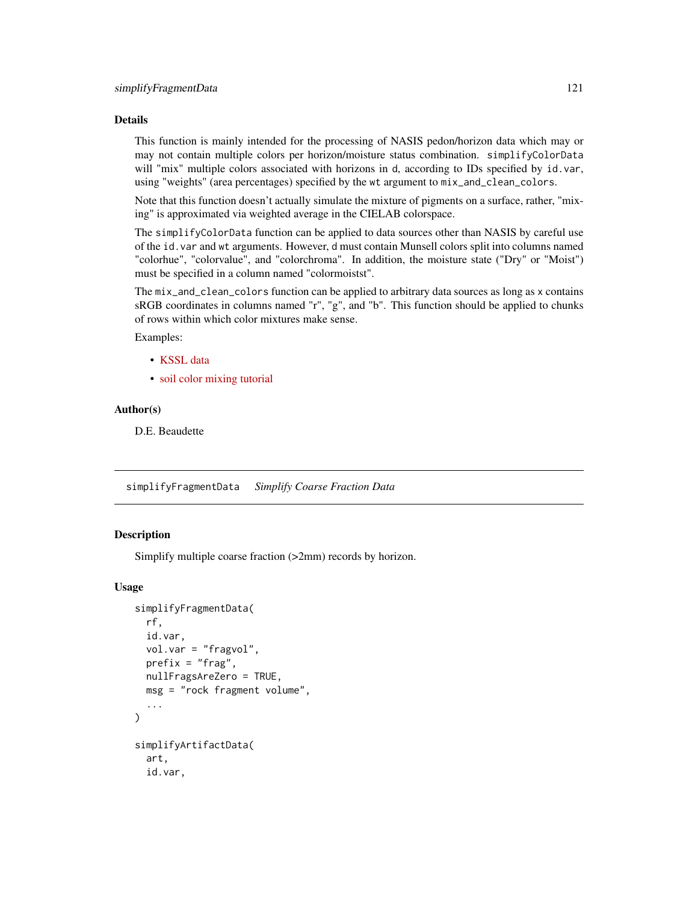# <span id="page-120-0"></span>Details

This function is mainly intended for the processing of NASIS pedon/horizon data which may or may not contain multiple colors per horizon/moisture status combination. simplifyColorData will "mix" multiple colors associated with horizons in d, according to IDs specified by id. var, using "weights" (area percentages) specified by the wt argument to mix\_and\_clean\_colors.

Note that this function doesn't actually simulate the mixture of pigments on a surface, rather, "mixing" is approximated via weighted average in the CIELAB colorspace.

The simplifyColorData function can be applied to data sources other than NASIS by careful use of the id.var and wt arguments. However, d must contain Munsell colors split into columns named "colorhue", "colorvalue", and "colorchroma". In addition, the moisture state ("Dry" or "Moist") must be specified in a column named "colormoistst".

The mix\_and\_clean\_colors function can be applied to arbitrary data sources as long as x contains sRGB coordinates in columns named "r", "g", and "b". This function should be applied to chunks of rows within which color mixtures make sense.

Examples:

- [KSSL data](http://ncss-tech.github.io/AQP/soilDB/KSSL-demo.html)
- [soil color mixing tutorial](http://ncss-tech.github.io/AQP/soilDB/mixing-soil-color-data.html)

#### Author(s)

D.E. Beaudette

simplifyFragmentData *Simplify Coarse Fraction Data*

# Description

Simplify multiple coarse fraction (>2mm) records by horizon.

#### Usage

```
simplifyFragmentData(
  rf,
  id.var,
  vol.var = "fragvol",
 prefix = "frag",nullFragsAreZero = TRUE,
 msg = "rock fragment volume",
  ...
)
simplifyArtifactData(
  art,
  id.var,
```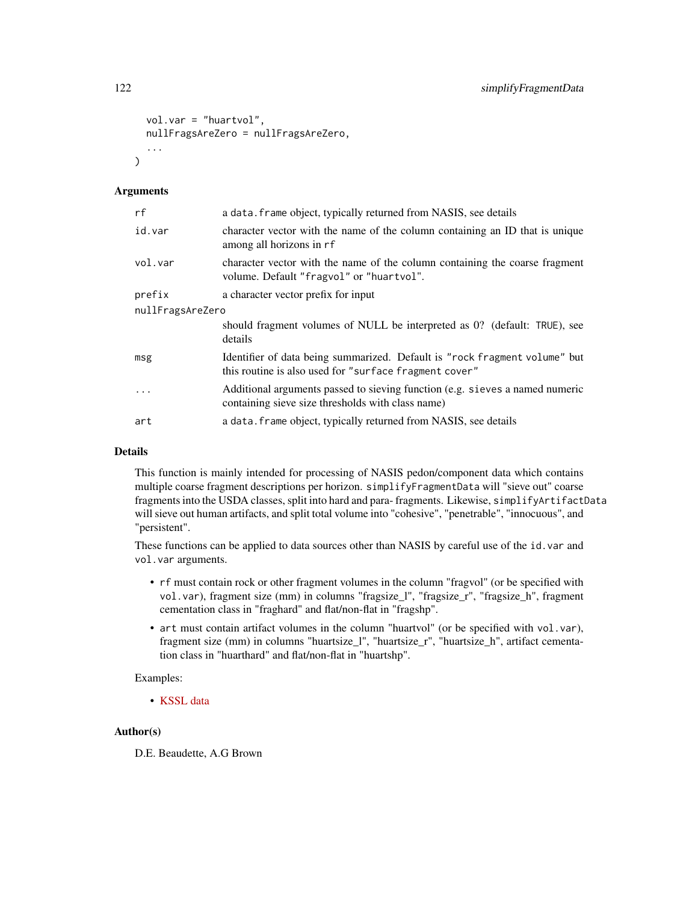```
vol.var = "huartvol",
nullFragsAreZero = nullFragsAreZero,
...
```
# Arguments

 $\lambda$ 

| rf               | a data. frame object, typically returned from NASIS, see details                                                                     |  |
|------------------|--------------------------------------------------------------------------------------------------------------------------------------|--|
| id.var           | character vector with the name of the column containing an ID that is unique<br>among all horizons in rf                             |  |
| vol.var          | character vector with the name of the column containing the coarse fragment<br>volume. Default "fragvol" or "huartvol".              |  |
| prefix           | a character vector prefix for input                                                                                                  |  |
| nullFragsAreZero |                                                                                                                                      |  |
|                  | should fragment volumes of NULL be interpreted as 0? (default: TRUE), see<br>details                                                 |  |
| msg              | Identifier of data being summarized. Default is "rock fragment volume" but<br>this routine is also used for "surface fragment cover" |  |
| $\cdots$         | Additional arguments passed to sieving function (e.g. sieves a named numeric<br>containing sieve size thresholds with class name)    |  |
| art              | a data. frame object, typically returned from NASIS, see details                                                                     |  |

### Details

This function is mainly intended for processing of NASIS pedon/component data which contains multiple coarse fragment descriptions per horizon. simplifyFragmentData will "sieve out" coarse fragments into the USDA classes, split into hard and para- fragments. Likewise, simplifyArtifactData will sieve out human artifacts, and split total volume into "cohesive", "penetrable", "innocuous", and "persistent".

These functions can be applied to data sources other than NASIS by careful use of the id.var and vol.var arguments.

- rf must contain rock or other fragment volumes in the column "fragvol" (or be specified with vol.var), fragment size (mm) in columns "fragsize\_l", "fragsize\_r", "fragsize\_h", fragment cementation class in "fraghard" and flat/non-flat in "fragshp".
- art must contain artifact volumes in the column "huartvol" (or be specified with vol.var), fragment size (mm) in columns "huartsize\_l", "huartsize\_r", "huartsize\_h", artifact cementation class in "huarthard" and flat/non-flat in "huartshp".

# Examples:

• [KSSL data](http://ncss-tech.github.io/AQP/soilDB/KSSL-demo.html)

#### Author(s)

D.E. Beaudette, A.G Brown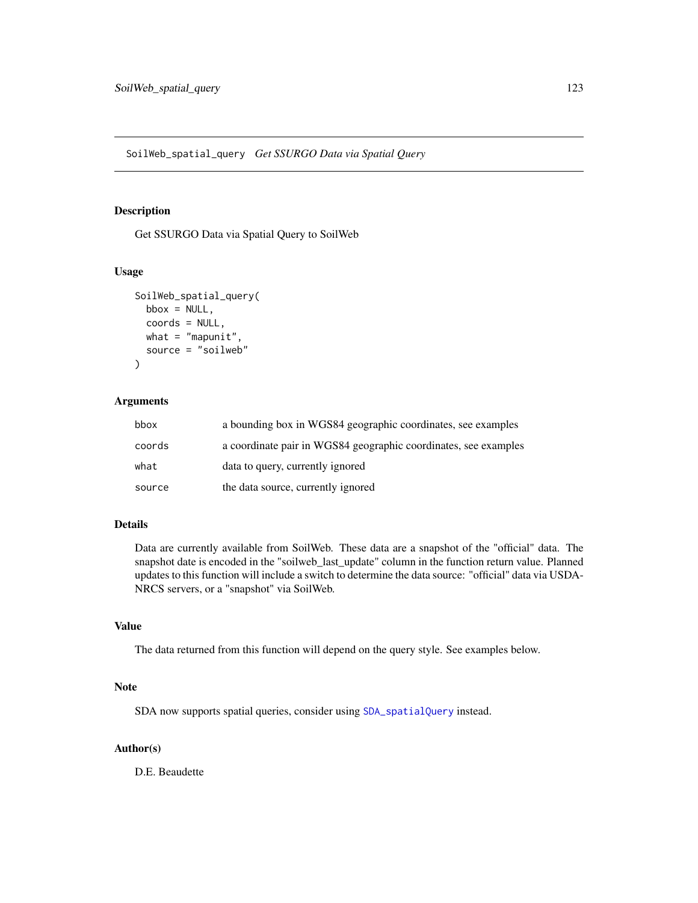<span id="page-122-0"></span>Get SSURGO Data via Spatial Query to SoilWeb

# Usage

```
SoilWeb_spatial_query(
 bbox = NULL,coords = NULL,
 what = "mapunit",
  source = "soilweb"
)
```
# Arguments

| bbox   | a bounding box in WGS84 geographic coordinates, see examples    |
|--------|-----------------------------------------------------------------|
| coords | a coordinate pair in WGS84 geographic coordinates, see examples |
| what   | data to query, currently ignored                                |
| source | the data source, currently ignored                              |

# Details

Data are currently available from SoilWeb. These data are a snapshot of the "official" data. The snapshot date is encoded in the "soilweb\_last\_update" column in the function return value. Planned updates to this function will include a switch to determine the data source: "official" data via USDA-NRCS servers, or a "snapshot" via SoilWeb.

# Value

The data returned from this function will depend on the query style. See examples below.

#### Note

SDA now supports spatial queries, consider using [SDA\\_spatialQuery](#page-112-0) instead.

# Author(s)

D.E. Beaudette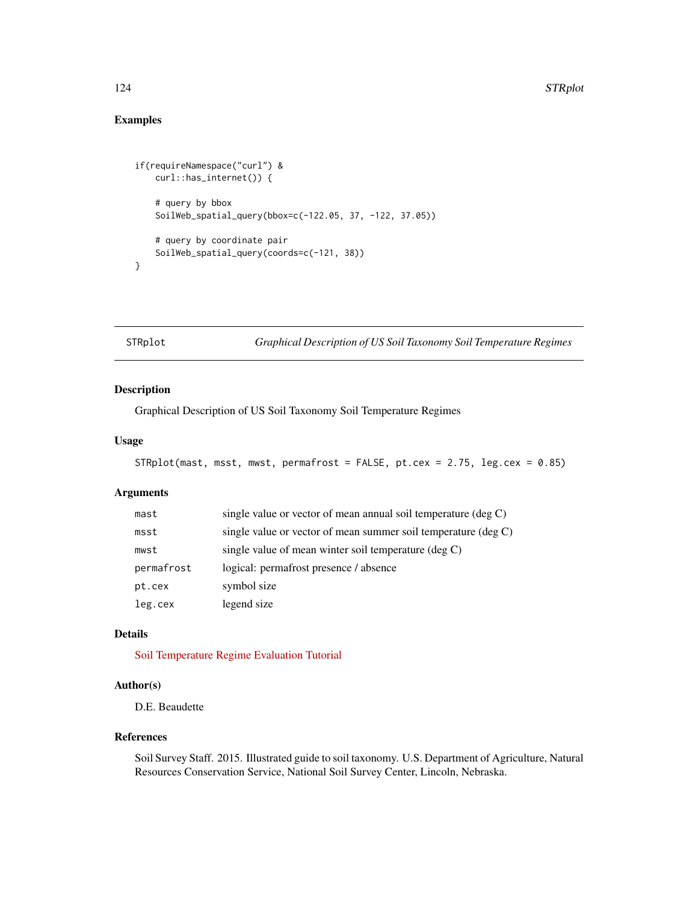# <span id="page-123-0"></span>Examples

```
if(requireNamespace("curl") &
   curl::has_internet()) {
    # query by bbox
   SoilWeb_spatial_query(bbox=c(-122.05, 37, -122, 37.05))
   # query by coordinate pair
   SoilWeb_spatial_query(coords=c(-121, 38))
}
```
STRplot *Graphical Description of US Soil Taxonomy Soil Temperature Regimes*

# Description

Graphical Description of US Soil Taxonomy Soil Temperature Regimes

# Usage

```
STRplot(mast, msst, mwst, permafrost = FALSE, pt.cex = 2.75, leg.cex = 0.85)
```
# Arguments

| mast       | single value or vector of mean annual soil temperature $(\deg C)$ |
|------------|-------------------------------------------------------------------|
| msst       | single value or vector of mean summer soil temperature $(\deg C)$ |
| mwst       | single value of mean winter soil temperature $(\deg C)$           |
| permafrost | logical: permafrost presence / absence                            |
| pt.cex     | symbol size                                                       |
| leg.cex    | legend size                                                       |

# Details

[Soil Temperature Regime Evaluation Tutorial](http://ncss-tech.github.io/AQP/soilDB/STR-eval.html)

#### Author(s)

D.E. Beaudette

#### References

Soil Survey Staff. 2015. Illustrated guide to soil taxonomy. U.S. Department of Agriculture, Natural Resources Conservation Service, National Soil Survey Center, Lincoln, Nebraska.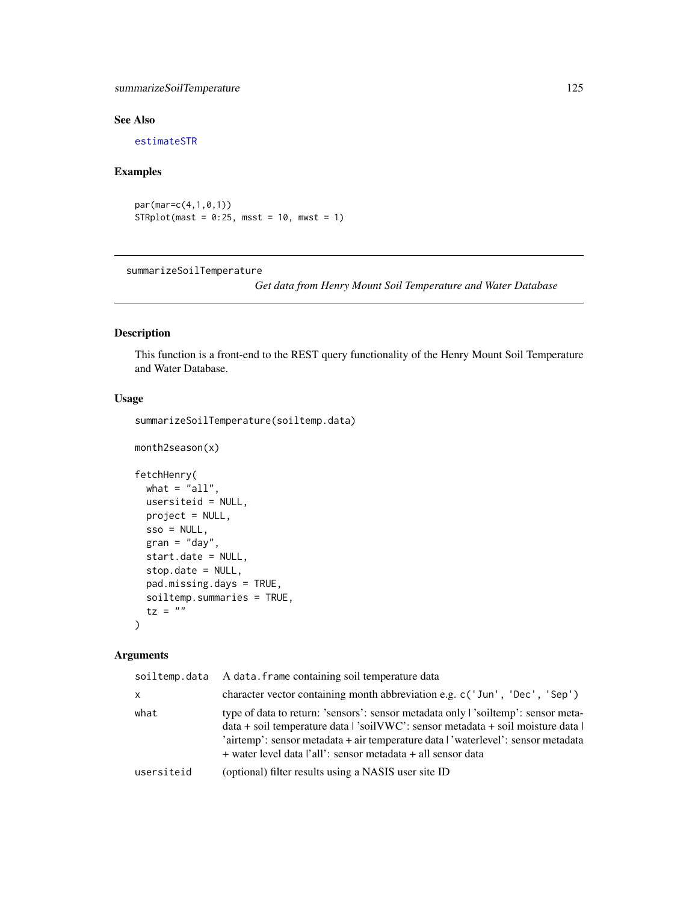# <span id="page-124-0"></span>summarizeSoilTemperature 125

# See Also

[estimateSTR](#page-8-0)

# Examples

par(mar=c(4,1,0,1))  $STRplot(maxt = 0:25, msst = 10, mwst = 1)$ 

summarizeSoilTemperature

*Get data from Henry Mount Soil Temperature and Water Database*

# Description

This function is a front-end to the REST query functionality of the Henry Mount Soil Temperature and Water Database.

# Usage

summarizeSoilTemperature(soiltemp.data)

```
month2season(x)
fetchHenry(
  what = "all",usersiteid = NULL,
 project = NULL,
  sso = NULL,gran = "day",start.date = NULL,
  stop.date = NULL,
  pad.missing.days = TRUE,
  soiltemp.summaries = TRUE,
  tz = ""\mathcal{L}
```
# Arguments

| soiltemp.data | A data. frame containing soil temperature data                                                                                                                                                                                                                                                                                             |
|---------------|--------------------------------------------------------------------------------------------------------------------------------------------------------------------------------------------------------------------------------------------------------------------------------------------------------------------------------------------|
| x             | character vector containing month abbreviation e.g. c('Jun', 'Dec', 'Sep')                                                                                                                                                                                                                                                                 |
| what          | type of data to return: 'sensors': sensor metadata only   'soiltemp': sensor meta-<br>$data + soil temperature data$ $\frac{3}{2}$ soil $WWC$ : sensor metadata + soil moisture data  <br>'airtemp': sensor metadata + air temperature data l'waterlevel': sensor metadata<br>+ water level data l'all': sensor metadata + all sensor data |
| usersiteid    | (optional) filter results using a NASIS user site ID                                                                                                                                                                                                                                                                                       |
|               |                                                                                                                                                                                                                                                                                                                                            |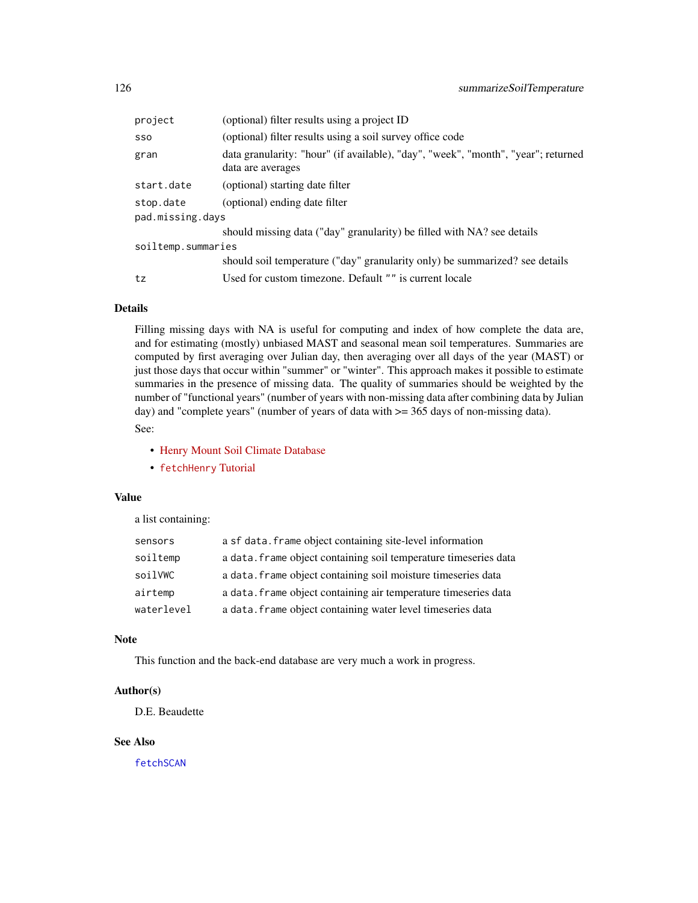<span id="page-125-0"></span>

| (optional) filter results using a project ID                                                           |  |  |
|--------------------------------------------------------------------------------------------------------|--|--|
| (optional) filter results using a soil survey office code                                              |  |  |
| data granularity: "hour" (if available), "day", "week", "month", "year"; returned<br>data are averages |  |  |
| (optional) starting date filter                                                                        |  |  |
| (optional) ending date filter                                                                          |  |  |
| pad.missing.days                                                                                       |  |  |
| should missing data ("day" granularity) be filled with NA? see details                                 |  |  |
| soiltemp.summaries                                                                                     |  |  |
| should soil temperature ("day" granularity only) be summarized? see details                            |  |  |
| Used for custom timezone. Default "" is current locale                                                 |  |  |
|                                                                                                        |  |  |

# Details

Filling missing days with NA is useful for computing and index of how complete the data are, and for estimating (mostly) unbiased MAST and seasonal mean soil temperatures. Summaries are computed by first averaging over Julian day, then averaging over all days of the year (MAST) or just those days that occur within "summer" or "winter". This approach makes it possible to estimate summaries in the presence of missing data. The quality of summaries should be weighted by the number of "functional years" (number of years with non-missing data after combining data by Julian day) and "complete years" (number of years of data with  $\ge$  = 365 days of non-missing data). See:

- [Henry Mount Soil Climate Database](http://soilmap2-1.lawr.ucdavis.edu/henry/)
- [fetchHenry](http://ncss-tech.github.io/AQP/soilDB/Henry-demo.html) Tutorial

#### Value

a list containing:

| sensors    | a sf data. frame object containing site-level information        |
|------------|------------------------------------------------------------------|
| soiltemp   | a data. frame object containing soil temperature timeseries data |
| soilVWC    | a data. frame object containing soil moisture timeseries data    |
| airtemp    | a data. frame object containing air temperature timeseries data  |
| waterlevel | a data. frame object containing water level timeseries data      |

# Note

This function and the back-end database are very much a work in progress.

# Author(s)

D.E. Beaudette

#### See Also

[fetchSCAN](#page-108-0)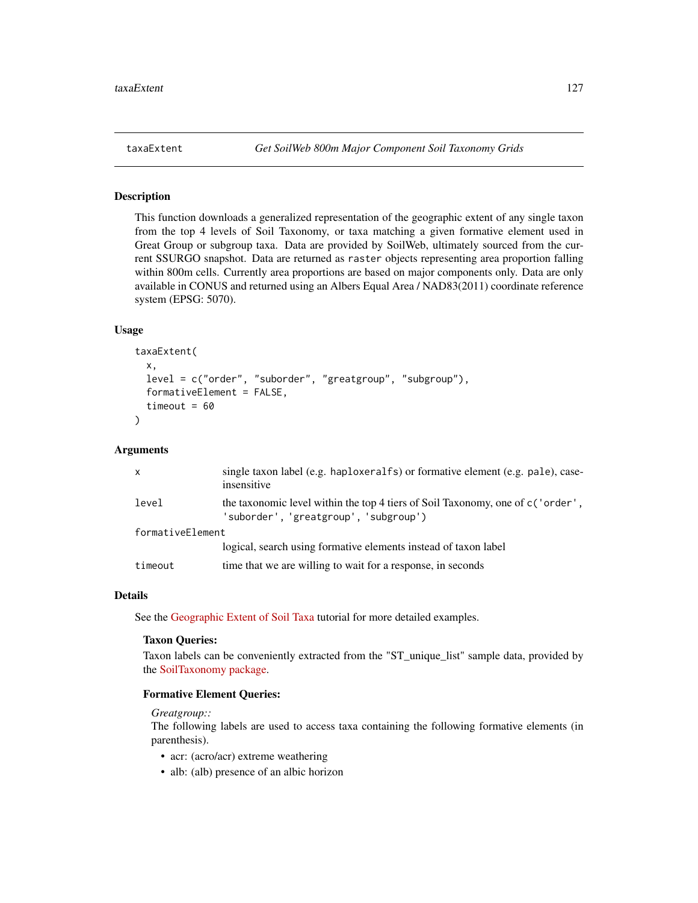<span id="page-126-0"></span>

This function downloads a generalized representation of the geographic extent of any single taxon from the top 4 levels of Soil Taxonomy, or taxa matching a given formative element used in Great Group or subgroup taxa. Data are provided by SoilWeb, ultimately sourced from the current SSURGO snapshot. Data are returned as raster objects representing area proportion falling within 800m cells. Currently area proportions are based on major components only. Data are only available in CONUS and returned using an Albers Equal Area / NAD83(2011) coordinate reference system (EPSG: 5070).

#### Usage

```
taxaExtent(
  x,
  level = c("order", "suborder", "greatgroup", "subgroup"),
  formativeElement = FALSE,
  timeout = 60)
```
#### Arguments

| $\times$         | single taxon label (e.g. haploxeralfs) or formative element (e.g. pale), case-<br>insensitive                            |  |
|------------------|--------------------------------------------------------------------------------------------------------------------------|--|
| level            | the taxonomic level within the top 4 tiers of Soil Taxonomy, one of c ('order',<br>'suborder', 'greatgroup', 'subgroup') |  |
| formativeElement |                                                                                                                          |  |
|                  | logical, search using formative elements instead of taxon label                                                          |  |
| timeout          | time that we are willing to wait for a response, in seconds                                                              |  |

#### Details

See the [Geographic Extent of Soil Taxa](https://ncss-tech.github.io/AQP/soilDB/taxa-extent.html) tutorial for more detailed examples.

#### Taxon Queries:

Taxon labels can be conveniently extracted from the "ST\_unique\_list" sample data, provided by the [SoilTaxonomy package.](https://github.com/ncss-tech/SoilTaxonomy)

#### Formative Element Queries:

# *Greatgroup::*

The following labels are used to access taxa containing the following formative elements (in parenthesis).

- acr: (acro/acr) extreme weathering
- alb: (alb) presence of an albic horizon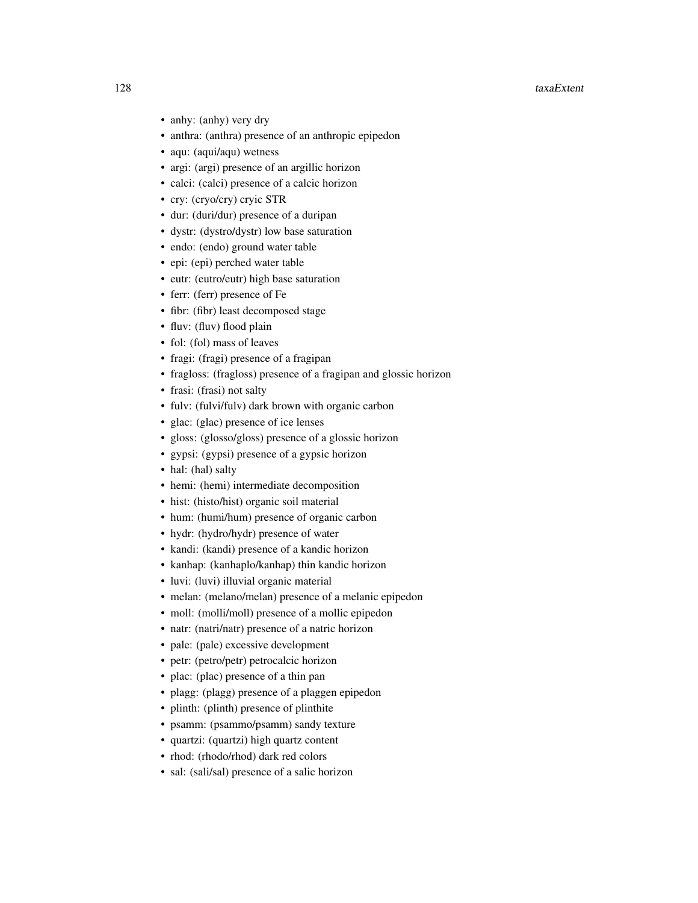#### 128 taxaExtent control and the control of the control of the control of the control of the control of the control of the control of the control of the control of the control of the control of the control of the control of

- anhy: (anhy) very dry
- anthra: (anthra) presence of an anthropic epipedon
- aqu: (aqui/aqu) wetness
- argi: (argi) presence of an argillic horizon
- calci: (calci) presence of a calcic horizon
- cry: (cryo/cry) cryic STR
- dur: (duri/dur) presence of a duripan
- dystr: (dystro/dystr) low base saturation
- endo: (endo) ground water table
- epi: (epi) perched water table
- eutr: (eutro/eutr) high base saturation
- ferr: (ferr) presence of Fe
- fibr: (fibr) least decomposed stage
- fluv: (fluv) flood plain
- fol: (fol) mass of leaves
- fragi: (fragi) presence of a fragipan
- fragloss: (fragloss) presence of a fragipan and glossic horizon
- frasi: (frasi) not salty
- fulv: (fulvi/fulv) dark brown with organic carbon
- glac: (glac) presence of ice lenses
- gloss: (glosso/gloss) presence of a glossic horizon
- gypsi: (gypsi) presence of a gypsic horizon
- hal: (hal) salty
- hemi: (hemi) intermediate decomposition
- hist: (histo/hist) organic soil material
- hum: (humi/hum) presence of organic carbon
- hydr: (hydro/hydr) presence of water
- kandi: (kandi) presence of a kandic horizon
- kanhap: (kanhaplo/kanhap) thin kandic horizon
- luvi: (luvi) illuvial organic material
- melan: (melano/melan) presence of a melanic epipedon
- moll: (molli/moll) presence of a mollic epipedon
- natr: (natri/natr) presence of a natric horizon
- pale: (pale) excessive development
- petr: (petro/petr) petrocalcic horizon
- plac: (plac) presence of a thin pan
- plagg: (plagg) presence of a plaggen epipedon
- plinth: (plinth) presence of plinthite
- psamm: (psammo/psamm) sandy texture
- quartzi: (quartzi) high quartz content
- rhod: (rhodo/rhod) dark red colors
- sal: (sali/sal) presence of a salic horizon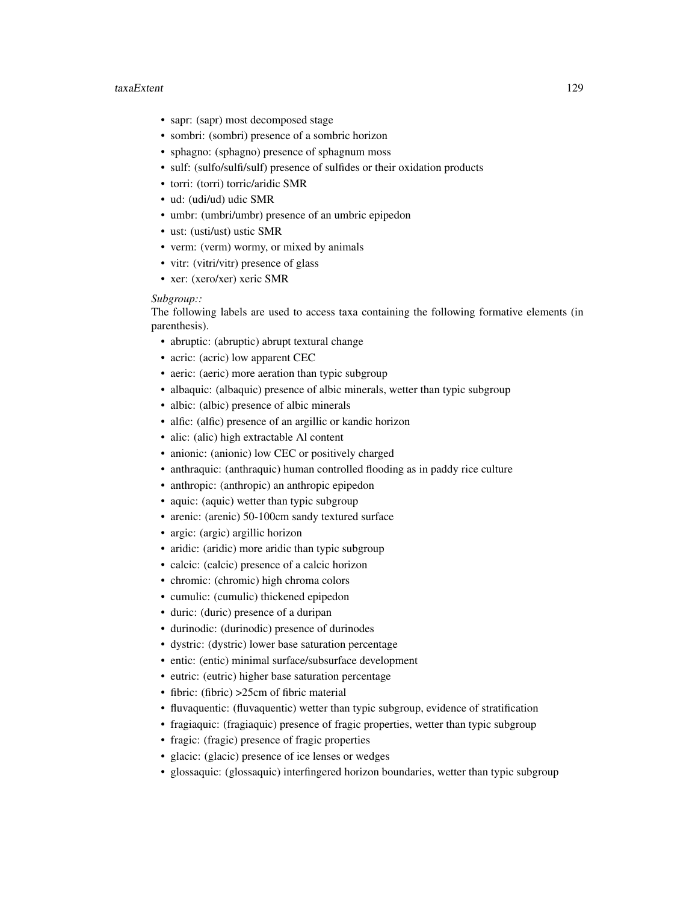#### taxaExtent 129

- sapr: (sapr) most decomposed stage
- sombri: (sombri) presence of a sombric horizon
- sphagno: (sphagno) presence of sphagnum moss
- sulf: (sulfo/sulfi/sulf) presence of sulfides or their oxidation products
- torri: (torri) torric/aridic SMR
- ud: (udi/ud) udic SMR
- umbr: (umbri/umbr) presence of an umbric epipedon
- ust: (usti/ust) ustic SMR
- verm: (verm) wormy, or mixed by animals
- vitr: (vitri/vitr) presence of glass
- xer: (xero/xer) xeric SMR

#### *Subgroup::*

The following labels are used to access taxa containing the following formative elements (in parenthesis).

- abruptic: (abruptic) abrupt textural change
- acric: (acric) low apparent CEC
- aeric: (aeric) more aeration than typic subgroup
- albaquic: (albaquic) presence of albic minerals, wetter than typic subgroup
- albic: (albic) presence of albic minerals
- alfic: (alfic) presence of an argillic or kandic horizon
- alic: (alic) high extractable Al content
- anionic: (anionic) low CEC or positively charged
- anthraquic: (anthraquic) human controlled flooding as in paddy rice culture
- anthropic: (anthropic) an anthropic epipedon
- aquic: (aquic) wetter than typic subgroup
- arenic: (arenic) 50-100cm sandy textured surface
- argic: (argic) argillic horizon
- aridic: (aridic) more aridic than typic subgroup
- calcic: (calcic) presence of a calcic horizon
- chromic: (chromic) high chroma colors
- cumulic: (cumulic) thickened epipedon
- duric: (duric) presence of a duripan
- durinodic: (durinodic) presence of durinodes
- dystric: (dystric) lower base saturation percentage
- entic: (entic) minimal surface/subsurface development
- eutric: (eutric) higher base saturation percentage
- fibric: (fibric) > 25cm of fibric material
- fluvaquentic: (fluvaquentic) wetter than typic subgroup, evidence of stratification
- fragiaquic: (fragiaquic) presence of fragic properties, wetter than typic subgroup
- fragic: (fragic) presence of fragic properties
- glacic: (glacic) presence of ice lenses or wedges
- glossaquic: (glossaquic) interfingered horizon boundaries, wetter than typic subgroup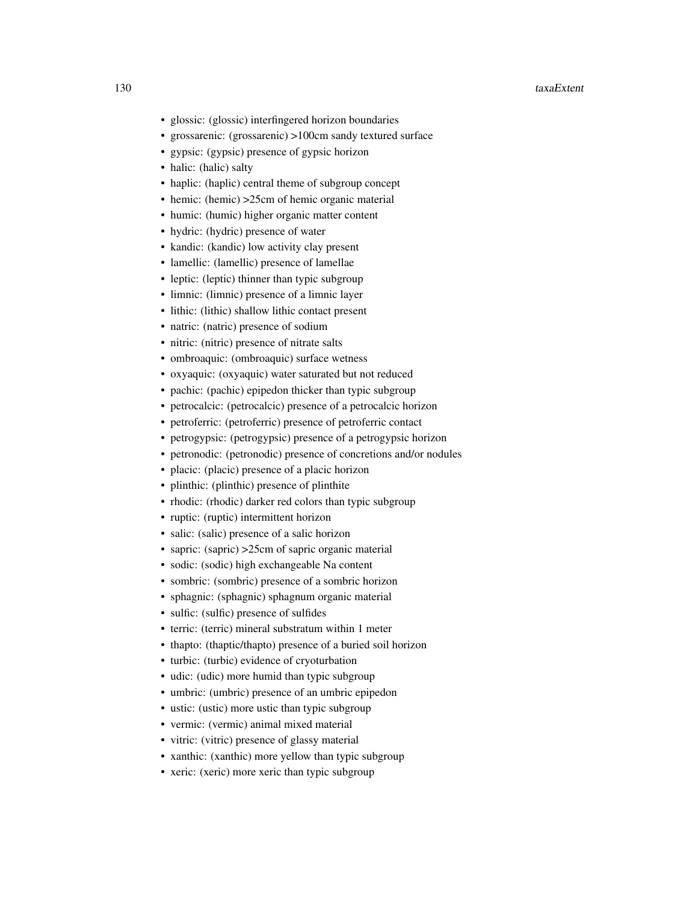#### 130 taxaExtent

- glossic: (glossic) interfingered horizon boundaries
- grossarenic: (grossarenic) >100cm sandy textured surface
- gypsic: (gypsic) presence of gypsic horizon
- halic: (halic) salty
- haplic: (haplic) central theme of subgroup concept
- hemic: (hemic) > 25cm of hemic organic material
- humic: (humic) higher organic matter content
- hydric: (hydric) presence of water
- kandic: (kandic) low activity clay present
- lamellic: (lamellic) presence of lamellae
- leptic: (leptic) thinner than typic subgroup
- limnic: (limnic) presence of a limnic layer
- lithic: (lithic) shallow lithic contact present
- natric: (natric) presence of sodium
- nitric: (nitric) presence of nitrate salts
- ombroaquic: (ombroaquic) surface wetness
- oxyaquic: (oxyaquic) water saturated but not reduced
- pachic: (pachic) epipedon thicker than typic subgroup
- petrocalcic: (petrocalcic) presence of a petrocalcic horizon
- petroferric: (petroferric) presence of petroferric contact
- petrogypsic: (petrogypsic) presence of a petrogypsic horizon
- petronodic: (petronodic) presence of concretions and/or nodules
- placic: (placic) presence of a placic horizon
- plinthic: (plinthic) presence of plinthite
- rhodic: (rhodic) darker red colors than typic subgroup
- ruptic: (ruptic) intermittent horizon
- salic: (salic) presence of a salic horizon
- sapric: (sapric) > 25cm of sapric organic material
- sodic: (sodic) high exchangeable Na content
- sombric: (sombric) presence of a sombric horizon
- sphagnic: (sphagnic) sphagnum organic material
- sulfic: (sulfic) presence of sulfides
- terric: (terric) mineral substratum within 1 meter
- thapto: (thaptic/thapto) presence of a buried soil horizon
- turbic: (turbic) evidence of cryoturbation
- udic: (udic) more humid than typic subgroup
- umbric: (umbric) presence of an umbric epipedon
- ustic: (ustic) more ustic than typic subgroup
- vermic: (vermic) animal mixed material
- vitric: (vitric) presence of glassy material
- xanthic: (xanthic) more yellow than typic subgroup
- xeric: (xeric) more xeric than typic subgroup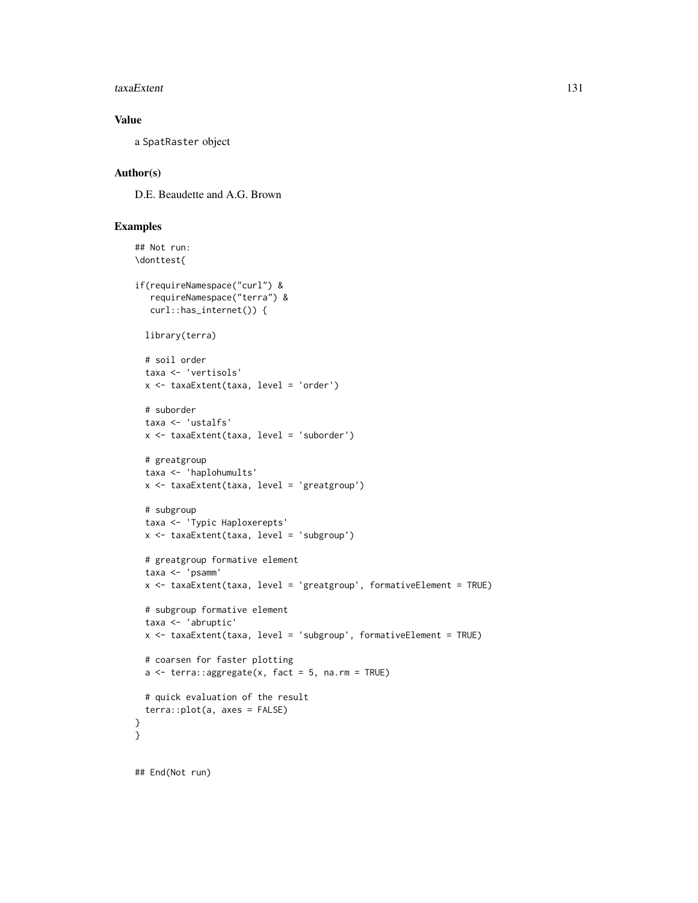#### taxaExtent 131

# Value

a SpatRaster object

# Author(s)

D.E. Beaudette and A.G. Brown

# Examples

```
## Not run:
\donttest{
if(requireNamespace("curl") &
  requireNamespace("terra") &
  curl::has_internet()) {
 library(terra)
 # soil order
 taxa <- 'vertisols'
 x <- taxaExtent(taxa, level = 'order')
 # suborder
 taxa <- 'ustalfs'
 x <- taxaExtent(taxa, level = 'suborder')
 # greatgroup
 taxa <- 'haplohumults'
 x <- taxaExtent(taxa, level = 'greatgroup')
 # subgroup
 taxa <- 'Typic Haploxerepts'
 x <- taxaExtent(taxa, level = 'subgroup')
 # greatgroup formative element
 taxa <- 'psamm'
 x <- taxaExtent(taxa, level = 'greatgroup', formativeElement = TRUE)
 # subgroup formative element
 taxa <- 'abruptic'
 x <- taxaExtent(taxa, level = 'subgroup', formativeElement = TRUE)
 # coarsen for faster plotting
 a \leq terra::aggregate(x, fact = 5, na.rm = TRUE)
 # quick evaluation of the result
 terra::plot(a, axes = FALSE)
}
}
```
## End(Not run)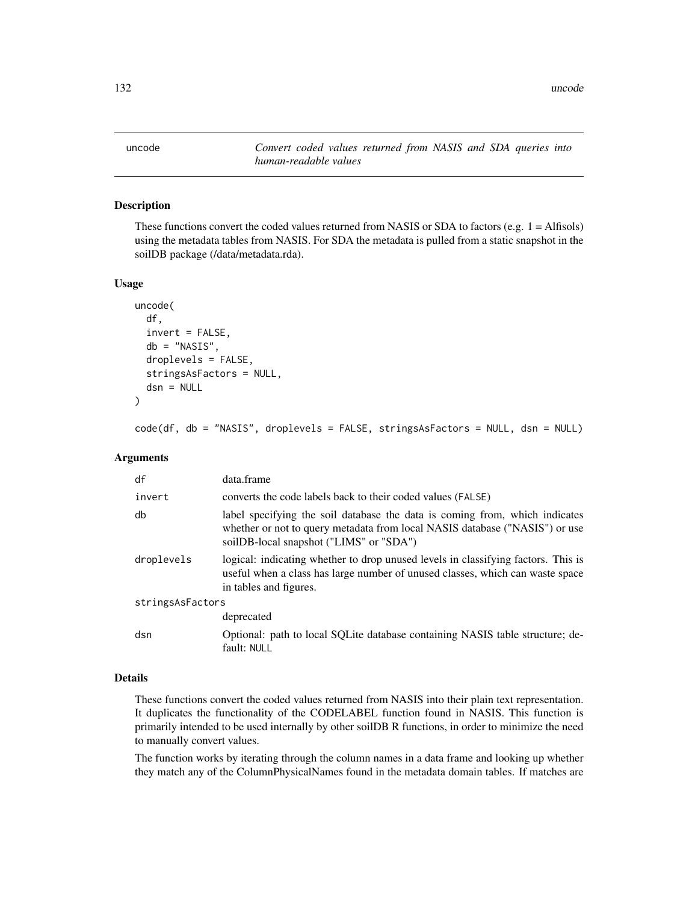<span id="page-131-0"></span>uncode *Convert coded values returned from NASIS and SDA queries into human-readable values*

# Description

These functions convert the coded values returned from NASIS or SDA to factors (e.g.  $1 = \text{Alfisols}$ ) using the metadata tables from NASIS. For SDA the metadata is pulled from a static snapshot in the soilDB package (/data/metadata.rda).

#### Usage

```
uncode(
  df,
  invert = FALSE,
  db = "NASIS",
  droplevels = FALSE,
  stringsAsFactors = NULL,
  dsn = NULL
)
```
code(df, db = "NASIS", droplevels = FALSE, stringsAsFactors = NULL, dsn = NULL)

# Arguments

| df               | data.frame                                                                                                                                                                                            |  |
|------------------|-------------------------------------------------------------------------------------------------------------------------------------------------------------------------------------------------------|--|
| invert           | converts the code labels back to their coded values (FALSE)                                                                                                                                           |  |
| db               | label specifying the soil database the data is coming from, which indicates<br>whether or not to query metadata from local NASIS database ("NASIS") or use<br>soilDB-local snapshot ("LIMS" or "SDA") |  |
| droplevels       | logical: indicating whether to drop unused levels in classifying factors. This is<br>useful when a class has large number of unused classes, which can waste space<br>in tables and figures.          |  |
| stringsAsFactors |                                                                                                                                                                                                       |  |
|                  | deprecated                                                                                                                                                                                            |  |
| dsn              | Optional: path to local SQLite database containing NASIS table structure; de-<br>fault: NULL                                                                                                          |  |

### Details

These functions convert the coded values returned from NASIS into their plain text representation. It duplicates the functionality of the CODELABEL function found in NASIS. This function is primarily intended to be used internally by other soilDB R functions, in order to minimize the need to manually convert values.

The function works by iterating through the column names in a data frame and looking up whether they match any of the ColumnPhysicalNames found in the metadata domain tables. If matches are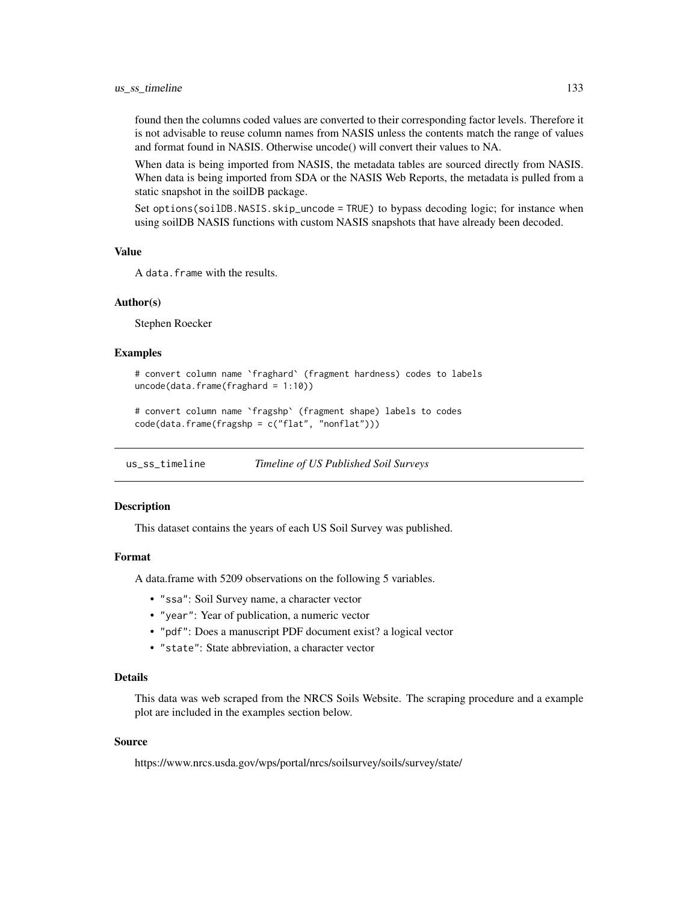<span id="page-132-0"></span>found then the columns coded values are converted to their corresponding factor levels. Therefore it is not advisable to reuse column names from NASIS unless the contents match the range of values and format found in NASIS. Otherwise uncode() will convert their values to NA.

When data is being imported from NASIS, the metadata tables are sourced directly from NASIS. When data is being imported from SDA or the NASIS Web Reports, the metadata is pulled from a static snapshot in the soilDB package.

Set options(soilDB.NASIS.skip\_uncode = TRUE) to bypass decoding logic; for instance when using soilDB NASIS functions with custom NASIS snapshots that have already been decoded.

# Value

A data.frame with the results.

#### Author(s)

Stephen Roecker

#### Examples

```
# convert column name `fraghard` (fragment hardness) codes to labels
uncode(data, frame(fraghard = 1:10))
```
# convert column name `fragshp` (fragment shape) labels to codes code(data.frame(fragshp = c("flat", "nonflat")))

us\_ss\_timeline *Timeline of US Published Soil Surveys*

#### **Description**

This dataset contains the years of each US Soil Survey was published.

# Format

A data.frame with 5209 observations on the following 5 variables.

- "ssa": Soil Survey name, a character vector
- "year": Year of publication, a numeric vector
- "pdf": Does a manuscript PDF document exist? a logical vector
- "state": State abbreviation, a character vector

### Details

This data was web scraped from the NRCS Soils Website. The scraping procedure and a example plot are included in the examples section below.

#### Source

https://www.nrcs.usda.gov/wps/portal/nrcs/soilsurvey/soils/survey/state/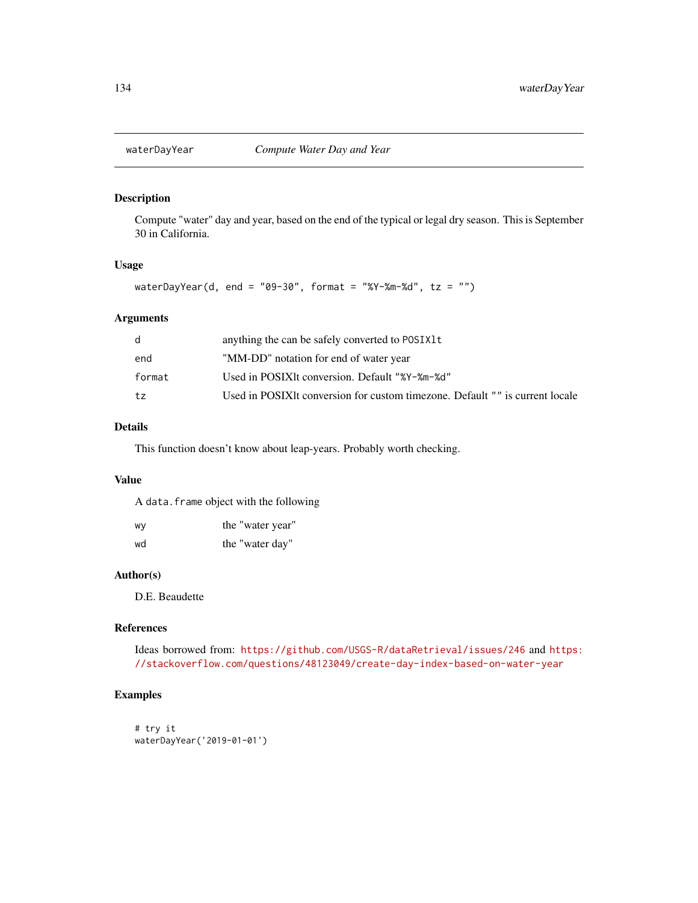<span id="page-133-0"></span>

Compute "water" day and year, based on the end of the typical or legal dry season. This is September 30 in California.

# Usage

waterDayYear(d, end = "09-30", format = "%Y-%m-%d", tz = "")

# Arguments

|        | anything the can be safely converted to POSIX1t                              |
|--------|------------------------------------------------------------------------------|
| end    | "MM-DD" notation for end of water year                                       |
| format | Used in POSIXIt conversion. Default "%Y-%m-%d"                               |
| tz     | Used in POSIXIt conversion for custom timezone. Default "" is current locale |
|        |                                                                              |

# Details

This function doesn't know about leap-years. Probably worth checking.

# Value

A data.frame object with the following

| W٧ | the "water year" |
|----|------------------|
| wd | the "water day"  |

#### Author(s)

D.E. Beaudette

# References

Ideas borrowed from: <https://github.com/USGS-R/dataRetrieval/issues/246> and [https:](https://stackoverflow.com/questions/48123049/create-day-index-based-on-water-year) [//stackoverflow.com/questions/48123049/create-day-index-based-on-water-year](https://stackoverflow.com/questions/48123049/create-day-index-based-on-water-year)

# Examples

```
# try it
waterDayYear('2019-01-01')
```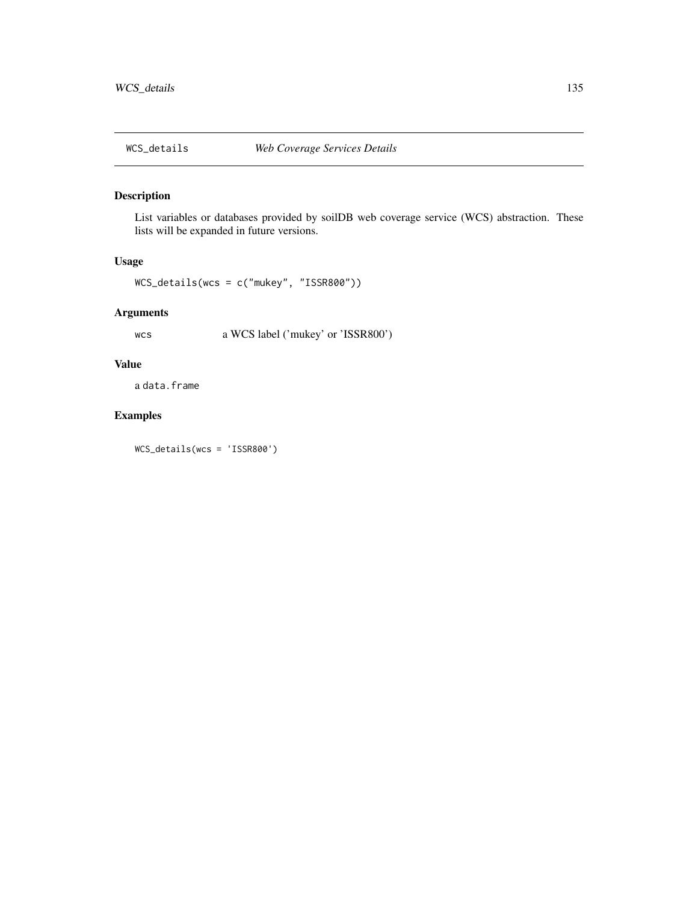<span id="page-134-0"></span>

List variables or databases provided by soilDB web coverage service (WCS) abstraction. These lists will be expanded in future versions.

# Usage

WCS\_details(wcs = c("mukey", "ISSR800"))

# Arguments

wcs a WCS label ('mukey' or 'ISSR800')

# Value

a data.frame

# Examples

WCS\_details(wcs = 'ISSR800')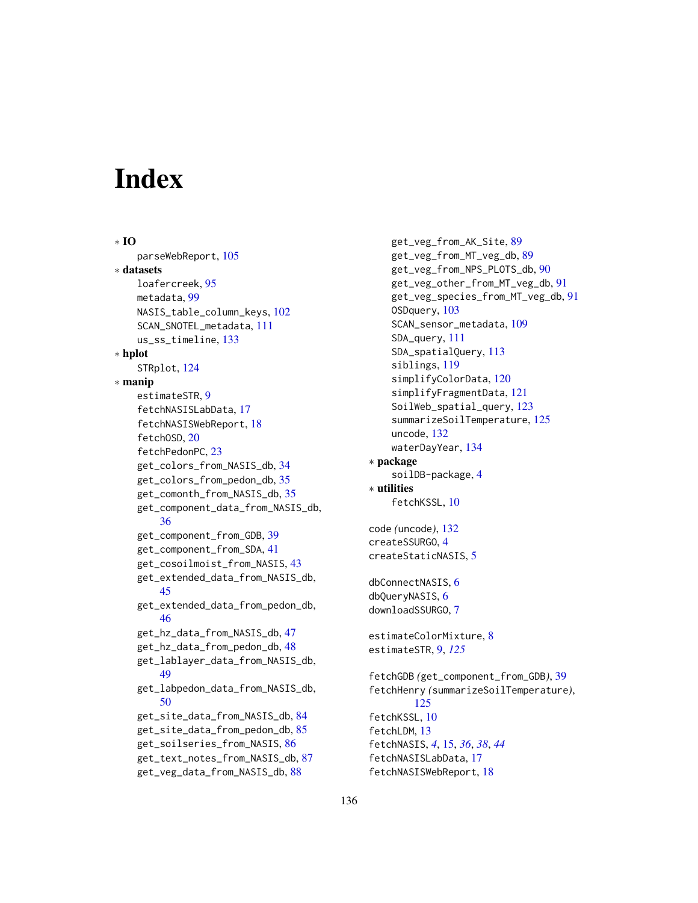# Index

∗ IO parseWebReport, [105](#page-104-0) ∗ datasets loafercreek, [95](#page-94-0) metadata, [99](#page-98-0) NASIS\_table\_column\_keys, [102](#page-101-0) SCAN\_SNOTEL\_metadata, [111](#page-110-1) us\_ss\_timeline, [133](#page-132-0) ∗ hplot STRplot, [124](#page-123-0) ∗ manip estimateSTR, [9](#page-8-1) fetchNASISLabData, [17](#page-16-0) fetchNASISWebReport, [18](#page-17-0) fetchOSD, [20](#page-19-1) fetchPedonPC, [23](#page-22-0) get\_colors\_from\_NASIS\_db, [34](#page-33-0) get\_colors\_from\_pedon\_db, [35](#page-34-0) get\_comonth\_from\_NASIS\_db, [35](#page-34-0) get\_component\_data\_from\_NASIS\_db, [36](#page-35-0) get\_component\_from\_GDB, [39](#page-38-0) get\_component\_from\_SDA, [41](#page-40-0) get\_cosoilmoist\_from\_NASIS, [43](#page-42-0) get\_extended\_data\_from\_NASIS\_db, [45](#page-44-0) get\_extended\_data\_from\_pedon\_db, [46](#page-45-0) get\_hz\_data\_from\_NASIS\_db, [47](#page-46-0) get\_hz\_data\_from\_pedon\_db, [48](#page-47-0) get\_lablayer\_data\_from\_NASIS\_db, [49](#page-48-0) get\_labpedon\_data\_from\_NASIS\_db, [50](#page-49-0) get\_site\_data\_from\_NASIS\_db, [84](#page-83-0) get\_site\_data\_from\_pedon\_db, [85](#page-84-0) get\_soilseries\_from\_NASIS, [86](#page-85-0) get\_text\_notes\_from\_NASIS\_db, [87](#page-86-0) get\_veg\_data\_from\_NASIS\_db, [88](#page-87-0)

get\_veg\_from\_AK\_Site, [89](#page-88-0) get\_veg\_from\_MT\_veg\_db, [89](#page-88-0) get\_veg\_from\_NPS\_PLOTS\_db, [90](#page-89-0) get\_veg\_other\_from\_MT\_veg\_db, [91](#page-90-0) get\_veg\_species\_from\_MT\_veg\_db, [91](#page-90-0) OSDquery, [103](#page-102-1) SCAN\_sensor\_metadata, [109](#page-108-1) SDA\_query, [111](#page-110-1) SDA\_spatialQuery, [113](#page-112-1) siblings, [119](#page-118-1) simplifyColorData, [120](#page-119-0) simplifyFragmentData, [121](#page-120-0) SoilWeb\_spatial\_query, [123](#page-122-0) summarizeSoilTemperature, [125](#page-124-0) uncode, [132](#page-131-0) waterDayYear, [134](#page-133-0) ∗ package soilDB-package, [4](#page-3-0) ∗ utilities fetchKSSL, [10](#page-9-0) code *(*uncode*)*, [132](#page-131-0) createSSURGO, [4](#page-3-0) createStaticNASIS, [5](#page-4-0) dbConnectNASIS, [6](#page-5-0) dbQueryNASIS, [6](#page-5-0) downloadSSURGO, [7](#page-6-0) estimateColorMixture, [8](#page-7-0) estimateSTR, [9,](#page-8-1) *[125](#page-124-0)* fetchGDB *(*get\_component\_from\_GDB*)*, [39](#page-38-0) fetchHenry *(*summarizeSoilTemperature*)*, [125](#page-124-0) fetchKSSL, [10](#page-9-0) fetchLDM, [13](#page-12-0) fetchNASIS, *[4](#page-3-0)*, [15,](#page-14-0) *[36](#page-35-0)*, *[38](#page-37-0)*, *[44](#page-43-0)* fetchNASISLabData, [17](#page-16-0) fetchNASISWebReport, [18](#page-17-0)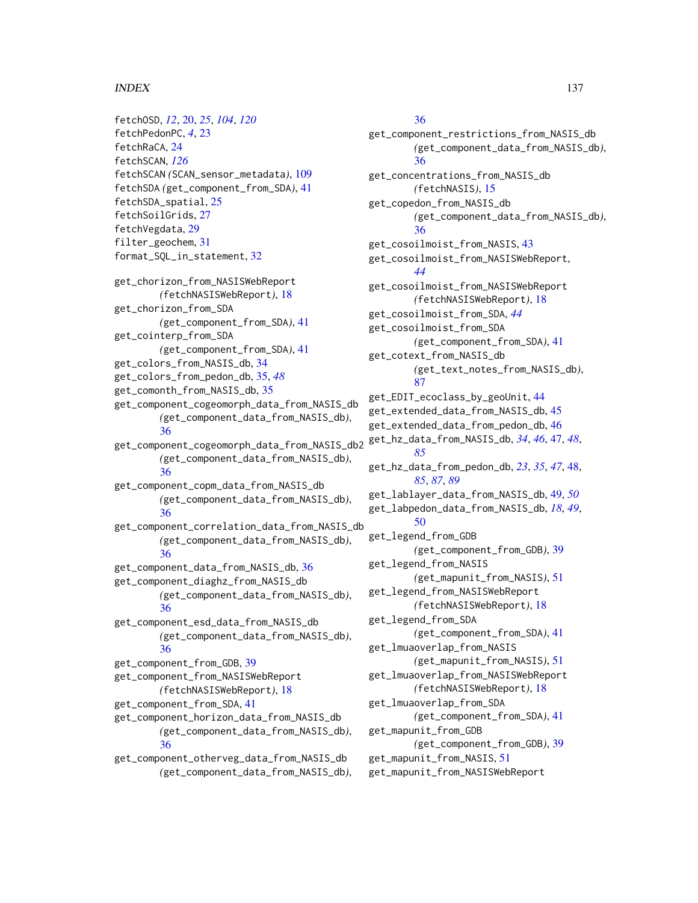#### INDEX  $137$

fetchOSD, *[12](#page-11-0)*, [20,](#page-19-1) *[25](#page-24-0)*, *[104](#page-103-0)*, *[120](#page-119-0)* fetchPedonPC, *[4](#page-3-0)*, [23](#page-22-0) fetchRaCA, [24](#page-23-0) fetchSCAN, *[126](#page-125-0)* fetchSCAN *(*SCAN\_sensor\_metadata*)*, [109](#page-108-1) fetchSDA *(*get\_component\_from\_SDA*)*, [41](#page-40-0) fetchSDA\_spatial, [25](#page-24-0) fetchSoilGrids, [27](#page-26-0) fetchVegdata, [29](#page-28-0) filter\_geochem, [31](#page-30-0) format\_SQL\_in\_statement, [32](#page-31-0) get\_chorizon\_from\_NASISWebReport *(*fetchNASISWebReport*)*, [18](#page-17-0) get\_chorizon\_from\_SDA *(*get\_component\_from\_SDA*)*, [41](#page-40-0) get\_cointerp\_from\_SDA *(*get\_component\_from\_SDA*)*, [41](#page-40-0) get\_colors\_from\_NASIS\_db, [34](#page-33-0) get\_colors\_from\_pedon\_db, [35,](#page-34-0) *[48](#page-47-0)* get\_comonth\_from\_NASIS\_db, [35](#page-34-0) get\_component\_cogeomorph\_data\_from\_NASIS\_db *(*get\_component\_data\_from\_NASIS\_db*)*, [36](#page-35-0) get\_component\_cogeomorph\_data\_from\_NASIS\_db2 *(*get\_component\_data\_from\_NASIS\_db*)*, [36](#page-35-0) get\_component\_copm\_data\_from\_NASIS\_db *(*get\_component\_data\_from\_NASIS\_db*)*, [36](#page-35-0) get\_component\_correlation\_data\_from\_NASIS\_db *(*get\_component\_data\_from\_NASIS\_db*)*, [36](#page-35-0) get\_component\_data\_from\_NASIS\_db, [36](#page-35-0) get\_component\_diaghz\_from\_NASIS\_db *(*get\_component\_data\_from\_NASIS\_db*)*, [36](#page-35-0) get\_component\_esd\_data\_from\_NASIS\_db *(*get\_component\_data\_from\_NASIS\_db*)*, [36](#page-35-0) get\_component\_from\_GDB, [39](#page-38-0) get\_component\_from\_NASISWebReport *(*fetchNASISWebReport*)*, [18](#page-17-0) get\_component\_from\_SDA, [41](#page-40-0) get\_component\_horizon\_data\_from\_NASIS\_db *(*get\_component\_data\_from\_NASIS\_db*)*, [36](#page-35-0) get\_component\_otherveg\_data\_from\_NASIS\_db

*(*get\_component\_data\_from\_NASIS\_db*)*,

# [36](#page-35-0)

get\_component\_restrictions\_from\_NASIS\_db *(*get\_component\_data\_from\_NASIS\_db*)*, [36](#page-35-0) get\_concentrations\_from\_NASIS\_db *(*fetchNASIS*)*, [15](#page-14-0) get\_copedon\_from\_NASIS\_db *(*get\_component\_data\_from\_NASIS\_db*)*, [36](#page-35-0) get\_cosoilmoist\_from\_NASIS, [43](#page-42-0) get\_cosoilmoist\_from\_NASISWebReport, *[44](#page-43-0)* get\_cosoilmoist\_from\_NASISWebReport *(*fetchNASISWebReport*)*, [18](#page-17-0) get\_cosoilmoist\_from\_SDA, *[44](#page-43-0)* get\_cosoilmoist\_from\_SDA *(*get\_component\_from\_SDA*)*, [41](#page-40-0) get\_cotext\_from\_NASIS\_db *(*get\_text\_notes\_from\_NASIS\_db*)*, [87](#page-86-0) get\_EDIT\_ecoclass\_by\_geoUnit, [44](#page-43-0) get\_extended\_data\_from\_NASIS\_db, [45](#page-44-0) get\_extended\_data\_from\_pedon\_db, [46](#page-45-0) get\_hz\_data\_from\_NASIS\_db, *[34](#page-33-0)*, *[46](#page-45-0)*, [47,](#page-46-0) *[48](#page-47-0)*, *[85](#page-84-0)* get\_hz\_data\_from\_pedon\_db, *[23](#page-22-0)*, *[35](#page-34-0)*, *[47](#page-46-0)*, [48,](#page-47-0) *[85](#page-84-0)*, *[87](#page-86-0)*, *[89](#page-88-0)* get\_lablayer\_data\_from\_NASIS\_db, [49,](#page-48-0) *[50](#page-49-0)* get\_labpedon\_data\_from\_NASIS\_db, *[18](#page-17-0)*, *[49](#page-48-0)*, [50](#page-49-0) get\_legend\_from\_GDB *(*get\_component\_from\_GDB*)*, [39](#page-38-0) get\_legend\_from\_NASIS *(*get\_mapunit\_from\_NASIS*)*, [51](#page-50-0) get\_legend\_from\_NASISWebReport *(*fetchNASISWebReport*)*, [18](#page-17-0) get\_legend\_from\_SDA *(*get\_component\_from\_SDA*)*, [41](#page-40-0) get\_lmuaoverlap\_from\_NASIS *(*get\_mapunit\_from\_NASIS*)*, [51](#page-50-0) get\_lmuaoverlap\_from\_NASISWebReport *(*fetchNASISWebReport*)*, [18](#page-17-0) get\_lmuaoverlap\_from\_SDA *(*get\_component\_from\_SDA*)*, [41](#page-40-0) get\_mapunit\_from\_GDB *(*get\_component\_from\_GDB*)*, [39](#page-38-0) get\_mapunit\_from\_NASIS, [51](#page-50-0) get\_mapunit\_from\_NASISWebReport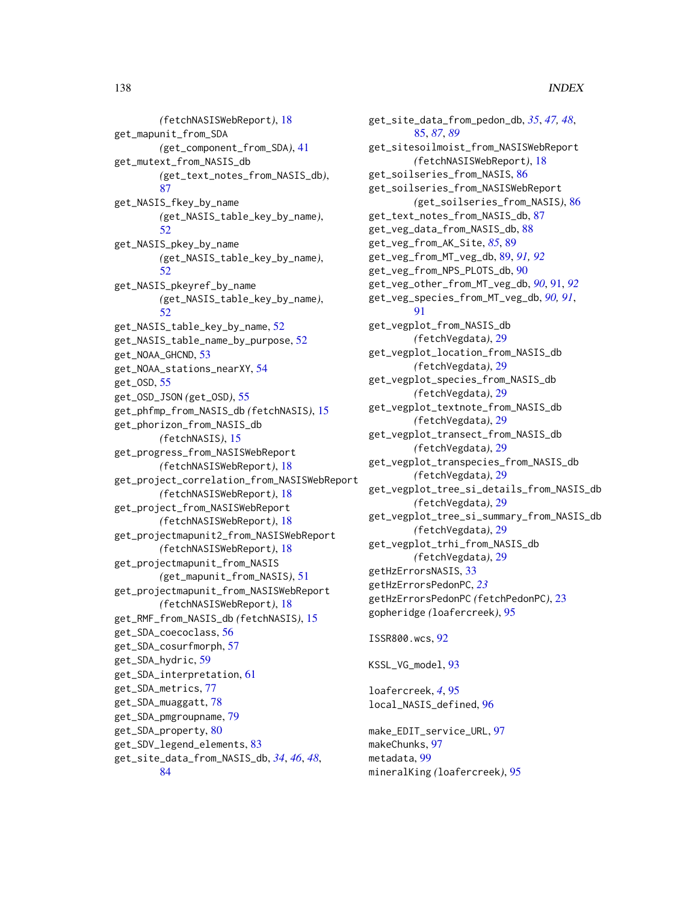*(*fetchNASISWebReport*)*, [18](#page-17-0) get\_mapunit\_from\_SDA *(*get\_component\_from\_SDA*)*, [41](#page-40-0) get\_mutext\_from\_NASIS\_db *(*get\_text\_notes\_from\_NASIS\_db*)*, [87](#page-86-0) get\_NASIS\_fkey\_by\_name *(*get\_NASIS\_table\_key\_by\_name*)*,  $52$ get\_NASIS\_pkey\_by\_name *(*get\_NASIS\_table\_key\_by\_name*)*, [52](#page-51-0) get\_NASIS\_pkeyref\_by\_name *(*get\_NASIS\_table\_key\_by\_name*)*, [52](#page-51-0) get\_NASIS\_table\_key\_by\_name, [52](#page-51-0) get\_NASIS\_table\_name\_by\_purpose, [52](#page-51-0) get\_NOAA\_GHCND, [53](#page-52-0) get\_NOAA\_stations\_nearXY, [54](#page-53-0) get\_OSD, [55](#page-54-0) get\_OSD\_JSON *(*get\_OSD*)*, [55](#page-54-0) get\_phfmp\_from\_NASIS\_db *(*fetchNASIS*)*, [15](#page-14-0) get\_phorizon\_from\_NASIS\_db *(*fetchNASIS*)*, [15](#page-14-0) get\_progress\_from\_NASISWebReport *(*fetchNASISWebReport*)*, [18](#page-17-0) get\_project\_correlation\_from\_NASISWebReport *(*fetchNASISWebReport*)*, [18](#page-17-0) get\_project\_from\_NASISWebReport *(*fetchNASISWebReport*)*, [18](#page-17-0) get\_projectmapunit2\_from\_NASISWebReport *(*fetchNASISWebReport*)*, [18](#page-17-0) get\_projectmapunit\_from\_NASIS *(*get\_mapunit\_from\_NASIS*)*, [51](#page-50-0) get\_projectmapunit\_from\_NASISWebReport *(*fetchNASISWebReport*)*, [18](#page-17-0) get\_RMF\_from\_NASIS\_db *(*fetchNASIS*)*, [15](#page-14-0) get\_SDA\_coecoclass, [56](#page-55-0) get\_SDA\_cosurfmorph, [57](#page-56-0) get\_SDA\_hydric, [59](#page-58-0) get\_SDA\_interpretation, [61](#page-60-0) get\_SDA\_metrics, [77](#page-76-0) get\_SDA\_muaggatt, [78](#page-77-0) get\_SDA\_pmgroupname, [79](#page-78-0) get\_SDA\_property, [80](#page-79-0) get\_SDV\_legend\_elements, [83](#page-82-0) get\_site\_data\_from\_NASIS\_db, *[34](#page-33-0)*, *[46](#page-45-0)*, *[48](#page-47-0)*, [84](#page-83-0)

get\_site\_data\_from\_pedon\_db, *[35](#page-34-0)*, *[47,](#page-46-0) [48](#page-47-0)*, [85,](#page-84-0) *[87](#page-86-0)*, *[89](#page-88-0)* get\_sitesoilmoist\_from\_NASISWebReport *(*fetchNASISWebReport*)*, [18](#page-17-0) get\_soilseries\_from\_NASIS, [86](#page-85-0) get\_soilseries\_from\_NASISWebReport *(*get\_soilseries\_from\_NASIS*)*, [86](#page-85-0) get\_text\_notes\_from\_NASIS\_db, [87](#page-86-0) get\_veg\_data\_from\_NASIS\_db, [88](#page-87-0) get\_veg\_from\_AK\_Site, *[85](#page-84-0)*, [89](#page-88-0) get\_veg\_from\_MT\_veg\_db, [89,](#page-88-0) *[91,](#page-90-0) [92](#page-91-0)* get\_veg\_from\_NPS\_PLOTS\_db, [90](#page-89-0) get\_veg\_other\_from\_MT\_veg\_db, *[90](#page-89-0)*, [91,](#page-90-0) *[92](#page-91-0)* get\_veg\_species\_from\_MT\_veg\_db, *[90,](#page-89-0) [91](#page-90-0)*, **Q1** get\_vegplot\_from\_NASIS\_db *(*fetchVegdata*)*, [29](#page-28-0) get\_vegplot\_location\_from\_NASIS\_db *(*fetchVegdata*)*, [29](#page-28-0) get\_vegplot\_species\_from\_NASIS\_db *(*fetchVegdata*)*, [29](#page-28-0) get\_vegplot\_textnote\_from\_NASIS\_db *(*fetchVegdata*)*, [29](#page-28-0) get\_vegplot\_transect\_from\_NASIS\_db *(*fetchVegdata*)*, [29](#page-28-0) get\_vegplot\_transpecies\_from\_NASIS\_db *(*fetchVegdata*)*, [29](#page-28-0) get\_vegplot\_tree\_si\_details\_from\_NASIS\_db *(*fetchVegdata*)*, [29](#page-28-0) get\_vegplot\_tree\_si\_summary\_from\_NASIS\_db *(*fetchVegdata*)*, [29](#page-28-0) get\_vegplot\_trhi\_from\_NASIS\_db *(*fetchVegdata*)*, [29](#page-28-0) getHzErrorsNASIS, [33](#page-32-0) getHzErrorsPedonPC, *[23](#page-22-0)* getHzErrorsPedonPC *(*fetchPedonPC*)*, [23](#page-22-0) gopheridge *(*loafercreek*)*, [95](#page-94-0) ISSR800.wcs, [92](#page-91-0)

```
KSSL_VG_model, 93
```
loafercreek, *[4](#page-3-0)*, [95](#page-94-0) local\_NASIS\_defined, [96](#page-95-0)

make\_EDIT\_service\_URL, [97](#page-96-0) makeChunks, [97](#page-96-0) metadata, [99](#page-98-0) mineralKing *(*loafercreek*)*, [95](#page-94-0)